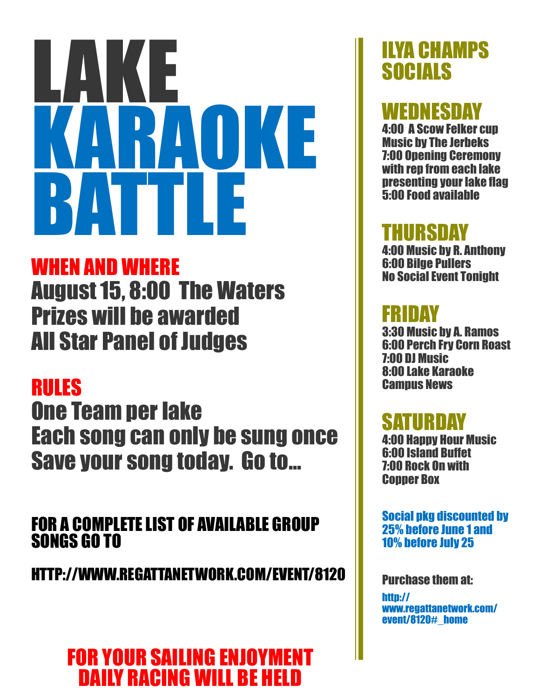# LAKE KARAOKE BATTLE

## WHEN AND WHERE

August 15, 8:00 The Waters Prizes will be awarded All Star Panel of Judges

# RULES

One Team per lake Each song can only be sung once Save your song today. Go to...

#### FOR A COMPLETE LIST OF AVAILABLE GROUP SONGS GO TO

HTTP://WWW.REGATTANETWORK.COM/EVENT/8120

## FOR YOUR SAILING ENJOYMENT DAILY RACING WILL BE HELD

# ILYA CHAMPS **SOCIALS**

# WEDNESDAY

4:00 A Scow Felker cup Music by The Jerbeks 7:00 Opening Ceremony with rep from each lake presenting your lake flag 5:00 Food available

#### HURSDAY

4:00 Music by R. Anthony 6:00 Bilge Pullers No Social Event Tonight

## FRIDAY

3:30 Music by A. Ramos 6:00 Perch Fry Corn Roast 7:00 DJ Music 8:00 Lake Karaoke **Campus News** 

## **SATURDAY**

4:00 Happy Hour Music 6:00 Island Buffet 7:00 Rock On with **Conner Box** 

Social pkg discounted by 25% before June 1 and 10% before July 25

Purchase them at:

http:// www.regattanetwork.com/ event/8120#\_home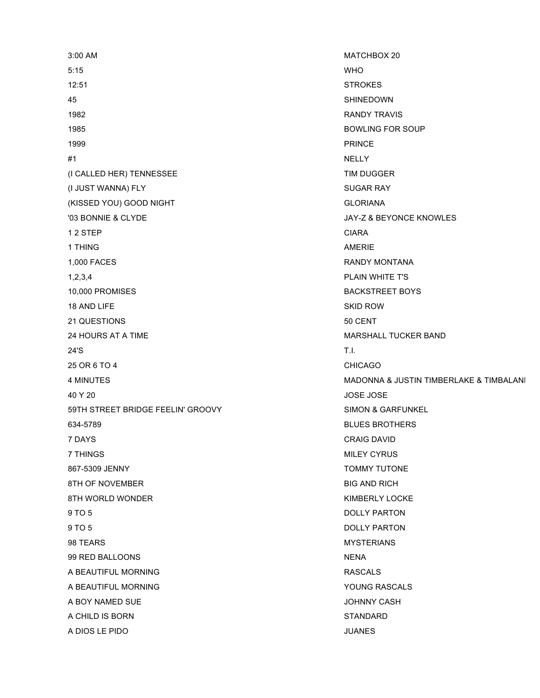3:00 AM MATCHBOX 20 5:15 WHO 12:51 STROKES 45 SHINEDOWN 1982 RANDY TRAVIS 1985 BOWLING FOR SOUP 1999 PRINCE #1 NELLY (I CALLED HER) TENNESSEE TIM DUGGER (I JUST WANNA) FLY SUGAR RAY (KISSED YOU) GOOD NIGHT GLORIANA '03 BONNIE & CLYDE JAY-Z & BEYONCE KNOWLES 1 2 STEP CIARA 1 THING AMERICAL CONTROL CONTROL CONTROL CONTROL CONTROL CONTROL CONTROL CONTROL CONTROL CONTROL CONTROL CONTROL CONTROL CONTROL CONTROL CONTROL CONTROL CONTROL CONTROL CONTROL CONTROL CONTROL CONTROL CONTROL CONTROL CONTR 1,000 FACES RANDY MONTANA 1,2,3,4 PLAIN WHITE T'S 10,000 PROMISES BACKSTREET BOYS 18 AND LIFE SKID ROW 21 QUESTIONS 50 CENT 24 HOURS AT A TIME MARSHALL TUCKER BAND 24'S T.I. 25 OR 6 TO 4 CHICAGO 40 Y 20 JOSE JOSE 59TH STREET BRIDGE FEELIN' GROOVY SIMON & GARFUNKEL 634-5789 BLUES BROTHERS 7 DAYS CRAIG DAVID **7 THINGS** MILEY CYRUS 867-5309 JENNY TOMMY TUTONE 8TH OF NOVEMBER BIG AND RICH 8TH WORLD WONDER **KIMBERLY LOCKE** 9 TO 5 DOLLY PARTON 9 TO 5 DOLLY PARTON 98 TEARS MYSTERIANS 99 RED BALLOONS NENA A BEAUTIFUL MORNING **RASCALS** A BEAUTIFUL MORNING **YOUNG RASCALS** A BOY NAMED SUE **A BOY NAMED SUE A BOY NAMED SUE** A CHILD IS BORN STANDARD A DIOS LE PIDO JUANES

4 MINUTES And the US of the MADONNA & JUSTIN TIMBERLAKE & TIMBALANI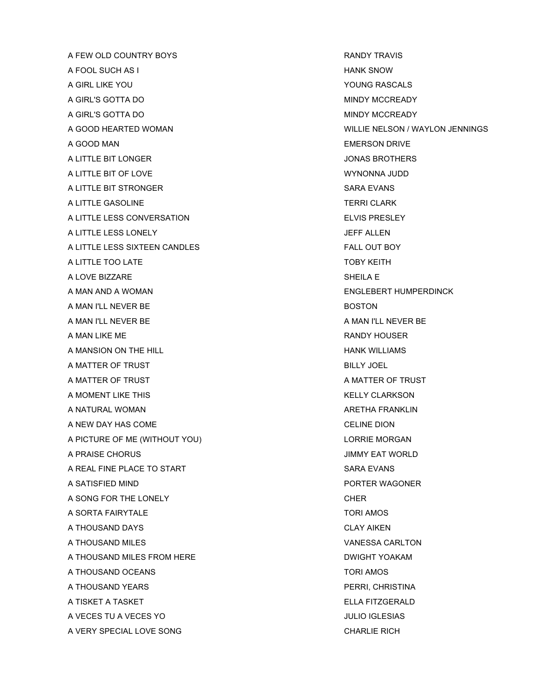A FEW OLD COUNTRY BOYS A RANDY TRAVIS A FOOL SUCH AS I HANK SNOW A GIRL LIKE YOU ALL AND THE SERIES OF THE SERIES OF THE SERIES OF THE SERIES OF THE SERIES OF THE SERIES OF THE SERIES OF THE SERIES OF THE SERIES OF THE SERIES OF THE SERIES OF THE SERIES OF THE SERIES OF THE SERIES OF TH A GIRL'S GOTTA DO **MINDY MCCREADY** A GIRL'S GOTTA DO **MINDY MCCREADY** A GOOD HEARTED WOMAN WILLIE NELSON / WAYLON JENNINGS A GOOD MAN EMERSON DRIVE A LITTLE BIT LONGER **STATE AND RESERVE THE STATE ASSAULT A** LITTLE BIT LONGER A LITTLE BIT OF LOVE **WYNONNA JUDD** A LITTLE BIT STRONGER SARA EVANS A LITTLE GASOLINE TERRI CLARK A LITTLE LESS CONVERSATION ELVIS PRESLEY A LITTLE LESS LONELY **A LITTLE LESS LONELY** A LITTLE LESS SIXTEEN CANDLES FALL OUT BOY A LITTLE TOO LATE TO A LITTLE TO BE A LITTLE TO BE A LITTLE TO BE A LITTLE TO BY KEITH A LOVE BIZZARE SHEILA E A MAN AND A WOMAN ENGLEBERT HUMPERDINCK A MAN I'LL NEVER BE BOSTON BOSTON A MAN I'LL NEVER BE A MAN I'LL NEVER BE A MAN LIKE ME RANDY HOUSER A MANSION ON THE HILL **A MANSION ON THE HILL** A MATTER OF TRUST BILLY JOEL AND THE STATE AND THE STATE AND THE BILLY JOEL A MATTER OF TRUST A MATTER OF TRUST A MOMENT LIKE THIS KELLY CLARKSON A NATURAL WOMAN ARETHA FRANKLIN A NEW DAY HAS COME CELINE DION A PICTURE OF ME (WITHOUT YOU) LORRIE MORGAN A PRAISE CHORUS JIMMY EAT WORLD A REAL FINE PLACE TO START SARA EVANS A SATISFIED MIND PORTER WAGONER A SONG FOR THE LONELY CHERR CHERR CHERR CHERR CHERR CHERR CHERR A SORTA FAIRYTALE TORI AMOS A THOUSAND DAYS CLAY AIKEN A THOUSAND MILES VANESSA CARLTON A THOUSAND MILES FROM HERE **Example 20 YOM CONSTRUCTS** DWIGHT YOAKAM A THOUSAND OCEANS TORI AMOS A THOUSAND YEARS **PERRI, CHRISTINA** A TISKET A TASKET ELLA FITZGERALD A VECES TU A VECES YO JULIO IGLESIAS A VERY SPECIAL LOVE SONG CHARLIE RICH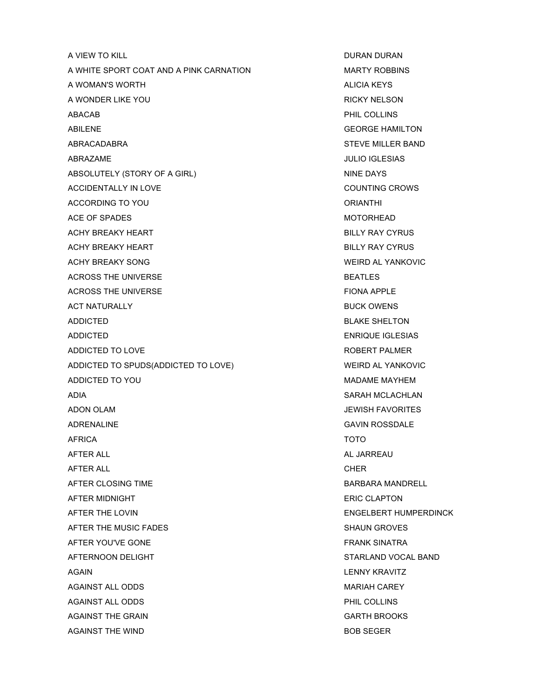A VIEW TO KILL **A VIEW TO KILL A VIEW TO KILL** A WHITE SPORT COAT AND A PINK CARNATION MARTY ROBBINS A WOMAN'S WORTH ALICIA KEYS A WONDER LIKE YOU GOT CONTROL CONTROL AND RICKY NELSON ABACAB PHIL COLLINS ABILENE GEORGE HAMILTON ABRACADABRA STEVE MILLER BAND ABRAZAME JULIO IGLESIAS ABSOLUTELY (STORY OF A GIRL) NINE DAYS ACCIDENTALLY IN LOVE **COUNTING CROWS** ACCORDING TO YOU ACCORDING TO YOU ACE OF SPADES MOTORHEAD ACHY BREAKY HEART **BILLY RAY CYRUS** ACHY BREAKY HEART **BILLY RAY CYRUS** ACHY BREAKY SONG WEIRD AL YANKOVIC ACROSS THE UNIVERSE **BEATLES** ACROSS THE UNIVERSE FIONA APPLE ACT NATURALLY **BUCK OWENS** ADDICTED BLAKE SHELTON ADDICTED **ENRIQUE IGLESIAS** ADDICTED TO LOVE A ROBERT PALMER AND A ROBERT PALMER ADDICTED TO SPUDS(ADDICTED TO LOVE) WEIRD AL YANKOVIC ADDICTED TO YOU ALL AND THE MADAME MAYHEM ADIA SARAH MCLACHLAN ADON OLAM JEWISH FAVORITES ADRENALINE GAVIN ROSSDALE AFRICA TOTO AFTER ALL AL JARREAU AND AL JARREAU AL JARREAU AL JARREAU AL JARREAU AL JARREAU AL JARREAU AL JARREAU AL JARREAU AFTER ALL **CHER** AFTER CLOSING TIME **BARBARA MANDRELL** AFTER MIDNIGHT ERIC CLAPTON AFTER THE LOVIN ENGELSERT HUMPERDINCK AFTER THE MUSIC FADES SHAUN GROVES AFTER YOU'VE GONE FRANK SINATRA AFTERNOON DELIGHT STARLAND VOCAL BAND AGAIN **AGAIN LENNY KRAVITZ** AGAINST ALL ODDS **MARIAH CAREY** AGAINST ALL ODDS **PHIL COLLINS** AGAINST THE GRAIN GARTH BROOKS AGAINST THE WIND **BOB SEGER**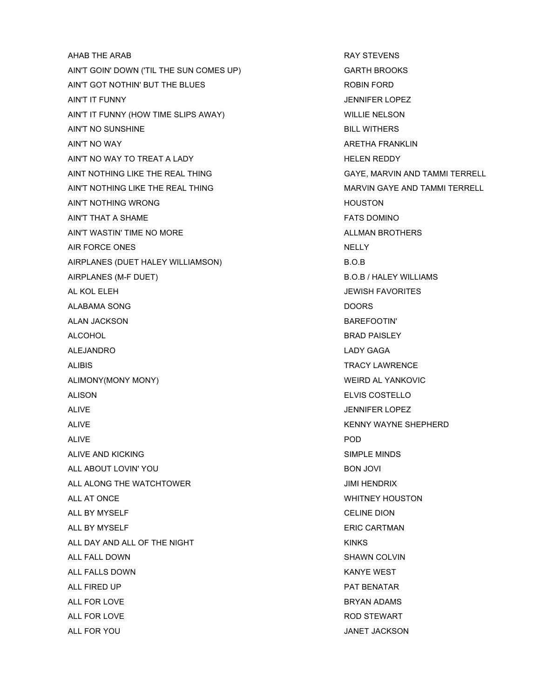AHAB THE ARAB **RAY STEVENS** AIN'T GOIN' DOWN ('TIL THE SUN COMES UP) GARTH BROOKS AIN'T GOT NOTHIN' BUT THE BLUES ROBIN FORD AIN'T IT FUNNY JENNIFER LOPEZ AIN'T IT FUNNY (HOW TIME SLIPS AWAY) WILLIE NELSON AIN'T NO SUNSHINE BILL WITHERS AIN'T NO WAY ARETHA FRANKLIN AIN'T NO WAY TO TREAT A LADY THE REDDY HELEN REDDY AINT NOTHING LIKE THE REAL THING GAYE, MARVIN AND TAMMI TERRELL AIN'T NOTHING LIKE THE REAL THING MARVIN GAYE AND TAMMI TERRELL AIN'T NOTHING WRONG **HOUSTON** AIN'T THAT A SHAME FATS DOMINO AIN'T WASTIN' TIME NO MORE ALLMAN BROTHERS AIR FORCE ONES NELLY AIRPLANES (DUET HALEY WILLIAMSON) B.O.B AIRPLANES (M-F DUET) B.O.B / HALEY WILLIAMS AL KOL ELEH JEWISH FAVORITES ALABAMA SONG DOORS DOORS ALAN JACKSON BAREFOOTIN' ALCOHOL ALCOHOL AND REAL ALCOHOL ALCOHOL AND REAL ALCOHOL AND REAL ALCOHOL. ALEJANDRO LADY GAGA ALIBIS TRACY LAWRENCE ALIMONY(MONY MONY) WEIRD AL YANKOVIC ALISON ELVIS COSTELLO ALIVE THE STATE OF EXAMPLE AND THE STATE OF STATE AND THE STATE OF STATE OF STATE OF EXAMPLE AND THE STATE OF STATE OF STATE OF STATE OF STATE OF STATE OF STATE OF STATE OF STATE OF STATE OF STATE OF STATE OF STATE OF STAT ALIVE **ALIVE** ALIVE **KENNY WAYNE SHEPHERD** ALIVE POD ALIVE AND KICKING SIMPLE MINDS ALL ABOUT LOVIN' YOU ALL ABOUT LOVIN' YOU ALL ALONG THE WATCHTOWER **CONGLESS IN THE WATCH TO A CONGLESS IN THE WATCH** ALL AT ONCE THE STATE OF THE SERVICE OF THE STATE OF THE WHITNEY HOUSTON. ALL BY MYSELF CELINE DION ALL BY MYSELF **ERIC CARTMAN** ALL DAY AND ALL OF THE NIGHT **KINGS** KINKS ALL FALL DOWN SHAWN COLVIN ALL FALLS DOWN GENERAL AND THE SERVICE OF THE SERVICE OF THE SERVICE OF THE SERVICE OF THE SERVICE OF THE SERVICE OF THE SERVICE OF THE SERVICE OF THE SERVICE OF THE SERVICE OF THE SERVICE OF THE SERVICE OF THE SERVICE OF ALL FIRED UP **PAT BENATAR** ALL FOR LOVE **BRYAN ADAMS** ALL FOR LOVE **ROD STEWART** ALL FOR YOU JANET JACKSON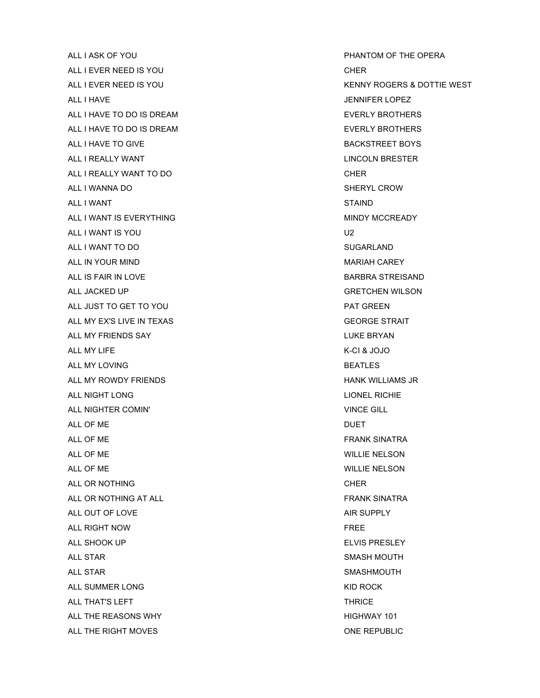ALL I ASK OF YOU PHANTOM OF THE OPERA ALL I EVER NEED IS YOU CHER CHER ALL I HAVE **SEPARATE SERVICES** AND THE SERVICES OF SERVICES AND THE SERVICES AND THE SERVICES OF SERVICES AND THE SERVICES OF SERVICES AND THE SERVICES OF SERVICES AND THE SERVICES OF SERVICES AND THE SERVICES OF SERVICES ALL I HAVE TO DO IS DREAM ALL I HAVE TO DO IS DREAM AND THE SECOND THAT A RESERVED BROTHERS ALL I HAVE TO DO IS DREAM **EVERLY BROTHERS** ALL I HAVE TO GIVE **BACKSTREET BOYS** ALL I REALLY WANT THE REALLY AND THE REALLY AND THE REALLY AND THE REAL ASSESS TO A REAL ASSESS TO A REAL ASSESS TO A REAL ASSESS TO A REAL ASSESS TO A REAL ASSESS TO A REAL ASSESS TO A REAL ASSESS TO A REAL ASSESS TO A RE ALL I REALLY WANT TO DO **CHER** ALL I WANNA DO **SHERYL CROW** ALL I WANT STAIND ALL I WANT IS EVERYTHING **MINDY MCCREADY** ALL I WANT IS YOU GALL I WANT IS YOU ALL I WANT TO DO SUGARLAND ALL IN YOUR MIND **ALL IN YOUR MIND** ALL IS FAIR IN LOVE **BARBRA STREISAND** ALL JACKED UP GRETCHEN WILSON ALL JUST TO GET TO YOU ALL PAT GREEN ALL MY EX'S LIVE IN TEXAS GEORGE STRAIT ALL MY FRIENDS SAY **LUKE BRYAN** ALL MY LIFE **K-CI & JOJO** ALL MY LOVING **BEATLES** ALL MY ROWDY FRIENDS **ALL MY ROWDY FRIENDS** ALL NIGHT LONG LIONEL RICHIE ALL NIGHTER COMIN' VINCE GILL ALL OF ME DUET ALL OF ME GENERAL ALL OF ME GENERAL ALL OF ME GENERAL ALL OF ME GENERAL ALL OF ME GENERAL ALL OF ME GENERAL ALL OF ME GENERAL ALL OF ME GENERAL ALL OF ME GENERAL ALL OF ME GENERAL ALL OF ME GENERAL ALL OF ME GENERAL ALL OF ALL OF ME WILLIE NELSON ALL OF ME WILLIE NELSON ALL OR NOTHING **CHER** ALL OR NOTHING AT ALL **FRANK SINATRA** ALL OUT OF LOVE AIR SUPPLY ALL RIGHT NOW FREE ALL SHOOK UP ALL SHOOK UP ALL SHOOK UP ALL SHOOK UP ALL SHOOK UP ALL SHOOK UP ALL SHOOK UP ALL SHOOK UP ALL SHOOK UP ALL STAR SMASH MOUTH ALL STAR SMASHMOUTH ALL SUMMER LONG THE ROCK CONGRESS OF THE ROCK CONGRESS OF THE ROCK CONGRESS OF THE ROCK CONGRESS OF THE ROCK CONGRESS OF THE ROCK CONGRESS OF THE ROCK CONGRESS OF THE ROCK CONGRESS OF THE ROCK CONGRESS OF THE ROCK CONGRESS ALL THAT'S LEFT THRICE AND THRICE ALL THE REASONS WHY **ALL THE REASONS WHY** ALL THE RIGHT MOVES **ONE REPUBLIC** 

ALL I EVER NEED IS YOU ALL I EVER NEED IS YOU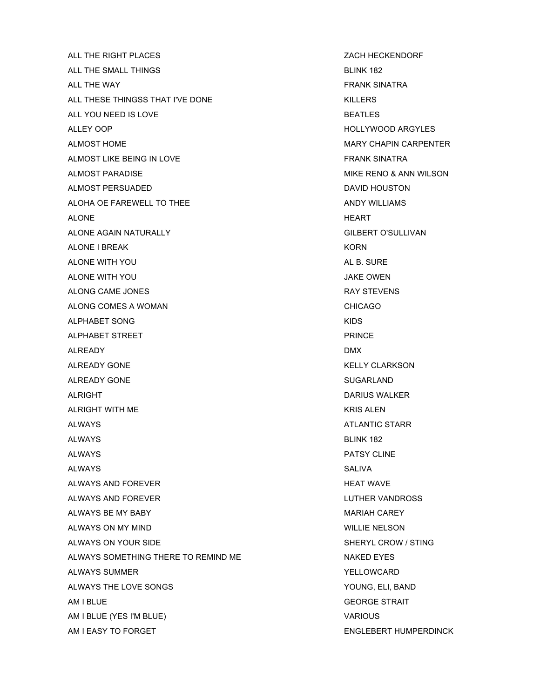ALL THE RIGHT PLACES **Example 20 and 20 and 20 and 20 and 20 and 20 and 20 and 20 and 20 and 20 and 20 and 20 and 20 and 20 and 20 and 20 and 20 and 20 and 20 and 20 and 20 and 20 and 20 and 20 and 20 and 20 and 20 and 20** ALL THE SMALL THINGS **BLINK 182** ALL THE WAY **FRANK SINATRA** ALL THESE THINGSS THAT I'VE DONE THIS ISSUED AND RESERVED AND RESERVED AND RESERVED AND RESERVED AND RESERVED AT A SAFE IN A SAFE ISSUED ASSAULT. THE SAFE IS A SAFE IS A SAFE IS A SAFE IS A SAFE IS A SAFE IS A SAFE IS A SA ALL YOU NEED IS LOVE **BEATLES** ALLEY OOP A GENERAL CONTROLLY WOOD ARGYLES ALMOST HOME **MARY CHAPIN CARPENTER** ALMOST LIKE BEING IN LOVE THE SECOND STATE RANK SINATRA ALMOST PARADISE **MIKE RENO & ANN WILSON** ALMOST PERSUADED **DAVID HOUSTON** ALOHA OE FAREWELL TO THEE ANDY WILLIAMS ALONE THE RESERVE THE RESERVE THE RESERVE THE RESERVE THE RESERVE THE RESERVE THE RESERVE THE RESERVE THE RESERVE THE RESERVE THE RESERVE THE RESERVE THE RESERVE THE RESERVE THE RESERVE THE RESERVE THE RESERVE THE RESERVE ALONE AGAIN NATURALLY **GILBERT O'SULLIVAN** ALONE I BREAK KORN AND THE SERVICE OF THE SERVICE OF THE SERVICE OF THE SERVICE OF THE SERVICE OF THE SERVICE OF THE SERVICE OF THE SERVICE OF THE SERVICE OF THE SERVICE OF THE SERVICE OF THE SERVICE OF THE SERVICE OF THE ALONE WITH YOU ALONE HE SURE ALONE WITH YOU ALONE WITH YOU GALONE WITH YOU ALONG CAME JONES AND RAY STEVENS ALONG COMES A WOMAN CHICAGO ALONG CHICAGO ALPHABET SONG KIDS ALPHABET STREET AND RESERVE THE STREET AND RESERVE THE STREET AND RESERVE THE STREET AND RESERVE THE STREET AND RESERVE THE STREET AND RESERVE THE STREET AND RESERVE THE STREET AND RESERVE THE STREET AND RESERVE THE STREET ALREADY DMX ALREADY GONE THE REAL MILLION CONTROL CONTROL CONTROL AND MILLION CONTROL CONTROL CONTROL CONTROL CONTROL CONTROL CONTROL CONTROL CONTROL CONTROL CONTROL CONTROL CONTROL CONTROL CONTROL CONTROL CONTROL CONTROL CONTROL CONT ALREADY GONE **SUGARLAND** ALRIGHT DARIUS WALKER AND THE SERVICE OF THE SERVICE OF THE SERVICE OF THE SERVICE OF THE SERVICE OF THE SERVICE OF THE SERVICE OF THE SERVICE OF THE SERVICE OF THE SERVICE OF THE SERVICE OF THE SERVICE OF THE SERVICE OF T ALRIGHT WITH ME **KRIS ALEN** ALWAYS ATLANTIC STARR AND ALWAYS ALWAYS **BLINK 182** ALWAYS PATSY CLINE ALWAYS SALIVA ALWAYS AND FOREVER **HEAT WAVE** ALWAYS AND FOREVER LUTHER VANDROSS ALWAYS BE MY BABY **MARIAH CAREY** ALWAYS ON MY MIND **ALWAYS ON MY MIND** ALWAYS ON YOUR SIDE SHERYL CROW / STING ALWAYS SOMETHING THERE TO REMIND ME NAKED EYES ALWAYS SUMMER THE SUMMER THE SERVICE SUMMER THE SERVICE SUMMER ALWAYS THE LOVE SONGS THE LOVE SONGS THE LOVE SONGS THE LOVE SONGS THE LOVE SONGS THE SAND AM I BLUE GEORGE STRAIT AM I BLUE (YES I'M BLUE) VARIOUS

AM I EASY TO FORGET THE SERVICE SERVICE SERVICES AND LOST THE ENGLEBERT HUMPERDINCK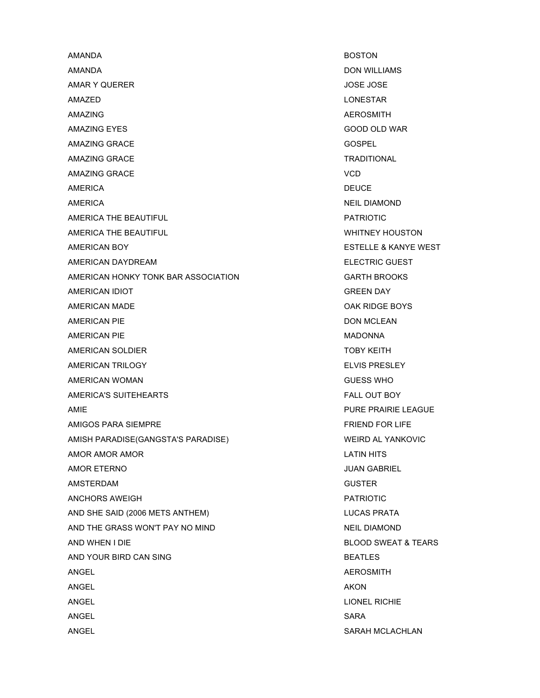AMANDA BOSTON AMANDA DON WILLIAMS AMAR Y QUERER JOSE JOSE AMAZED LONESTAR AMAZING AMAZING AND A SUMMIT A SUMMIT A SUMMIT A SUMMIT A SUMMIT AND A SUMMIT ASSAULT A SUMMIT AND A SUMMIT ASSAULT A SUMMIT AND A SUMMIT A SUMMIT A SUMMIT AND A SUMMIT ASSAULT A SUMMIT AND A SUMMIT A SUMMIT A SUMMIT AND A AMAZING EYES GOOD OLD WAR AMAZING GRACE GOSPEL AMAZING GRACE **TRADITIONAL** AMAZING GRACE VCD AMERICA DEUCE AMERICA NEIL DIAMOND AMERICA THE BEAUTIFUL **AMERICA THE BEAUTIFUL PATRIOTIC** AMERICA THE BEAUTIFUL **AMERICA THE BEAUTIFUL** WHITNEY HOUSTON AMERICAN BOY **ESTELLE & KANYE WEST** AMERICAN DAYDREAM ELECTRIC GUEST AMERICAN HONKY TONK BAR ASSOCIATION GARTH BROOKS AMERICAN IDIOT **GREEN DAY** AMERICAN MADE **OAK RIDGE BOYS** AMERICAN PIE DON MCLEAN AMERICAN PIE **MADONNA** AMERICAN SOLDIER TOBY KEITH AMERICAN TRILOGY **ELVIS PRESLEY** AMERICAN WOMAN GUESS WHO AMERICA'S SUITEHEARTS FALL OUT BOY AMIE CHARGUE AND A SERVICE SERVICE SERVICE SERVICE PURE PRAIRIE LEAGUE AMIGOS PARA SIEMPRE FRIEND FOR LIFE AMISH PARADISE(GANGSTA'S PARADISE) WEIRD AL YANKOVIC AMOR AMOR AMOR LATIN HITS AMOR ETERNO JUAN GABRIEL AMSTERDAM GUSTER ANCHORS AWEIGH PATRIOTIC AND SHE SAID (2006 METS ANTHEM) LUCAS PRATA AND THE GRASS WON'T PAY NO MIND NEIL DIAMOND AND WHEN I DIE GEREAL AND SERVED AND STRUCK AND STRUCK AND SWEAT & TEARS AND YOUR BIRD CAN SING BEATLES ANGEL ANGEL ANGEL ANGEL ANGEL ANGEL ANGEL ANGEL ANGEL ANGEL ANGEL ANGEL ANGEL ANGEL ANGEL ANGEL ANGEL ANGEL ANGEL ANGEL ANGEL ANGEL ANGEL ANGEL ANGEL ANGEL ANGEL ANGEL ANGEL ANGEL ANGEL ANGEL ANGEL ANGEL ANGEL ANGEL ANGEL ANGEL AKON ANGEL LIONEL RICHIE ANGEL SARA ANGEL SARAH MCLACHLAN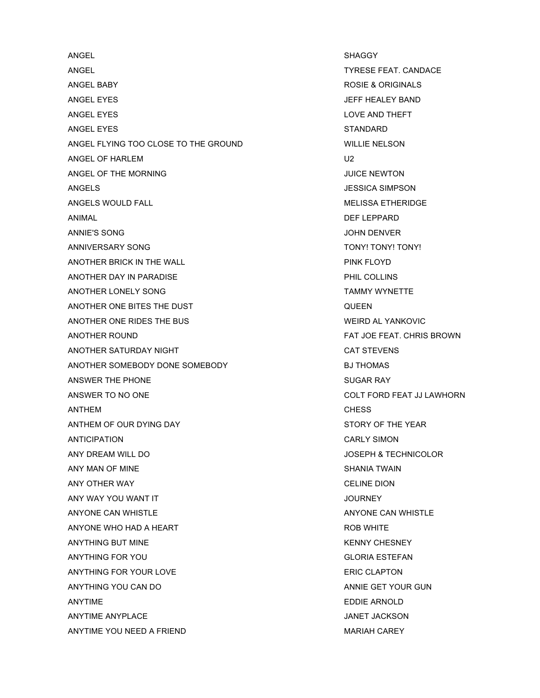ANGEL SHAGGY ANGEL TYRESE FEAT. CANDACE ANGEL BABY ROSIE & ORIGINALS ANGEL EYES JEFF HEALEY BAND ANGEL EYES LOVE AND THEFT ANGEL EYES STANDARD STANDARD ANGEL FLYING TOO CLOSE TO THE GROUND WILLIE NELSON ANGEL OF HARLEM U2 ANGEL OF THE MORNING **CONSIDERENT AND A SET OF THE MORNING** ANGELS JESSICA SIMPSON ANGELS WOULD FALL **ANGELS WOULD FALL** ANIMAL DEFINITION OF THE SERVICE OF THE SERVICE OF THE SERVICE OF THE SERVICE OF THE SERVICE OF THE SERVICE OF ANNIE'S SONG JOHN DENVER ANNIVERSARY SONG TONY! TONY! TONY! TONY! ANOTHER BRICK IN THE WALL **PINK FLOYD** ANOTHER DAY IN PARADISE **ANOTHER DAY IN PARADISE** ANOTHER LONELY SONG TAMMY WYNETTE ANOTHER ONE BITES THE DUST AND RESIDENT AND RULE ON A REAL PROPERTY. ANOTHER ONE RIDES THE BUS WEIRD AL YANKOVIC ANOTHER ROUND FAT JOE FEAT. CHRIS BROWN ANOTHER SATURDAY NIGHT CAT STEVENS ANOTHER SOMEBODY DONE SOMEBODY BJ THOMAS ANSWER THE PHONE SUGAR RAY ANSWER TO NO ONE AND TO THE COLT FORD FEAT JJ LAWHORN ANTHEM CHESS ANTHEM OF OUR DYING DAY STORY OF THE YEAR ANTICIPATION CARLY SIMON ANY DREAM WILL DO JOSEPH & TECHNICOLOR ANY MAN OF MINE SHANIA TWAIN ANY OTHER WAY CELINE DION ANY WAY YOU WANT IT **ANY WAY YOU WANT IT** ANYONE CAN WHISTLE ANYONE CAN WHISTLE ANYONE WHO HAD A HEART **ROB WHITE** ANYTHING BUT MINE AND THE RESERVE THE RESERVED ON A SERVED AND THE RESERVED ON A SERVED ON A SERVED ON A SERVED ON A SERVED ON A SERVED ON A SERVED ON A SERVED ON A SERVED ON A SERVED ON A SERVED ON A SERVED ON A SERVED ON ANYTHING FOR YOU GLORIA ESTEFAN ANYTHING FOR YOUR LOVE **ERIC CLAPTON** ANYTHING YOU CAN DO ANNIE GET YOUR GUN ANYTIME EDDIE ARNOLD ANYTIME ANYPLACE AND ANYTIME ANY ANYTIME ANY ANYTIME ANY ALL AND ANYTIME ANY ANYTIME ANY ANY ANY ANY ANY ANY A ANYTIME YOU NEED A FRIEND A SAND AND MARIAH CAREY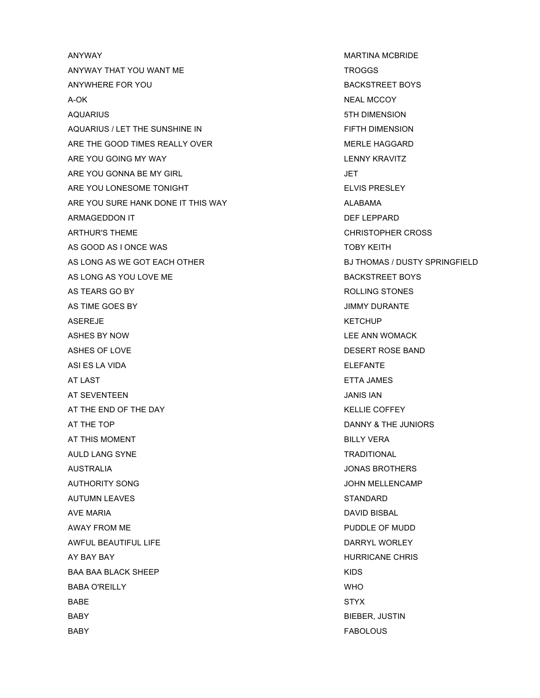ANYWAY MARTINA MCBRIDE ANYWAY THAT YOU WANT ME TROGGS ANYWHERE FOR YOU GOT A CONTROLLER BOYS ANYWHERE THE BOYS AND THE BOYS AND THE BOYS AND THE BOYS AND THE BOYS AND THE BOYS A-OK NEAL MCCOY AQUARIUS 5TH DIMENSION AQUARIUS / LET THE SUNSHINE IN FIFTH DIMENSION ARE THE GOOD TIMES REALLY OVER **MERLE HAGGARD** ARE YOU GOING MY WAY LENNY KRAVITZ ARE YOU GONNA BE MY GIRL GONNA ARE SERVICE AND A LIFT ARE YOU LONESOME TONIGHT ELVIS PRESLEY ARE YOU SURE HANK DONE IT THIS WAY ALABAMA ARMAGEDDON IT AND RESERVE THE SERVE OF THE SERVE OF THE SERVE OF THE SERVE OF THE SERVE OF THE SERVE OF THE SERVE OF THE SERVE OF THE SERVE OF THE SERVE OF THE SERVE OF THE SERVE OF THE SERVE OF THE SERVE OF THE SERVE OF T ARTHUR'S THEME **CHRISTOPHER CROSS** AS GOOD AS I ONCE WAS TOBY KEITH AS LONG AS WE GOT EACH OTHER BJ THOMAS / DUSTY SPRINGFIELD AS LONG AS YOU LOVE ME BACKSTREET BOYS AS TEARS GO BY **ROLLING STONES** AS TIME GOES BY JIMMY DURANTE ASEREJE KETCHUP ASEREJE ASHES BY NOW LEE ANN WOMACK ASHES OF LOVE **DESERT ROSE BAND** ASI ES LA VIDA ELEFANTE AT LAST ETTA JAMES AT SEVENTEEN JANIS IAN AT THE END OF THE DAY A RELOCATE THE SAME AND THE SAME ASSESSED. THE SAME ASSESSED ASSESSED. AT THE TOP DANNY & THE JUNIORS AT THIS MOMENT AND RESERVE THE STATE IN THE BILLY VERA AULD LANG SYNE TRADITIONAL AUSTRALIA JONAS BROTHERS AUTHORITY SONG GENERAL MELLENCAMP AND THE SALE OF SALE AND THE SALE OF SALE AND THE SALE OF SALE AND THE SALE OF SALE AND THE SALE OF SALE OF SALE AND THE SALE OF SALE OF SALE OF SALE OF SALE OF SALE OF SALE OF SALE OF SAL AUTUMN LEAVES AND THE STANDARD STANDARD AVE MARIA NEWSLET AND DAVID BISBALL AND THE MARIA AWAY FROM ME **AWAY FROM ME** AWFUL BEAUTIFUL LIFE **DARRYL WORLEY** AY BAY BAY HURRICANE CHRISP AND RELEASED AT A STATE OF THE SERIES OF THE SERIES OF THE SERIES OF THE SERIES OF THE SERIES OF THE SERIES OF THE SERIES OF THE SERIES OF THE SERIES OF THE SERIES OF THE SERIES OF THE SERIES OF BAA BAA BLACK SHEEP KIDS BABA O'REILLY WHO BABE STYX BABY **BIEBER, JUSTIN** BABY FABOLOUS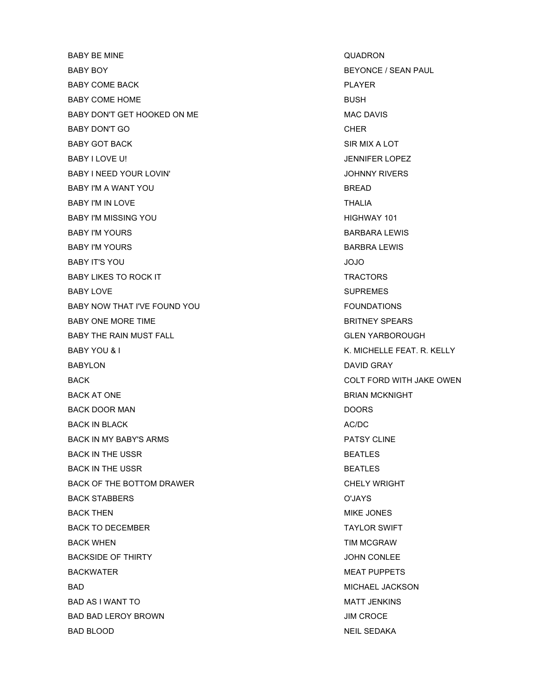BABY BE MINE **BABY BE MINE** BABY BOY GERM PAUL AND RESERVE THE SEAL OF SEAL BEYONCE / SEAN PAUL BABY COME BACK PLAYER PLAYER BABY COME HOME BUSH BABY DON'T GET HOOKED ON ME MAC DAVIS BABY DON'T GO GALLER THAT THE RESERVE THAT THE RESERVE THAT THE RESERVE THAT THE RESERVE THAT THE RESERVE THAT THE RESERVE THAT THE RESERVE THAT THE RESERVE THAT THE RESERVE THAT THE RESERVE THAT THE RESERVE THAT THE RESER BABY GOT BACK SIR MIX A LOT BABY I LOVE U! *JENNIFER LOPEZ* BABY I NEED YOUR LOVIN' SALE AND THE SALE OF THE SALE OF THE SALE OF THE SALE OF THE SALE OF THE SALE OF THE SALE OF THE SALE OF THE SALE OF THE SALE OF THE SALE OF THE SALE OF THE SALE OF THE SALE OF THE SALE OF THE SALE BABY I'M A WANT YOU SAND BREAD BABY I'M IN LOVE THALIA BABY I'M MISSING YOU **Example 20 and 20 and 20 and 20 and 20 and 20 and 20 and 20 and 20 and 20 and 20 and 20 and 20 and 20 and 20 and 20 and 20 and 20 and 20 and 20 and 20 and 20 and 20 and 20 and 20 and 20 and 20 and 20** BABY I'M YOURS GARE IN THE SAND RESERVE TO A SAND RESERVE TO BARBARA LEWIS BABY I'M YOURS GARE IN THE SAND RESERVE TO A BARBRA LEWIS BABY IT'S YOU SERVE TO BE SERVED AND TO SERVED ON A SERVED ON A SERVED ON A SERVED ON A SERVED ON A SERVED ON A BABY LIKES TO ROCK IT TRACTORS BABY LOVE SUPREMES BABY NOW THAT I'VE FOUND YOU **FOUNDATIONS** BABY ONE MORE TIME **BRITNEY SPEARS** BABY THE RAIN MUST FALL GLEN YARBOROUGH BABY YOU & I K. MICHELLE FEAT. R. KELLY BABYLON DAVID GRAY BACK GENERAL BACK COLT FORD WITH JAKE OWEN BACK AT ONE GENERAL BRIAN MCKNIGHT BACK DOOR MAN DOORS CONSERVERS AND DOORS BACK IN BLACK AC/DC AC/DC AC/DC AC/DC AC/DC AC/DC BACK IN MY BABY'S ARMS FALL ASSESSED A REPORT OF PATSY CLINE BACK IN THE USSR BEATLES BACK IN THE USSR BEATLES BACK OF THE BOTTOM DRAWER CHELY WRIGHT BACK STABBERS O'JAYS BACK THEN GENERAL BACK THEN MIKE JONES BACK TO DECEMBER TAYLOR SWIFT BACK WHEN TIM MCGRAW BACKSIDE OF THIRTY **EXECUTE A SET OF THIRTY** SOME SET OF THIRTY BACKWATER **MEAT PUPPETS** BAD BAD SALES AND THE SALES OF THE SALES AND MICHAEL JACKSON BAD AS I WANT TO SALE IN THE SALE OF THE MATT JENKINS WAT TO MATT JENKINS BAD BAD LEROY BROWN **International CONTROL** BAD BLOOD NEIL SEDAKA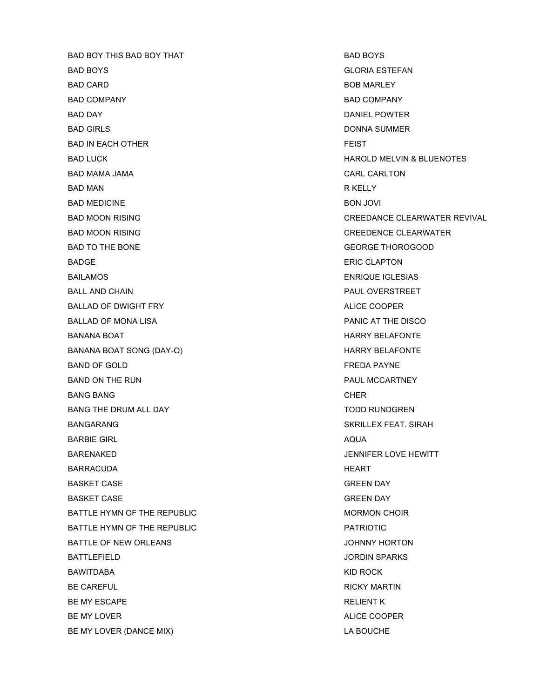BAD BOY THIS BAD BOY THAT GO BOYS BAD BOYS BAD BOYS GLORIA ESTEFAN BAD CARD BOB MARLEY BAD COMPANY **BAD COMPANY BAD COMPANY** BAD DAY DANIEL POWTER BAD GIRLS **DONNA SUMMER** BAD IN EACH OTHER FEIST BAD MAMA JAMA CARL CARLTON BAD MAN R KELLY BAD MEDICINE **BON JOVI** BAD MOON RISING CREEDENCE CLEARWATER BAD TO THE BONE GEORGE THOROGOOD BADGE ERIC CLAPTON BAILAMOS **ENRIQUE IGLESIAS** BALL AND CHAIN PAUL OVERSTREET BALLAD OF DWIGHT FRY **ALICE COOPER** BALLAD OF MONA LISA **PANIC AT THE DISCO** BANANA BOAT **HARRY BELAFONTE** BANANA BOAT SONG (DAY-O) SANATA HARRY BELAFONTE BAND OF GOLD FREDA PAYNE BAND ON THE RUN PAUL MCCARTNEY BANG BANG CHER BANG THE DRUM ALL DAY TO BE SEEN ON A TODD RUNDGREN BANGARANG SKRILLEX FEAT. SIRAH BARBIE GIRL AQUA BARENAKED JENNIFER LOVE HEWITT BARRACUDA HEART BASKET CASE GREEN DAY BASKET CASE GREEN DAY BATTLE HYMN OF THE REPUBLIC **MORE ASSAULT A REPUBLIC CHOIR** BATTLE HYMN OF THE REPUBLIC **EXECUTE A PATRIOTIC** PATRIOTIC BATTLE OF NEW ORLEANS **STATE OF NEW ORLEANS** BATTLEFIELD **SALES IN THE SET OF STARKS** SPARKS JORDIN SPARKS BAWITDABA KID ROCK BE CAREFUL **RICKY MARTIN** BE MY ESCAPE **RELIENT K** BE MY LOVER ALICE COOPER BE MY LOVER (DANCE MIX) **LA BOUCHE** 

BAD LUCK GENERAL BAD LUCK HAROLD MELVIN & BLUENOTES BAD MOON RISING CREEDANCE CLEARWATER REVIVAL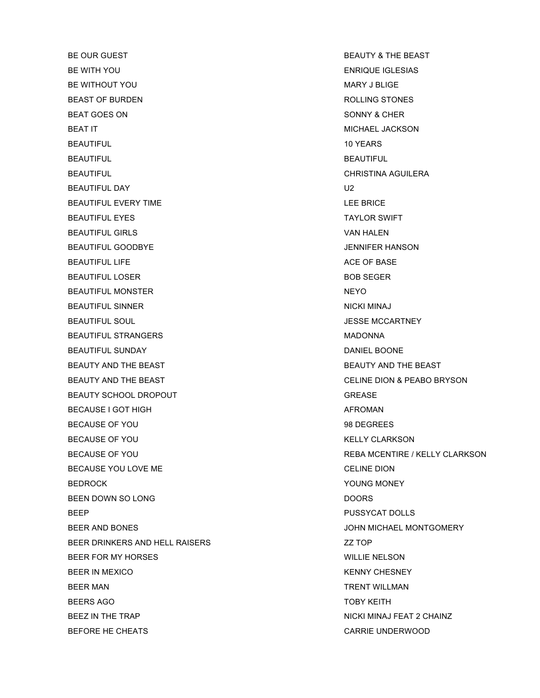BE OUR GUEST **BEAUTY & THE BEAST** BE WITH YOU ENRIQUE IGLESIAS BE WITHOUT YOU GOT A CONTROL TO BE WITHOUT YOU BEAST OF BURDEN **ROLLING STONES** BEAT GOES ON SONNY & CHER BEAT IT **EXECUTES A RESERVE ASSESSED ASSESSED.** MICHAEL JACKSON BEAUTIFUL 10 YEARS 10 YEARS BEAUTIFUL **BEAUTIFUL** BEAUTIFUL **CHRISTINA AGUILERA** BEAUTIFUL DAY U2 BEAUTIFUL EVERY TIME **EXECUTE AND INCOMEDIATE SERVICE** BRICE BEAUTIFUL EYES TAYLOR SWIFT BEAUTIFUL GIRLS VAN HALEN BEAUTIFUL GOODBYE **GEAUTIFUL GOODBYE All the COODBYE COODBYE** *BEAUTIFUL GOODBYE* BEAUTIFUL LIFE ACE OF BASE AND THE SERVICE OF BASE ACE OF BASE AND THE SERVICE OF BASE ACE OF BASE BEAUTIFUL LOSER BOB SEGER BEAUTIFUL MONSTER NEYO BEAUTIFUL SINNER NICKI MINAJ BEAUTIFUL SOUL **AUTOR CONTRACT CONTRACT SOUL** SEASE MCCARTNEY BEAUTIFUL STRANGERS **MADONNA** BEAUTIFUL SUNDAY **DANIEL BOONE** BEAUTY AND THE BEAST **BEAUTY AND THE BEAUTY** AND THE BEAST BEAUTY AND THE BEAST CELINE DION & PEABO BRYSON BEAUTY SCHOOL DROPOUT AND REACHER SCHOOL OR SEASE AND REASE BECAUSE I GOT HIGH AFROMAN AFROMAN BECAUSE OF YOU DECOMBER 1989 DEGREES BECAUSE OF YOU GET A CONTROL CLARKSON AND RELLY CLARKSON BECAUSE YOU LOVE ME CELINE DION CELINE DION BEDROCK THE REDROCK TO A REDROCK THE REDROCK TO A REDROCK THE REDROCK TO A REDROCK THE REDROCK TO A REDROCK THE REDROCK THE REDROCK THE REDROCK THE REDROCK THE REDROCK THE REDROCK THE REDROCK THE REDROCK THE REDROCK THE RE BEEN DOWN SO LONG DOORS DOORS BEEP PUSSYCAT DOLLS BEER AND BONES GEER AND BONES AND SOME ASSAULT AND SERVICE AND SOME ASSAULT AND MUCHAEL MONTGOMERY BEER DRINKERS AND HELL RAISERS **EXAMPLE AND A SET AND A SET OF** BEER FOR MY HORSES WILLIE NELSON BEER IN MEXICO **KENNY CHESNEY** BEER MAN TRENT WILLMAN BEERS AGO **TOBY KEITH** BEEZ IN THE TRAP NICKI MINAJ FEAT 2 CHAINZ BEFORE HE CHEATS **CARRIE UNDERWOOD** 

BECAUSE OF YOU GET A REBA MCENTIRE / KELLY CLARKSON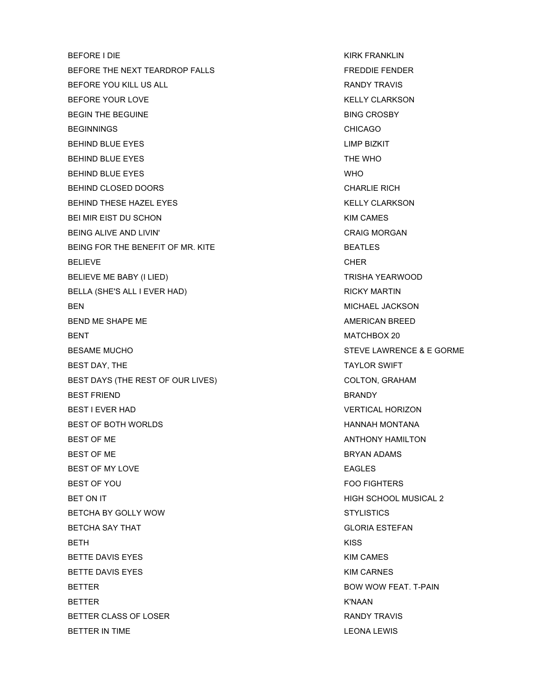BEFORE I DIE KIRK FRANKLIN BEFORE THE NEXT TEARDROP FALLS FREDDIE FENDER BEFORE YOU KILL US ALL **RANDY TRAVIS** BEFORE YOUR LOVE THE RELEASE OF THE RELEASE AND HE RELEASED AND HE RELEASED AND HE RELEASED AT A RELEASED AND HE RELEASED AT A RELEASED AND HE RELEASED AT A RELEASED AND HE RELEASED AT A RELEASED AND HE RELEASED AT A RELEA BEGIN THE BEGUINE **BING CROSBY** BEGINNINGS CHICAGO BEHIND BLUE EYES **LIMP BIZKIT** BEHIND BLUE EYES THE WHO BEHIND BLUE EYES WHO BEHIND CLOSED DOORS **CHARLIE RICH** BEHIND THESE HAZEL EYES KELLY CLARKSON BEI MIR EIST DU SCHON KIM CAMES BEING ALIVE AND LIVIN' **CRAIG MORGAN** BEING FOR THE BENEFIT OF MR. KITE **BEATLES** BELIEVE CHER CHER BELIEVE ME BABY (I LIED) TRISHA YEARWOOD BELLA (SHE'S ALL I EVER HAD) SALL AND SELLA (SHE'S ALL I EVER HAD) BEN MICHAEL JACKSON BEND ME SHAPE ME AMERICAN BREED BENT BENT SERVICES AND RESERVE AND RESERVE AND MATCHBOX 20 BESAME MUCHO STEVE LAWRENCE & E GORME BEST DAY, THE TAYLOR SWIFT BEST DAYS (THE REST OF OUR LIVES) COLTON, GRAHAM BEST FRIEND BRANDY BEST I EVER HAD VERTICAL HORIZON BEST OF BOTH WORLDS **EXAMPLE SET OF BOTH WORLDS** BEST OF ME ANTHONY HAMILTON BEST OF ME BRYAN ADAMS BEST OF MY LOVE **EAGLES** BEST OF YOU GET ALL THE SERVICE OF A SERVICE OF THE SERVICE OF THE SERVICE OF THE SERVICE OF THE SERVICE OF THE SERVICE OF THE SERVICE OF THE SERVICE OF THE SERVICE OF THE SERVICE OF THE SERVICE OF THE SERVICE OF THE SERVI BET ON IT GET ON IT A GENERAL SCHOOL MUSICAL 2 BETCHA BY GOLLY WOW STYLISTICS BETCHA SAY THAT GLORIA ESTEFAN BETH KISS BETTE DAVIS EYES **KIM CAMES** BETTE DAVIS EYES **KIM CARNES** BETTER BOW WOW FEAT. T-PAIN BETTER K'NAAN BETTER CLASS OF LOSER **RANDY TRAVIS** BETTER IN TIME **EXECUTE A RESERVE THE SECONAL EXECUTE A** LEONAL LEWIS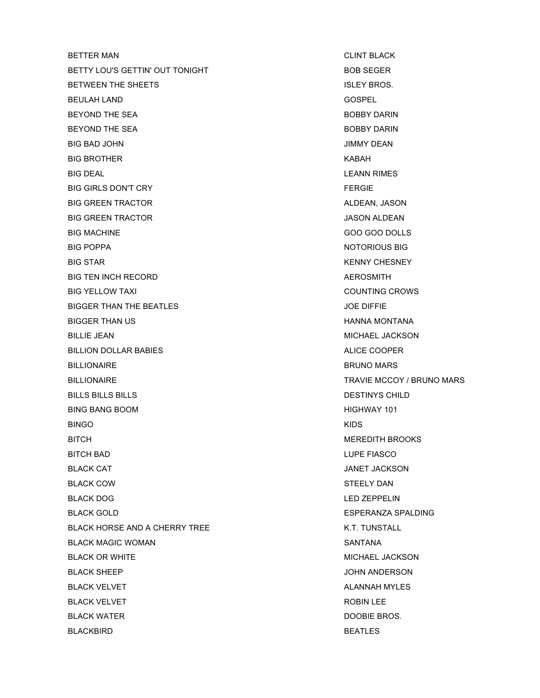BETTER MAN GERMAN CLINT BLACK BETTY LOU'S GETTIN' OUT TONIGHT **BOB SEGER** BETWEEN THE SHEETS **ISLEY BROS.** BEULAH LAND GOSPEL BEYOND THE SEA BOBBY DARIN BEYOND THE SEA BOBBY DARIN BIG BAD JOHN JIMMY DEAN BIG BROTHER KABAH BIG DEAL **LEANN RIMES** BIG GIRLS DON'T CRY **FERGIE** BIG GREEN TRACTOR ALDEAN, JASON BIG GREEN TRACTOR **ALDEAN** JASON ALDEAN BIG MACHINE GOO GOO DOLLS BIG POPPA NOTORIOUS BIG BIG STAR KENNY CHESNEY BIG TEN INCH RECORD **AEROSMITH** BIG YELLOW TAXI COUNTING CROWS BIGGER THAN THE BEATLES **SECURE 12 SET ASSESSED ASSAULT** SO SOFTERN AND THE SECURE 2001 FOR SALES AND THE SECURE 2001 FOR SALES AND THE SECURE 2001 FOR SALES AND THE SALES AND THE SECURE 2012 FOR SALES AND THE SALES AND TH BIGGER THAN US **HANNA MONTANA** BILLIE JEAN MICHAEL JACKSON BILLION DOLLAR BABIES ALICE COOPER BILLIONAIRE BRUNO MARS BILLIONAIRE **EXECUTE IN A SUBSETION CONTRACT CONTRAVIE MCCOY** / BRUNO MARS BILLS BILLS BILLS DESTINYS CHILD BING BANG BOOM HIGHWAY 101 BINGO KIDS BITCH BROOKS NET AND THE BEST OF THE BROOKS OF THE BROOKS OF THE BROOKS OF THE BROOKS OF THE BROOKS OF THE BROOKS OF THE BROOKS OF THE BROOKS OF THE BROOKS OF THE BROOKS OF THE BROOKS OF THE BROOKS OF THE BROOKS OF THE BRO BITCH BAD LUPE FIASCO BLACK CAT **SECULIAR SECURE 2018 12 AND SECURE 2019 12 AND SECURE 3 AND SECURE 3 AND SECURE 3 AND SECURE 3 AND SECURE 3 AND SECURE 3 AND SECURE 3 AND SECURE 3 AND SECURE 3 AND SECURE 3 AND SECURE 3 AND SECURE 3 AND SECURE 3** BLACK COW STEELY DAN BLACK DOG LED ZEPPELIN BLACK GOLD **ESPERANZA SPALDING** BLACK HORSE AND A CHERRY TREE K.T. TUNSTALL BLACK MAGIC WOMAN SANTANA SANTANA BLACK OR WHITE **MICHAEL JACKSON** MICHAEL JACKSON BLACK SHEEP **SECULIAR SHEEP** JOHN ANDERSON BLACK VELVET **ALANNAH MYLES** BLACK VELVET THE ROBIN LEE ROBIN LEE BLACK WATER **BLACK WATER BLACK WATER** BLACKBIRD BEATLES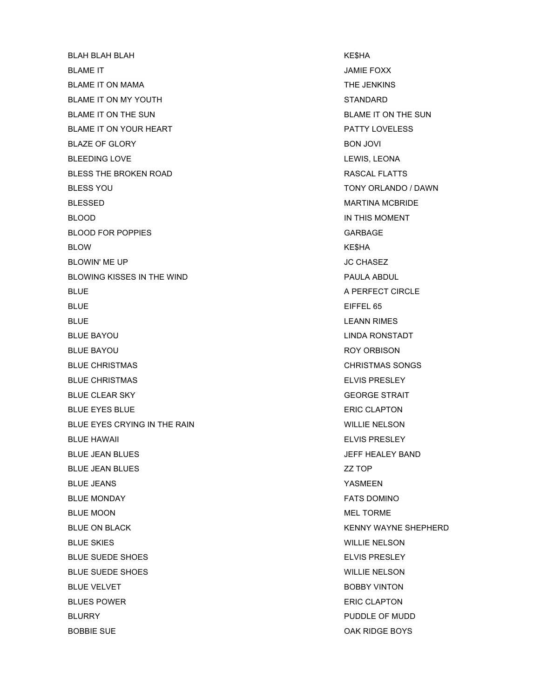BLAH BLAH BLAH KE\$HA BLAME IT JAMIE FOXX BLAME IT ON MAMA THE JENKINS BLAME IT ON MY YOUTH STANDARD BLAME IT ON THE SUN BLAME IT ON THE SUN BLAME IT ON YOUR HEART **PATTY LOVELESS** BLAZE OF GLORY **BON JOVI** BLEEDING LOVE **LEWIS, LEONA** BLESS THE BROKEN ROAD **RASCAL FLATTS** BLESS YOU GENERAL BOOST CONTROL IN TO BE SERVED AND TO BE SERVED AND TO BE SERVED ASSESS TO BE SERVED ASSESS TO BE SERVED ASSESS TO BE SERVED ASSESS TO BE SERVED ASSESS TO BE SERVED ASSESS TO BE SERVED ASSESS TO BE SERVED BLESSED MARTINA MCBRIDE BLOOD **IN THIS MOMENT** BLOOD FOR POPPIES **GARBAGE** BLOW KE\$HA BLOWIN' ME UP **DEVELOP DEVELOPS DEVELOPS DEVELOPS JC CHASEZ** BLOWING KISSES IN THE WIND **PAULA ABDUL** BLUE **A PERFECT CIRCLE** BLUE **EIFFEL 65** BLUE **EXAMPLE EN ALL AND A SET AND A SET AND A SET AND A SET AND A SET AND A SET AND A SET AND A SET AND A SET AND A SET AND A SET AND A SET AND A SET AND A SET AND A SET AND A SET AND A SET AND A SET AND A SET AND A SET A** BLUE BAYOU LINDA RONSTADT BLUE BAYOU **ROY ORBISON** BLUE CHRISTMAS CHARGE CHRISTMAS SONGS BLUE CHRISTMAS ELVIS PRESLEY BLUE CLEAR SKY GEORGE STRAIT BLUE EYES BLUE THE STATE OF THE SERIES OF THE STATE OF THE STATE OF THE STATE OF THE STATE OF THE STATE OF THE STATE OF THE STATE OF THE STATE OF THE STATE OF THE STATE OF THE STATE OF THE STATE OF THE STATE OF THE STATE O BLUE EYES CRYING IN THE RAIN WILLIE NELSON BLUE HAWAII ELVIS PRESLEY BLUE JEAN BLUES JEFF HEALEY BAND BLUE JEAN BLUES ZZ TOP BLUE JEANS YASMEEN BLUE MONDAY **FATS DOMINO** BLUE MOON GERMENT WAS SERVED FOR MEL TORMER AND MEL TORMER. BLUE ON BLACK THE SHEPHERD SHEPHERD ASSAULT A SHEPHERD SHEPHERD SHEPHERD BLUE SKIES WILLIE NELSON BLUE SUEDE SHOES ELVIS PRESLEY BLUE SUEDE SHOES WILLIE NELSON BLUE VELVET **BOBBY VINTON** BLUES POWER **ERIC CLAPTON** BLURRY **PUDDLE OF MUDD** BOBBIE SUE OAK RIDGE BOYS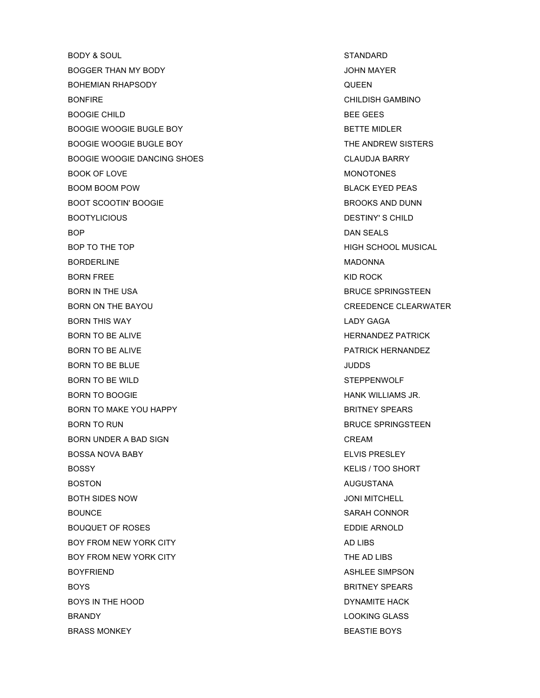BODY & SOUL STANDARD BOGGER THAN MY BODY JOHN MAYER BOHEMIAN RHAPSODY QUEEN BONFIRE CHILDISH GAMBINO BOOGIE CHILD BEE GEES BOOGIE WOOGIE BUGLE BOY BETTE MIDLER BOOGIE WOOGIE BUGLE BOY THE ANDREW SISTERS BOOGIE WOOGIE DANCING SHOES CLAUDJA BARRY BOOK OF LOVE NONDERING AND A SERIES AND MONOTONES BOOM BOOM POW **BLACK EYED PEAS** BOOT SCOOTIN' BOOGIE **BROOKS AND DUNN** BOOTYLICIOUS **DESTINY'S CHILD** BOP DAN SEALS BOP TO THE TOP **HIGH SCHOOL MUSICAL** BORDERLINE MADONNA BORN FREE KID ROCK NOT A RESERVE TO A RESERVE THE ROCK OF A RESERVE TO A RESERVE THE ROCK OF A RESERVE TO A RESERVE THE RESERVE TO A RESERVE THE RESERVE THAT A RESERVE THE RESERVE THAT A RESERVE THAT A RESERVE THAT A RESER BORN IN THE USA BRUCE SPRINGSTEEN BORN ON THE BAYOU CREEDENCE CLEARWATER BORN THIS WAY LADY GAGA BORN TO BE ALIVE **HERNANDEZ PATRICK** BORN TO BE ALIVE **PATRICK HERNANDEZ** BORN TO BE BLUE **SECULIE ASSAULT AS A SECULIAR SECULIAR SECULIAR SECULIAR SECULIAR SECULIAR SECULIAR SECULIAR SECULIAR SECULIAR SECULIAR SECULIAR SECULIAR SECULIAR SECULIAR SECULIAR SECULIAR SECULIAR SECULIAR SECULIAR SECU** BORN TO BE WILD STEPPENWOLF BORN TO BOOGIE **HANK WILLIAMS JR.** BORN TO MAKE YOU HAPPY BRITNEY SPEARS BORN TO RUN BRUCE SPRINGSTEEN BORN UNDER A BAD SIGN GERAL CREAM CREAM BOSSA NOVA BABY ELVIS PRESLEY BOSSY KELIS / TOO SHORT BOSTON AUGUSTANA AUGUSTANA AUGUSTANA AUGUSTANA AUGUSTANA AUGUSTANA AUGUSTANA AUGUSTANA AUGUSTANA AUGUSTANA AUGUSTANA BOTH SIDES NOW JONI MITCHELL BOUNCE SARAH CONNOR BOUQUET OF ROSES **EDDIE ARNOLD** BOY FROM NEW YORK CITY **AD LIBS** AD LIBS BOY FROM NEW YORK CITY **THE AD LIBS** BOYFRIEND **ASHLEE SIMPSON** BOYS **BOYS** BOYS **BRITNEY SPEARS** BOYS IN THE HOOD **DYNAMITE HACK BRANDY** LOOKING GLASS BRASS MONKEY **BEASTIE BOYS**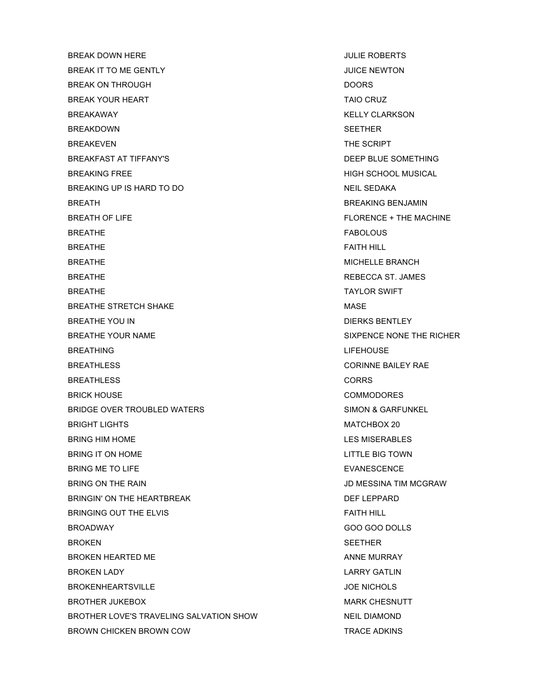BREAK DOWN HERE **In the set of the set of the set of the set of the set of the set of the set of the set of the set of the set of the set of the set of the set of the set of the set of the set of the set of the set of the** BREAK IT TO ME GENTLY **SECULIAR ASSAULT A CONSTRUCT OF A CONSTRUCT OF A CONSTRUCT OF A CONSTRUCT OF A CONSTRUCT** BREAK ON THROUGH **DOORS** BREAK YOUR HEART TAIO CRUZ BREAKAWAY KELLY CLARKSON BREAKDOWN SEETHER BREAKEVEN THE SCRIPT BREAKFAST AT TIFFANY'S DEEP BLUE SOMETHING BREAKING FREE **HIGH SCHOOL MUSICAL** BREAKING UP IS HARD TO DO NEIL SEDAKA BREATH BREAKING BENJAMIN BREATH OF LIFE FLORENCE + THE MACHINE BREATHE **FABOLOUS** BREATHE FAITH HILL SERVICES IN THE SERVICE OF THE SERVICE OF THE SERVICE OF THE SERVICE OF THE SERVICE OF THE SERVICE OF THE SERVICE OF THE SERVICE OF THE SERVICE OF THE SERVICE OF THE SERVICE OF THE SERVICE OF THE SERVICE BREATHE **BRANCH** MICHELLE BRANCH BREATHE **REBECCA ST. JAMES** BREATHE **TAYLOR SWIFT** BREATHE STRETCH SHAKE MASE BREATHE YOU IN GENERAL BENTLEY AND REAL BENTLEY AND REAL BENTLEY BREATHE YOUR NAME SIXPENCE NONE THE RICHER BREATHING **EXECUTIVE INTERNATIONAL EXECUTIVE INTERNATIONAL EXECUTIVE IN THE EXECUTIVE INTERNATIONAL EXECUTIVE INTERNATIONAL EXECUTIVE INTERNATIONAL EXECUTIVE IN THE EXECUTIVE INTERNATIONAL EXECUTIVE INTERNATIONAL EXECUTIVE** BREATHLESS **CORINNE BAILEY RAE** BREATHLESS CORRS BRICK HOUSE **COMMODORES** BRIDGE OVER TROUBLED WATERS SIMON & GARFUNKEL BRIGHT LIGHTS MATCHBOX 20 BRING HIM HOME **EXAMPLES** STATES AND THE STATE OF THE STATES AND LES MISERABLES BRING IT ON HOME **EXAMPLE BIG TOWN** BRING ME TO LIFE **EVANESCENCE** BRING ON THE RAIN GERAL AND RESINA TIM MCGRAW AND MESSINA TIM MCGRAW BRINGIN' ON THE HEARTBREAK DEFINITION OF THE LEPPARD BRINGING OUT THE ELVIS **FAITH HILL** BROADWAY GOO GOO DOLLS BROKEN SEETHER SEETHER SEETHER SEETHER BROKEN HEARTED ME ANNE MURRAY BROKEN LADY LARRY GATLIN BROKENHEARTSVILLE **GEET SEE ALSO ENICHOLS** BROTHER JUKEBOX NARK CHESNUTT BROTHER LOVE'S TRAVELING SALVATION SHOW NEIL DIAMOND BROWN CHICKEN BROWN COW **TRACE ADKINS**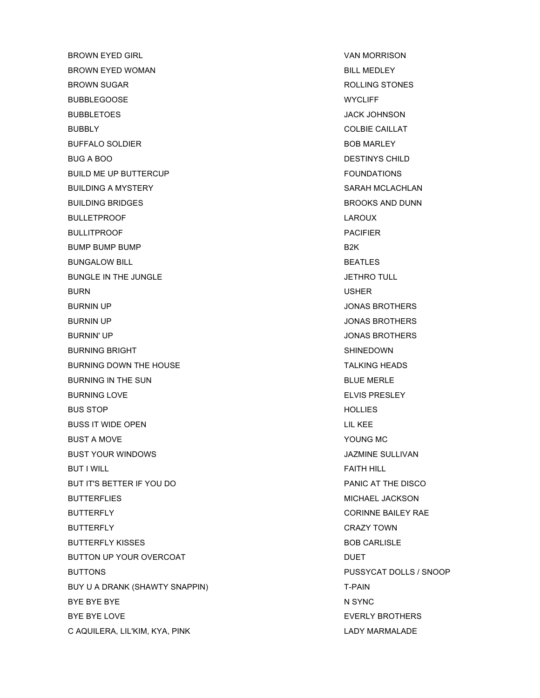BROWN EYED GIRL GIRE VAN MORRISON BROWN EYED WOMAN BILL MEDLEY BROWN SUGAR ROLLING STONES BUBBLEGOOSE WYCLIFF BUBBLETOES JACK JOHNSON BUBBLY **COLBIE CAILLAT** BUFFALO SOLDIER **BOB MARLEY** BUG A BOO DESTINYS CHILD BUILD ME UP BUTTERCUP **FOUNDATIONS** BUILDING A MYSTERY SARAH MCLACHLAN BUILDING BRIDGES **BROOKS AND DUNN** BULLETPROOF LAROUX BULLITPROOF **PACIFIER** BUMP BUMP BUMP **BUMP** BUNGALOW BILL **BEATLES** BUNGLE IN THE JUNGLE **SECURE 19 SET ASSAULT** SET A SET AND TULL **JETHRO TULL** BURN USHER BURNIN UP **SURNIN UP** JONAS BROTHERS BURNIN UP **SURNIN UP** JONAS BROTHERS BURNIN' UP JONAS BROTHERS BURNING BRIGHT SHINEDOWN SHINEDOWN BURNING DOWN THE HOUSE TALKING HEADS BURNING IN THE SUN BLUE MERLE BURNING LOVE **ELVIS PRESLEY** BUS STOP **HOLLIES** BUSS IT WIDE OPEN LIL KEE BUST A MOVE THE STATE OF THE SERVICE SERVICE SERVICE SERVICE SERVICE SERVICE SERVICE SERVICE SERVICE SERVICE S BUST YOUR WINDOWS JAZMINE SULLIVAN BUT I WILL FAITH HILL FAITH HILL BUT IT'S BETTER IF YOU DO **EXAMPLE A SECOND THE DISCO** PANIC AT THE DISCO BUTTERFLIES MICHAEL JACKSON BUTTERFLY **CORINNE BAILEY RAE** BUTTERFLY **CRAZY TOWN** BUTTERFLY KISSES **BUTTERFLY KISSES** BUTTON UP YOUR OVERCOAT DUET BUTTONS PUSSYCAT DOLLS / SNOOP BUY U A DRANK (SHAWTY SNAPPIN) T-PAIN BYE BYE BYE THE STATE OF THE STATE OF THE STATE OF THE STATE OF THE STATE OF THE STATE OF THE STATE OF THE STATE OF THE STATE OF THE STATE OF THE STATE OF THE STATE OF THE STATE OF THE STATE OF THE STATE OF THE STATE OF TH BYE BYE LOVE THE RESERVED ON A SERIES AND RESERVED BYE BYE BYE LOVE C AQUILERA, LIL'KIM, KYA, PINK LADY MARMALADE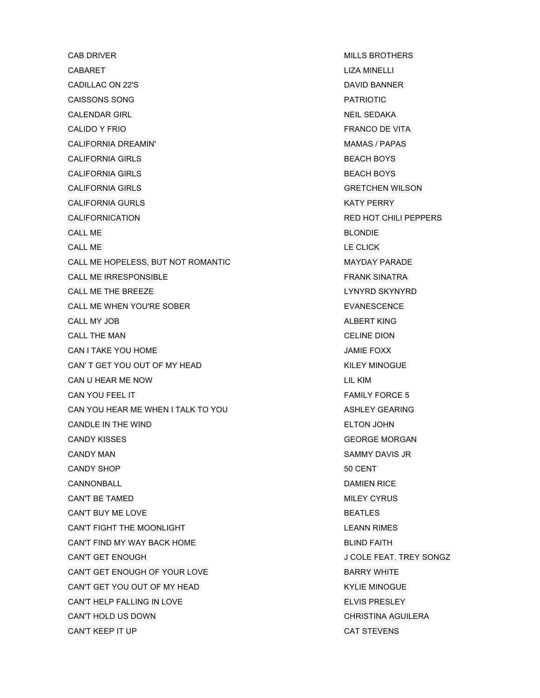CAB DRIVER **CAB DRIVER MILLS BROTHERS** CABARET LIZA MINELLI CADILLAC ON 22'S **DAVID BANNER** CAISSONS SONG PATRIOTIC CALENDAR GIRL NEIL SEDAKA NEIL SEDAKA CALIDO Y FRIO **FRANCO DE VITA ANTIQUO E VITA** CALIFORNIA DREAMIN' **MAMAS / PAPAS** MAMAS / PAPAS CALIFORNIA GIRLS **BEACH BOYS** CALIFORNIA GIRLS BEACH BOYS CALIFORNIA GIRLS GRETCHEN WILSON CALIFORNIA GURLS **KATY PERRY** CALIFORNICATION RED HOT CHILI PEPPERS CALL ME BLONDIE CALL ME LE CLICK CALL ME HOPELESS, BUT NOT ROMANTIC **ALL ASSESS AND A REALLY MAYDAY PARADE** CALL ME IRRESPONSIBLE **FRANK SINATRA** CALL ME THE BREEZE **LYNYRD SKYNYRD** CALL ME WHEN YOU'RE SOBER **EVALUATION** EVANESCENCE CALL MY JOB ALBERT KING CALL THE MAN CELINE DION CAN I TAKE YOU HOME **SECURE TABLE TO A SECURE THE SECURE TABLE TO A SECURE TABLE FOXX** CAN' T GET YOU OUT OF MY HEAD KILEY MINOGUE CAN U HEAR ME NOW LIL KIM CAN YOU FEEL IT **FAMILY FORCE 5** CAN YOU HEAR ME WHEN I TALK TO YOU ASHLEY GEARING CANDLE IN THE WIND **ELTON JOHN** CANDY KISSES GEORGE MORGAN CANDY MAN SAMMY DAVIS JR CANDY SHOP 50 CENT CANNONBALL DAMIEN RICE CAN'T BE TAMED GALLEY CONSULTER THE TAME OF THE CONSULTER STATE OF THE CONSULTER STATE OF THE CONSULTER STATE O CAN'T BUY ME LOVE **BEATLES** CAN'T FIGHT THE MOONLIGHT **LEANN RIMES** CAN'T FIND MY WAY BACK HOME BLIND FAITH CAN'T GET ENOUGH GAN'T GET ENOUGH CAN'T GET ENOUGH OF YOUR LOVE **BARRY WHITE** CAN'T GET YOU OUT OF MY HEAD KYLIE MINOGUE CAN'T HELP FALLING IN LOVE **ELVIS PRESLEY** CAN'T HOLD US DOWN CHRISTINA AGUILERA CAN'T KEEP IT UP CAT STEVENS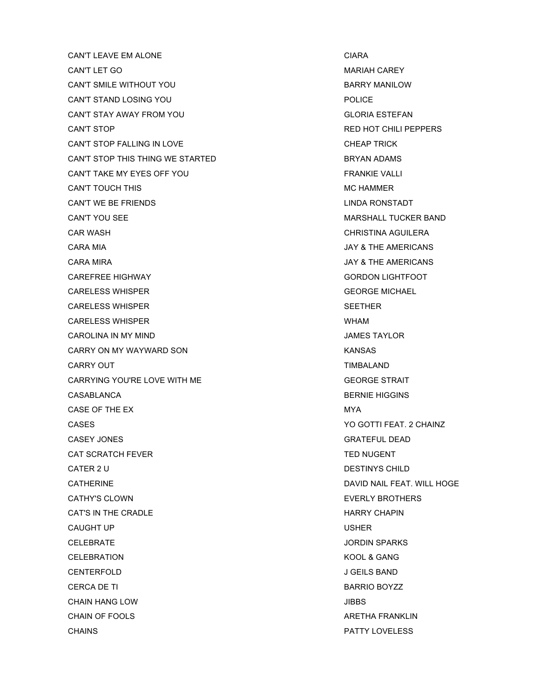CAN'T LEAVE EM ALONE CHARA CHARA CHARA CHARA CAN'T LET GO GALLERY AND THE CONTROL CAN'T LET GO GAN A MARIAH CAREY CAN'T SMILE WITHOUT YOU GARRY MANILOW CAN'T STAND LOSING YOU **CAN'T STAND LOSING YOU** CAN'T STAY AWAY FROM YOU GAN'T STAY AWAY FROM YOU CAN'T STOP CHILI PEPPERS CAN'T STOP FALLING IN LOVE **CAN'T STOP FALLING** IN LOVE CAN'T STOP THIS THING WE STARTED **EXAMPLE ADDITION** BRYAN ADAMS CAN'T TAKE MY EYES OFF YOU FRANKIE VALLI CAN'T TOUCH THIS GONE CAN'T TOUCH THIS AND THE CONSTRUCTION OF THE CONSTRUCTION OF THE CONSTRUCTION OF THE CONSTRUCTION OF THE CONSTRUCTION OF THE CONSTRUCTION OF THE CONSTRUCTION OF THE CONSTRUCTION OF THE CONSTRUCTION OF CAN'T WE BE FRIENDS LINDA RONSTADT CAN'T YOU SEE **MARSHALL TUCKER BAND** CAR WASH CHRISTINA AGUILERA CARA MIA JAY & THE AMERICANS CARA MIRA JAY & THE AMERICANS CAREFREE HIGHWAY GORDON LIGHTFOOT CARELESS WHISPER GEORGE MICHAEL CARELESS WHISPER SEETHER CARELESS WHISPER WHO ARE AN INTERNATIONAL STATE OF THE WHOLE WHAM CAROLINA IN MY MIND JAMES TAYLOR CARRY ON MY WAYWARD SON KANSAS CARRY OUT **TIMBALAND** CARRYING YOU'RE LOVE WITH ME GEORGE STRAIT CASABLANCA BERNIE HIGGINS CASE OF THE EX MYA CASES YO GOTTI FEAT. 2 CHAINZ CASEY JONES GRATEFUL DEAD CAT SCRATCH FEVER TED NUGENT CATER 2 U DESTINYS CHILD CATHERINE DAVID NAIL FEAT. WILL HOGE CATHY'S CLOWN EVERLY BROTHERS CAT'S IN THE CRADLE **Example 1** and the contract of the HARRY CHAPIN CAUGHT UP USHER CELEBRATE JORDIN SPARKS CELEBRATION **KOOL & GANG** CENTERFOLD J GEILS BAND CERCA DE TI BARRIO BOYZZ CHAIN HANG LOW JIBBS CHAIN OF FOOLS ARETHA FRANKLIN CHAINS PATTY LOVELESS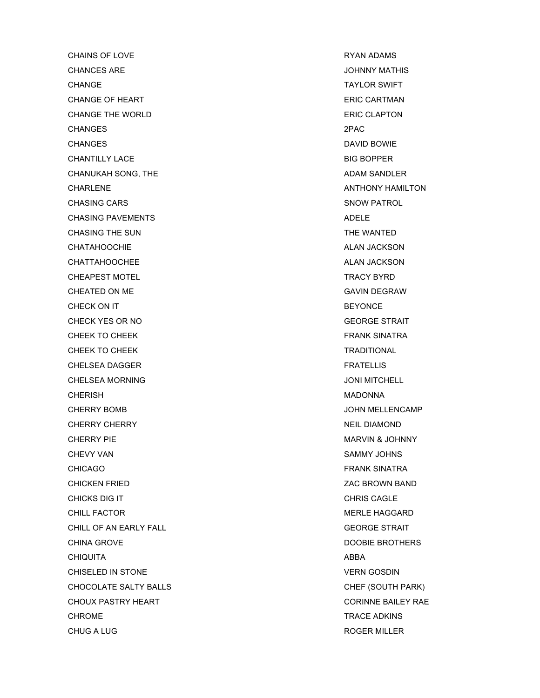CHAINS OF LOVE **RYAN ADAMS** CHANCES ARE **GET A CHANCES ARE CHANCES ARE** CHANGE **TAYLOR SWIFT** CHANGE OF HEART **ERIC CARTMAN** CHANGE THE WORLD **ERIC CLAPTON** CHANGES 2PAC CHANGES DAVID BOWIE CHANTILLY LACE BIG BOPPER CHANUKAH SONG, THE ADAM SANDLER ADAM SANDLER CHARLENE **ANTHONY HAMILTON** CHASING CARS SNOW PATROL CHASING PAVEMENTS ADELE CHASING THE SUN GALLERY CHASING THE WANTED CHATAHOOCHIE ALAN JACKSON CHATAHOOCHIE CHATTAHOOCHEE ALAN JACKSON CHATTAHOOCHEE CHEAPEST MOTEL **TRACY BYRD** CHEATED ON ME GAVIN DEGRAW CHECK ON IT BEYONCE CHECK YES OR NO GEORGE STRAIT CHEEK TO CHEEK FRANK SINATRA CHEEK TO CHEEK THE CHEEK TO CHEEK THE CHEEK TO CHEEK THE CHEEK THE CHEEK THE CHEEK THE CHEEK THE CHEEK THE CHE CHELSEA DAGGER FRATELLIS CHELSEA MORNING **CHELSEA MORNING** CHERISH MADONNA CHERRY BOMB JOHN MELLENCAMP CHERRY CHERRY NEIL DIAMOND CHERRY PIE **MARVIN & JOHNNY** CHEVY VAN SAMMY JOHNS CHICAGO FRANK SINATRA CHICKEN FRIED ZAC BROWN BAND CHICKS DIG IT CHRIS CAGLE CHILL FACTOR **MERLE HAGGARD** CHILL OF AN EARLY FALL **GEORGE STRAIT** CHINA GROVE **DOOBIE BROTHERS** CHIQUITA ABBA CHISELED IN STONE VERN GOSDIN CHOCOLATE SALTY BALLS CHEF (SOUTH PARK) CHOUX PASTRY HEART **CHOUX ASSESSED ASSAULT** CORINNE BAILEY RAE CHROME **TRACE ADKINS** CHUG A LUG ROGER MILLER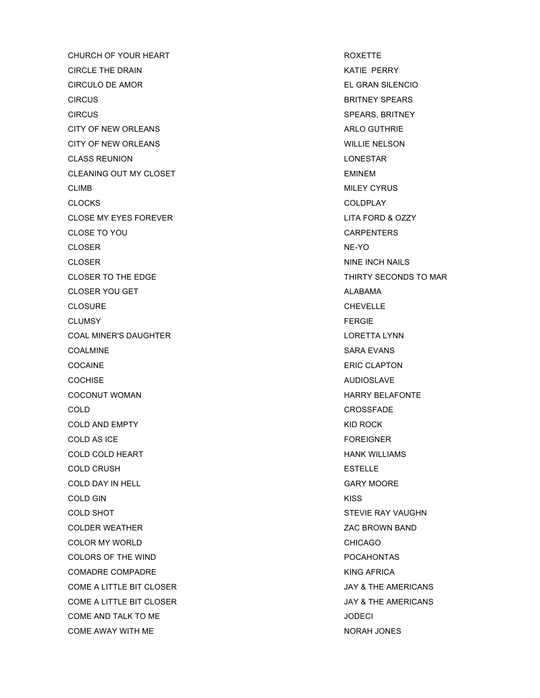CHURCH OF YOUR HEART **ROXETTE** CIRCLE THE DRAIN **KATIE PERRY** CIRCULO DE AMOR EL GRAN SILENCIO CIRCUS BRITNEY SPEARS CIRCUS SPEARS, BRITNEY CITY OF NEW ORLEANS **ARLO GUTHRIE** CITY OF NEW ORLEANS WILLIE NELSON CLASS REUNION LONESTAR CLEANING OUT MY CLOSET **EMINEM** CLIMB MILEY CYRUS CLOCKS COLDPLAY CLOSE MY EYES FOREVER LITA FORD & OZZY CLOSE TO YOU CARPENTERS CLOSER NE-YO CLOSER NINE INCH NAILS CLOSER TO THE EDGE THIRTY SECONDS TO MAR CLOSER YOU GET ALABAMA CLOSER YOU GET CLOSURE CHEVELLE CLUMSY FERGIE COAL MINER'S DAUGHTER LORETTA LYNN COALMINE SARA EVANS COCAINE ERIC CLAPTON COCHISE AUDIOSLAVE COCONUT WOMAN **HARRY BELAFONTE** COLD CROSSFADE COLD AND EMPTY **EXAMPLE 2008** 2008 2012 12:30 XID ROCK COLD AS ICE **FOREIGNER** COLD COLD HEART **HANK WILLIAMS** COLD CRUSH ESTELLE COLD DAY IN HELL GARY MOORE COLD GIN KISS COLD SHOT STEVIE RAY VAUGHN COLDER WEATHER **EXAMPLE 2008** 22 AC BROWN BAND COLOR MY WORLD CHICAGO COLORS OF THE WIND **EXECUTE A SET ASSESSED ASSAULT** POCAHONTAS COMADRE COMPADRE KING AFRICA COME A LITTLE BIT CLOSER **COME A LITTLE BIT CLOSER JAY & THE AMERICANS** COME A LITTLE BIT CLOSER GONE A LITTLE BIT CLOSER COME AND TALK TO ME JODECI COME AWAY WITH ME NORAH JONES AND THE RELATIONS OF A RELATION ON A RELATION OF A RELATION OF A RELATION OF A RELATION OF A RELATION OF A RELATION OF A RELATION OF A RELATION OF A RELATION OF A RELATION OF A RELATION OF A R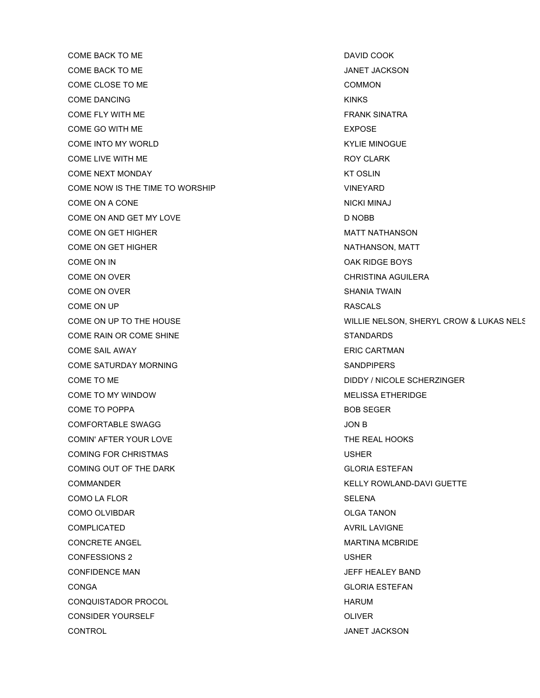COME BACK TO ME DAVID COOK COME BACK TO ME THE SAME OF THE SERVICE OF THE SAME OF THE SAME OF THE SAME OF THE SAME OF THE SAME OF THE SAME OF THE SAME OF THE SAME OF THE SAME OF THE SAME OF THE SAME OF THE SAME OF THE SAME OF THE SAME OF THE SAME OF COME CLOSE TO ME COMMON COME DANCING KINKS COME FLY WITH ME **FRANK SINATRA** COME GO WITH ME **EXPOSE COME INTO MY WORLD COME INTO A LIMIT COME INTO A LIMIT COME INTO A LIMIT COME INTO A LIMIT COME INTO A LIMIT COME INTO A LIMIT COME INTO A LIMIT COME INTO A LIMIT COME INTO A LIMIT COME INTO A LIMIT COME INTO A LIMIT COME** COME LIVE WITH ME **ROY CLARK** COME NEXT MONDAY KT OSLIN COME NOW IS THE TIME TO WORSHIP VINEYARD COME ON A CONE NICKI MINAJ COME ON AND GET MY LOVE DISCOVERING THE RESERVE DISCOVERING AND ROBB COME ON GET HIGHER **MATT NATHANSON** COME ON GET HIGHER NATHANSON, MATT COME ON IN COME ON IN COME ON IN COME ON IN COME ON IN COME ON IN COME ON IN COME ON IN COME ON IN COME ON IN COME ON OVER CHRISTINA AGUILERA COME ON OVER SHANIA TWAIN COME ON UP RASCALS COME RAIN OR COME SHINE STANDARDS COME SAIL AWAY ERIC CARTMAN COME SATURDAY MORNING **SANDFIFERS** SANDPIPERS COME TO ME DIDDY / NICOLE SCHERZINGER COME TO MY WINDOW GONE TO MY WINDOW COME TO POPPA BOB SEGER COMFORTABLE SWAGG **COMFORTABLE SWAGG** COMIN' AFTER YOUR LOVE THE REAL HOOKS COMING FOR CHRISTMAS USHER COMING OUT OF THE DARK GLORIA ESTEFAN COMMANDER KELLY ROWLAND-DAVI GUETTE COMO LA FLOR COMO LA FLORE COMO LA FLORE COMO LA FLORE COMO LA SELENA COMO OLVIBDAR **OLGA TANON** COMPLICATED AVRIL LAVIGNE CONCRETE ANGEL **ANGEL ANGEL ANGEL ANGEL ANGEL** MARTINA MCBRIDE CONFESSIONS 2 USHER CONFIDENCE MAN JEFF HEALEY BAND CONGA GLORIA ESTEFAN CONQUISTADOR PROCOL **Example 2018** HARUM HARUM CONSIDER YOURSELF OLIVER CONTROL JANET JACKSON

COME ON UP TO THE HOUSE WILLIE NELSON, SHERYL CROW & LUKAS NELSON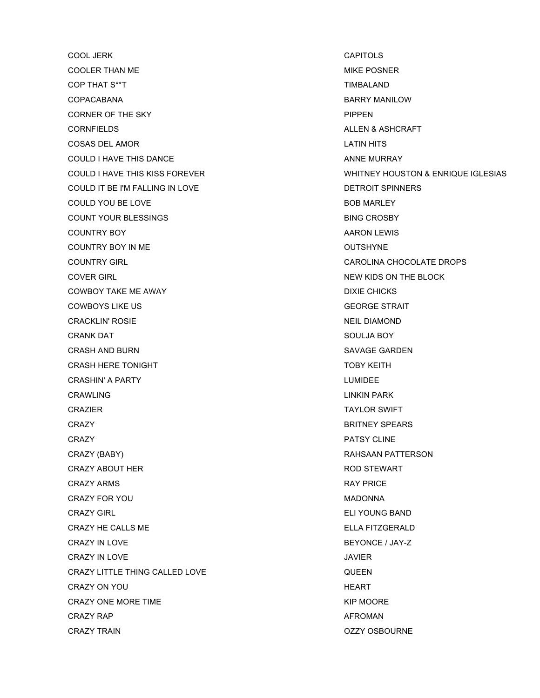COOL JERK CAPITOLS COOLER THAN ME **MIKE POSNER** COP THAT S\*\*T SACTO THAT STATES AND TIMBALAND COPACABANA BARRY MANILOW CORNER OF THE SKY PIPPEN CORNFIELDS ALLEN & ASHCRAFT COSAS DEL AMOR LATIN HITS COULD I HAVE THIS DANCE **AND ANNE MURRAY** ANNE MURRAY COULD IT BE I'M FALLING IN LOVE **EXAMPLE A SET ASSESSED ASSESSED AT A REPORT OF PROPERTY** COULD YOU BE LOVE **BOB MARLEY** COUNT YOUR BLESSINGS BING CROSBY COUNTRY BOY **AROON LEWIS COUNTRY BOY** COUNTRY BOY IN ME **OUTSHYNE** COUNTRY GIRL CAROLINA CHOCOLATE DROPS COVER GIRL NEW KIDS ON THE BLOCK COWBOY TAKE ME AWAY **DIXIE CHICKS** COWBOYS LIKE US GEORGE STRAIT **CRACKLIN' ROSIE NEIL DIAMOND** CRANK DAT SOULJA BOY CRASH AND BURN SAVAGE GARDEN CRASH HERE TONIGHT TOBY KEITH CRASHIN' A PARTY LUMIDEE CRAWLING LINKIN PARK CRAZIER TAYLOR SWIFT **CRAZY BRITNEY SPEARS CRAZY** PATSY CLINE CRAZY (BABY) **RAHSAAN PATTERSON** CRAZY ABOUT HER **ROD STEWART CRAZY ARMS RAY PRICE** CRAZY FOR YOU MADONNA CRAZY GIRL ELI YOUNG BAND CRAZY HE CALLS ME ELLA FITZGERALD CRAZY IN LOVE **EXAMPLE 2008** CRAZY IN LOVE CRAZY IN LOVE UNIVERSITY OF A SERVICE OF A SERVICE OF A SERVICE OF A SERVICE OF A SERVICE OF A SERVICE OF A SERVICE OF A SERVICE OF A SERVICE OF A SERVICE OF A SERVICE OF A SERVICE OF A SERVICE OF A SERVICE OF A SERVICE OF CRAZY LITTLE THING CALLED LOVE **CONTACT CONTACT CONTROL** CRAZY ON YOU GAS AND THE CRAZY ON YOU CRAZY ONE MORE TIME **KIP MOORE KIP MOORE** CRAZY RAP **AFROMAN** CRAZY TRAIN OZZY OSBOURNE

COULD I HAVE THIS KISS FOREVER WHITNEY HOUSTON & ENRIQUE IGLESIAS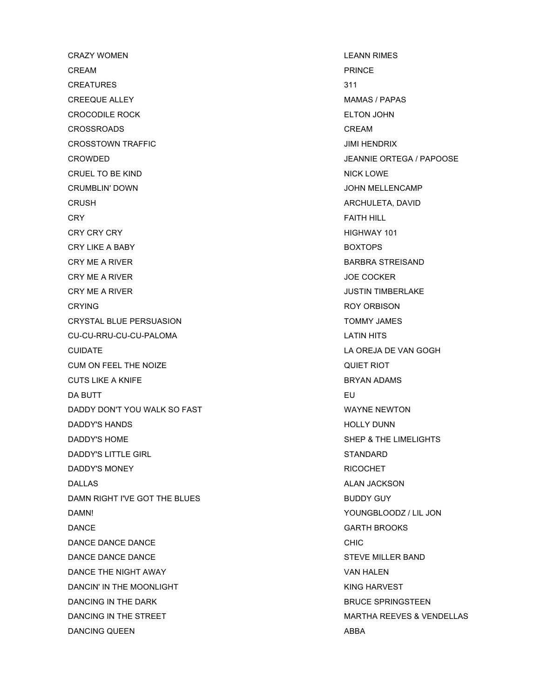CRAZY WOMEN LEANN RIMES CREAM PRINCE CREATURES 311 CREEQUE ALLEY **A CONSUMING THE CONSUMING A CREEQUE ALLEY MAMAS / PAPAS** CROCODILE ROCK ELTON JOHN CROSSROADS CREAM CROSSTOWN TRAFFIC **CROSSTOWN TRAFFIC** CROWDED JEANNIE ORTEGA / PAPOOSE CRUEL TO BE KIND NICK LOWE CRUMBLIN' DOWN JOHN MELLENCAMP CRUSH ARCHULETA, DAVID CRY FAITH HILL CRY CRY CRY NORTH CRY CRY CRY CRY HIGHWAY 101 CRY LIKE A BABY BOXTOPS CRY ME A RIVER BARBRA STREISAND CRY ME A RIVER GENERAL BURGER AND THE SERVICE OF A GENERAL ME A RIVER. CRY ME A RIVER **CRY ME A RIVER** CRYING **ROY ORBISON** CRYSTAL BLUE PERSUASION TOMMY JAMES CU-CU-RRU-CU-CU-PALOMA LATIN HITS CUIDATE LA OREJA DE VAN GOGH CUM ON FEEL THE NOIZE CUM ON FEEL THE NOIZE CUTS LIKE A KNIFE **BRYAN ADAMS** DA BUTT $\qquad \qquad \qquad \qquad$  EU DADDY DON'T YOU WALK SO FAST WAYNE NEWTON DADDY'S HANDS NOTE OF THE SERVICE OF THE SERVICE OF THE SERVICE OF THE SERVICE OF THE SERVICE OF THE SERVICE OF THE SERVICE OF THE SERVICE OF THE SERVICE OF THE SERVICE OF THE SERVICE OF THE SERVICE OF THE SERVICE OF THE S DADDY'S HOME SHEP & THE LIMELIGHTS DADDY'S LITTLE GIRL STANDARD DADDY'S MONEY NOTES AND RICOCHET AND RICOCHET AND RICOCHET AND RICOCHET AND RICOCHET AND RICOCHET AND RICOCHET DALLAS ALAN JACKSON ALAN JACKSON ALAN JACKSON ALAN JACKSON ALAN JACKSON ALAN JACKSON ALAN JACKSON ALAN JACKSON DAMN RIGHT I'VE GOT THE BLUES BUDDY GUY DAMN! YOUNGBLOODZ / LIL JON DANCE GARTH BROOKS DANCE DANCE DANCE CHIC DANCE DANCE DANCE STEVE MILLER BAND DANCE THE NIGHT AWAY VAN HALEN DANCIN' IN THE MOONLIGHT **KING HARVEST** DANCING IN THE DARK BRUCE SPRINGSTEEN DANCING IN THE STREET SALE AND THE STREET SALE AND THE STREET SALE AND THE STREET SALE AND THE STREET SALE ASSAULT AND MARTHA REEVES & VENDELLAS DANCING QUEEN ABBA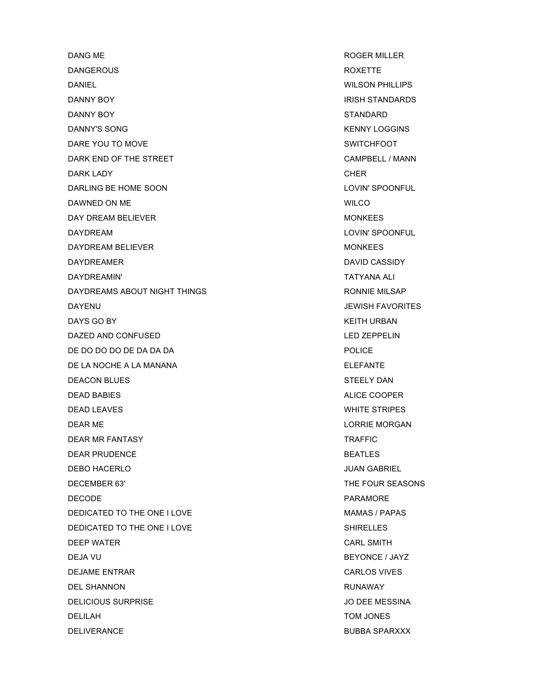DANG ME ROGER MILLER DANGEROUS **Example 20 and 20 and 20 and 20 and 20 and 20 and 20 and 20 and 20 and 20 and 20 and 20 and 20 and 20 and 20 and 20 and 20 and 20 and 20 and 20 and 20 and 20 and 20 and 20 and 20 and 20 and 20 and 20 and 20 and** DANIEL WILSON PHILLIPS DANNY BOY **IRISH STANDARDS** DANNY BOY STANDARD DANNY'S SONG KENNY LOGGINS DARE YOU TO MOVE SWITCHFOOT DARK END OF THE STREET CAMPBELL / MANN DARK LADY CHER DARLING BE HOME SOON LOVIN' SPOONFUL DAWNED ON ME WILCO. THE WILCO. THE WILCO. THE WILCO. THE WILCO. THE WILCO. THE WILCO. DAY DREAM BELIEVER MONKEES DAYDREAM **DAYDREAM** LOVIN' SPOONFUL DAYDREAM BELIEVER MONTH AND THE SERVICE SERVICE STATES AND MONTHLES DAYDREAMER DAVID CASSIDY DAYDREAMIN' TATYANA ALI DAYDREAMS ABOUT NIGHT THINGS **EXAMPLE A RONNIE MILSAP** DAYENU JEWISH FAVORITES DAYS GO BY **KEITH URBAN** DAZED AND CONFUSED LED ZEPPELIN DE DO DO DO DE DA DA DA POLICE DE LA NOCHE A LA MANANA ELEFANTE DEACON BLUES STEELY DAN DEAD BABIES ALICE COOPER DEAD LEAVES WHITE STRIPES DEAR ME LORRIE MORGAN DEAR MR FANTASY TRAFFIC DEAR PRUDENCE **BEATLES** DEBO HACERLO JUAN GABRIEL DECEMBER 63' THE FOUR SEASONS DECODE **PARAMORE** DEDICATED TO THE ONE I LOVE MANNS AND THE ONE I LOVE DEDICATED TO THE ONE I LOVE SHIRELLES DEEP WATER **CARL SMITH** DEJA VU BEYONCE / JAYZ DEJAME ENTRAR CARLOS VIVES DEL SHANNON RUNAWAY DELICIOUS SURPRISE JO DEE MESSINA DELILAH TOM JONES DELIVERANCE BUBBA SPARXXX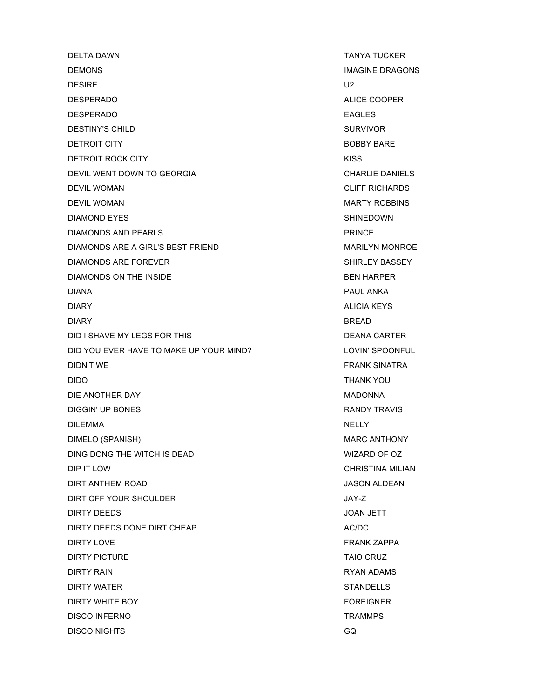DELTA DAWN TANYA TUCKER DEMONS IMAGINE DRAGONS DESIRE U2 DESPERADO ALICE COOPER DESPERADO A EAGLES EN ENGLAND EAGLES DESTINY'S CHILD SURVIVOR DETROIT CITY **BOBBY BARE** DETROIT ROCK CITY **EXAMPLE 20 IN THE SET AND RESISTENT** RISS DEVIL WENT DOWN TO GEORGIA CHARLIE DANIELS DEVIL WOMAN CLIFF RICHARDS DEVIL WOMAN MARTY ROBBINS DIAMOND EYES SHINEDOWN DIAMONDS AND PEARLS **PRINCE** DIAMONDS ARE A GIRL'S BEST FRIEND **MARILY MONDS** ARE A GIRL'S BEST FRIEND DIAMONDS ARE FOREVER SHIRLEY BASSEY DIAMONDS ON THE INSIDE **BEN HARPER** DIANA PAUL ANKA DIARY ALICIA KEYS DIARY BREAD DID I SHAVE MY LEGS FOR THIS DEANA CARTER DID YOU EVER HAVE TO MAKE UP YOUR MIND? LOVIN' SPOONFUL DIDN'T WE FRANK SINATRA DIDO THANK YOU DIE ANOTHER DAY MADONNA DIGGIN' UP BONES **RANDY TRAVIS** DILEMMA NELLY DIMELO (SPANISH) MARC ANTHONY DING DONG THE WITCH IS DEAD WIZARD OF OZ DIP IT LOW CHRISTINA MILIAN DIRT ANTHEM ROAD JASON ALDEAN DIRT OFF YOUR SHOULDER **JAY-Z** DIRTY DEEDS JOAN JETT DIRTY DEEDS DONE DIRT CHEAP AC/DC DIRTY LOVE FRANK ZAPPA DIRTY PICTURE TAIO CRUZ DIRTY RAIN GENERAL BROWN CONTROL CONTROL IN THE RYAN ADAMS CONTROL IN THE RYAN ADAMS DIRTY WATER STANDELLS DIRTY WHITE BOY FOREIGNER DISCO INFERNO TRAMMPS DISCO NIGHTS GQ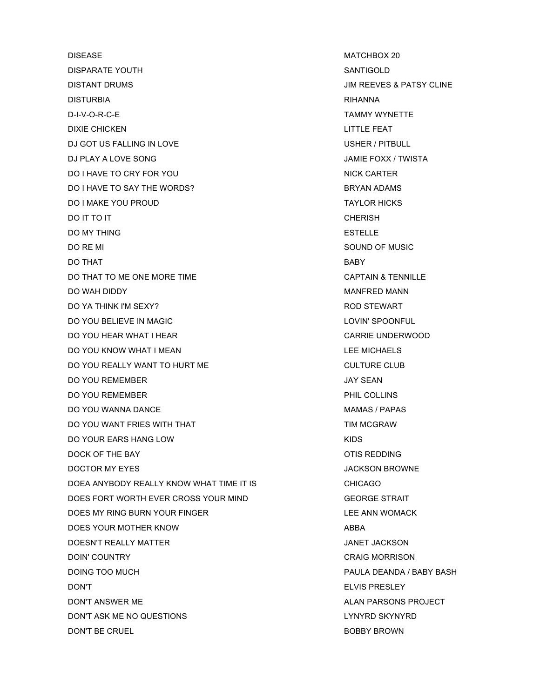DISEASE MATCHBOX 20 DISPARATE YOUTH SANTIGOLD DISTANT DRUMS JIM REEVES & PATSY CLINE DISTURBIA RIHANNA D-I-V-O-R-C-E TAMMY WYNETTE DIXIE CHICKEN LITTLE FEAT DJ GOT US FALLING IN LOVE USHER / PITBULL DJ PLAY A LOVE SONG DI PLAY A LOVE SONG A LOVE SONG A LOVE ON A LOVE ON A LOVE ON A LOVE ON A LOVE ON A LOVE O DO I HAVE TO CRY FOR YOU NICK CARTER NICK CARTER DO I HAVE TO SAY THE WORDS? BRYAN ADAMS DO I MAKE YOU PROUD TAYLOR HICKS DO IT TO IT CHERISH DO MY THING **ESTELLE** DO RE MI SOUND OF MUSIC DO THAT AND RESERVE THE RESERVE THAT A RESERVE THAT A RESERVE THAT A RESERVE THAT A RESERVE THAT A RESERVE THAT DO THAT TO ME ONE MORE TIME CAPTAIN & TENNILLE DO WAH DIDDY NANFRED MANN DO YA THINK I'M SEXY? ROD STEWART DO YOU BELIEVE IN MAGIC **LOUISE AND A SECULAR SPOONFUL** DO YOU BELIEVE IN MAGIC DO YOU HEAR WHAT I HEAR CARRIE UNDERWOOD DO YOU KNOW WHAT I MEAN LEE MICHAELS DO YOU REALLY WANT TO HURT ME CULTURE CLUB DO YOU REMEMBER JAY SEAN DO YOU REMEMBER PHIL COLLINS DO YOU WANNA DANCE **MAMAS ISSUES** DO YOU WANT FRIES WITH THAT TIM MCGRAW DO YOUR EARS HANG LOW NOTE: THE RESERVE THAT THE RESERVE THAT THE RESERVE THAT THE RESERVE THAT THE RESERVE TH DOCK OF THE BAY **OTIS REDDING** DOCTOR MY EYES **DOCTOR AND RESERVE ASSAULT A** SUMPLE AND MOVING A SUMPLE AND MOVING A SUMPLE AND MOVING A SUMPLE A DOEA ANYBODY REALLY KNOW WHAT TIME IT IS CHICAGO DOES FORT WORTH EVER CROSS YOUR MIND GEORGE STRAIT DOES MY RING BURN YOUR FINGER LEE ANN WOMACK DOES YOUR MOTHER KNOW ABBA DOESN'T REALLY MATTER JANET JACKSON DOIN' COUNTRY COUNTRY CRAIG MORRISON DOING TOO MUCH DOING TOO MUCH PAULA DEANDA / BABY BASH DON'T ELVIS PRESLEY DON'T ANSWER ME ALAN PARSONS PROJECT DON'T ASK ME NO QUESTIONS LYNYRD SKYNYRD DON'T BE CRUEL SERVICE SERVICE SERVICE SERVICE SERVICE SERVICE SERVICE SERVICE SERVICE SERVICE SERVICE SERVICE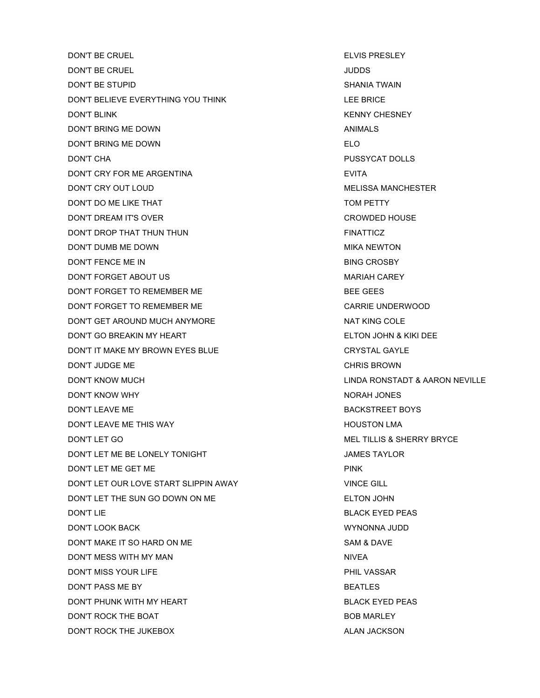DON'T BE CRUEL THE CONTROL CONTROL ELVIS PRESLEY DON'T BE CRUEL JUDDS DON'T BE STUPID SHANIA TWAIN DON'T BELIEVE EVERYTHING YOU THINK LEE BRICE DON'T BLINK KENNY CHESNEY DON'T BRING ME DOWN ANIMALS DON'T BRING ME DOWN **ELO** DON'T CHA PUSSYCAT DOLLS DON'T CRY FOR ME ARGENTINA EVITA DON'T CRY OUT LOUD **MELISSA MANCHESTER** DON'T DO ME LIKE THAT TOM PETTY DON'T DREAM IT'S OVER **CROWDED HOUSE** DON'T DROP THAT THUN THUN FINATTICZ DON'T DUMB ME DOWN NEWTON MIKA NEWTON DON'T FENCE ME IN BING CROSBY DON'T FORGET ABOUT US A MARIAH CAREY MARIAH CAREY DON'T FORGET TO REMEMBER ME BEE GEES DON'T FORGET TO REMEMBER ME CARRIE UNDERWOOD DON'T GET AROUND MUCH ANYMORE NAT KING COLE DON'T GO BREAKIN MY HEART ELTON JOHN & KIKI DEE DON'T IT MAKE MY BROWN EYES BLUE **CRYSTAL GAYLE** DON'T JUDGE ME CHRIS BROWN DON'T KNOW MUCH LINDA RONSTADT & AARON NEVILLE DON'T KNOW WHY NORAH JONES DON'T LEAVE ME BACKSTREET BOYS DON'T LEAVE ME THIS WAY **Example 20 YO FOR THIS WAY THE STATE OF A STATE OF A STATE OF A STATE OF A STATE OF A ST** DON'T LET GO MEL TILLIS & SHERRY BRYCE DON'T LET ME BE LONELY TONIGHT **SEEMS TAYLOR** JAMES TAYLOR DON'T LET ME GET ME DON'T LET OUR LOVE START SLIPPIN AWAY VINCE GILL DON'T LET THE SUN GO DOWN ON ME ELTON JOHN DON'T LIE BLACK EYED PEAS DON'T LOOK BACK WYNONNA JUDD DON'T MAKE IT SO HARD ON ME SAM & DAVE DON'T MESS WITH MY MAN NIVEA DON'T MISS YOUR LIFE **A SECURE 1999 TO A SECURE 2012 THE VASSAR** DON'T PASS ME BY BEATLES DON'T PHUNK WITH MY HEART **BLACK EYED PEAS** DON'T ROCK THE BOAT **BOB MARLEY** DON'T ROCK THE JUKEBOX ALAN JACKSON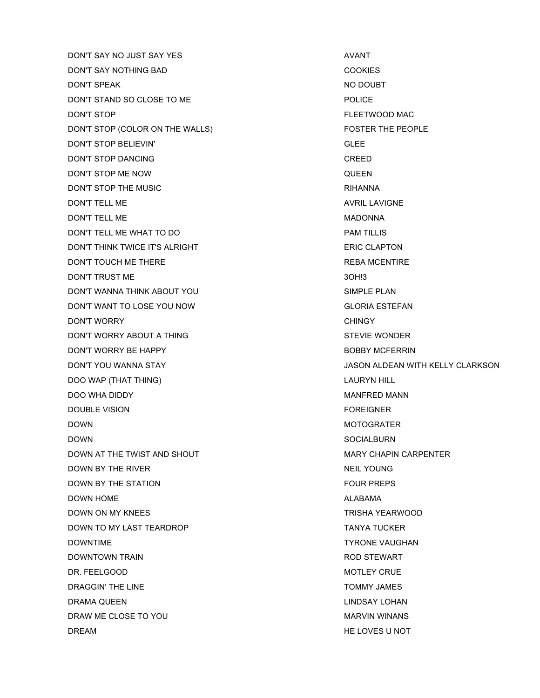DON'T SAY NO JUST SAY YES AVANT DON'T SAY NOTHING BAD COOKIES DON'T SPEAK NO DOUBT DON'T STAND SO CLOSE TO ME **EXAMPLE TO ME** POLICE DON'T STOP FLEETWOOD MAC DON'T STOP (COLOR ON THE WALLS) FOSTER THE PEOPLE DON'T STOP BELIEVIN' GLEE DON'T STOP DANCING **CREED** DON'T STOP ME NOW GUEEN DON'T STOP THE MUSIC **EXECUTE THE MUSIC RIHANNA** DON'T TELL ME AVRIL LAVIGNE DON'T TELL ME MADONNA DON'T TELL ME WHAT TO DO **EXAMPLE THE SERVICE SERVICE SERVICE SERVICE SERVICE SERVICE SERVICE SERVICE SERVICE** DON'T THINK TWICE IT'S ALRIGHT ERIC CLAPTON DON'T TOUCH ME THERE **REBA MCENTIRE REBA MCENTIRE** DON'T TRUST ME 3OH!3 DON'T WANNA THINK ABOUT YOU SIMPLE PLAN DON'T WANT TO LOSE YOU NOW GLORIA ESTEFAN DON'T WORRY **CHINGY** DON'T WORRY ABOUT A THING STEVIE WONDER DON'T WORRY BE HAPPY **BOBBY MCFERRIN** DOO WAP (THAT THING) LAURYN HILL DOO WHA DIDDY MANFRED MANN DOUBLE VISION FOREIGNER DOWN MOTOGRATER DOWN SOCIALBURN DOWN AT THE TWIST AND SHOUT **A REPORT OF A REPORT OF A REPORT OF A REPORT OF A REPORT OF A REPORT OF A REPORT O** DOWN BY THE RIVER NEIL YOUNG DOWN BY THE STATION FOUR PREPS DOWN HOME ALABAMA AND THE RESERVE THAT A RESERVE THE RESERVE THAT A RESERVE THAT A RESERVE THAT AND A RESERVE THAT AND A RESERVE THAT AND THE RESERVE THAT A RESERVE THAT AND A RESERVE THAT AND A RESERVE THAT AND A RESERVE DOWN ON MY KNEES TRISHA YEARWOOD DOWN TO MY LAST TEARDROP TANYA TUCKER DOWNTIME **TYRONE VAUGHAN** DOWNTOWN TRAIN GENERAL BURGERY AND STRAIN ROD STEWART DR. FEELGOOD AND A SERIES AND A SERIES ON A SERIES AND THE MOTLEY CRUE DRAGGIN' THE LINE TOMMY JAMES DRAMA QUEEN **EXAMPLE 2018 12:00 INCREDIT CONTRACT CONTRACT AND LINDSAY LOHAN** DRAW ME CLOSE TO YOU GALLERY AND THE MARVIN WINANS DREAM HE LOVES U NOT

DON'T YOU WANNA STAY JASON ALDEAN WITH KELLY CLARKSON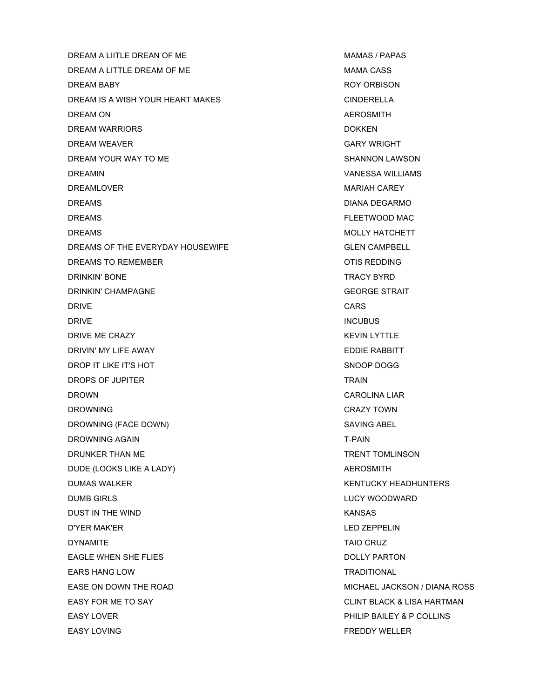DREAM A LIITLE DREAN OF ME MANAS / PAPAS DREAM A LITTLE DREAM OF ME MAG ASS MAMA CASS DREAM BABY ROY ORBISON DREAM IS A WISH YOUR HEART MAKES CONDERTELLA DREAM ON ALL AND THE SERIES OF THE SERIES ON A REPOSITION AND ALL ALL AND A REPOSITION OF THE SERIES OF THE SERIES OF THE SERIES OF THE SERIES OF THE SERIES OF THE SERIES OF THE SERIES OF THE SERIES OF THE SERIES OF THE SE DREAM WARRIORS **DOKKEN** DREAM WEAVER GARY WRIGHT DREAM YOUR WAY TO ME SHANNON LAWSON DREAMIN VANESSA WILLIAMS DREAMLOVER **MARIAH CAREY** DREAMS DIANA DEGARMO DREAMS FLEETWOOD MAC **DREAMS** MOLLY HATCHETT DREAMS OF THE EVERYDAY HOUSEWIFE GLEN CAMPBELL DREAMS TO REMEMBER **OTIS REDDING** DRINKIN' BONE TRACY BYRD DRINKIN' CHAMPAGNE GEORGE STRAIT **DRIVE CARS** DRIVE **INCUBUS** DRIVE ME CRAZY KEVIN LYTTLE DRIVIN' MY LIFE AWAY EDDIE RABBITT DROP IT LIKE IT'S HOT SNOOP DOGG SNOOP DOGG DROPS OF JUPITER TRAIN TRAIN DROWN CAROLINA LIAR DROWNING CRAZY TOWN DROWNING (FACE DOWN) SAVING ABEL DROWNING AGAIN T-PAIN DRUNKER THAN ME TRENT TOMLINSON DUDE (LOOKS LIKE A LADY) AEROSMITH DUMAS WALKER KENTUCKY HEADHUNTERS DUMB GIRLS LUCY WOODWARD DUST IN THE WIND **KANSAS** D'YER MAK'ER LED ZEPPELIN DYNAMITE TAIO CRUZ EAGLE WHEN SHE FLIES **EXECUTES** DOLLY PARTON EARS HANG LOW **TRADITIONAL** EASE ON DOWN THE ROAD **EASE ON DOWN THE ROAD MICHAEL JACKSON** / DIANA ROSS EASY FOR ME TO SAY **CLINT BLACK & LISA HARTMAN** EASY LOVER **EASY LOVER PHILIP BAILEY & P COLLINS** EASY LOVING FREDDY WELLER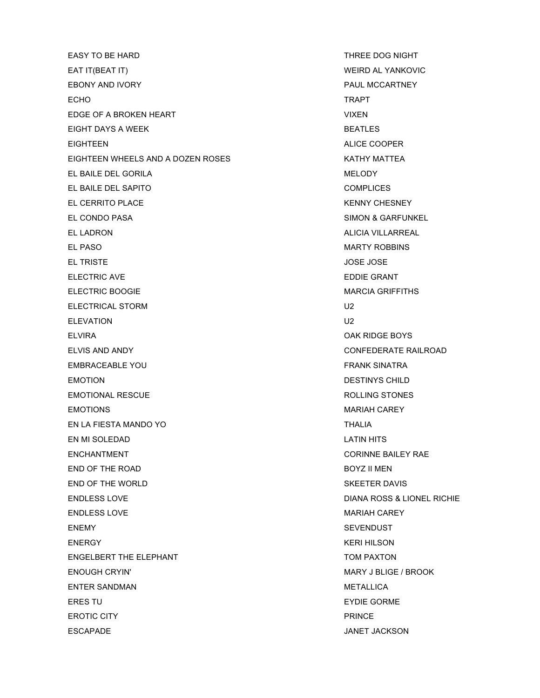EASY TO BE HARD THREE DOG NIGHT EAT IT(BEAT IT) WEIRD AL YANKOVIC EBONY AND IVORY **PAUL MCCARTNEY** ECHO TRAPT EDGE OF A BROKEN HEART VIXEN WIXEN EIGHT DAYS A WEEK **BEATLES** EIGHTEEN ALICE COOPER EIGHTEEN WHEELS AND A DOZEN ROSES KATHY MATTEA EL BAILE DEL GORILA NEL SOLO DE L'ANNEL ANNEL A MELODY EL BAILE DEL SAPITO COMPLICES EL CERRITO PLACE THE RESOLUTION OF THE RESOLUTION OF THE RESOLUTION OF THE RESOLUTION OF THE RESOLUTION OF THE RESOLUTION OF THE RESOLUTION OF THE RESOLUTION OF THE RESOLUTION OF THE RESOLUTION OF THE RESOLUTION OF THE RES EL CONDO PASA SIMON & GARFUNKEL EL LADRON ALICIA VILLARREAL EL PASO MARTY ROBBINS EL TRISTE JOSE JOSE ELECTRIC AVE **EDDIE GRANT** ELECTRIC BOOGIE **ELECTRIC BOOGIE** ELECTRICAL STORM U2 ELEVATION U2 ELVIRA OAK RIDGE BOYS ELVIS AND ANDY CONFEDERATE RAILROAD EMBRACEABLE YOU FRANK SINATRA EMOTION DESTINYS CHILD EMOTIONAL RESCUE **EMOTIONAL RESCUE ROLLING STONES EMOTIONS** MARIAH CAREY EN LA FIESTA MANDO YO THALIA EN MI SOLEDAD LATIN HITS ENCHANTMENT CORINNE BAILEY RAE END OF THE ROAD BOYZ II MEN END OF THE WORLD SKEETER DAVIS ENDLESS LOVE DIANA ROSS & LIONEL RICHIE ENDLESS LOVE **MARIAH CAREY** ENEMY SEVENDUST ENERGY KERI HILSON ENGELBERT THE ELEPHANT TOM PAXTON ENOUGH CRYIN' MARY J BLIGE / BROOK ENTER SANDMAN METALLICA ERES TU ET ES EN ENGLAND EN ESPECIAL EN ENGLAND EN ESPECIAL EN ESPECIAL EN ESPECIAL EN ENGLAND EN ESPECIAL EN ESPECIAL EN ENGLAND EN ENGLAND EN ENGLAND EN ENGLAND EN ENGLAND EN EN ENGLAND EN ENGLAND EN ENGLAND EN ENGLAND E EROTIC CITY **PRINCE** ESCAPADE JANET JACKSON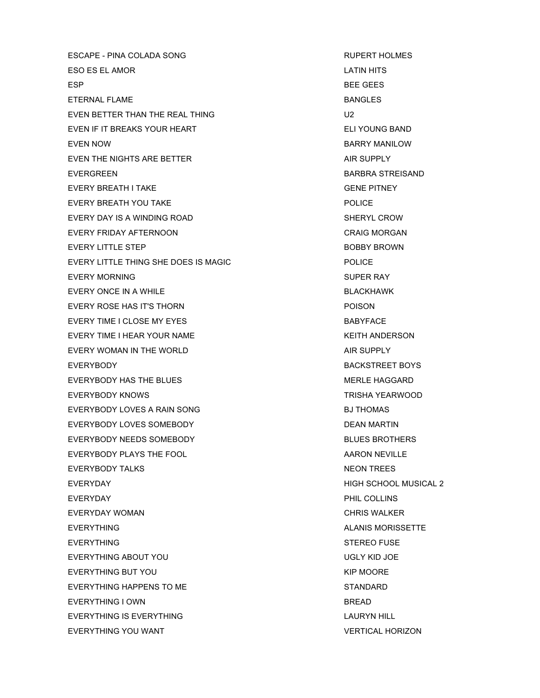ESCAPE - PINA COLADA SONG RUPERT HOLMES ESO ES EL AMOR LATIN HITS ESP BEE GEES ETERNAL FLAME BANGLES EVEN BETTER THAN THE REAL THING U2 EVEN IF IT BREAKS YOUR HEART ELI YOUNG BAND EVEN NOW GARRY MANILOW EVEN THE NIGHTS ARE BETTER AIR SUPPLY EVERGREEN BARBRA STREISAND EVERY BREATH I TAKE GENE PITNEY EVERY BREATH YOU TAKE THE POLICE POLICE EVERY DAY IS A WINDING ROAD SHERYL CROW EVERY FRIDAY AFTERNOON **CRAIG MORGAN** EVERY LITTLE STEP **BOBBY BROWN** EVERY LITTLE THING SHE DOES IS MAGIC **EXECUTE ASSESSED FOLICE** EVERY MORNING **SUPER RAY** EVERY ONCE IN A WHILE **EXECUTE A SECULIAR SECURE A SECULAR BLACKHAWK** EVERY ROSE HAS IT'S THORN **EXECUTE ASSAULT** POISON EVERY TIME I CLOSE MY EYES **BABYFACE** EVERY TIME I HEAR YOUR NAME KEITH ANDERSON EVERY WOMAN IN THE WORLD **AIR SUPPLY** EVERYBODY BACKSTREET BOYS EVERYBODY HAS THE BLUES THE RESERVE THE SERVER MERLE HAGGARD EVERYBODY KNOWS TRISHA YEARWOOD EVERYBODY LOVES A RAIN SONG BUTHOMAS EVERYBODY LOVES SOMEBODY DEAN MARTIN EVERYBODY NEEDS SOMEBODY BLUES BROTHERS EVERYBODY PLAYS THE FOOL ARROR MEVILLE EVERYBODY TALKS NEON TREES EVERYDAY HIGH SCHOOL MUSICAL 2 EVERYDAY PHIL COLLINS EVERYDAY WOMAN CHRIS WALKER EVERYTHING **ALANIS MORISSETTE** EVERYTHING **STEREO FUSE** EVERYTHING ABOUT YOU GET A GOOD TO BE A GOOD MALL AND SOLY KID JOE EVERYTHING BUT YOU GALLER THE MOORE THAT IS A REPORT OF THE MOORE THAT IS A REPORT OF THE MOORE THAT IS A REPORT OF THE MOORE THAT IS A REPORT OF THE MOORE OF THE MOORE OF THE MOORE OF THE MOORE OF THE MOORE OF THE MOORE O EVERYTHING HAPPENS TO ME STANDARD EVERYTHING I OWN BREAD EVERYTHING IS EVERYTHING LAURYN HILL EVERYTHING YOU WANT THE SERVERTICAL HORIZON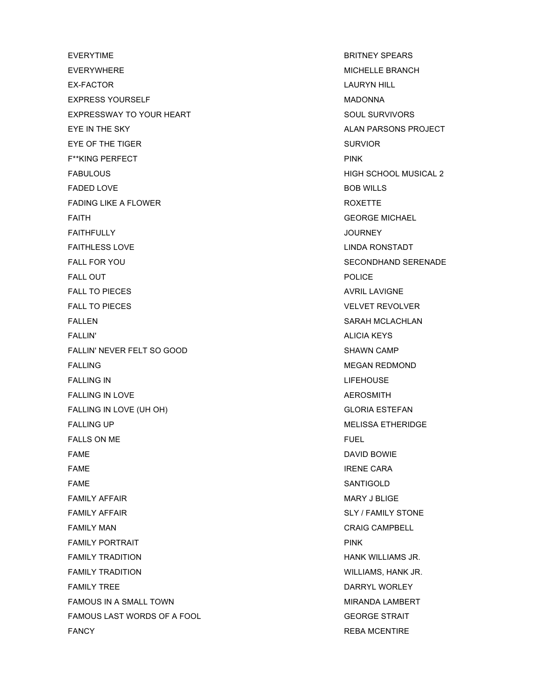EVERYTIME **BRITNEY SPEARS** EVERYWHERE **EXERYWHERE** MICHELLE BRANCH EX-FACTOR **LAURYN HILL** EXPRESS YOURSELF MADONNA EXPRESSWAY TO YOUR HEART SOUL SURVIVORS EYE IN THE SKY ALAN PARSONS PROJECT EYE OF THE TIGER SURVIOR F\*\*KING PERFECT FINK FABULOUS **ALLEY AND READ ASSESSED ASSAULT** A SERVER THAN HIGH SCHOOL MUSICAL 2 FADED LOVE 808 WILLS FADING LIKE A FLOWER THE ROXETTE ROXETTE FAITH GEORGE MICHAEL FAITHFULLY JOURNEY **FAITHLESS LOVE LINDA RONSTADT** FALL FOR YOU SECONDHAND SERENADE **FALL OUT** POLICE FALL TO PIECES AVRIL LAVIGNE FALL TO PIECES THE REVOLVER IN THE SERVICE OF THE VELVET REVOLVER. **FALLEN** SARAH MCLACHLAN FALLIN' ALICIA KEYS FALLIN' NEVER FELT SO GOOD SHAWN CAMP **FALLING** MEGAN REDMOND FALLING IN LIFEHOUSE FALLING IN LOVE **AEROSMITH** FALLING IN LOVE (UH OH) GLORIA ESTEFAN FALLING UP **MELISSA ETHERIDGE** FALLS ON ME FUEL FAME **EXAME DAVID BOWIE FAME IRENE CARA** FAME SANTIGOLD FAMILY AFFAIR MARY JISO AND THE SERVE TO A STATE OF THE MARY JISO AND MARY JISO AND MARY JISO AND THE STATE OF THE STATE OF THE STATE OF THE STATE OF THE STATE OF THE STATE OF THE STATE OF THE STATE OF THE STATE OF THE STA FAMILY AFFAIR SALY / FAMILY STONE FAMILY MAN CRAIG CAMPBELL FAMILY PORTRAIT **PINK FAMILY TRADITION GENERAL CONSUMING THE SERVICE OF A SERVICE OF A SERVICE OF A SERVICE OF A SERVICE OF A SERVICE OF A SERVICE OF A SERVICE OF A SERVICE OF A SERVICE OF A SERVICE OF A SERVICE OF A SERVICE OF A SERVICE OF A FAMILY TRADITION GENERAL CONSUMING THE CONSUMING WILLIAMS, HANK JR.** FAMILY TREE **EXAMPLE TRANSPORTED TO A REPORT OF A REPORT OF A REPORT OF A REPORT OF A REPORT OF A REPORT OF A REPORT OF A REPORT OF A REPORT OF A REPORT OF A REPORT OF A REPORT OF A REPORT OF A REPORT OF A REPORT OF A REPO** FAMOUS IN A SMALL TOWN **EXAMPLE A SMALL TOWN** FAMOUS LAST WORDS OF A FOOL GEORGE STRAIT FANCY **REBA MCENTIRE**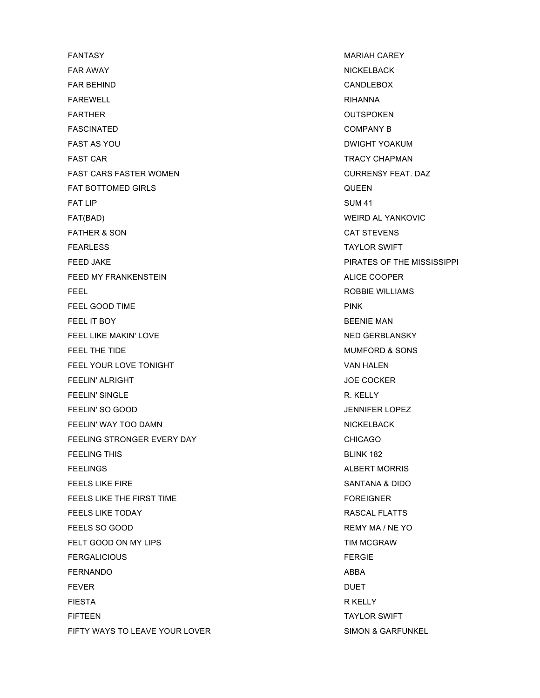**FANTASY** MARIAH CAREY FAR AWAY NICKELBACK NEWSLET AND THE RELEASE OF THE RELEASE OF THE RELEASE OF THE RELEASE OF THE RELEASE OF THE FAR BEHIND CANDLEBOX FAREWELL RIHANNA FARTHER OUTSPOKEN FASCINATED COMPANY B FAST AS YOU GAS AND THE SERVICE OF THE SERVICE OF THE SERVICE OF THE SERVICE OF THE SERVICE OF THE SERVICE OF THE SERVICE OF THE SERVICE OF THE SERVICE OF THE SERVICE OF THE SERVICE OF THE SERVICE OF THE SERVICE OF THE SER FAST CAR TRACY CHAPMAN FAST CARS FASTER WOMEN CURREN\$Y FEAT. DAZ FAT BOTTOMED GIRLS QUEEN FAT LIP SUM 41 FAT(BAD) WEIRD AL YANKOVIC FATHER & SON GAT STEVENS **FEARLESS** TAYLOR SWIFT FEED JAKE **PIRATES OF THE MISSISSIPPI** FEED MY FRANKENSTEIN **ALICE COOPER FEEL** ROBBIE WILLIAMS FEEL GOOD TIME **PINK** FEEL IT BOY **BEENIE MAN** FEEL LIKE MAKIN' LOVE NED GERBLANSKY FEEL THE TIDE **THE TIME IS A SONS** SONS **FEEL THE TIDE** FEEL YOUR LOVE TONIGHT VAN HALEN FEELIN' ALRIGHT AND RESERVE THE STATE OF THE STATE OF THE STATE OF THE STATE OF THE STATE OF THE STATE OF THE STATE OF THE STATE OF THE STATE OF THE STATE OF THE STATE OF THE STATE OF THE STATE OF THE STATE OF THE STATE OF FEELIN' SINGLE THE R. KELLY R. KELLY R. KELLY FEELIN' SO GOOD JENNIFER LOPEZ FEELIN' WAY TOO DAMN NICKELBACK NICKELBACK FEELING STRONGER EVERY DAY **CHICAGO** FEELING THIS **EXECUTE IS A RESIDENT OF A RESIDENT OF A RESIDENT OF A RESIDENT OF A RESIDENT OF A RESIDENT OF A RESIDENT OF A RESIDENT OF A RESIDENT OF A RESIDENT OF A RESIDENT OF A RESIDENT OF A RESIDENT OF A RESIDENT OF A** FEELINGS ALBERT MORRIS **FEELS LIKE FIRE** SANTANA & DIDO FEELS LIKE THE FIRST TIME FOREIGNER **FEELS LIKE TODAY RASCAL FLATTS** FEELS SO GOOD **REMY MA / NE YO** FELT GOOD ON MY LIPS THE SAME CONSUMING THE SERVICE OF THE SAME CONSUMING THE SAME CONSUMING THE SAME CONSUMING THE SAME CONSUMING THE SAME CONSUMING THE SAME CONSUMING THE SAME CONSUMING THE SAME CONSUMING THE SAME CONSUM FERGALICIOUS FERGIE FERNANDO ABBA FEVER DUET DE LA BRITANNIA DE LA BRITANNIA DE LA BRITANNIA DE LA BRITANNIA DE LA BRITANNIA DE LA BRITANNIA DE L FIESTA R KELLY FIFTEEN TAYLOR SWIFT FIFTY WAYS TO LEAVE YOUR LOVER SIMON & GAREUNKEL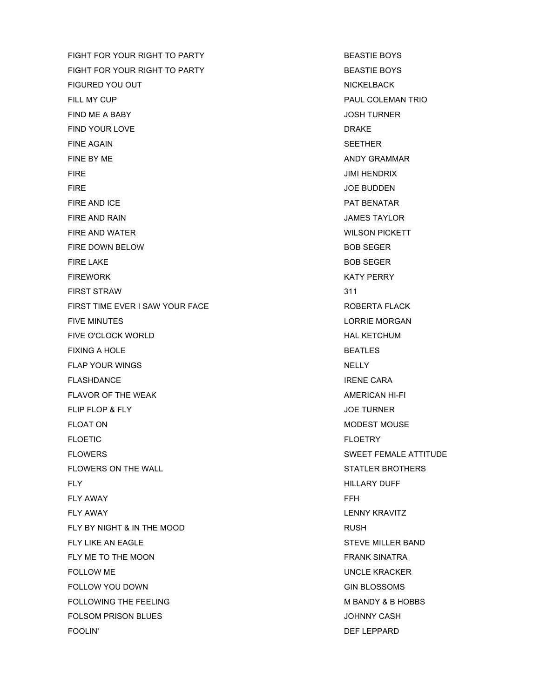FIGHT FOR YOUR RIGHT TO PARTY **EXAMPLE TO A REAST AND REAST IE BOYS** FIGHT FOR YOUR RIGHT TO PARTY **EXAMPLE TO A REAST ASSAULT** BOYS FIGURED YOU OUT NICKELBACK FILL MY CUP **PAUL COLEMAN TRIO** FIND ME A BABY JOSH TURNER FIND YOUR LOVE DRAKE FINE AGAIN SEETHER FINE BY ME AND Y GRAMMAR FIRE JIMI HENDRIX FIRE JOE BUDDEN AND THE SERVICE SERVICE SERVICE SERVICE SERVICE SERVICE SERVICE SERVICE SERVICE SERVICE SERVICE FIRE AND ICE **PAT BENATAR** FIRE AND RAIN GENERAL CONTROL CONTROL CONTROL CONTROL CONTROL CONTROL CONTROL CONTROL CONTROL CONTROL CONTROL CONTROL CONTROL CONTROL CONTROL CONTROL CONTROL CONTROL CONTROL CONTROL CONTROL CONTROL CONTROL CONTROL CONTROL FIRE AND WATER **WILSON PICKETT** FIRE DOWN BELOW **BOB SEGER** FIRE LAKE BOB SEGER FIREWORK **EXAMPLE 2008 KATY PERRY** FIRST STRAW 311 FIRST TIME EVER I SAW YOUR FACE **ROBERTA FLACK** FIVE MINUTES **ALCOHOL EXECUTES LORRIE MORGAN** FIVE O'CLOCK WORLD **HAL KETCHUM** FIXING A HOLE SEATLES FLAP YOUR WINGS NELLY **FLASHDANCE IRENE CARA** FLAVOR OF THE WEAK AMERICAN HI-FI FLIP FLOP & FLY JOE TURNER FLOAT ON MODEST MOUSE FLOETIC FLOETRY FLOWERS SWEET FEMALE ATTITUDE FLOWERS ON THE WALL **STATLER BROTHERS** FLY HILLARY DUFF FLY AWAY FFH FLY AWAY LENNY KRAVITZ FLY BY NIGHT & IN THE MOOD RUSH FLY LIKE AN EAGLE **STEVE MILLER BAND** FLY ME TO THE MOON **FRANK SINATRA** FOLLOW ME UNCLE KRACKER FOLLOW YOU DOWN GIN BLOSSOMS GIN BLOSSOMS FOLLOWING THE FEELING **M** BANDY & B HOBBS FOLSOM PRISON BLUES **SECURE 2018 TO A SECURE 2019 TO A SECURE 2019 TO A SECURE 2019** FOOLIN' DEF LEPPARD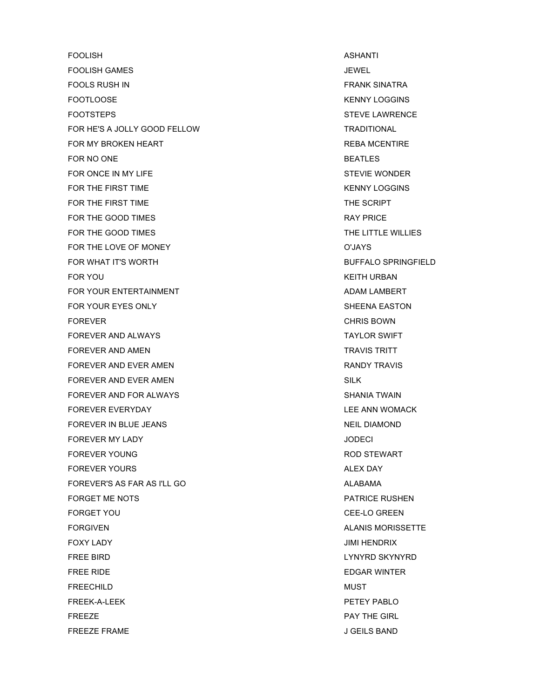FOOLISH ASHANTI FOOLISH GAMES JEWEL FOOLS RUSH IN FRANK SINATRA FOOTLOOSE TO A RESERVE THE SERVE OF THE SERVE TO A RESERVE THE RESERVE TO A RESERVE THE RESERVE TO A RESERVE THE SERVE THAT A RESERVE THE SERVE THAT A RESERVE THAT A RESERVE THAT A RESERVE THAT A RESERVE THAT A RESERVE THA FOOTSTEPS STEVE LAWRENCE FOR HE'S A JOLLY GOOD FELLOW TRADITIONAL FOR MY BROKEN HEART **REBA MCENTIRE** FOR NO ONE **BEATLES** FOR ONCE IN MY LIFE **STEVIE WONDER** FOR THE FIRST TIME **KENNY LOGGINS** FOR THE FIRST TIME THE SCRIPT THE SCRIPT FOR THE GOOD TIMES **EXAMPLE AND TIMES RAY PRICE** FOR THE GOOD TIMES TO A RESERVE THE LITTLE WILLIES FOR THE LOVE OF MONEY **SECURE ASSESSED ASSESSED A** CUAYS FOR WHAT IT'S WORTH BUFFALO SPRINGFIELD FOR YOU GET A GET A LOCAL CONTROL AND THE RESERVE AND THE RESERVE AND THE RESERVE ASSESSMENT OF THE RESERVE AND THE RESERVE AND THE RESERVE AND THE RESERVE AND THE RESERVE AND THE RESERVE AND THE RESERVE AND THE RESERVE AN FOR YOUR ENTERTAINMENT **ADAM LAMBERT** FOR YOUR EYES ONLY GENERAL BOOST SHEENA EASTON FOREVER **CHRIS BOWN** FOREVER AND ALWAYS **TAYLOR SWIFT** FOREVER AND AMEN TRAVIS TRITT FOREVER AND EVER AMEN **RANDY TRAVIS** FOREVER AND EVER AMEN SILK SILK FOREVER AND FOR ALWAYS SHANIA TWAIN FOREVER EVERYDAY LEE ANN WOMACK FOREVER IN BLUE JEANS NEIL DIAMOND FOREVER MY LADY JODECI FOREVER YOUNG THE ROD STEWART CONTROL IN THE ROD STEWART FOREVER YOURS ALEX DAY FOREVER'S AS FAR AS I'LL GO ALABAMA FORGET ME NOTS FORGET AND THE RUSHEN FORGET YOU GEE-LO GREEN FORGIVEN ALANIS MORISSETTE FOXY LADY JIMI HENDRIX FREE BIRD LYNYRD SKYNYRD FREE RIDE EDGAR WINTER **FREECHILD** MUST FREEK-A-LEEK PETEY PABLO **FREEZE** PAY THE GIRL FREEZE FRAME JUST A SELLS BAND JUST A SELLS BAND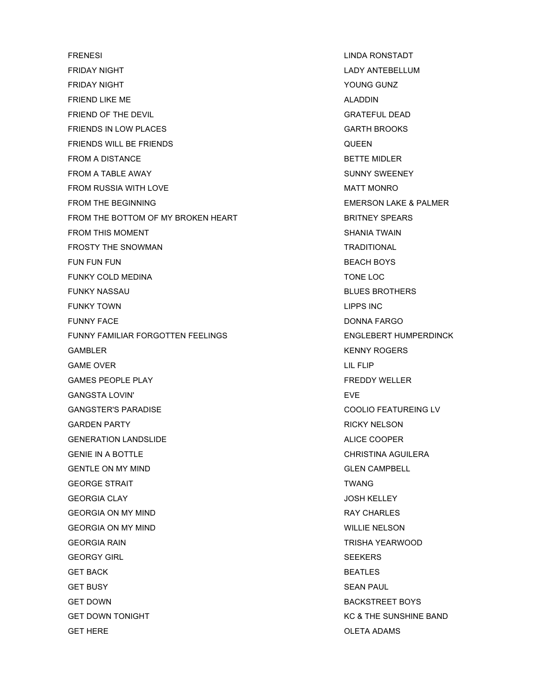FRENESI LINDA RONSTADT FRIDAY NIGHT **LADY ANTEBELLUM** FRIDAY NIGHT **The CONSTRUCT CONSTRUCT CONSTRUCT CONSTRUCT** THE VOUNG GUNZ FRIEND LIKE ME ALADDIN AND THE SERIEND LIKE ME FRIEND OF THE DEVIL GRATEFUL DEAD FRIENDS IN LOW PLACES **EXAMPLE A SET AND A RESIDENT ASSAULT A** GARTH BROOKS FRIENDS WILL BE FRIENDS **EXAMPLE ASSESSED ASSESSED AT A REPORT OF A REPORT OF A REPORT OF A REPORT OF A REPORT OF A REPORT OF A REPORT OF A REPORT OF A REPORT OF A REPORT OF A REPORT OF A REPORT OF A REPORT OF A REPORT OF** FROM A DISTANCE **BETTE MIDLER** FROM A TABLE AWAY SUNNY SWEENEY FROM RUSSIA WITH LOVE **MATT MONRO** FROM THE BEGINNING **EXECUTE EXECUTE EMERSON LAKE & PALMER** FROM THE BOTTOM OF MY BROKEN HEART BRITNEY SPEARS FROM THIS MOMENT SHANIA TWAIN FROSTY THE SNOWMAN TRADITIONAL FUN FUN FUN BEACH BOYS FUNKY COLD MEDINA TONE LOC FUNKY NASSAU **BLUES BROTHERS** FUNKY TOWN **EXAMPLE 2008 LIPPS INC** FUNNY FACE DONNA FARGO FUNNY FAMILIAR FORGOTTEN FEELINGS ENGLEBERT HUMPERDINCK GAMBLER **CONSIDER SERVICES** CONSIDER THE RESERVE OF STRUCK AND RESERVE TO A SERVICE OF STRUCK AND RESERVE TO A SERVICE OF STRUCK AND THE RESERVE OF STRUCK AND THE RESERVE OF STRUCK AND RESERVE OF STRUCK AND RESERVE OF STRU GAME OVER **CONSUMING THE CONSUMING OVER CONSUMING THE CONSUMING THE CONSUMING THE CONSUMING THE CONSUMING THE CONSUMING THE CONSUMING THE CONSUMING THE CONSUMING THE CONSUMING THE CONSUMING THE CONSUMING THE CONSUMING TH** GAMES PEOPLE PLAY FREDDY WELLER GANGSTA LOVIN' EVER THE SALE OF THE SALE OF THE SALE OF THE SALE OF THE SALE OF THE SALE OF THE SALE OF THE SALE OF THE SALE OF THE SALE OF THE SALE OF THE SALE OF THE SALE OF THE SALE OF THE SALE OF THE SALE OF THE SALE O GANGSTER'S PARADISE COOLIO FEATUREING LV GARDEN PARTY **EXAMPLE 2018 THE SET ASSESSED FOR A RICKY NELSON** GENERATION LANDSLIDE ALICE COOPER GENIE IN A BOTTLE **CHRISTINA AGUILERA** GENTLE ON MY MIND GENTLE ON MY MIND GEORGE STRAIT **TWANG** GEORGIA CLAY JOSH KELLEY GEORGIA ON MY MIND **RAY CHARLES** GEORGIA ON MY MIND **WILLIE NELSON** WILLIE NELSON GEORGIA RAIN TRISHA YEARWOOD GEORGY GIRL SEEKERS GET BACK BEATLES GET BUSY SEAN PAUL GET DOWN BACKSTREET BOYS GET DOWN TONIGHT AND RESOLUTION OF THE SUNSHINE BAND GET DOWN TONIGHT GET HERE OLETA ADAMS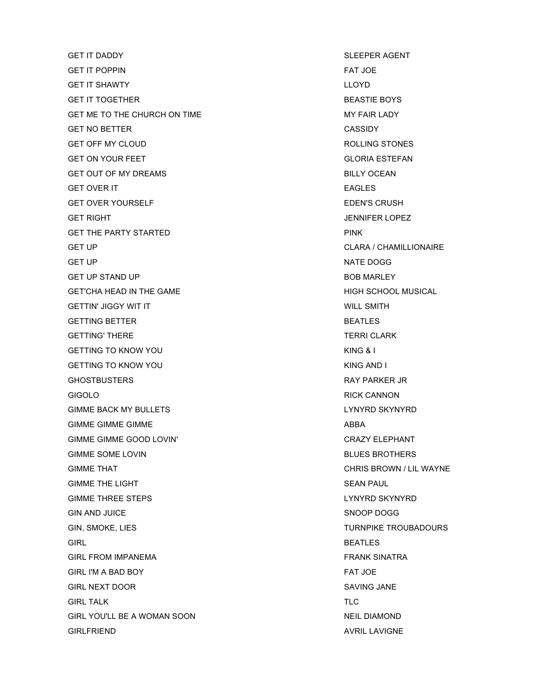GET IT DADDY SLEEPER AGENT GET IT POPPIN FAT JOE GET IT SHAWTY LLOYD GET IT TOGETHER **BEASTIE BOYS** GET ME TO THE CHURCH ON TIME MY FAIR LADY GET NO BETTER CASSIDY GET OFF MY CLOUD GET OF A LOCAL CONTROLLING STONES GET ON YOUR FEET GLORIA ESTEFAN GET OUT OF MY DREAMS **BILLY OCEAN** GET OVER IT **EAGLES** GET OVER YOURSELF **EDEN'S CRUSH** GET RIGHT AND RESIDENCE IN A SERIES OF STRUCK AND THE SERIES OF STRUCK AND SERIES OF STRUCK AND SERIES OF STRUCK GET THE PARTY STARTED **EXECUTES** PINK GET UP GET UP CLARA / CHAMILLIONAIRE GET UP NATE DOGG GET UP STAND UP A RESERVED ON A RESERVED ON A RESERVED ON A RESERVED ON A BOB MARLEY GET'CHA HEAD IN THE GAME **HEAD IN THE GAME HIGH SCHOOL MUSICAL** GETTIN' JIGGY WIT IT WILL SMITH GETTING BETTER GETTING AND THE SEATLES GETTING' THERE TERRI CLARK GETTING TO KNOW YOU GETTING A LATER TO KING & I GETTING TO KNOW YOU GETTING TO KNOW YOU GHOSTBUSTERS **RAY PARKER JR** GIGOLO **RICK CANNON** GIMME BACK MY BULLETS **LYNYRD SKYNYRD** GIMME GIMME GIMME **ABBA** GIMME GIMME GOOD LOVIN' CRAZY ELEPHANT GIMME SOME LOVIN BLUES BROTHERS GIMME THAT CHRIS BROWN / LIL WAYNE GIMME THE LIGHT SEAN PAUL SEAN PAUL SEAN PAUL GIMME THREE STEPS LYNYRD SKYNYRD SAN A LYNYRD SKYNYRD SAN A LYNYRD SKYNYRD SA'S LYNYRD SA'S LYNYRD SA'S LYNYRD GIN AND JUICE SNOOP DOGG GIN, SMOKE, LIES TURNPIKE TROUBADOURS GIRL BEATLES GIRL FROM IMPANEMA **FRANK SINATRA** GIRL I'M A BAD BOY FAT JOE GIRL NEXT DOOR SAVING JANE GIRL TALK THE TRANSPORTED TRANSPORTED TO A SECOND TRANSPORTED TRANSPORTED TRANSPORTED TRANSPORTED TRANSPORTED TRANSPORTED TRANSPORTED TRANSPORTED TRANSPORTED TRANSPORTED TRANSPORTED TRANSPORTED TRANSPORTED TRANSPORTED TRAN GIRL YOU'LL BE A WOMAN SOON NEIL DIAMOND GIRLFRIEND AVRIL LAVIGNE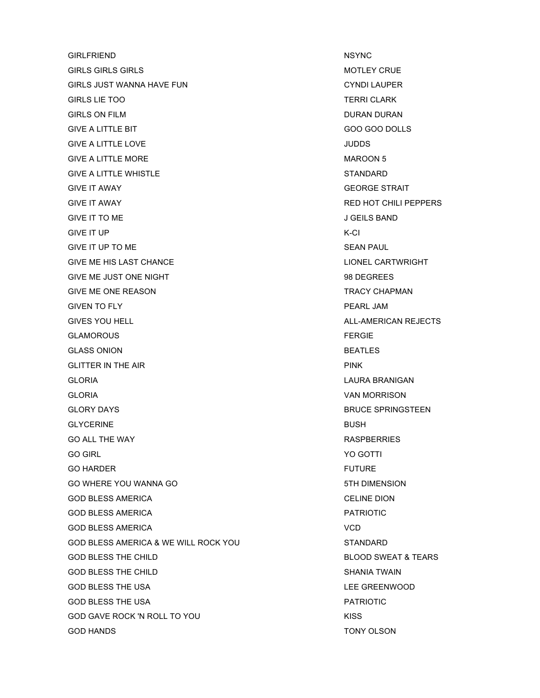GIRLFRIEND NSYNC GIRLS GIRLS GIRLS GIRLS AND THE STATE OF THE STATE OF THE STATE OF THE STATE OF THE STATE OF THE STATE OF THE STATE OF THE STATE OF THE STATE OF THE STATE OF THE STATE OF THE STATE OF THE STATE OF THE STATE OF THE STATE OF GIRLS JUST WANNA HAVE FUN CHARGE AND CYNDI LAUPER GIRLS LIE TOO TERRI CLARK GIRLS ON FILM GIRLS ON FILM GIVE A LITTLE BIT GOO GOO DOLLS GIVE A LITTLE LOVE **SECURE 1999** THE SECURE 1999 STATE 1999 STATE 1999 STATE 1999 STATE 1999 STATE 1999 STATE 199 GIVE A LITTLE MORE **MAROON 5** GIVE A LITTLE WHISTLE **STANDARD** GIVE IT AWAY GEORGE STRAIT GIVE IT AWAY RED HOT CHILI PEPPERS GIVE IT TO ME GIVE IT TO ME GIVE IT UP K-CI GIVE IT UP TO ME SEAN PAUL SEAN PAUL GIVE ME HIS LAST CHANCE **LIONEL CARTWRIGHT** GIVE ME JUST ONE NIGHT **A SET A SET A SET A SET A SET A SET A SET A SET A SET A SET A SET A SET AND SET A SET A** GIVE ME ONE REASON **TRACY CHAPMAN** GIVEN TO FLY PEARL JAM GIVES YOU HELL **ALL-AMERICAN REJECTS** GLAMOROUS FERGIE GLASS ONION BEATLES GLITTER IN THE AIR **PINK** GLORIA LAURA BRANIGAN GLORIA VAN MORRISON GLORY DAYS GUNNER SERVICE SPRINGSTEEN GLYCERINE **BUSH** GO ALL THE WAY **RASPBERRIES** GO GIRL YO GOTTI GO HARDER THE STATE OF THE SERVICE SERVICE SERVICE SERVICE SERVICE SERVICE SERVICE SERVICE SERVICE SERVICE SERVICE GO WHERE YOU WANNA GO **1999 SEEMS TO STALL AND STH DIMENSION** GOD BLESS AMERICA CELINE DION GOD BLESS AMERICA **PATRIOTIC** GOD BLESS AMERICA VCD GOD BLESS AMERICA & WE WILL ROCK YOU STANDARD GOD BLESS THE CHILD GOD BLOOD SWEAT & TEARS GOD BLESS THE CHILD **SHANIA TWAIN** GOD BLESS THE USA LEE GREENWOOD GOD BLESS THE USA PATRIOTIC AND THE USA PATRIOTIC SERVICE SERVICE SERVICE SERVICE SERVICE SERVICE SERVICE SERVICE SERVICE SERVICE SERVICE SERVICE SERVICE SERVICE SERVICE SERVICE SERVICE SERVICE SERVICE SERVICE SERVICE SERV GOD GAVE ROCK 'N ROLL TO YOU GOD GAVE ROCK 'N ROLL TO YOU GOD HANDS TONY OLSON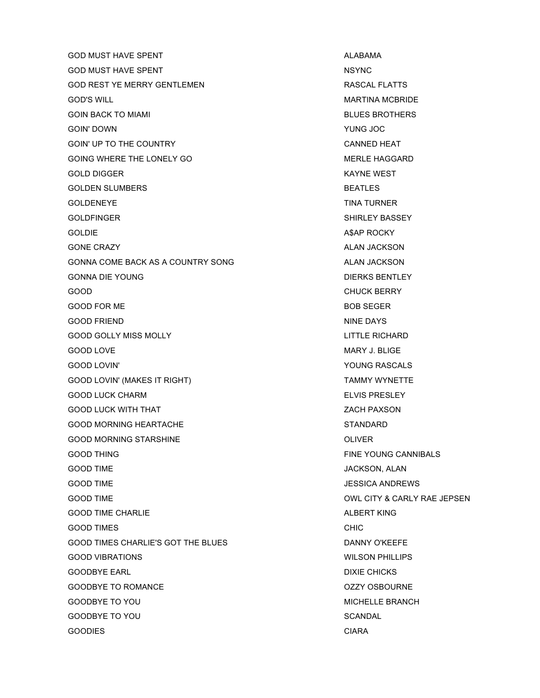GOD MUST HAVE SPENT ALABAMA ALABAMA GOD MUST HAVE SPENT NSYNC GOD REST YE MERRY GENTLEMEN **RASCAL FLATTS** GOD'S WILL GOD'S WILL GOD'S WILL GOD'S WILL GOD'S WILL GOD'S WILL GOD'S WILL GOD'S WILL GOD'S WILL GOD'S WILL GOD GOIN BACK TO MIAMI BLUES BROTHERS GOIN' DOWN YUNG JOC GOIN' UP TO THE COUNTRY **CANNED HEAT** GOING WHERE THE LONELY GO **MERLE HAGGARD** GOLD DIGGER KAYNE WEST GOLDEN SLUMBERS **BEATLES** GOLDENEYE TINA TURNER GOLDFINGER SHIRLEY BASSEY GOLDIE A\$AP ROCKY GONE CRAZY ALAN JACKSON GONNA COME BACK AS A COUNTRY SONG ALAN JACKSON GONNA DIE YOUNG DIERKS BENTLEY GOOD GOOD CHUCK BERRY CHUCK BERRY GOOD FOR ME BOB SEGER GOOD FRIEND NINE DAYS GOOD GOLLY MISS MOLLY **AND COOP COOL** COOP GOLLY MISS MOLLY GOOD LOVE **MARY J. BLIGE** GOOD LOVIN' YOUNG RASCALS GOOD LOVIN' (MAKES IT RIGHT) TAMMY WYNETTE GOOD LUCK CHARM **ELVIS PRESLEY** GOOD LUCK WITH THAT **ZACH PAXSON** GOOD MORNING HEARTACHE STANDARD GOOD MORNING STARSHINE **A STARBER STARSHING** GOOD THING FINE YOUNG CANNIBALS GOOD TIME GOOD TIME A SANDWARD SOME SANDWARD SOME SANDWARD SANDWARD SANDWARD SANDWARD SANDWARD SANDWARD SANDWARD SANDWARD SANDWARD SANDWARD SANDWARD SANDWARD SANDWARD SANDWARD SANDWARD SANDWARD SANDWARD SANDWARD SANDWARD S GOOD TIME **GOOD TIME SECULIAR SECURE AND A SECULAR SECURE AND A SECULAR SECURE AND A SECURE AND A SECURE AND A SECURE AND A SECURE AND A SECURE AND A SECURE AND A SECURE AND A SECURE AND A SECURE AND A SECURE AND A SECUR** GOOD TIME GOOD TIME A RELATION CONTINUES. THE CONTRACT OWN CITY & CARLY RAE JEPSEN GOOD TIME CHARLIE ALBERT KING GOOD TIMES **CHIC** GOOD TIMES CHARLIE'S GOT THE BLUES DANNY O'KEEFE GOOD VIBRATIONS WILSON PHILLIPS GOODBYE EARL **DIXIE CHICKS** GOODBYE TO ROMANCE **COODBYE TO ROMANCE COODBYE TO ROMANCE** GOODBYE TO YOU GOODBYE TO YOU ALL THE SERANCH SERANCH AND THE SERANCH SERANCH SERANCH SERANCH GOODBYE TO YOU GOODBY TO YOU SCANDAL GOODIES CONTROL CONTROL CONTROL CONTROL CONTROL CONTROL CONTROL CONTROL CONTROL CONTROL CONTROL CONTROL CONTROL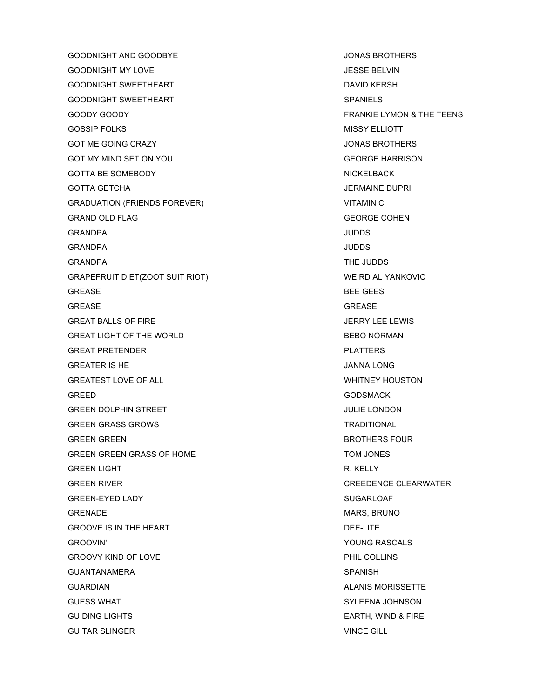GOODNIGHT AND GOODBYE JONAS BROTHERS GOODNIGHT MY LOVE THE SAME SERVING SERVING A SERVING SERVING A SERVING SERVING SERVING SERVING SERVING SERVING GOODNIGHT SWEETHEART **DAVID KERSH** GOODNIGHT SWEETHEART SERVICES AND SPANIELS GOODY GOODY FRANKIE LYMON & THE TEENS GOSSIP FOLKS MISSY ELLIOTT GOT ME GOING CRAZY **SEE A REPORT OF STATE AND STATE OF STATE AND ACCOUNT OF STATE AND STATE AND STATE AND STATE A** GOT MY MIND SET ON YOU GEORGE HARRISON GOTTA BE SOMEBODY NICKELBACK GOTTA GETCHA **JERMAINE DUPRI** GRADUATION (FRIENDS FOREVER) VITAMIN C GRAND OLD FLAG GEORGE COHEN GRANDPA JUDDS GRANDPA JUDDS GRANDPA THE JUDDS GRAPEFRUIT DIET(ZOOT SUIT RIOT) 
WEIRD AL YANKOVIC GREASE BEE GEES GREASE GREASE GREAT BALLS OF FIRE THE SERIES OF STREET AND THE SERIES OF STREET AND THE SERIES OF STREET AND THE SERIES OF STREET AND THE SERIES OF STREET AND THE SERIES OF STREET AND THE SERIES OF STREET AND THE SERIES OF STREET AND TH GREAT LIGHT OF THE WORLD GREAT LIGHT OF THE WORLD GREAT PRETENDER PLATTERS GREATER IS HE JANNA LONG GREATEST LOVE OF ALL **WHITNEY HOUSTON** GREED GODSMACK GREEN DOLPHIN STREET AND RESIDENCE IN A STREET AND THE LONDON GREEN GRASS GROWS TRADITIONAL GREEN GREEN BROTHERS FOUR GREEN GREEN GRASS OF HOME TOM JONES GREEN LIGHT **READING THE CONSTRUCTION CONSTRUCTS** OF READING THE READING THE READING THE READING THE READING THE R GREEN RIVER CREEDENCE CLEARWATER GREEN-EYED LADY GEREEN-EYED LADY SUGARLOAF GRENADE MARS, BRUNO GROOVE IS IN THE HEART **DEE-LITE** GROOVIN' GROOVIN' SALES AND THE SERVICE OF THE SERVICE OF THE SERVICE OF THE SERVICE OF THE SERVICE OF THE SERVICE OF THE SERVICE OF THE SERVICE OF THE SERVICE OF THE SERVICE OF THE SERVICE OF THE SERVICE OF THE SERVICE OF GROOVY KIND OF LOVE **PHIL COLLINS** GUANTANAMERA SPANISH GUARDIAN **ALANIS MORISSETTE** GUESS WHAT SYLEENA JOHNSON GUIDING LIGHTS GUIDING LIGHTS AND REALLY AND LIGHTS AND REALLY AND LIGHTS AND REALLY AND LIGHTS AND REALLY AND LIGHTS AND REALLY AND LIGHTS AND REALLY AND LIGHTS AND REALLY AND LIGHTS AND REALLY AND REALLY AND REALLY AND R GUITAR SLINGER VINCE GILL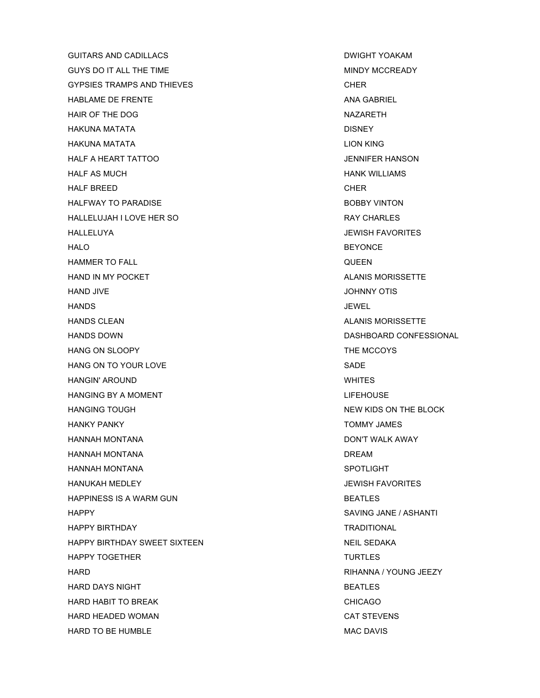GUITARS AND CADILLACS **EXECUTE A SECULO A RESIDENT OF A SECULO AND SECUTE A RESIDENT YOAKAM** GUYS DO IT ALL THE TIME MINDY MCCREADY GYPSIES TRAMPS AND THIEVES **CHER** HABLAME DE FRENTE ANA GABRIEL HAIR OF THE DOG NAZARETH HAKUNA MATATA DISNEY HAKUNA MATATA LION KING HALF A HEART TATTOO JENNIFER HANSON HALF AS MUCH **HANK WILLIAMS** HALF BREED CHER HALFWAY TO PARADISE **BOBBY VINTON** HALLELUJAH I LOVE HER SO RAY CHARLES HALLELUYA JEWISH FAVORITES HALO BEYONCE HAMMER TO FALL QUEEN HAND IN MY POCKET **ALANIS MORISSETTE** HAND JIVE JOHNNY OTIS HANDS JEWEL HANDS CLEAN ALANIS MORISSETTE HANDS DOWN DASHBOARD CONFESSIONAL HANG ON SLOOPY THE MCCOYS HANG ON TO YOUR LOVE SADE SADE SADE HANGIN' AROUND WHITES HANGING BY A MOMENT THE RELEASE AND LIFEHOUSE HANGING TOUGH NEW KIDS ON THE BLOCK HANKY PANKY NARODIO AND TOMMY JAMES HANNAH MONTANA DON'T WALK AWAY HANNAH MONTANA DREAM HANNAH MONTANA SPOTLIGHT HANUKAH MEDLEY JEWISH FAVORITES HAPPINESS IS A WARM GUN BEATLES HAPPY SAVING JANE / ASHANTI HAPPY BIRTHDAY TRADITIONAL HAPPY BIRTHDAY SWEET SIXTEEN NEIL SEDAKA HAPPY TOGETHER TURTLES HARD RIHANNA / YOUNG JEEZY HARD DAYS NIGHT BEATLES HARD HABIT TO BREAK CHICAGO HARD HEADED WOMAN CAT STEVENS HARD TO BE HUMBLE **MAC DAVIS**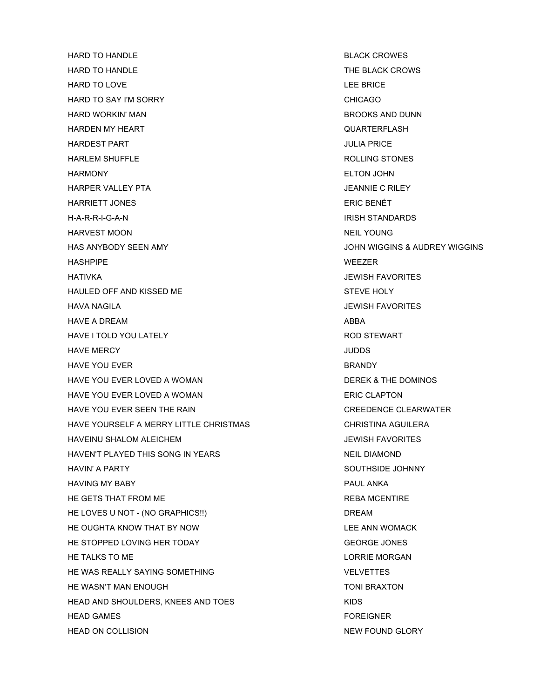HARD TO HANDLE **Example 10 and 20 and 20 and 20 and 20 and 20 and 20 and 20 and 20 and 20 and 20 and 20 and 20 and 20 and 20 and 20 and 20 and 20 and 20 and 20 and 20 and 20 and 20 and 20 and 20 and 20 and 20 and 20 and 20** HARD TO HANDLE THE BLACK CROWS HARD TO LOVE THE RESERVE AND TO LOVE THE RESERVE AND TO LOVE THE RESERVE AND TO LOVE HARD TO SAY I'M SORRY CHICAGO HARD WORKIN' MAN BROOKS AND DUNN HARDEN MY HEART QUARTERFLASH HARDEST PART **International Contract Contract Contract Contract Contract Contract Contract Contract Contract Contract Contract Contract Contract Contract Contract Contract Contract Contract Contract Contract Contract Contr** HARLEM SHUFFLE **External state of the state of the state of the state of the state of the state of the state of the state of the state of the state of the state of the state of the state of the state of the state of the st** HARMONY ELTON JOHN **HARPER VALLEY PTA JEANNIE C RILEY** HARRIETT JONES ERIC BENÉT H-A-R-R-I-G-A-N IRISH STANDARDS HARVEST MOON NEIL YOUNG HAS ANYBODY SEEN AMY JOHN WIGGINS & AUDREY WIGGINS HASHPIPE WEEZER HATIVKA JEWISH FAVORITES HAULED OFF AND KISSED ME STEVE HOLY HAVA NAGILA JEWISH FAVORITES HAVE A DREAM ABBA HAVE I TOLD YOU LATELY **Example 20 YOU ALLOCATE CONTROLS AND STEWART** HAVE MERCY JUDDS HAVE YOU EVER **BRANDY** HAVE YOU EVER LOVED A WOMAN DEREK & THE DOMINOS HAVE YOU EVER LOVED A WOMAN ERIC CLAPTON HAVE YOU EVER SEEN THE RAIN CREEDENCE CLEARWATER HAVE YOURSELF A MERRY LITTLE CHRISTMAS CHRISTINA AGUILERA HAVEINU SHALOM ALEICHEM JEWISH FAVORITES HAVEN'T PLAYED THIS SONG IN YEARS NEIL DIAMOND HAVIN' A PARTY NETWORK IN THE SOUTHSIDE JOHNNY HAVING MY BABY PAUL ANKA HE GETS THAT FROM ME **REBA MCENTIRE** HE LOVES U NOT - (NO GRAPHICS!!) DREAM HE OUGHTA KNOW THAT BY NOW LEE ANN WOMACK HE STOPPED LOVING HER TODAY GEORGE JONES HE TALKS TO ME LORRIE MORGAN AND THE TALKS TO ME HE WAS REALLY SAYING SOMETHING **VELVETTES** HE WASN'T MAN ENOUGH TO THE WASN'T MAN ENOUGH HEAD AND SHOULDERS, KNEES AND TOES KIDS HEAD GAMES FOREIGNER HEAD ON COLLISION NEW ROUND GLORY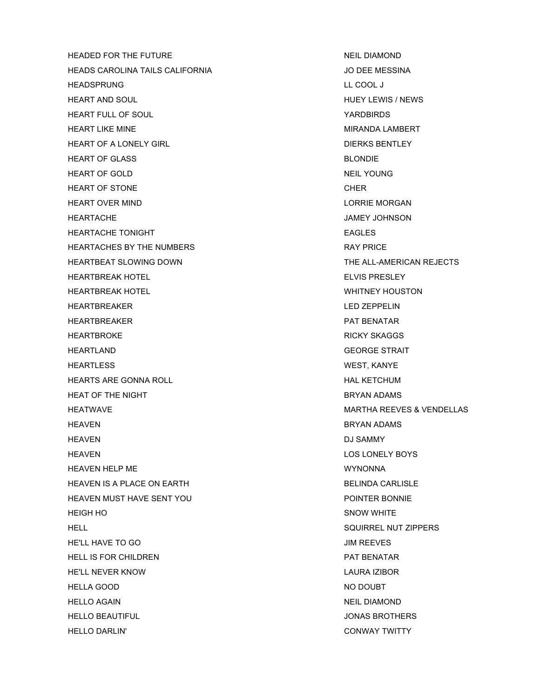HEADED FOR THE FUTURE NEIL DIAMOND HEADS CAROLINA TAILS CALIFORNIA JO DEE MESSINA HEADSPRUNG LL COOL J HEART AND SOUL HUEY LEWIS / NEWS HEART FULL OF SOUL YARDBIRDS HEART LIKE MINE THE STATE MIRANDA LAMBERT HEART OF A LONELY GIRL DIERKS BENTLEY HEART OF GLASS BLONDIE HEART OF GOLD **NEIL YOUNG** HEART OF STONE CHERREN AND THE STONE CHERREN ASSAULT A STOLEN. HEART OVER MIND **LORRIE MORGAN** HEARTACHE JAMEY JOHNSON HEARTACHE TONIGHT **EAGLES** HEARTACHES BY THE NUMBERS **EXECUTE A SET A SET AND REAR THE SET AND REA** HEARTBEAT SLOWING DOWN THE ALL-AMERICAN REJECTS HEARTBREAK HOTEL THEARTBREAK HOTEL THEART SELVIS PRESLEY HEARTBREAK HOTEL **WHITNEY HOUSTON** HEARTBREAKER LED ZEPPELIN HEARTBREAKER PAT BENATAR HEARTBROKE **RICKY SKAGGS** HEARTLAND GEORGE STRAIT HEARTLESS WEST, KANYE HEARTS ARE GONNA ROLL **A CONTACT A CONTACT A CONTACT AND HAL KETCHUM** HEAT OF THE NIGHT BRYAN ADAMS HEATWAVE MARTHA REEVES & VENDELLAS HEAVEN BRYAN ADAMS HEAVEN DU SAMMY DESCRIPTION OF THE SAMMY DUS AMMY HEAVEN LOS LONELY BOYS HEAVEN HELP ME WYNONNA HEAVEN IS A PLACE ON EARTH BELINDA CARLISLE HEAVEN MUST HAVE SENT YOU POINTER BONNIE HEIGH HO SNOW WHITE HELL SQUIRREL NUT ZIPPERS HE'LL HAVE TO GO JIM REEVES HELL IS FOR CHILDREN **PAT BENATAR** HE'LL NEVER KNOW LAURA IZIBOR HELLA GOOD NO DOUBT HELLO AGAIN NEIL DIAMOND HELLO BEAUTIFUL JONAS BROTHERS HELLO DARLIN' CONWAY TWITTY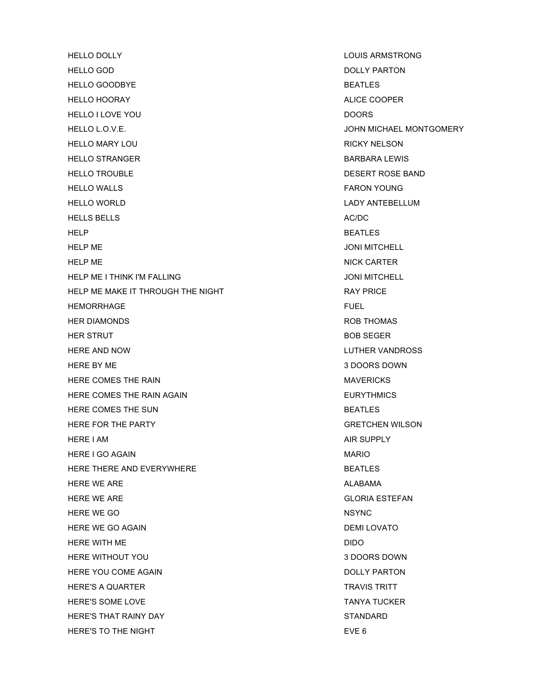HELLO DOLLY LOUIS ARMSTRONG HELLO GOD **DOLLY PARTON** HELLO GOODBYE BEATLES HELLO HOORAY ALICE COOPER HELLO I LOVE YOU DOORS HELLO L.O.V.E. JOHN MICHAEL MONTGOMERY HELLO MARY LOU **RICKY NELSON** HELLO STRANGER BARBARA LEWIS HELLO TROUBLE **DESERT ROSE BAND** HELLO WALLS **FARON YOUNG** HELLO WORLD **LADY ANTEBELLUM** HELLS BELLS AC/DC HELP BEATLES HELP ME JONI MITCHELL HELP ME NICK CARTER NICK CARTER HELP ME I THINK I'M FALLING **The CONING STATE AND A SET OF A SET OF A SET OF A SET OF A SET OF A SET OF A SET O** HELP ME MAKE IT THROUGH THE NIGHT **RAY PRICE** HEMORRHAGE **FUEL** HER DIAMONDS **ROB THOMAS** HER STRUT **BOB SEGER** HERE AND NOW **LUTHER VANDROSS** HERE BY ME 3 DOORS DOWN HERE COMES THE RAIN **MAYERICKS** HERE COMES THE RAIN AGAIN **EURYTHMICS** HERE COMES THE SUN BEATLES HERE FOR THE PARTY GRETCHEN WILSON HERE I AM AIR SUPPLY HERE I GO AGAIN **MARIO** HERE THERE AND EVERYWHERE **BEATLES BEATLES** HERE WE ARE ALABAMA ALABAMA ARE ALABAMA ALABAMA ALABAMA ARE ARE ALABAMA ALABAMA ARE ARE ARE ALABAMA ARE ARE ARE HERE WE ARE GLORIA ESTEFAN HERE WE GO NSYNC HERE WE GO AGAIN **DEMI LOVATO** HERE WITH ME **DIDO** HERE WITHOUT YOU 3 DOORS DOWN HERE YOU COME AGAIN **DOLLY PARTON** HERE'S A QUARTER TRAVIS TRITT HERE'S SOME LOVE TANYA TUCKER HERE'S THAT RAINY DAY STANDARD STANDARD HERE'S TO THE NIGHT **EVERY** EVERY TO THE NIGHT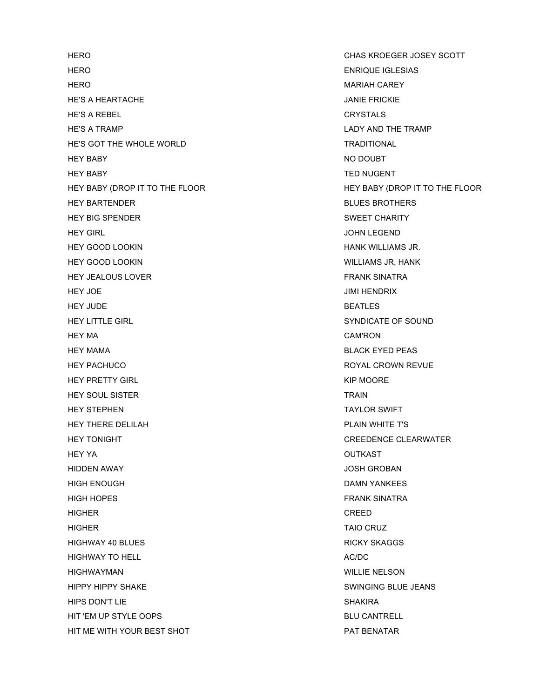HERO ENRIQUE IGLESIAS HERO MARIAH CAREY HE'S A HEARTACHE JANIE FRICKIE HE'S A REBEL CRYSTALS HE'S A TRAMP LADY AND THE TRAMP HE'S GOT THE WHOLE WORLD **TRADITIONAL** HEY BABY NO DOUBT HEY BABY TED NUGENT HEY BARTENDER BLUES BROTHERS HEY BIG SPENDER SWEET CHARITY HEY GIRL JOHN LEGEND HEY GOOD LOOKIN HANK WILLIAMS JR. HEY GOOD LOOKIN WILLIAMS JR, HANK HEY JEALOUS LOVER THE STATE STATE STATES AND THE STATE STATES AND THE STATE STATES AND THE STATES AND THE STATES HEY JOE JIMI HENDRIX HEY JUDE **BEATLES** HEY LITTLE GIRL SANDICATE OF SOUND HEY LITTLE GIRL HEY MA CAM'RON HEY MAMA BLACK EYED PEAS HEY PACHUCO ROYAL CROWN REVUE HEY PRETTY GIRL **A CONSERVERT CONTROL CONSERVERT CONTROL** HEY SOUL SISTER TRAIN TRAIN HEY STEPHEN TAYLOR SWIFT HEY THERE DELILAH **PLAIN WHITE T'S** HEY TONIGHT CREEDENCE CLEARWATER HEY YA OUTKAST HIDDEN AWAY JOSH GROBAN HIGH ENOUGH DAMN YANKEES HIGH HOPES FRANK SINATRA HIGHER CREED HIGHER TAIO CRUZ HIGHWAY 40 BLUES **RICKY SKAGGS** HIGHWAY TO HELL **AC/DC** HIGHWAYMAN WILLIE NELSON HIPPY HIPPY SHAKE SWINGING BLUE JEANS HIPS DON'T LIE SHAKIRA SHAKIRA SHAKIRA SHAKIRA SHAKIRA SHAKIRA SHAKIRA SHAKIRA SHAKIRA SHAKIRA SHAKIRA SHAKIRA HIT 'EM UP STYLE OOPS BLU CANTRELL HIT ME WITH YOUR BEST SHOT PAT BENATAR

HERO CHAS KROEGER JOSEY SCOTT HEY BABY (DROP IT TO THE FLOOR HEY BABY (DROP IT TO THE FLOOR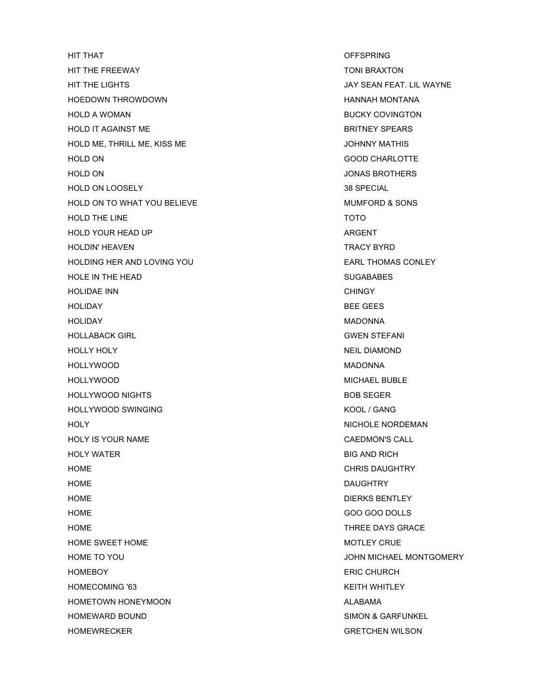HIT THAT OFFSPRING HIT THE FREEWAY TONI BRAXTON HIT THE LIGHTS JAY SEAN FEAT. LIL WAYNE HOEDOWN THROWDOWN HANNAH MONTANA HOLD A WOMAN BUCKY COVINGTON HOLD IT AGAINST ME **BRITNEY SPEARS** HOLD ME, THRILL ME, KISS ME JOHNNY MATHIS HOLD ON GOOD CHARLOTTE HOLD ON JONAS BROTHERS HOLD ON LOOSELY 38 SPECIAL HOLD ON TO WHAT YOU BELIEVE **MUMFORD & SONS** HOLD THE LINE TOTO HOLD YOUR HEAD UP ARGENT HOLDIN' HEAVEN TRACY BYRD HOLDING HER AND LOVING YOU **EARL THOMAS CONLEY** HOLE IN THE HEAD SUGABABES HOLIDAE INN GHINGY AND THE STATE OF THE STATE OF THE STATE OF THE STATE OF THE STATE OF THE STATE OF THE STATE OF THE STATE OF THE STATE OF THE STATE OF THE STATE OF THE STATE OF THE STATE OF THE STATE OF THE STATE OF THE HOLIDAY BEE GEES HOLIDAY MADONNA HOLLABACK GIRL GWEN STEFANI HOLLY HOLY NEIL DIAMOND HOLLYWOOD MADONNA HOLLYWOOD MICHAEL BUBLE HOLLYWOOD NIGHTS **BOB SEGER** HOLLYWOOD SWINGING KOOL / GANG HOLY **NICHOLE NORDEMAN** HOLY IS YOUR NAME CAEDMON'S CALL HOLY WATER BIG AND RICH HOME **CHRIS DAUGHTRY** HOME DAUGHTRY NEWSFILM AND THE RESERVE OF THE RESERVE OF THE RESERVE OF THE RESERVE OF THE RESERVE OF THE RESERVE OF THE RESERVE OF THE RESERVE OF THE RESERVE OF THE RESERVE OF THE RESERVE OF THE RESERVE OF THE RESERVE OF HOME **HOME** DIERKS BENTLEY HOME GOO GOO DOLLS HOME THREE DAYS GRACE HOME SWEET HOME MOTO AND THE MOTOR CRUE MOTOR CRUE HOME TO YOU JOHN MICHAEL MONTGOMERY HOMEBOY ERIC CHURCH HOMECOMING '63 KEITH WHITLEY HOMETOWN HONEYMOON ALABAMA HOMEWARD BOUND **SIMON & GARFUNKEL** HOMEWRECKER GRETCHEN WILSON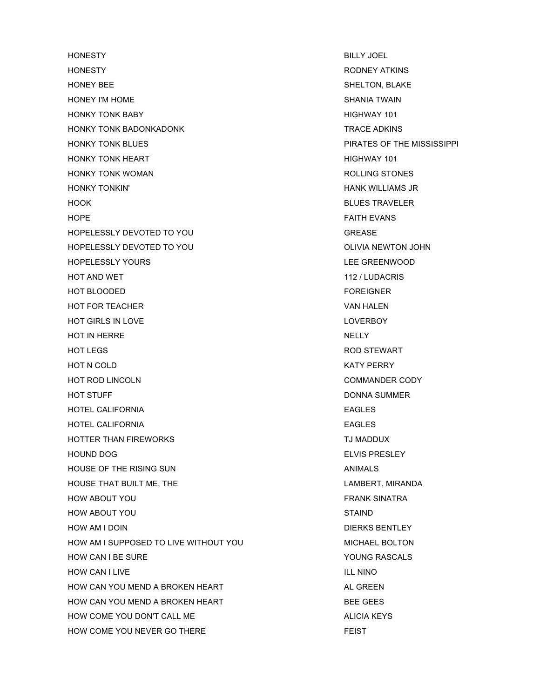HONESTY BILLY JOEL HONESTY **Example 20 Interval 20 Interval 20 Interval 20 Interval 20 Interval 20 Interval 20 Interval 20 Interval 20 Interval 20 Interval 20 Interval 20 Interval 20 Interval 20 Interval 20 Interval 20 Interval 20 Interval 2** HONEY BEE SHELTON, BLAKE HONEY I'M HOME SHANIA TWAIN HONKY TONK BABY HIGHWAY 101 HONKY TONK BADONKADONK TRACE ADKINS HONKY TONK BLUES PIRATES OF THE MISSISSIPPI HONKY TONK HEART **HIGHWAY 101** HONKY TONK WOMAN ROLLING STONES HONKY TONKIN' HANK WILLIAMS JR HOOK BLUES TRAVELER HOPE FAITH EVANS HOPELESSLY DEVOTED TO YOU GREASE HOPELESSLY DEVOTED TO YOU **OLIVIA NEWTON JOHN** HOPELESSLY YOURS LEE GREENWOOD HOT AND WET **112 / LUDACRIS** HOT BLOODED FOREIGNER HOT FOR TEACHER VAN HALEN VAN HALEN HOT GIRLS IN LOVE **LOVERS** AND THE LOVER SET ON THE LOVER BOY HOT IN HERRE NELLY NELLY NELLY HOT LEGS ROD STEWART HOT N COLD KATY PERRY HOT ROD LINCOLN **COMMANDER CODY** HOT STUFF DONNA SUMMER HOTEL CALIFORNIA EAGLES HOTEL CALIFORNIA EAGLES HOTTER THAN FIREWORKS THE STATE OF THE STATE THAN THE STATE OF THE STATE OF THE STATE OF THE STATE OF THE STATE HOUND DOG ELVIS PRESLEY HOUSE OF THE RISING SUN ANIMALS HOUSE THAT BUILT ME, THE LAMBERT, MIRANDA HOW ABOUT YOU GOT THE SAME SERVES TO THE STATE OF THE STATE OF THE STATE OF THE STATE OF THE STATE OF THE STATE OF THE STATE OF THE STATE OF THE STATE OF THE STATE OF THE STATE OF THE STATE OF THE STATE OF THE STATE OF THE HOW ABOUT YOU GALLERY AND STAIND STAIND HOW AM I DOIN **DIERKS BENTLEY** HOW AM I SUPPOSED TO LIVE WITHOUT YOU MICHAEL BOLTON HOW CAN I BE SURE THE SURFER SERVICE SERVICE SERVICE SERVICES AND TO LOCAL THE SURFER SERVICE SERVICE SERVICES HOW CAN I LIVE **ILL NINO** HOW CAN YOU MEND A BROKEN HEART **ALL GREEN** AL GREEN HOW CAN YOU MEND A BROKEN HEART **BEE GEES** HOW COME YOU DON'T CALL ME ALICIA KEYS HOW COME YOU NEVER GO THERE FEIST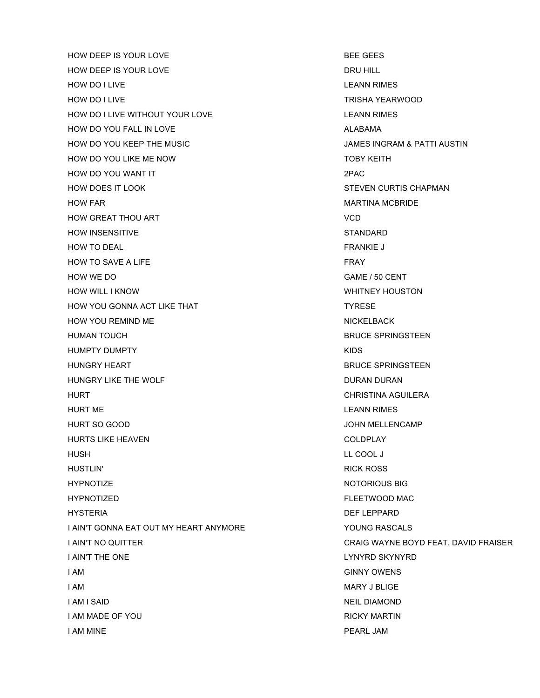HOW DEEP IS YOUR LOVE **BEE GEES** HOW DEEP IS YOUR LOVE **DRU HILL** HOW DO I LIVE LEANN RIMES HOW DO I LIVE TRISHA YEARWOOD HOW DO I LIVE WITHOUT YOUR LOVE LEANN RIMES HOW DO YOU FALL IN LOVE **ALABAMA** HOW DO YOU KEEP THE MUSIC **All and Separation Control Control Control Control Control Control Control Control Control Control Control Control Control Control Control Control Control Control Control Control Control Control** HOW DO YOU LIKE ME NOW TOBY KEITH HOW DO YOU WANT IT 2PAC HOW DOES IT LOOK STEVEN CURTIS CHAPMAN HOW FAR GENERAL BURGER IN THE SERVICE OF THE MARTINA MCBRIDE HOW GREAT THOU ART VCD HOW INSENSITIVE **STANDARD** HOW TO DEAL **FRANKIE J** HOW TO SAVE A LIFE FRAY HOW WE DO GAME / 50 CENT HOW WILL I KNOW WILL I KNOW WHITNEY HOUSTON HOW YOU GONNA ACT LIKE THAT TYRESE HOW YOU REMIND ME NICKELBACK HUMAN TOUCH **BRUCE SPRINGSTEEN** HUMPTY DUMPTY **AND A SET A SET A SET AND A SET AND A SET AND A SET AND A SET AND A SET AND A SET AND A SET AND A** HUNGRY HEART **BRUCE SPRINGSTEEN** HUNGRY LIKE THE WOLF **DURAN DURAN DURAN** HURT CHRISTINA AGUILERA HURT ME LEANN RIMES HURT SO GOOD DESCRIPTION OF THE SOLUTION OF THE SOLUTION OF THE SOLUTION OF THE SOLUTION OF THE SOLUTION OF THE SOLUTION OF THE SOLUTION OF THE SOLUTION OF THE SOLUTION OF THE SOLUTION OF THE SOLUTION OF THE SOLUTION OF TH HURTS LIKE HEAVEN COLDPLAY HUSH LL COOL J HUSTLIN' RICK ROSS HYPNOTIZE NOTORIOUS BIG HYPNOTIZED FLEETWOOD MAC HYSTERIA DEF LEPPARD I AIN'T GONNA EAT OUT MY HEART ANYMORE THE SAME SERVICE OF A SERIES YOUNG RASCALS I AIN'T NO QUITTER CRAIG WAYNE BOYD FEAT. DAVID FRAISER I AIN'T THE ONE LAND THE SAME LAND THE ONE LAND THE ONE LAND THE SAME LAND THE SAME LAND THE SAME LAND THE SAME LAND THE SAME LAND THE SAME LAND THE SAME LAND THE SAME LAND THE SAME LAND THE SAME LAND THE SAME LAND THE SAM **I AM** GINNY OWENS I AM MARY J BLIGE I AM I SAID NEIL DIAMOND I AM MADE OF YOU **RICKY MARTIN** I AM MINE **PEARL JAM**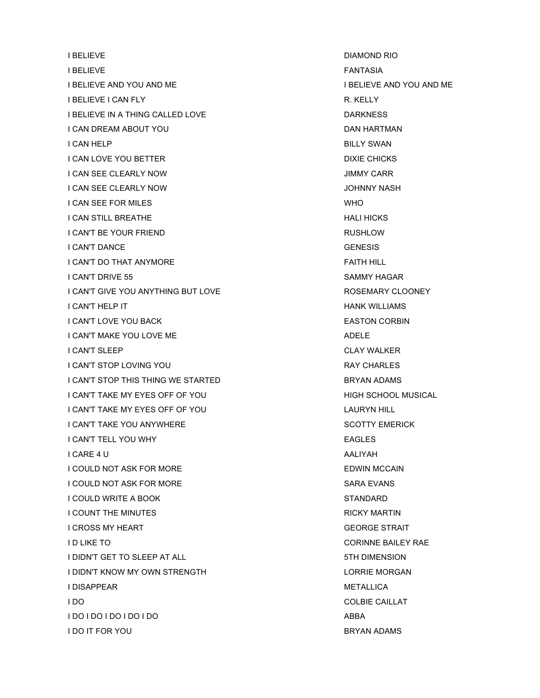I BELIEVE DIAMOND RIO I BELIEVE FANTASIA ETA ETA ETA ETA ERREGIA ERREGIA ERREGIA ERREGIA ERREGIA ERREGIA ERREGIA ERREGIA ERREGIA ERR I BELIEVE AND YOU AND ME I BELIEVE AND YOU AND ME **I BELIEVE I CAN FLY R. KELLY** I BELIEVE IN A THING CALLED LOVE DARKNESS I CAN DREAM ABOUT YOU GAN HARTMAN DAN HARTMAN I CAN HELP BILLY SWAN **I CAN LOVE YOU BETTER DIXIE CHICKS** I CAN SEE CLEARLY NOW **INTERNATION CONSUMING THE SET OF STATE OF STATE OF STATE OF STATE OF STATE OF STATE OF S** I CAN SEE CLEARLY NOW **IN THE SEE ASSESSED AS A CONSTRUCT OF A CONSTRUCT OF A CONSTRUCT OF A CONSTRUCT OF A CONSTRUCTION I CAN SEE FOR MILES** WHO I CAN STILL BREATHE **HALI HICKS** I CAN'T BE YOUR FRIEND **RUSHLOW** I CAN'T DANCE GENESIS I CAN'T DO THAT ANYMORE FAITH HILL I CAN'T DRIVE 55 SAMMY HAGAR I CAN'T GIVE YOU ANYTHING BUT LOVE **ANY ASSEMENT ASSEMARY CLOONEY** I CAN'T HELP IT **HANK WILLIAMS** I CAN'T LOVE YOU BACK **EASTON CORBIN** I CAN'T MAKE YOU LOVE ME ADELE ADELE I CAN'T SLEEP CLAY WALKER I CAN'T STOP LOVING YOU GANG THE STOP STOP ON THE STOP OF THE STOP OF THE STOP OF THE STOP OF THE STOP OF THE STOP OF THE STOP OF THE STOP OF THE STOP OF THE STOP OF THE STOP OF THE STOP OF THE STOP OF THE STOP OF THE STOP I CAN'T STOP THIS THING WE STARTED **EXAMPLE ADAMS** I CAN'T TAKE MY EYES OFF OF YOU IT A CONSIDER THIGH SCHOOL MUSICAL I CAN'T TAKE MY EYES OFF OF YOU LAURYN HILL I CAN'T TAKE YOU ANYWHERE SCOTTY EMERICK I CAN'T TELL YOU WHY EAGLES I CARE 4 U AALIYAH I COULD NOT ASK FOR MORE **EDWIN MCCAIN** I COULD NOT ASK FOR MORE SARA EVANS I COULD WRITE A BOOK STANDARD I COUNT THE MINUTES **EXECUTE A RICKY MARTIN** I CROSS MY HEART **GEORGE STRAIT** I D LIKE TO **CORINNE BAILEY RAE** I DIDN'T GET TO SLEEP AT ALL STATES AND THE DIMENSION I DIDN'T KNOW MY OWN STRENGTH LORRIE MORGAN I DISAPPEAR METALLICA I DO COLBIE CAILLAT I DO I DO I DO I DO I DO I DO ABBA I DO IT FOR YOU GOT BRYAN ADAMS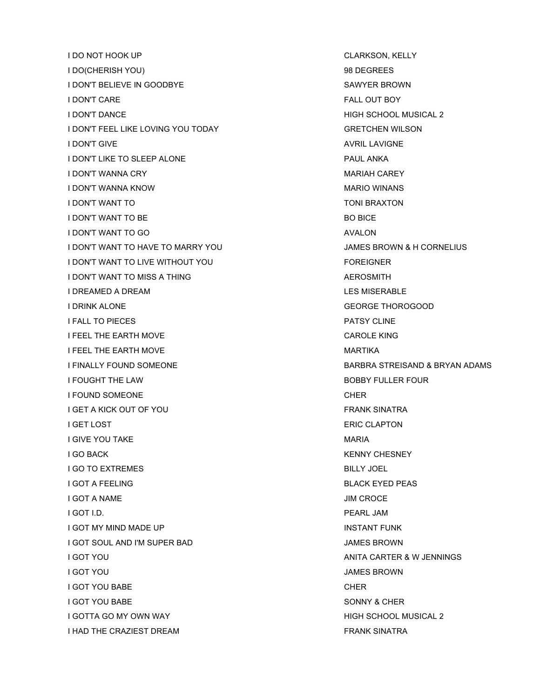**I DO NOT HOOK UP CLARKSON, KELLY** I DO(CHERISH YOU) 98 DEGREES I DON'T BELIEVE IN GOODBYE SAWYER BROWN I DON'T CARE FALL OUT BOY I DON'T DANCE **HIGH SCHOOL MUSICAL 2** I DON'T FEEL LIKE LOVING YOU TODAY GRETCHEN WILSON I DON'T GIVE AND THE STATE AND THE STATE AND A VRIL LAVIGNE I DON'T LIKE TO SLEEP ALONE PAUL ANKA I DON'T WANNA CRY **MARIAH CAREY** MARIAH CAREY I DON'T WANNA KNOW WARE AND THE SERVE OF THE SERVE OF THE MARIO WINANS I DON'T WANT TO TONI BRAXTON I DON'T WANT TO BE In the set of the set of the set of the set of the set of the set of the set of the set of the set of the set of the set of the set of the set of the set of the set of the set of the set of the set of th I DON'T WANT TO GO AVALON I DON'T WANT TO HAVE TO MARRY YOU JAMES BROWN & H CORNELIUS I DON'T WANT TO LIVE WITHOUT YOU FOREIGNER I DON'T WANT TO MISS A THING ALL THE RESONANCE ASSESSMENT A REPOSMENT AND ALL THE RESONANCE ASSESSMENT ASSESSMENT ASSESSMENT ASSESSMENT ASSESSMENT ASSESSMENT AND A REPOSMENT AND A REPOSMENT AND A REPOSMENT ASSESSMENT ASSES I DREAMED A DREAM LES MISERABLE I DRINK ALONE GEORGE THOROGOOD I FALL TO PIECES PATSY CLINE I FEEL THE EARTH MOVE CAROLE KING I FEEL THE EARTH MOVE **MARTIKA** I FINALLY FOUND SOMEONE **BARBRA STREISAND & BRYAN ADAMS** I FOUGHT THE LAW **BOBBY FULLER FOUR** I FOUND SOMEONE CHERACH CHERACH CHERACH CHERACH CHERACH CHERACH CHERACH CHERACH CHERACH CHERACH CHERACH CHERACH I GET A KICK OUT OF YOU GOT A CHARGE TO BE A GOT A FRANK SINATRA **I GET LOST** ERIC CLAPTON **I GIVE YOU TAKE MARIA MARIA I GO BACK KENNY CHESNEY I GO TO EXTREMES BILLY JOEL I GOT A FEELING BLACK EYED PEAS** I GOT A NAME **I** A NAME **I GOT I.D.** PEARL JAM I GOT MY MIND MADE UP **INSTANT FUNK** I GOT SOUL AND I'M SUPER BAD JAMES BROWN I GOT YOU ANITA CARTER & W JENNINGS I GOT YOU JAMES BROWN **I GOT YOU BABE** CHER CHER I GOT YOU BABE SONNY & CHER I GOTTA GO MY OWN WAY **A MODE CONSUMING THE CONSUMING A MODE CONSUMING A MODE CONSUMING A MODE CONSUMING A MODE CONSUMING A MODE CONSUMING A MODE CONSUMING A MODE CONSUMING A MODE CONSUMING A MODE CONSUMING A MODE CONSUMIN** I HAD THE CRAZIEST DREAM FRANK SINATRA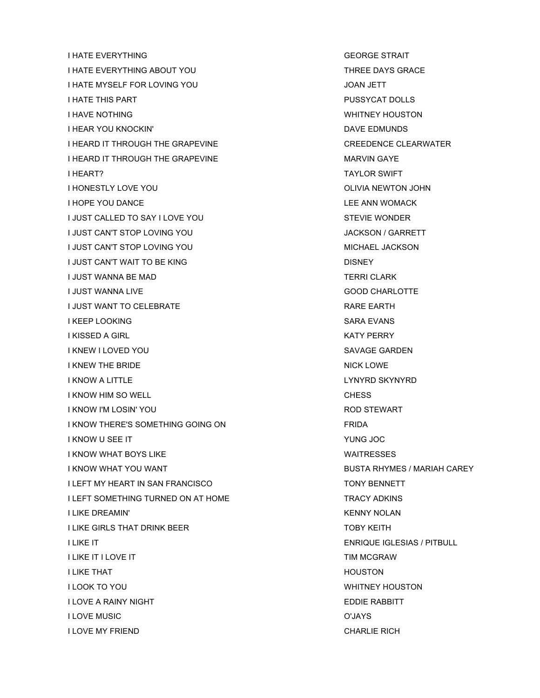**I HATE EVERYTHING GEORGE STRAIT** I HATE EVERYTHING ABOUT YOU THATE DAYS GRACE I HATE MYSELF FOR LOVING YOU JOAN JETT I HATE THIS PART PUSSYCAT DOLLS I HAVE NOTHING WHITNEY HOUSTON I HEAR YOU KNOCKIN' DAVE EDMUNDS I HEARD IT THROUGH THE GRAPEVINE **CREAD ACCIDENT CREEDENCE CLEARWATER** I HEARD IT THROUGH THE GRAPEVINE MARVIN GAYE **I HEART?** TAYLOR SWIFT I HONESTLY LOVE YOU **OLIVIA NEWTON JOHN** I HOPE YOU DANCE **LEE ANN WOMACK** I JUST CALLED TO SAY I LOVE YOU STEVIE WONDER I JUST CAN'T STOP LOVING YOU GARRETT I JUST CAN'T STOP LOVING YOU GANG A SAND MICHAEL JACKSON I JUST CAN'T WAIT TO BE KING DISNEY DISNEY I JUST WANNA BE MAD TERRI CLARK I JUST WANNA LIVE GOOD CHARLOTTE I JUST WANT TO CELEBRATE **RARE EARTH** I KEEP LOOKING SARA EVANS I KISSED A GIRL KATY PERRY KATY PERRY I KNEW I LOVED YOU SAVAGE GARDEN AND THE SAVAGE GARDEN I KNEW THE BRIDE NICK LOWE I KNOW A LITTLE LYNYRD SKYNYRD I KNOW HIM SO WELL CHESS CHESS I KNOW I'M LOSIN' YOU ROD STEWART I KNOW THERE'S SOMETHING GOING ON FRIDA I KNOW U SEE IT YUNG JOC **I KNOW WHAT BOYS LIKE WAITRESSES** I KNOW WHAT YOU WANT **Example 20 YOU WANT A SUBSTA RHYMES** / MARIAH CAREY I LEFT MY HEART IN SAN FRANCISCO **TONY BENNETT** I LEFT SOMETHING TURNED ON AT HOME TRACY ADKINS I LIKE DREAMIN' KENNY NOLAN **I LIKE GIRLS THAT DRINK BEER TOBY KEITH** I LIKE IT ENRIQUE IGLESIAS / PITBULL I LIKE IT I LOVE IT THE STATE OF THE STATE OF THE STATE OF THE STATE OF THE STATE OF THE STATE OF THE STATE OF **I LIKE THAT HOUSTON** I LOOK TO YOU WHITNEY HOUSTON **I LOVE A RAINY NIGHT EDDIE RABBITT** I LOVE MUSIC O'JAYS I LOVE MY FRIEND CHARLIE RICH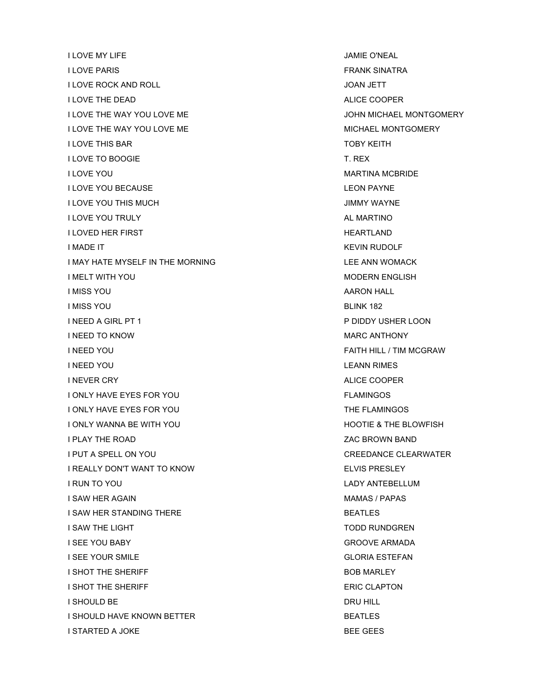I LOVE MY LIFE JAMIE O'NEAL **I LOVE PARIS FRANK SINATRA** I LOVE ROCK AND ROLL **I** And the second of the second of the second of the second of the second of the second of the second of the second of the second of the second of the second of the second of the second of the second I LOVE THE DEAD ALICE COOPER AND THE REAL COOPER ALICE COOPER I LOVE THE WAY YOU LOVE ME **JOHN MICHAEL MONTGOMERY** I LOVE THE WAY YOU LOVE ME MICHAEL MONTGOMERY I LOVE THIS BAR TOBY KEITH **I LOVE TO BOOGIE THE SECOND SECOND TELESTIC SECOND TELEX I LOVE YOU GET A RELEASE AND RELEASE AND MARTINA MCBRIDE I LOVE YOU BECAUSE LEGAL ASSAULT A SECOND PAYALLY AND RESERVE THE LEGAL AND LEON PAYALLY I LOVE YOU THIS MUCH AND RELATED AT A RELATION CONTROL CONTROL OF A RELATION CONTROL OF A RELATION OF A RELATION** I LOVE YOU TRULY ALANGER AND TRULY A CONTROLLER A CONTROLLER AND A CONTROLLER AND ALANGER AND A CONTROLLER AND A CONTROLLER AND A CONTROLLER AND A CONTROLLER AND A CONTROLLER AND A CONTROLLER AND A CONTROLLER AND A CONTROL **I LOVED HER FIRST THEARTLAND I MADE IT** KEVIN RUDOLF I MAY HATE MYSELF IN THE MORNING **LEE ANN WOMACK** I MELT WITH YOU **MODERN ENGLISH IMISS YOU AARON HALL** I MISS YOU BLINK 182 I NEED A GIRL PT 1 P DIDDY USHER LOON I NEED TO KNOW GO AND THE SAME CONTROL OF THE SAME CONTROL OF THE SAME CONTROL OF THE SAME CONTROL OF THE SAME CONTROL OF THE SAME CONTROL OF THE SAME CONTROL OF THE SAME CONTROL OF THE SAME CONTROL OF THE SAME CONTROL OF I NEED YOU FAITH HILL / TIM MCGRAW I NEED YOU LEANN RIMES I NEVER CRY ALICE COOPER I ONLY HAVE EYES FOR YOU IN THE SAME ONLY HAVE EXAMING THE SAME ONLY HAVE A SAME ONLY HAVE A SAME ONLY HAVE A SAME ONLY HAVE A SAME ONLY HAVE A SAME ONLY HAVE A SAME ONLY HAVE A SAME ONLY HAVE A SAME ONLY HAVE A SAME ONLY I ONLY HAVE EYES FOR YOU THE FLAMINGOS I ONLY WANNA BE WITH YOU **Example 20 YOU AT A REAL HOOTIE & THE BLOWFISH** I PLAY THE ROAD **ZAC BROWN BAND** I PUT A SPELL ON YOU CREEDANCE CLEARWATER I REALLY DON'T WANT TO KNOW ELVIS PRESLEY I RUN TO YOU LADY ANTEBELLUM I SAW HER AGAIN MAMAS / PAPAS I SAW HER STANDING THERE **Example 20 and 20 and 20 and 20 and 20 and 20 and 20 and 20 and 20 and 20 and 20 and 30 and 30 and 30 and 30 and 30 and 30 and 30 and 30 and 30 and 30 and 30 and 30 and 30 and 30 and 30 and 30 and** I SAW THE LIGHT TODD RUNDGREN I SEE YOU BABY GROOVE ARMADA **I SEE YOUR SMILE GLORIA ESTEFAN** I SHOT THE SHERIFF **BOB MARLEY** I SHOT THE SHERIFF **ERIC CLAPTON** I SHOULD BE DRU HILL I SHOULD HAVE KNOWN BETTER BEATLES I STARTED A JOKE A LOCAL BEE GEES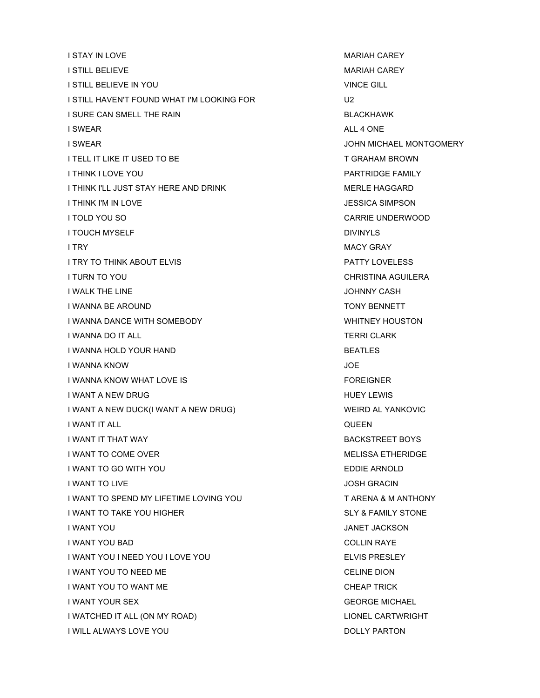**I STAY IN LOVE THE STATE OF A REAL PROPERTY CONTROLLER WARIAH CAREY I STILL BELIEVE MARIAH CAREY** I STILL BELIEVE IN YOU VINCE GILL I STILL HAVEN'T FOUND WHAT I'M LOOKING FOR U2 I SURE CAN SMELL THE RAIN BLACKHAWK I SWEAR ALL 4 ONE I SWEAR JOHN MICHAEL MONTGOMERY I TELL IT LIKE IT USED TO BE THE STATE TO A T GRAHAM BROWN **I THINK I LOVE YOU PARTRIDGE FAMILY** I THINK I'LL JUST STAY HERE AND DRINK MERLE HAGGARD I THINK I'M IN LOVE **JESSICA SIMPSON** I TOLD YOU SO CARRIE UNDERWOOD I TOUCH MYSELF **DIVINYLS I TRY** MACY GRAY I TRY TO THINK ABOUT ELVIS THIS RESERVED AND THE PATTY LOVELESS I TURN TO YOU GALLACTER AND THE CHRISTINA AGUILERA I WALK THE LINE IN A RESERVE THE LINE IS A RESERVE TO A RESERVE THE STATE OF THE STATE OF THE STATE OF THE STA I WANNA BE AROUND TONY BENNETT I WANNA DANCE WITH SOMEBODY **WHITNEY HOUSTON** I WANNA DO IT ALL THE SERIES OF THE SERIES OF THE SERIES OF TERRI CLARK I WANNA HOLD YOUR HAND BEATLES I WANNA KNOW JOE I WANNA KNOW WHAT LOVE IS **Example 20 YO FOREIGNER** I WANT A NEW DRUG HUEY LEWIS AND A LOCAL CONTROL AND HUEY LEWIS I WANT A NEW DUCK(I WANT A NEW DRUG) WEIRD AL YANKOVIC I WANT IT ALL QUEEN **I WANT IT THAT WAY BACKSTREET BOYS** I WANT TO COME OVER MELISSA ETHERIDGE I WANT TO GO WITH YOU GO AND THE SERVICE SERVICE SERVICE SERVICE SERVICE SERVICE SERVICE SERVICE SERVICE SERVICE I WANT TO LIVE IN A RESERVE TO LIVE IT A RESERVE TO LIVE IT A RESERVE TO LIVE IT AND TO LIVE IT AND TO LIVE I WANT TO SPEND MY LIFETIME LOVING YOU TARENA & M ANTHONY I WANT TO TAKE YOU HIGHER SLY & FAMILY STONE I WANT YOU GALLACKSON AND THE SERVICE SERVICE SERVICE SERVICE SERVICE SERVICE SERVICE SERVICE SERVICE SERVICE I WANT YOU BAD COLLIN RAYE I WANT YOU I NEED YOU I LOVE YOU ELLET A SAND HELLET THAT THE RESLEY THAT A LATER SERVICE AND HELLET A LATER SERVICE AT A LATER SERVICE AND THAT A LATER SERVICE AND HELLET A LATER SERVICE AND HELLET A LATER SERVICE AND HEL I WANT YOU TO NEED ME CELINE DION I WANT YOU TO WANT ME CHEAP TRICK I WANT YOUR SEX GEORGE MICHAEL I WATCHED IT ALL (ON MY ROAD) **LIONEL CARTWRIGHT** I WILL ALWAYS LOVE YOU DOLLY PARTON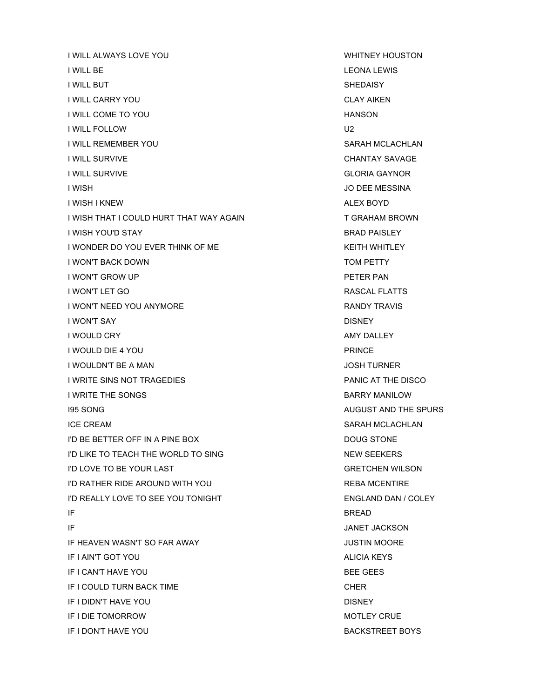**I WILL ALWAYS LOVE YOU WHITNEY HOUSTON** I WILL BE LEONA LEWIS **I WILL BUT** SHEDAISY I WILL CARRY YOU CLAY AIKEN I WILL COME TO YOU A LOCAL COME TO YOU A LOCAL COME TO YOU AND A LOCAL COME TO YOU AND A LOCAL COME TO YOU AND I WILL FOLLOW U2 I WILL REMEMBER YOU SARAH MCLACHLAN I WILL SURVIVE CHANTAY SAVAGE I WILL SURVIVE GLORIA GAYNOR **I WISH I WISH I WISH I WISH I WISH I WISH I WISH I WISH I WISH I WISH I WISH I WISH I WISH I WISH I WISH I WISH** I WISH I KNEW ALEX BOYD I WISH THAT I COULD HURT THAT WAY AGAIN THAT THAT WAY AGAIN **I WISH YOU'D STAY BRAD PAISLEY** I WONDER DO YOU EVER THINK OF ME KEITH WHITLEY I WON'T BACK DOWN TOM PETTY I WON'T GROW UP **PETER PAN** I WON'T LET GO **RASCAL FLATTS** I WON'T NEED YOU ANYMORE THE RANDY TRAVIS I WON'T SAY DISNEY I WOULD CRY AMY DALLEY I WOULD DIE 4 YOU PRINCE I WOULDN'T BE A MAN **INCLUSION CONTRACT OF A MANUAL CONTRACT OF A MANUAL CONTRACT OF A MANUAL CONTRACT OF A MANU** I WRITE SINS NOT TRAGEDIES **EXECUTE A SEXUAL THE REPORT OF A SEXUAL PRANIC AT THE DISCO** I WRITE THE SONGS **BARRY MANILOW** I95 SONG AUGUST AND THE SPURS ICE CREAM SARAH MCLACHLAN I'D BE BETTER OFF IN A PINE BOX DOUG STONE I'D LIKE TO TEACH THE WORLD TO SING NEW SEEKERS I'D LOVE TO BE YOUR LAST GRETCHEN WILSON I'D RATHER RIDE AROUND WITH YOU REBA MCENTIRE I'D REALLY LOVE TO SEE YOU TONIGHT ENGLAND DAN / COLEY IF A READ AND INTERNATIONAL CONTINUES OF THE READ AND INTERNATIONAL CONTINUES. **IF** JANET JACKSON IF HEAVEN WASN'T SO FAR AWAY JUSTIN MOORE IF I AIN'T GOT YOU ALICIA KEYS IF I CAN'T HAVE YOU GALLER SEE GEES IF I COULD TURN BACK TIME CHER CHER IF I DIDN'T HAVE YOU DISNEY IF I DIE TOMORROW **MOTLEY CRUE** IF I DON'T HAVE YOU GOT CONTROLLED TO BACKSTREET BOYS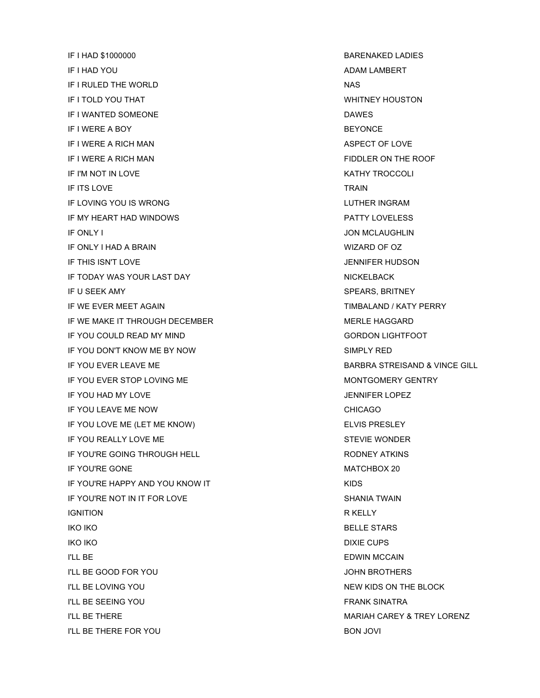IF I HAD \$1000000 BARENAKED LADIES IF I HAD YOU ADAM LAMBERT IF I RULED THE WORLD NAS **IF I TOLD YOU THAT WHITNEY HOUSTON** IF I WANTED SOMEONE DAWS IF I WERE A BOY **BEYONCE** IF I WERE A RICH MAN ASPECT OF LOVE IF I WERE A RICH MAN FIDDLER ON THE ROOF IF I'M NOT IN LOVE **KATHY TROCCOLI** IF ITS LOVE TRAIN IF LOVING YOU IS WRONG LUTHER INGRAM IF MY HEART HAD WINDOWS PATTY LOVELESS IF ONLY I JON MCLAUGHLIN IF ONLY I HAD A BRAIN WIZARD OF OZ IF THIS ISN'T LOVE **The STATE OF A STATE OF A STATE OF A STATE OF A STATE OF A STATE OF A STATE OF A STATE OF A** IF TODAY WAS YOUR LAST DAY NICKELBACK IF U SEEK AMY SPEARS, BRITNEY IF WE EVER MEET AGAIN TIMBALAND / KATY PERRY IF WE MAKE IT THROUGH DECEMBER MERLE HAGGARD IF YOU COULD READ MY MIND GORDON LIGHTFOOT IF YOU DON'T KNOW ME BY NOW SIMPLY RED IF YOU EVER LEAVE ME BARBRA STREISAND & VINCE GILL IF YOU EVER STOP LOVING ME MONTGOMERY GENTRY IF YOU HAD MY LOVE IN A RESERVE TO A RESERVE THE VOULD BE INTERNATIONAL SERVER AND THE VEHICLE THAT IN A VEHICLE IF YOU LEAVE ME NOW CHICAGO IF YOU LOVE ME (LET ME KNOW) ELVIS PRESLEY IF YOU REALLY LOVE ME STEVIE WONDER IF YOU'RE GOING THROUGH HELL RODNEY ATKINS IF YOU'RE GONE MATCHBOX 20 IF YOU'RE HAPPY AND YOU KNOW IT **A SET A SET A SET AND SET A** KIDS IF YOU'RE NOT IN IT FOR LOVE SHANIA TWAIN IGNITION R KELLY IKO IKO **BELLE STARS** IKO IKO IKO DIXIE CUPS I'LL BE **EDWIN MCCAIN I'LL BE GOOD FOR YOU GOOD FOR YOU AND RESIDENT AND RESIDENT AND RESIDENT ASSAULT AND RESIDENT ASSAULT AND RESIDENT ASSAULT AND RESIDENT ASSAULT ASSAULT AND RESIDENT ASSAULT ASSAULT ASSAULT ASSAULT ASSAULT ASSAULT ASSAULT** I'LL BE LOVING YOU NEW YOU ALL BE LOCK AND BE A LOCK ON THE BLOCK AND A LOCK ON THE BLOCK AND A LOCK ON THE BLOCK I'LL BE SEEING YOU GALL AND THE SEEING YOU I'LL BE THERE **MARIAH CAREY & TREY LORENZ I'LL BE THERE FOR YOU BON JOVING**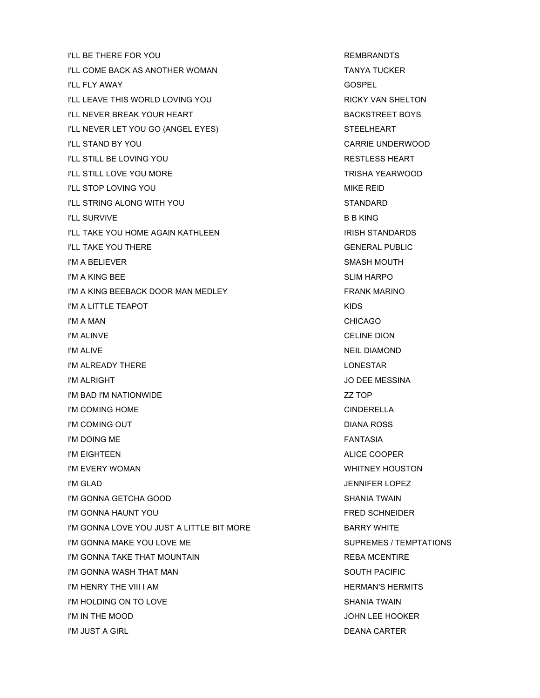I'LL BE THERE FOR YOU **REMBRANDTS** I'LL COME BACK AS ANOTHER WOMAN TANYA TUCKER I'LL FLY AWAY GOSPEL I'LL LEAVE THIS WORLD LOVING YOU **RICKY VAN SHELTON** I'LL NEVER BREAK YOUR HEART BACKSTREET BOYS I'LL NEVER LET YOU GO (ANGEL EYES) STEELHEART I'LL STAND BY YOU GARAGE UNDERWOOD I'LL STILL BE LOVING YOU A CONSIDER THE RESTLESS HEART **I'LL STILL LOVE YOU MORE TRISHA YEARWOOD I'LL STOP LOVING YOU GET A CONSIDER A CONSIDER A CONSIDER A CONSIDERATION CONSIDERATION CONSIDERATION** I'LL STRING ALONG WITH YOU STANDARD I'LL SURVIVE **B B KING** I'LL TAKE YOU HOME AGAIN KATHLEEN ISSUED TO A STANDARDS **I'LL TAKE YOU THERE GENERAL PUBLIC** I'M A BELIEVER SMASH MOUTH I'M A KING BEE SLIM HARPO I'M A KING BEEBACK DOOR MAN MEDLEY FRANK MARINO I'M A LITTLE TEAPOT I'M A MAN CHICAGO **I'M ALINVE** CELINE DION I'M ALIVE **NEIL DIAMOND** I'M ALREADY THERE LONESTAR I'M ALRIGHT JO DEE MESSINA I'M BAD I'M NATIONWIDE ZZ TOP I'M COMING HOME CINDERELLA I'M COMING OUT **DIANA ROSS** I'M DOING ME FANTASIA I'M EIGHTEEN ALICE COOPER I'M EVERY WOMAN WHITNEY HOUSTON I'M GLAD JENNIFER LOPEZ I'M GONNA GETCHA GOOD SHANIA TWAIN I'M GONNA HAUNT YOU FRED SCHNEIDER I'M GONNA LOVE YOU JUST A LITTLE BIT MORE BARRY WHITE I'M GONNA MAKE YOU LOVE ME SUPREMES / TEMPTATIONS I'M GONNA TAKE THAT MOUNTAIN **REBA MCENTIRE** I'M GONNA WASH THAT MAN SOUTH PACIFIC I'M HENRY THE VIII I AM **HERMAN'S HERMITS** I'M HOLDING ON TO LOVE **SHANIA TWAIN** I'M IN THE MOOD **SAN THE MOOD SAN THE MOOD SAN THE MOOD** I'M JUST A GIRL DEANA CARTER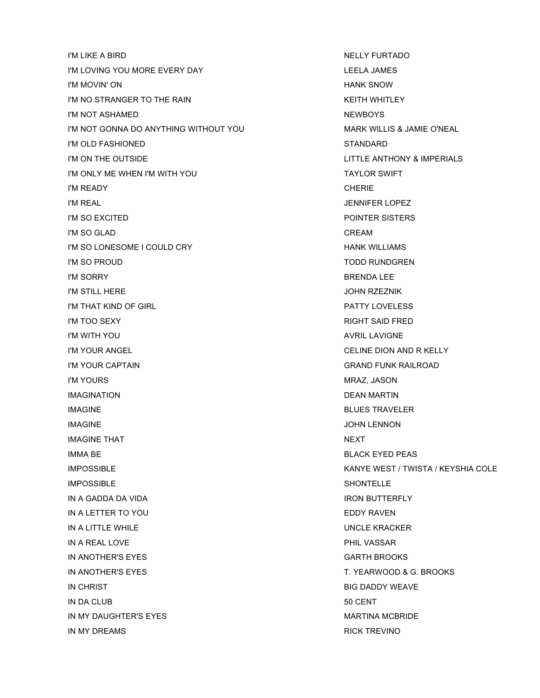I'M LIKE A BIRD NELLY FURTADO I'M LOVING YOU MORE EVERY DAY LEELA JAMES I'M MOVIN' ON HANK SNOW I'M NO STRANGER TO THE RAIN THE RAIN THE STRANGER OF THE RAIN I'M NOT ASHAMED NEWBOYS I'M NOT GONNA DO ANYTHING WITHOUT YOU MARK WILLIS & JAMIE O'NEAL I'M OLD FASHIONED STANDARD I'M ON THE OUTSIDE LITTLE ANTHONY & IMPERIALS I'M ONLY ME WHEN I'M WITH YOU TAYLOR SWIFT I'M READY CHERIE **I'M REAL INTERNATIONAL SERVICES** I'M SO EXCITED **POINTER SISTERS I'M SO GLAD CREAM** I'M SO LONESOME I COULD CRY **A COULD COULD COULD A COULD COULD A** COULD A COULD A COULD A COULD A COULD A COULD A I'M SO PROUD TODD RUNDGREN I'M SORRY BRENDA LEE I'M STILL HERE JOHN RZEZNIK I'M THAT KIND OF GIRL PATTY LOVELESS I'M TOO SEXY And the state of the state of the state of the state of the state of the state of the state of the state of the state of the state of the state of the state of the state of the state of the state of the state I'M WITH YOU AVRIL LAVIGNE I'M YOUR ANGEL CELINE DION AND R KELLY I'M YOUR CAPTAIN GRAND FUNK RAILROAD I'M YOURS NATURE IS A RELEASE OF THE METHOD MANUSCRIPT OF THE METHOD MANUSCRIPT OF THE METHOD MANUSCRIPT OF TH IMAGINATION DEAN MARTIN IMAGINE BLUES TRAVELER **IMAGINE** JOHN LENNON IMAGINE THAT NEXT IMMA BE **BLACK EYED PEAS** IMPOSSIBLE KANYE WEST / TWISTA / KEYSHIA COLE **IMPOSSIBLE** SHONTELLE IN A GADDA DA VIDA IRON BUTTERFLY IN A LETTER TO YOU EDDY RAVEN IN A LITTLE WHILE WHILE THE UNCLE KRACKER IN A REAL LOVE **PHIL VASSAR** IN ANOTHER'S EYES GARTH BROOKS IN ANOTHER'S EYES T. YEARWOOD & G. BROOKS IN CHRIST BIG DADDY WEAVE IN DA CLUB 50 CENT IN MY DAUGHTER'S EYES **MARTINA MCBRIDE** IN MY DREAMS RICK TREVINO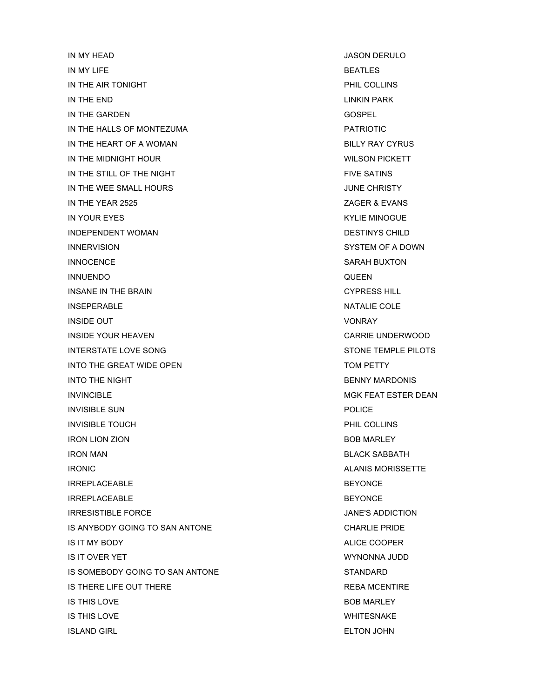IN MY HEAD JASON DERULO IN MY LIFE BEATLES IN THE AIR TONIGHT **PHIL COLLINS** IN THE END LINKIN PARK IN THE GARDEN GOSPEL AND THE GARDEN IN THE HALLS OF MONTEZUMA **EXAMPLE 2018 PATRIOTIC** IN THE HEART OF A WOMAN BILLY RAY CYRUS IN THE MIDNIGHT HOUR **Example 20 YOU CONTROL** WILSON PICKETT IN THE STILL OF THE NIGHT FIVE SATINS IN THE WEE SMALL HOURS **IN THE WEE SMALL HOURS** IN THE YEAR 2525 **ZAGER & EVANS** IN YOUR EYES KYLIE MINOGUE INDEPENDENT WOMAN DESTINYS CHILD INNERVISION SYSTEM OF A DOWN INNOCENCE SARAH BUXTON INNUENDO QUEEN INSANE IN THE BRAIN **CYPRESS HILL** INSEPERABLE NATALIE COLE **INSIDE OUT** VONRAY INSIDE YOUR HEAVEN CARRIE UNDERWOOD INTERSTATE LOVE SONG STONE TEMPLE PILOTS INTO THE GREAT WIDE OPEN TOM PETTY INTO THE NIGHT BENNY MARDONIS INVINCIBLE **Invincible** MGK FEAT ESTER DEAN INVISIBLE SUN POLICE **INVISIBLE TOUCH PHIL COLLINS** IRON LION ZION BOB MARLEY IRON MAN BLACK SABBATH IRONIC **ALANIS MORISSETTE** IRREPLACEABLE BEYONCE IRREPLACEABLE AND INTERNATIONAL SERVICE IN THE BEYONCE IRRESISTIBLE FORCE **ALCOHOLOGY CONTROLLER IN THE STATE OF A SET ADDICTION** IS ANYBODY GOING TO SAN ANTONE **CHARLIE PRIDE** IS IT MY BODY ALICE COOPER IS IT OVER YET WYNONNA JUDD IS SOMEBODY GOING TO SAN ANTONE STANDARD STANDARD IS THERE LIFE OUT THERE **REBA MCENTIRE** IS THIS LOVE **BOB MARLEY** IS THIS LOVE WHITESNAKE ISLAND GIRL ELTON JOHN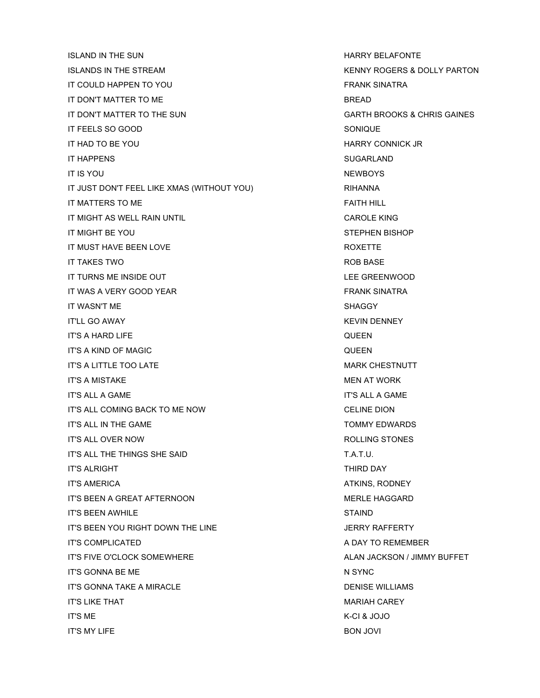ISLAND IN THE SUN NOTIFIED ASSESSED AS A RELATION OF THE SUN HARRY BELAFONTE ISLANDS IN THE STREAM THE STREAM THE STREAM THE STREAM THE STREAM THE STREAM THE STREAM THE STREAM THE STREAM T IT COULD HAPPEN TO YOU GOT THE STATE OF THE STATE SINATRA IT DON'T MATTER TO ME BREAD IT DON'T MATTER TO THE SUN GARTH BROOKS & CHRIS GAINES IT FEELS SO GOOD SONIQUE IT HAD TO BE YOU A REAL PROPERTY CONNICK JR IT HAPPENS SUGARLAND IT IS YOU NEWBOYS IT JUST DON'T FEEL LIKE XMAS (WITHOUT YOU) RIHANNA IT MATTERS TO ME FAITH HILL AND THE STATE STATE AND THE STATE AND THE STATE AND THE STATE AND THE STATE AND THE STATE AND THE STATE AND THE STATE AND THE STATE AND THE STATE AND THE STATE AND THE STATE AND THE STATE AND TH IT MIGHT AS WELL RAIN UNTIL **CAROLE KING** IT MIGHT BE YOU STEPHEN BISHOP IT MUST HAVE BEEN LOVE **A SECULAR SECURE A SECURE THE ROXETTE** IT TAKES TWO **ROB BASE** IT TURNS ME INSIDE OUT A REAL PROPERTY OF THE GREENWOOD IT WAS A VERY GOOD YEAR FRANK SINATRA IT WASN'T ME SHAGGY SHAGGY IT'LL GO AWAY KEVIN DENNEY IT'S A HARD LIFE **The CONTRACT OF A HARD LIFE** IT'S A KIND OF MAGIC QUEEN IT'S A LITTLE TOO LATE A LITTLE TO LATE A LITTLE TO LATE A LITTLE TO LATE A LITTLE TO LATE A LITTLE TO LATE A LI IT'S A MISTAKE MEN AT WORK IT'S ALL A GAME IT'S ALL A GAME IT'S ALL COMING BACK TO ME NOW CELINE DION IT'S ALL IN THE GAME TO A RESERVE TO A RESERVE TO A RESERVE TO A RESERVE TO A RESERVE TO A RESERVE TO A RESERVE TO A RESERVE TO A RESERVE THAT A RESERVE TO A RESERVE THAT A RESERVE THAT A RESERVE THAT A RESERVE THAT A RESE IT'S ALL OVER NOW ROLLING STONES IT'S ALL THE THINGS SHE SAID T.A.T.U. IT'S ALRIGHT THIRD DAY AND THIRD DAY IT'S AMERICA ATKINS, RODNEY IT'S BEEN A GREAT AFTERNOON MERLE HAGGARD IT'S BEEN AWHILE **STAIND** IT'S BEEN YOU RIGHT DOWN THE LINE GALL CONTROL TO SAFE A SERRY RAFFERTY IT'S COMPLICATED A DAY TO REMEMBER IT'S FIVE O'CLOCK SOMEWHERE ALAN JACKSON / JIMMY BUFFET IT'S GONNA BE ME N SYNC IT'S GONNA TAKE A MIRACLE **Example 20 and 20 and 20 and 20 and 20 and 20 and 20 and 20 and 20 and 20 and 20 and 20 and 20 and 20 and 20 and 20 and 20 and 20 and 20 and 20 and 20 and 20 and 20 and 20 and 20 and 20 and 20 an** IT'S LIKE THAT MARIAH CAREY AND THE SERIES OF THE MARIAH CAREY MARIAH CAREY IT'S ME K-CI & JOJO IT'S MY LIFE BON JOVI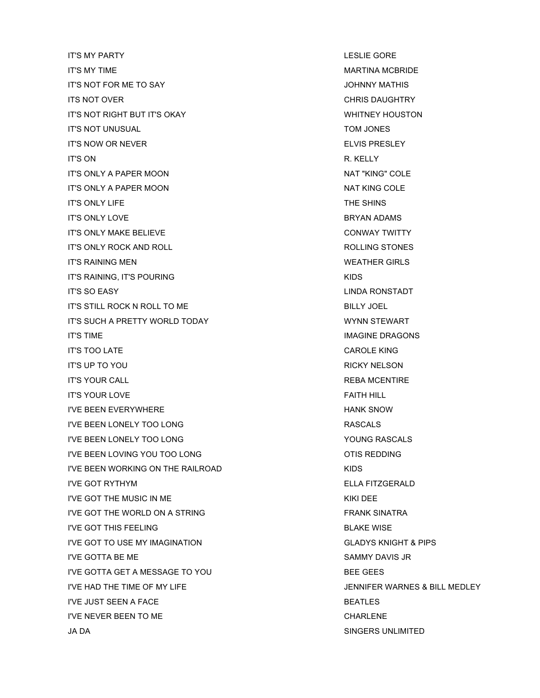IT'S MY PARTY LESLIE GORE IT'S MY TIME **MARTINA MCBRIDE** IT'S NOT FOR ME TO SAY JOHNNY MATHIS ITS NOT OVER CHRIS DAUGHTRY IT'S NOT RIGHT BUT IT'S OKAY WHITNEY HOUSTON IT'S NOT UNUSUAL TOM JONES IT'S NOW OR NEVER **ELVIS PRESLEY** IT'S ON R. KELLY IT'S ONLY A PAPER MOON A RESERVED BY A RESERVED AND MAT "KING" COLE IT'S ONLY A PAPER MOON NAT KING COLE IT'S ONLY LIFE THE SHINS IT'S ONLY LOVE **BRYAN ADAMS** IT'S ONLY MAKE BELIEVE **CONWAY TWITTY** IT'S ONLY ROCK AND ROLL **AND ROLL ROLLING STONES** IT'S RAINING MEN WEATHER GIRLS IT'S RAINING, IT'S POURING KIDS IT'S SO EASY LINDA RONSTADT IT'S STILL ROCK N ROLL TO ME BILLY JOEL IT'S SUCH A PRETTY WORLD TODAY WYNN STEWART IT'S TIME IMAGINE DRAGONS IT'S TOO LATE CAROLE KING IT'S UP TO YOU RICKY NELSON IT'S YOUR CALL **AND REBA MCENTIRE** IT'S YOUR LOVE FAITH HILL AND RESERVE TO A STATE OF THE STATE OF THE STATE OF THE STATE OF THE STATE OF THE ST I'VE BEEN EVERYWHERE THE HANK SNOW HANK SNOW I'VE BEEN LONELY TOO LONG A CONSIDER A SERIES AND RASCALS I'VE BEEN LONELY TOO LONG YOUNG RASCALS I'VE BEEN LOVING YOU TOO LONG OT A LOCAL CONG CONGRESS OF IS REDDING I'VE BEEN WORKING ON THE RAILROAD **KIDS** I'VE GOT RYTHYM ELLA FITZGERALD I'VE GOT THE MUSIC IN ME I'VE GOT THE WORLD ON A STRING FANK SINATRA I'VE GOT THIS FEELING BLAKE WISE I'VE GOT TO USE MY IMAGINATION GLADYS KNIGHT & PIPS I'VE GOTTA BE ME SAMMY DAVIS JR I'VE GOTTA GET A MESSAGE TO YOU BEE GEES I'VE HAD THE TIME OF MY LIFE JENNIFER WARNES & BILL MEDLEY I'VE JUST SEEN A FACE BEATLES I'VE NEVER BEEN TO ME CHARLENE

JA DA SINGERS UNLIMITED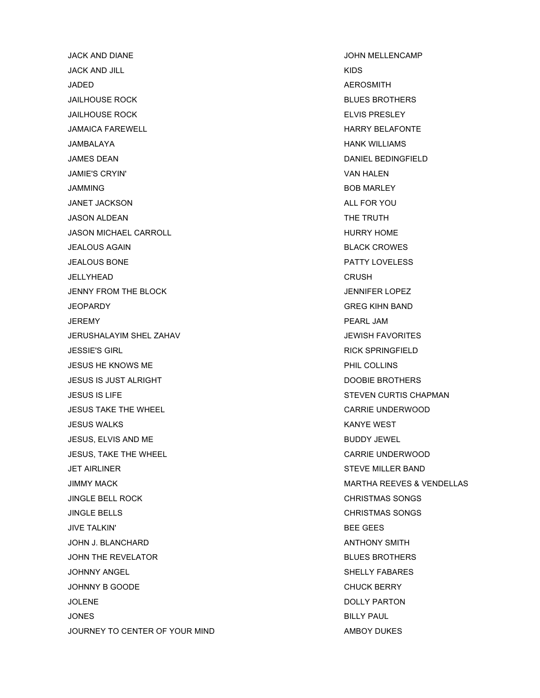JACK AND DIANE JOHN MELLENCAMP JACK AND JILL KIDS JADED AEROSMITH JAILHOUSE ROCK BLUES BROTHERS JAILHOUSE ROCK **ELVIS PRESLEY** JAMAICA FAREWELL **HARRY BELAFONTE** JAMBALAYA HANK WILLIAMS JAMES DEAN DANIEL BEDINGFIELD JAMIE'S CRYIN' VAN HALEN JAMMING BOB MARLEY JANET JACKSON ALL FOR YOU JASON ALDEAN THE TRUTH JASON MICHAEL CARROLL **A CONTROLL CARROLL** AND THURRY HOME JEALOUS AGAIN BLACK CROWES JEALOUS BONE PATTY LOVELESS JELLYHEAD CRUSH JENNY FROM THE BLOCK **The STATE SERVICE SERVICE SERVICE SERVICE SERVICE SERVICE SERVICE SERVICE SERVICE SERVICE** JEOPARDY GREG KIHN BAND JEREMY PEARL JAM JERUSHALAYIM SHEL ZAHAV JEWISH FAVORITES JESSIE'S GIRL RICK SPRINGFIELD JESUS HE KNOWS ME PHIL COLLINS JESUS IS JUST ALRIGHT DOOBIE BROTHERS JESUS IS LIFE STEVEN CURTIS CHAPMAN JESUS TAKE THE WHEEL CARRIE UNDERWOOD JESUS WALKS KANYE WEST JESUS, ELVIS AND ME BUDDY JEWEL JESUS, TAKE THE WHEEL CARRIE UNDERWOOD JET AIRLINER STEVE MILLER BAND JINGLE BELL ROCK CHRISTMAS SONGS JINGLE BELLS CHRISTMAS SONGS JIVE TALKIN' BEE GEES JOHN J. BLANCHARD ANTHONY SMITH JOHN THE REVELATOR GENERAL BLUES BROTHERS JOHNNY ANGEL NEWSLEY FARANCE SHELLY FABARES JOHNNY B GOODE CHUCK BERRY JOLENE DESCRIPTION AND RESERVE THE DOLLY PARTON AND LOCAL VIOLENCE OF A SERVE THE DOLLY PARTON. JONES BILLY PAUL JOURNEY TO CENTER OF YOUR MIND AMBOY DUKES

JIMMY MACK MARTHA REEVES & VENDELLAS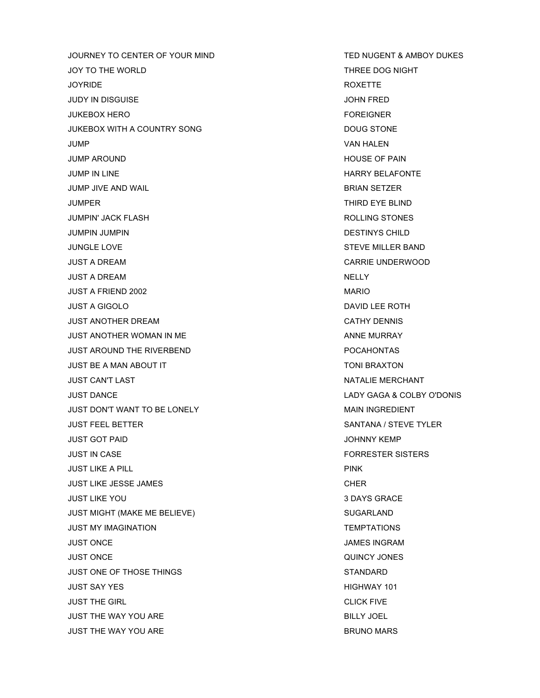JOURNEY TO CENTER OF YOUR MIND TED NUGENT & AMBOY DUKES JOY TO THE WORLD THREE DOG NIGHT JOYRIDE ROXETTE JUDY IN DISGUISE JOHN FRED JUKEBOX HERO FOREIGNER JUKEBOX WITH A COUNTRY SONG **DOUG STONE** JUMP VAN HALEN JUMP AROUND **HOUSE OF PAIN** JUMP IN LINE THE HARRY BELAFONTE JUMP JIVE AND WAIL **BRIAN SETZER** JUMPER THIRD EYE BLIND JUMPIN' JACK FLASH ROLLING STONES JUMPIN JUMPIN DESTINYS CHILD JUNGLE LOVE THE STEVE MILLER BAND JUST A DREAM CARRIE UNDERWOOD JUST A DREAM NELLY JUST A FRIEND 2002 **MARIO** JUST A GIGOLO DAVID LEE ROTH JUST ANOTHER DREAM **CATHY DENNIS** JUST ANOTHER WOMAN IN ME AND ANNE MURRAY JUST AROUND THE RIVERBEND **EXAMPLE 20 YO FOOT A REPORT OF A RIGHT AND REPORT OF A RIGHT AND REPORT OF A RIGHT A** JUST BE A MAN ABOUT IT TO LOOKING A MANUSIC BRAXTON. JUST CAN'T LAST NATALIE MERCHANT JUST DANCE LADY GAGA & COLBY O'DONIS JUST DON'T WANT TO BE LONELY **A CONTROLLY CONTROLLY CONTROLLY** MAIN INGREDIENT JUST FEEL BETTER SANTANA / STEVE TYLER JUST GOT PAID JOHNNY KEMP JUST IN CASE FORRESTER SISTERS JUST LIKE A PILL PINK JUST LIKE JESSE JAMES CHER CHER CHER JUST LIKE YOU 3 DAYS GRACE JUST MIGHT (MAKE ME BELIEVE) SUGARLAND JUST MY IMAGINATION TEMPTATIONS JUST ONCE JAMES INGRAM JUST ONCE QUINCY JONES JUST ONE OF THOSE THINGS STANDARD JUST SAY YES **HIGHWAY 101** JUST THE GIRL **CLICK FIVE** JUST THE WAY YOU ARE **BILLY JOEL** JUST THE WAY YOU ARE **BRUNO MARS**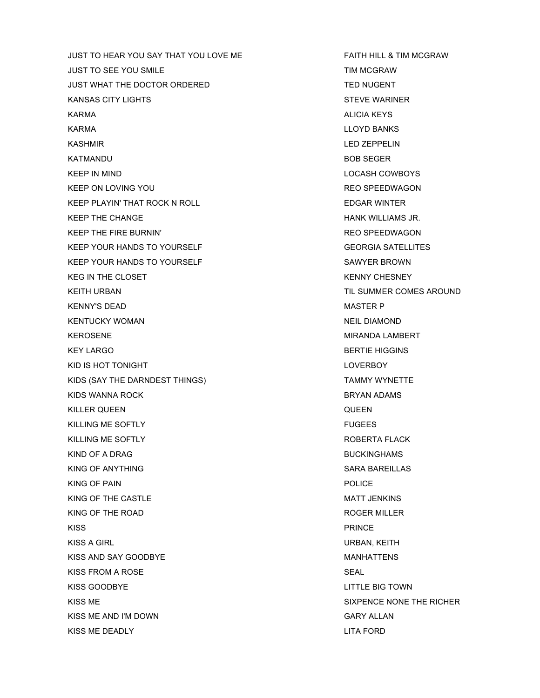JUST TO HEAR YOU SAY THAT YOU LOVE ME FAITH HILL & TIM MCGRAW JUST TO SEE YOU SMILE THE TIM MCGRAW JUST WHAT THE DOCTOR ORDERED TED NUGENT KANSAS CITY LIGHTS STEVE WARINER STEVE WARINER KARMA ALICIA KEYSALICIA KEYSALICIA KEYSALICIA KEYSALICIA KEYSALICIA KEYSALICIA KEYS KARMA LLOYD BANKS KASHMIR LED ZEPPELIN KATMANDU BOB SEGER KEEP IN MIND **LOCASH COWBOYS** KEEP ON LOVING YOU GET A REAL PROSPECTIVE CONSUMING THE REO SPEEDWAGON KEEP PLAYIN' THAT ROCK N ROLL **EDGAR WINTER** KEEP THE CHANGE **HANK WILLIAMS JR.** KEEP THE FIRE BURNIN' THE REAL THEORY OF THE SURVIVE STATE AND RECOMMENDENT REO SPEEDWAGON KEEP YOUR HANDS TO YOURSELF GEORGIA SATELLITES KEEP YOUR HANDS TO YOURSELF SAWYER BROWN KEG IN THE CLOSET **KENNY CHESNEY** KEITH URBAN TIL SUMMER COMES AROUND KENNY'S DEAD **MASTER P** KENTUCKY WOMAN NEIL DIAMOND KEROSENE MIRANDA LAMBERT KEY LARGO BERTIE HIGGINS KID IS HOT TONIGHT LOVER TO A 1999 THE RESERVED OF THE RESERVED OF THE RESERVED OF THE RESERVED OF THE RESERVED OF THE RESERVED OF THE RESERVED OF THE RESERVED OF THE RESERVED OF THE RESERVED OF THE RESERVED OF THE RESERVE KIDS (SAY THE DARNDEST THINGS) TAMMY WYNETTE KIDS WANNA ROCK BRYAN ADAMS KILLER QUEEN QUEEN KILLING ME SOFTLY FUGEES KILLING ME SOFTLY **ROBERTA FLACK** KIND OF A DRAG BUCKINGHAMS KING OF ANYTHING SARA BAREILLAS KING OF PAIN **POLICE** KING OF THE CASTLE THE STATE STATE OF THE CONTROL CONTROL CONTROL CONTROL CONTROL CONTROL CONTROL CONTROL CONTROL CONTROL CONTROL CONTROL CONTROL CONTROL CONTROL CONTROL CONTROL CONTROL CONTROL CONTROL CONTROL CONTROL CONT KING OF THE ROAD ROGER MILLER KISS PRINCE KISS A GIRL **URBAN, KEITH** KISS AND SAY GOODBYE **MANHATTENS** KISS FROM A ROSE SEAL KISS GOODBYE LITTLE BIG TOWN KISS ME SIXPENCE NONE THE RICHER KISS ME AND I'M DOWN GARY ALLAN KISS ME DEADLY AND THE SERIES OF THE SERIES OF THE SERIES OF THE SERIES OF THE SERIES OF THE SERIES OF THE SERIES OF THE SERIES OF THE SERIES OF THE SERIES OF THE SERIES OF THE SERIES OF THE SERIES OF THE SERIES OF THE SER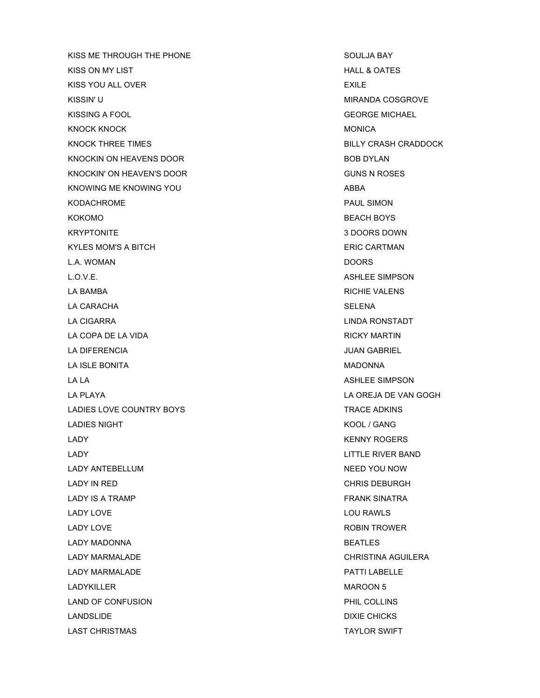KISS ME THROUGH THE PHONE SOULJA BAY KISS ON MY LIST **HALL & OATES** KISS YOU ALL OVER **EXILE** KISSIN' U GALAXISIN' U MIRANDA COSGROVE KISSING A FOOL GEORGE MICHAEL KNOCK KNOCK MONICA KNOCK THREE TIMES BILLY CRASH CRADDOCK KNOCKIN ON HEAVENS DOOR BOB DYLAN KNOCKIN' ON HEAVEN'S DOOR GUNS N ROSES KNOWING ME KNOWING YOU ABBA KODACHROME **PAUL SIMON** KOKOMO BEACH BOYS KRYPTONITE 3 NOTES AND THE SERVICE SERVICE SERVICE SERVICE SERVICE SERVICE SERVICE SERVICE SERVICE SERVICE SERVICE SERVICE SERVICE SERVICE SERVICE SERVICE SERVICE SERVICE SERVICE SERVICE SERVICE SERVICE SERVICE SERVICE SER KYLES MOM'S A BITCH ERIC CARTMAN L.A. WOMAN DOORS L.O.V.E. ASHLEE SIMPSON LA BAMBA **RICHIE VALENS** LA CARACHA SELENA LA CIGARRA LINDA RONSTADT LA COPA DE LA VIDA DE LA VIDA DE LA COPA DE LA VIDA DE LA COPA DE LA COPA DE LA COPA DE LA COPA DE LA COPA DE LA DIFERENCIA JUAN GABRIEL LA ISLE BONITA **MADONNA** LA LA CHARGE SIMPSON LA PLAYA LA OREJA DE VAN GOGH LADIES LOVE COUNTRY BOYS TRACE ADKINS LADIES NIGHT **KOOL / GANG** LADY KENNY ROGERS LADY LITTLE RIVER BAND LADY ANTEBELLUM NEED YOU NOW LADY IN RED CHRIS DEBURGH LADY IS A TRAMP FRANK SINATRA LADY LOVE **LADY LOVE LOU RAWLS** LADY LOVE **EXAMPLE A ROBIN TROWER** LADY MADONNA BEATLES LADY MARMALADE CHRISTINA AGUILERA LADY MARMALADE **And the USA CONTROL** CONTROL AND PATTI LABELLE LADYKILLER MAROON 5 LAND OF CONFUSION **PHIL COLLINS** LANDSLIDE DIXIE CHICKS LAST CHRISTMAS TAYLOR SWIFT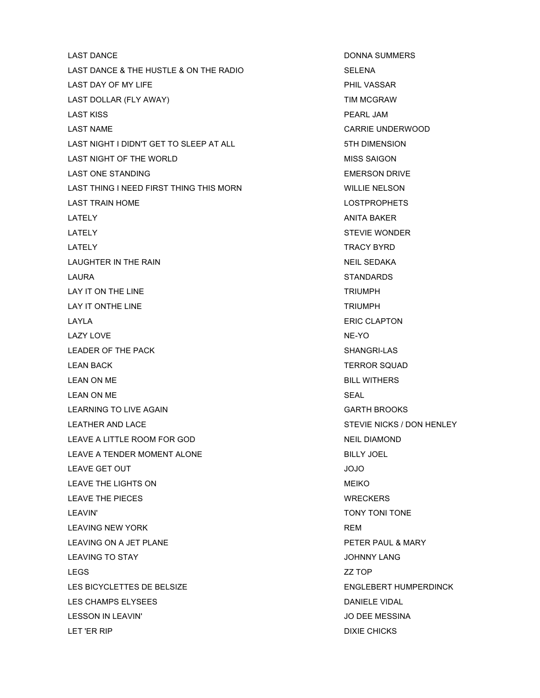LAST DANCE **DONNA SUMMERS** LAST DANCE & THE HUSTLE & ON THE RADIO SELENA LAST DAY OF MY LIFE **A CONSTRUCTED A CONSTRUCT OF A CONSTRUCT OF A CONSTRUCT OF A CONSTRUCT OF A CONSTRUCT OF A** LAST DOLLAR (FLY AWAY) TIM MCGRAW LAST KISS PEARL JAM LAST NAME CARRIE UNDERWOOD LAST NIGHT I DIDN'T GET TO SLEEP AT ALL **1998 12 THE STATE AT ALL** 5TH DIMENSION LAST NIGHT OF THE WORLD **EXECUTE A SET OF THE WORLD** LAST ONE STANDING **EMERSON DRIVE** LAST THING I NEED FIRST THING THIS MORN WILLIE NELSON LAST TRAIN HOME **LOST READS** LATELY ANITA BAKER LATELY STEVIE WONDER LATELY TRACY BYRD LAUGHTER IN THE RAIN NEIL SEDAKA LAURA STANDARDS LAY IT ON THE LINE TRIUMPH LAY IT ONTHE LINE TRIUMPH LAYLA ERIC CLAPTON LAZY LOVE NE-YO NE-YO NE-YO NE-YO NE-YO NE-YO NE-YO NE-YO NE-YO NE-YO NE-YO NE-YO NE-YO NE-YO NEED AT A SAFE A LEADER OF THE PACK SHANGRI-LAS LEAN BACK TERROR SQUAD LEAN ON ME BILL WITHERS LEAN ON ME SEAL LEARNING TO LIVE AGAIN GARTH BROOKS LEATHER AND LACE STEVIE NICKS / DON HENLEY LEAVE A LITTLE ROOM FOR GOD NEIL DIAMOND LEAVE A TENDER MOMENT ALONE BILLY JOEL LEAVE GET OUT **A SECOND TEAM OF A SECOND CONTROL** LEAVE THE LIGHTS ON **MEIKO** LEAVE THE PIECES WRECKERS LEAVIN' TONY TONI TONE LEAVING NEW YORK **REM** LEAVING ON A JET PLANE PETER PAUL & MARY LEAVING TO STAY JOHNNY LANG LEGS ZZ TOP LES BICYCLETTES DE BELSIZE ENGLEBERT HUMPERDINCK LES CHAMPS ELYSEES DANIELE VIDAL LESSON IN LEAVIN' JO DEE MESSINA LET 'ER RIP DIXIE CHICKS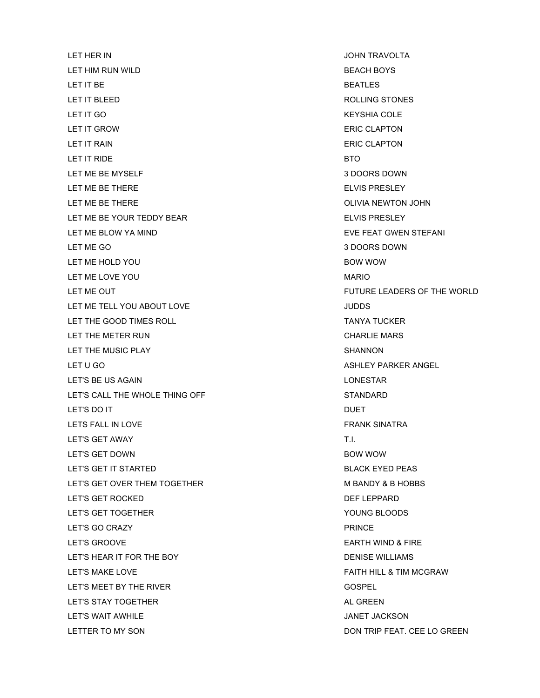LET HER IN JOHN TRAVOLTA LET HIM RUN WILD **BEACH BOYS** LET IT BE  $\begin{array}{ccc} \text{BERTing} & \text{BERTing} \end{array}$ LET IT BLEED ROLLING STONES LET IT GO KEYSHIA COLE LET IT GROW **ERIC CLAPTON** LET IT RAIN ERIC CLAPTON LET IT RIDE **BTO** LET ME BE MYSELF **A SECULIE 1 SECULIE 2** 3 DOORS DOWN LET ME BE THERE ELVIS PRESLEY LET ME BE THERE **OLIVIA NEWTON JOHN** LET ME BE YOUR TEDDY BEAR ELVIS PRESLEY LET ME BLOW YA MIND **EVELOW THE SECT OF STEAM** EVE FEAT GWEN STEFANI LET ME GO 3 DOORS DOWN LET ME HOLD YOU GOT A CONSIDER THE BOW WOW BOW WOW LET ME LOVE YOU GALL THE SAME CONTROL AND MARIO LET ME TELL YOU ABOUT LOVE **SECURE ASSESSED ASSESSED.** JUDDS LET THE GOOD TIMES ROLL TANYA TUCKER LET THE METER RUN CHARLIE MARS LET THE MUSIC PLAY SHANNON LET U GO ASHLEY PARKER ANGEL LET'S BE US AGAIN LONESTAR LET'S CALL THE WHOLE THING OFF STANDARD LET'S DO IT A RESERVED ON THE SERVED ON THE SERVED ON THE SERVED ON THE SERVED ON THE SERVED ON THE SERVED ON T LETS FALL IN LOVE **FRANK SINATRA** LET'S GET AWAY THE CONTROL CONTROL CONTROL CONTROL CONTROL CONTROL CONTROL CONTROL CONTROL CONTROL CONTROL CONTROL CONTROL CONTROL CONTROL CONTROL CONTROL CONTROL CONTROL CONTROL CONTROL CONTROL CONTROL CONTROL CONTROL CON LET'S GET DOWN BOW WOW LET'S GET IT STARTED AND THE STARTED SERIES AND THE BLACK EYED PEAS LET'S GET OVER THEM TOGETHER MEANDY & B HOBBS LET'S GET ROCKED DEF LEPPARD LET'S GET TOGETHER YOUNG BLOODS LET'S GO CRAZY PRINCE LET'S GROOVE EARTH WIND & FIRE LET'S HEAR IT FOR THE BOY **Example 20 IT STATES AND A REAR IT FOR THE BOY** DENISE WILLIAMS LET'S MAKE LOVE **FAITH HILL & TIM MCGRAW** LET'S MEET BY THE RIVER GOSPEL LET'S STAY TOGETHER **AL GREEN** AL GREEN LET'S WAIT AWHILE **A SEAL AND THE SEAL ASSESSED AT A SEAL AND THE SEAL ASSESSED A** 

LET ME OUT FUTURE LEADERS OF THE WORLD LETTER TO MY SON DON TRIP FEAT. CEE LO GREEN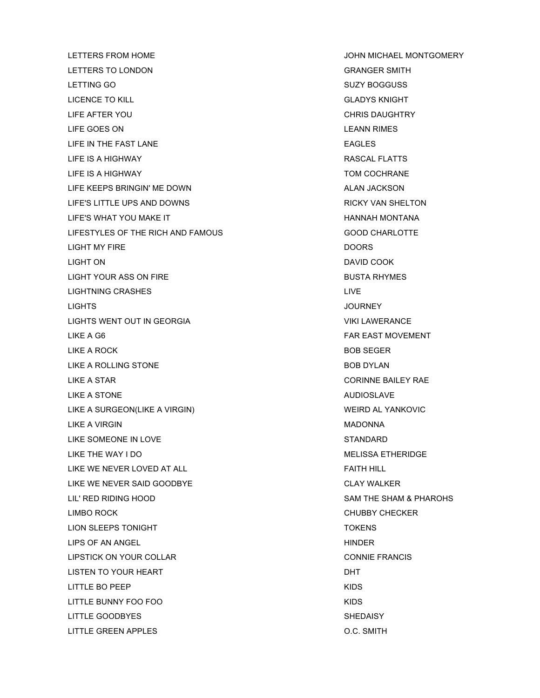LETTERS TO LONDON GRANGER SMITH LETTING GO SUZY BOGGUSS LICENCE TO KILL GLADYS KNIGHT LIFE AFTER YOU CHRIS DAUGHTRY LIFE GOES ON **LEANN** RIMES LIFE IN THE FAST LANE EAGLES LIFE IS A HIGHWAY RASCAL FLATTS LIFE IS A HIGHWAY TOM COCHRANE LIFE KEEPS BRINGIN' ME DOWN ALAN JACKSON LIFE'S LITTLE UPS AND DOWNS THE RICKY VAN SHELTON LIFE'S WHAT YOU MAKE IT **HANNAH MONTANA** LIFESTYLES OF THE RICH AND FAMOUS GOOD CHARLOTTE LIGHT MY FIRE DOORS LIGHT ON DAVID COOK LIGHT YOUR ASS ON FIRE **BUSTA RHYMES** LIGHTNING CRASHES **LIGHTNING** CRASHES LIGHTS JOURNEY LIGHTS WENT OUT IN GEORGIA VIKI LAWERANCE LIKE A G6 FAR EAST MOVEMENT LIKE A ROCK BOB SEGER LIKE A ROLLING STONE **BOB DYLAN** LIKE A STAR CORINNE BAILEY RAE LIKE A STONE AUDIOSLAVE LIKE A SURGEON(LIKE A VIRGIN) WEIRD AL YANKOVIC LIKE A VIRGIN NADONNA NA MADONNA NA MADONNA NA MADONNA NA MADONNA NA MADONNA NA MADONNA NA MADONNA MATAMA NA MA LIKE SOMEONE IN LOVE STANDARD LIKE THE WAY I DO GOOD CONTROL CONTROL CONTROL CONTROL CONTROL CONTROL CONTROL CONTROL CONTROL CONTROL CONTROL CONTROL CONTROL CONTROL CONTROL CONTROL CONTROL CONTROL CONTROL CONTROL CONTROL CONTROL CONTROL CONTROL CONTROL LIKE WE NEVER LOVED AT ALL **FAITH HILL** LIKE WE NEVER SAID GOODBYE CLAY WALKER LIL' RED RIDING HOOD SAM THE SHAM & PHAROHS LIMBO ROCK CHUBBY CHECKER LION SLEEPS TONIGHT TO A RESERVE TO A RESERVE TO A RESERVE TO A RESERVE TO A RESERVE TO A RESERVE TO A RESERVE LIPS OF AN ANGEL **HINDER** LIPSTICK ON YOUR COLLAR CONNIE FRANCIS LISTEN TO YOUR HEART DHT LITTLE BO PEEP AND A SERVICE SERVICE SERVICE SERVICE SERVICE SERVICE SERVICE SERVICE SERVICE SERVICE SERVICE S LITTLE BUNNY FOO FOO KIDS LITTLE GOODBYES SHEDAISY LITTLE GREEN APPLES O.C. SMITH

LETTERS FROM HOME JOHN MICHAEL MONTGOMERY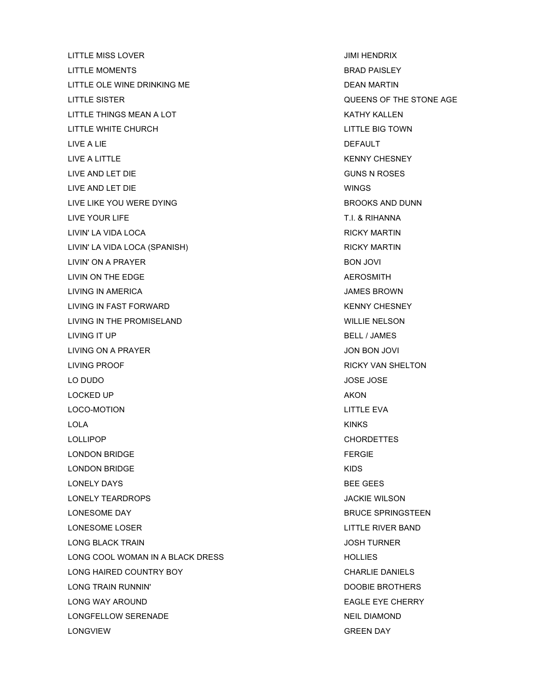LITTLE MISS LOVER **JUMI HENDRIX** LITTLE MOMENTS AND RESERVE THE MOMENTS AND RESERVE THE BRAD PAISLEY LITTLE OLE WINE DRINKING ME LITTLE SISTER QUEENS OF THE STONE AGE LITTLE THINGS MEAN A LOT **KATHY KALLEN** LITTLE WHITE CHURCH **LITTLE BIG TOWN** LIVE A LIE DEFAULT LIVE A LITTLE THE RESIDENCE OF THE RESIDENCE AND A RESIDENCE OF THE RESIDENCE OF THE RESIDENCE OF THE RESIDENCE OF THE RESIDENCE OF THE RESIDENCE OF THE RESIDENCE OF THE RESIDENCE OF THE RESIDENCE OF THE RESIDENCE OF THE R LIVE AND LET DIE GUNS N ROSES LIVE AND LET DIE WINGS LIVE LIKE YOU WERE DYING **BROOKS AND DUNN** LIVE YOUR LIFE THE TRANSPORTED THE TRANSPORT OF THE TRANSPORTED THE SERIES OF THE SERIES OF THE SERIES OF THE SERIES OF THE SERIES OF THE SERIES OF THE SERIES OF THE SERIES OF THE SERIES OF THE SERIES OF THE SERIES OF THE LIVIN' LA VIDA LOCA RICKY MARTIN LIVIN' LA VIDA LOCA (SPANISH) RICKY MARTIN LIVIN' ON A PRAYER BON JOVI LIVIN ON THE EDGE **AEROSMITH** LIVING IN AMERICA **JAMES BROWN** LIVING IN FAST FORWARD **KENNY CHESNEY** LIVING IN THE PROMISELAND WILLIE NELSON LIVING IT UP BELL / JAMES LIVING ON A PRAYER JON BON JOVI LIVING PROOF RICKY VAN SHELTON LO DUDO JOSE JOSE LOCKED UP AKON A A LOCKED UP A LOCKED UP A LOCKED AND A LOCKED UP A LOCKED AT LOCKED A LOCKED AND A LOCKED AT L LOCO-MOTION LITTLE EVA LOLA KINKS LOLLIPOP CHORDETTES LONDON BRIDGE **FERGIE** LONDON BRIDGE KIDS LONELY DAYS BEE GEES LONELY TEARDROPS JACKIE WILSON LONESOME DAY DESCRIPTION AND RELATED AT A RELATION BRUCE SPRINGSTEEN LONESOME LOSER LITTLE RIVER BAND LONG BLACK TRAIN JOSH TURNER LONG COOL WOMAN IN A BLACK DRESS HOLLIES LONG HAIRED COUNTRY BOY **CHARLIE DANIELS** LONG TRAIN RUNNIN' DOOBIE BROTHERS LONG WAY AROUND **EAGLE EXE CHERRY** LONGFELLOW SERENADE NEIL DIAMOND LONGVIEW GREEN DAY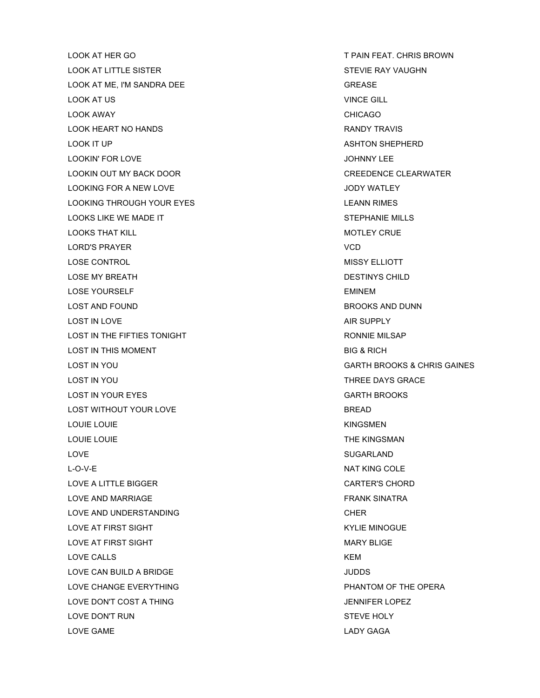LOOK AT HER GO THE PAIN FEAT. CHRIS BROWN LOOK AT LITTLE SISTER STEVIE RAY VAUGHN LOOK AT ME. I'M SANDRA DEE GREASE GREASE LOOK AT US VINCE GILL LOOK AWAY CHICAGO LOOK HEART NO HANDS **EXAMPLE 2018 THE RANDY TRAVIS** LOOK IT UP ASHTON SHEPHERD LOOKIN' FOR LOVE **JOHNNY LEE** LOOKIN OUT MY BACK DOOR CREEDENCE CLEARWATER LOOKING FOR A NEW LOVE **A SECURE 10 YOU ALLOCATE A SECURE 10** YOU ALLOCATE JODY WATLEY LOOKING THROUGH YOUR EYES LEANN RIMES LOOKS LIKE WE MADE IT STEPHANIE MILLS LOOKS THAT KILL **AND REACT AND REACT AND REACT OF A REACT OF A REACT OF A REACT OF A REACT OF A REACT OF A REACT OF A** LORD'S PRAYER THE RESERVED ON A 200 STATE OF THE RESERVED ON A 200 STATE OF THE RESERVED ON A 200 STATE OF THE LOSE CONTROL CONTROL CONTROL CONTROL CONTROL CONTROL CONTROL CONTROL CONTROL CONTROL CONTROL CONTROL CONTROL CONTROL CONTROL CONTROL CONTROL CONTROL CONTROL CONTROL CONTROL CONTROL CONTROL CONTROL CONTROL CONTROL CONTROL C LOSE MY BREATH DESTINYS CHILD LOSE YOURSELF EMINEMENT CONTROL EMINEMENT CONTROL EMINEMENT CONTROL EMINEMENT CONTROL EMINEMENT CONTROL EMIT LOST AND FOUND **BROOKS AND DUNN** LOST IN LOVE **AIR SUPPLY** LOST IN THE FIFTIES TONIGHT **RONNIE MILSAP** LOST IN THIS MOMENT **BIG & RICH** LOST IN YOU GARTH BROOKS & CHRIS GAINES LOST IN YOU GET ALLOWED A CONTROLLER THREE DAYS GRACE LOST IN YOUR EYES GARTH BROOKS LOST WITHOUT YOUR LOVE **BREAD** LOUIE LOUIE NAME OF THE SERVICE OF THE SERVICE OF THE SERVICE OF THE SERVICE OF THE SERVICE OF THE SERVICE OF THE SERVICE OF THE SERVICE OF THE SERVICE OF THE SERVICE OF THE SERVICE OF THE SERVICE OF THE SERVICE OF THE SER LOUIE LOUIE THE KINGSMAN LOVE SUGARLAND L-O-V-E NAT KING COLE LOVE A LITTLE BIGGER CARTER'S CHORD LOVE AND MARRIAGE **FRANK SINATRA** LOVE AND UNDERSTANDING CHER LOVE AT FIRST SIGHT KYLIE MINOGUE LOVE AT FIRST SIGHT MARY BLIGE LOVE CALLS KEM LOVE CAN BUILD A BRIDGE **A SERIET A SERIET A SERIET A SERIET A SERIET A SERIET A SERIET A SERIET A SERIET A SU** LOVE CHANGE EVERYTHING **PHANTOM OF THE OPERA** LOVE DON'T COST A THING THE SERVICE OF SALE AND THE SERVICE OF SALE AND THE SERVICE OF SALE AND THE SERVICE OF SALE AND THE SERVICE OF SALE AND THE SERVICE OF SALE AND THE SERVICE OF SALE AND THE SERVICE OF SALE AND THE SE LOVE DON'T RUN STEVE HOLY LOVE GAME LADY GAGA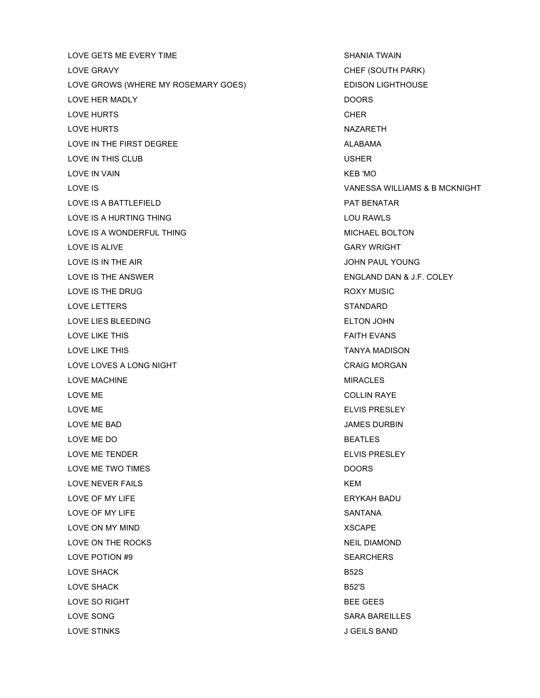LOVE GETS ME EVERY TIME SHANIA TWAIN LOVE GRAVY **CHEF (SOUTH PARK)** LOVE GROWS (WHERE MY ROSEMARY GOES) EDISON LIGHTHOUSE LOVE HER MADLY DOORS LOVE HURTS **CHER** LOVE HURTS NAZARETH LOVE IN THE FIRST DEGREE ALABAMA LOVE IN THIS CLUB USHER LOVE IN VAIN **KEB 'MO** LOVE IS VANESSA WILLIAMS & B MCKNIGHT LOVE IS A BATTLEFIELD **EXECUTE A BATTLEFIELD PAT BENATAR** LOVE IS A HURTING THING **LOU RAWLS** LOVE IS A WONDERFUL THING **MICHAEL BOLTON** LOVE IS ALIVE **GARY WRIGHT** LOVE IS IN THE AIR **In the SILE CONSTRUCT CONTACT A** SUMMISSION OF A SUMMISSION OF A SUMMISSION OF A SUMMISSION OF A SUMMISSION OF A SUMMISSION OF A SUMMISSION OF A SUMMISSION OF A SUMMISSION OF A SUMMISSION OF A SUMMISSIO LOVE IS THE ANSWER **ENGLAND DAN & J.F. COLEY** LOVE IS THE DRUG **ROXY MUSIC** LOVE LETTERS STANDARD LOVE LIES BLEEDING **ELTON JOHN** LOVE LIKE THIS FAITH EVANS LOVE LIKE THIS TANYA MADISON LOVE LOVES A LONG NIGHT CRAIG MORGAN LOVE MACHINE **MIRACLES** LOVE ME COLLIN RAYE LOVE ME ELVIS PRESLEY LOVE ME BAD JAMES DURBIN LOVE ME DO BEATLES LOVE ME TENDER ELVIS PRESLEY LOVE ME TWO TIMES **EXECUTE A SET OF STATE AND THE SET OF STATE AND THE SET OF STATE AND THE SET OF STATE AND T** LOVE NEVER FAILS **KEM** LOVE OF MY LIFE THE SERVE AND THE SERVE AND THE SERVE AND THE SERVE AND THE SERVER AND THE SERVER AND THE SERVER AND THE SERVER AND THE SERVER AND THE SERVER AND THE SERVER AND THE SERVER AND THE SERVER AND THE SERVER AND LOVE OF MY LIFE SANTANA LOVE ON MY MIND **XSCAPE** LOVE ON THE ROCKS NEIL DIAMOND LOVE POTION #9 SEARCHERS LOVE SHACK B52S LOVE SHACK B52'S LOVE SO RIGHT **BEE GEES** LOVE SONG SARA BAREILLES LOVE STINKS J GEILS BAND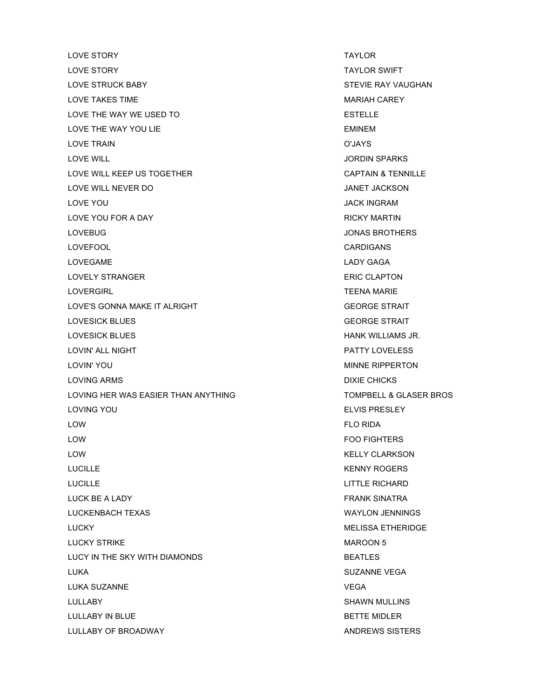LOVE STORY TAYLOR LOVE STORY **TAYLOR SWIFT** LOVE STRUCK BABY STEVIE RAY VAUGHAN LOVE TAKES TIME **MARIAH CAREY** LOVE THE WAY WE USED TO THE RESIDENCE OF STRILL BESTELLE LOVE THE WAY YOU LIE THE WAY TO LIKE A SAFE THE WAY YOU LIE LOVE TRAIN O'JAYS LOVE WILL JORDIN SPARKS LOVE WILL KEEP US TOGETHER CAPTAIN & TENNILLE LOVE WILL NEVER DO JANET JACKSON LOVE YOU GALLACE THE SERVICE OF THE SERVICE OF THE SERVICE OF THE SERVICE OF THE SERVICE OF THE SERVICE OF THE LOVE YOU FOR A DAY A RICKY MARTIN LOVEBUG JONAS BROTHERS LOVEFOOL CARDIGANS LOVEGAME LADY GAGA LOVELY STRANGER **ERIC CLAPTON** LOVERGIRL TEENA MARIE LOVE'S GONNA MAKE IT ALRIGHT GEORGE STRAIT LOVESICK BLUES GEORGE STRAIT LOVESICK BLUES HANK WILLIAMS JR. LOVIN' ALL NIGHT PATTY LOVELESS LOVIN' YOU GALLACE THE SAME REPORT ON THE SERVICE OF THE MINNE RIPPERTON LOVING ARMS **DIXIE CHICKS** LOVING HER WAS EASIER THAN ANYTHING TOMPBELL & GLASER BROS LOVING YOU ELVIS PRESLEY LOW FLO RIDA LOW FOO FIGHTERS LOW KELLY CLARKSON LUCILLE **KENNY ROGERS** LUCILLE LITTLE RICHARD LUCK BE A LADY FRANK SINATRA LUCKENBACH TEXAS WAYLON JENNINGS LUCKY MELISSA ETHERIDGE LUCKY STRIKE NATURAL BILITY OF THE MAROON 5 LUCY IN THE SKY WITH DIAMONDS BEATLES LUKA SUZANNE VEGA LUKA SUZANNE VEGA LULLABY SHAWN MULLINS LULLABY IN BLUE **Example 20 and 20 and 20 and 20 and 20 and 20 and 20 and 20 and 20 and 20 and 20 and 20 and 20 and 20 and 20 and 20 and 20 and 20 and 20 and 20 and 20 and 20 and 20 and 20 and 20 and 20 and 20 and 20 and 2** LULLABY OF BROADWAY ANDREWS SISTERS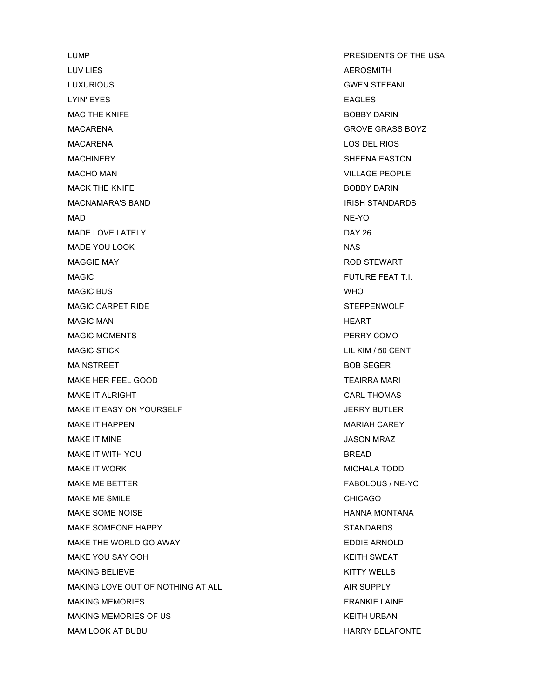LUMP **PRESIDENTS OF THE USA** LUV LIES AND ALL AND A LOCAL AND A LOCAL AND A LOCAL AND A LOCAL AND A LOCAL AND A LOCAL AND A LOCAL AND A LOCAL AND A LOCAL AND A LOCAL AND A LOCAL AND A LOCAL AND A LOCAL AND A LOCAL AND A LOCAL AND A LOCAL AND A LOCAL A LUXURIOUS GWEN STEFANI LYIN' EYES **EAGLES** MAC THE KNIFE BOBBY DARIN MACARENA GROVE GRASS BOYZ MACARENA LOS DEL RIOS MACHINERY SHEENA EASTON MACHO MAN VILLAGE PEOPLE MACK THE KNIFE **BOBBY DARIN** MACNAMARA'S BAND INISH STANDARDS IN THE STANDARDS MAD NE-YO MADE LOVE LATELY DAY 26 MADE YOU LOOK NAS MAGGIE MAY ROD STEWART MAGIC **And Contain the Container of the Container Studies and Container Studies (Container Studies Studies 1990)** MAGIC BUS **WHO** MAGIC CARPET RIDE STEPPENWOLF MAGIC MAN **MAGIC MAN** MAGIC MOMENTS **PERRY COMO** MAGIC STICK LIL KIM / 50 CENT MAINSTREET BOB SEGER MAKE HER FEEL GOOD TEALS AND TEAIRRA MARI MAKE IT ALRIGHT CARL THOMAS MAKE IT EASY ON YOURSELF **A CONSIDER SERVIS ASSESSED** THE MAKE IT EASY ON YOURSELF MAKE IT HAPPEN **MARIAH CAREY** MAKE IT MINE **All and the United States of the United States of the United States of the United States of the U** MAKE IT WITH YOU GOT A CONTROL TO BREAD A SERIES AND THE BREAD BREAD. MAKE IT WORK **MICHALA TODD** MAKE ME BETTER FABOLOUS / NE-YO MAKE ME SMILE **AND STATES IN THE SMILE CHICAGO** MAKE SOME NOISE **HANNA MONTANA** MAKE SOMEONE HAPPY STANDARDS MAKE THE WORLD GO AWAY **EDDIE ARNOLD** MAKE YOU SAY OOH GEES ALL ALL AND THE METH SWEAT MAKING BELIEVE **KITTY WELLS** MAKING LOVE OUT OF NOTHING AT ALL **AIR SUPPLY** MAKING MEMORIES **FRANKIE LAINE** MAKING MEMORIES OF US **KEITH URBAN** 

MAM LOOK AT BUBU HARRY BELAFONTE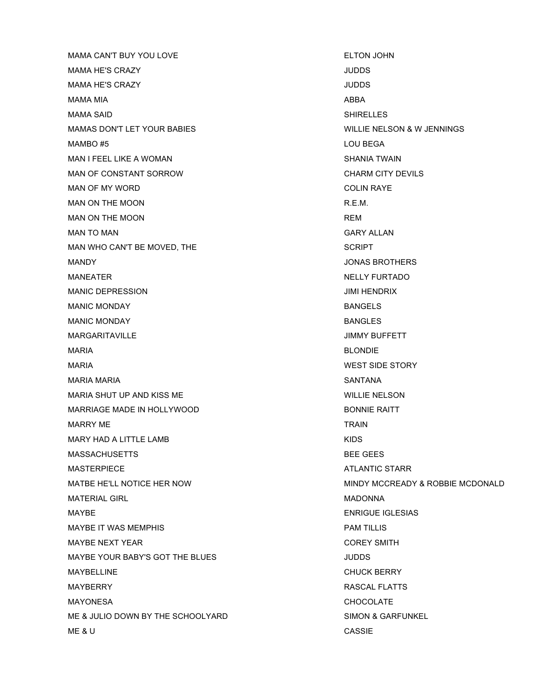MAMA CAN'T BUY YOU LOVE ELTON JOHN MAMA HE'S CRAZY **SECULIAR SECURITY CONTROL** MAMA HE'S CRAZY JUDDS MAMA MIA ABBA MAMA SAID SHIRELLES MAMAS DON'T LET YOUR BABIES WILLIE NELSON & WIENNINGS MAMBO #5 LOU BEGA MAN I FEEL LIKE A WOMAN SHANIA TWAIN MAN OF CONSTANT SORROW GALLER CHARM CITY DEVILS MAN OF MY WORD GOLIN RAYE MAN ON THE MOON **R.E.M.** MAN ON THE MOON REM MAN TO MAN GARY ALLAN MAN WHO CAN'T BE MOVED, THE SCRIPT MANDY JONAS BROTHERS MANEATER NELLY FURTADO MANIC DEPRESSION JIMI HENDRIX MANIC MONDAY BANGELS MANIC MONDAY BANGLES MARGARITAVILLE **A CONSTRUCTED A CONSTRUCT OF A CONSTRUCT OF A CONSTRUCT OF A CONSTRUCT OF A CONSTRUCT OF A CONSTRUCTION** MARIA BLONDIE MARIA **WEST SIDE STORY** MARIA MARIA SANTANA MARIA SHUT UP AND KISS ME WILLIE NELSON MARRIAGE MADE IN HOLLYWOOD **BONNIE RAITT** MARRY ME **TRAIN** MARY HAD A LITTLE LAMB **KIDS** MASSACHUSETTS BEE GEES MASTERPIECE ATLANTIC STARR AND THE MASTER STARR AND THE MASTER OF A SET OF A SET OF A SET OF A SET OF A SET OF A SET OF A SET OF A SET OF A SET OF A SET OF A SET OF A SET OF A SET OF A SET OF A SET OF A SET OF A SET OF A S MATERIAL GIRL NATURAL GIRL MADONNA NATURAL GIRL MADONNA MAYBE ENRIGUE IGLESIAS MAYBE IT WAS MEMPHIS **EXECUTE A SET A SET A SET AND RESIDENT PAM TILLIS** MAYBE NEXT YEAR COREY SMITH MAYBE YOUR BABY'S GOT THE BLUES **SAMPLE SERVICES** MAYBELLINE CHUCK BERRY MAYBERRY RASCAL FLATTS MAYONESA CHOCOLATE ME & JULIO DOWN BY THE SCHOOLYARD SIMON & GARFUNKEL ME & U CASSIE

MATBE HE'LL NOTICE HER NOW MINDY MCCREADY & ROBBIE MCDONALD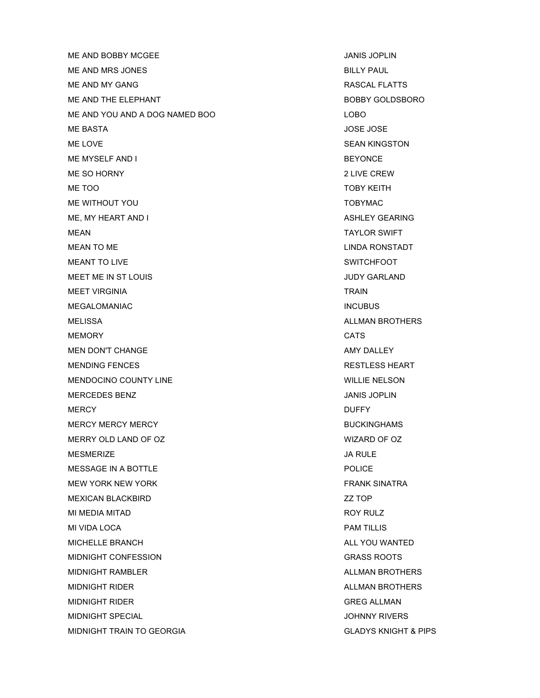ME AND BOBBY MCGEE AND THE SERVICE STATES AND STANDARD ME AND SUPLIN ME AND MRS JONES BILLY PAUL ME AND MY GANG RASCAL FLATTS ME AND THE ELEPHANT **BOBBY GOLDSBORO** ME AND YOU AND A DOG NAMED BOO LOBO LOBO ME BASTA DE DE LOS EN 1999 E LOS EN 1999 E LOS EN 1999 E LOS E LOS E LOS E LOS E LOS ESTE DE LOS ESTE DE LOS E ME LOVE GEAN KINGSTON SEAN KINGSTON ME MYSELF AND I BEYONCE ME SO HORNY 2008 22 LIVE CREW ME TOO TOBY KEITH ME WITHOUT YOU GO TOBY TOBY MALL TO BE A TOBY MALL TO BE A TOBY MALL. ME, MY HEART AND I ASHLEY GEARING MEAN TAYLOR SWIFT MEAN TO ME LINDA RONSTADT MEANT TO LIVE SWITCHFOOT MEET ME IN ST LOUIS **A ST LOUIS A ST LOUIS AND A ST LOUIS** A ST LOUIS AND MEET ME IN ST LOUIS MEET VIRGINIA TRAIN TRAIN MEGALOMANIAC **INCUBUS** MELISSA ALLE AND ALLE AND ALLE AND ALLE AND ALLE AND ALLE AND ALLE AND ALLE AND ALLE AND ALLE AND ALLE AND ALLE MEMORY CATS MEN DON'T CHANGE AMY DALLEY MENDING FENCES **RESTLESS HEART** MENDOCINO COUNTY LINE WILLIE NELSON MERCEDES BENZ JANIS JOPLIN MERCY DUFFY MERCY MERCY MERCY **AND READ ASSESS** MERCY MERCY MERCY BUCKINGHAMS MERRY OLD LAND OF OZ WIZARD OF OZ MESMERIZE JA RULE MESSAGE IN A BOTTLE POLICE MEW YORK NEW YORK FRANK SINATRA MEXICAN BLACKBIRD **WEXICAN BLACKBIRD AND A STATE OF A STATE OF A STATE OF A STATE OF A STATE OF A STATE OF A STATE OF A STATE OF A STATE OF A STATE OF A STATE OF A STATE OF A STATE OF A STATE OF A STATE OF A STATE OF A S** MI MEDIA MITAD ROY RULZ MI VIDA LOCA PAM TILLIS MICHELLE BRANCH ALL YOU WANTED MIDNIGHT CONFESSION GRASS ROOTS MIDNIGHT RAMBLER **ALLMAN BROTHERS** MIDNIGHT RIDER **ALLMAN BROTHERS** MIDNIGHT RIDER GREG ALLMAN MIDNIGHT SPECIAL **AND ALL AND A SECOND CONSUMING A SECOND VIOLATION** OF A SUMPLET OF A SUMPLET OF A SUMPLET OF A SUMPLET OF A SUMPLET OF A SUMPLET OF A SUMPLET OF A SUMPLET OF A SUMPLET OF A SUMPLET OF A SUMPLET OF A SUMPL MIDNIGHT TRAIN TO GEORGIA GLADYS KNIGHT & PIPS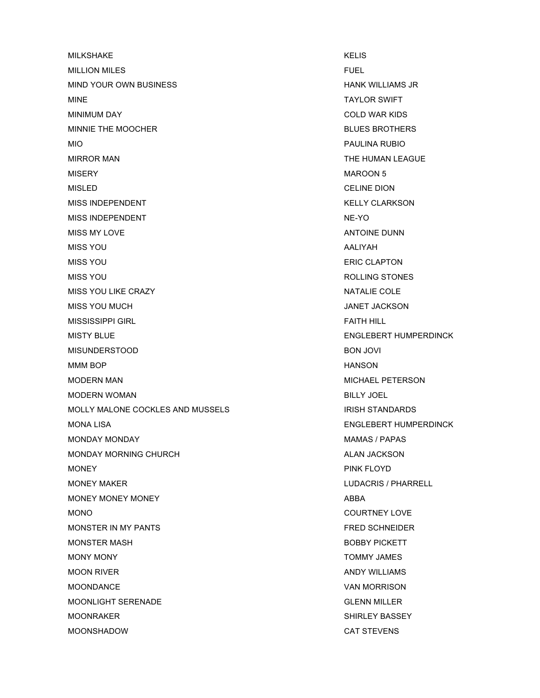MILKSHAKE KELIS MILLION MILES FUEL MIND YOUR OWN BUSINESS **HANK WILLIAMS JR** MINE TAYLOR SWIFT MINIMUM DAY COLD WAR KIDS MINNIE THE MOOCHER **BLUES BROTHERS** MIO PAULINA RUBIO MIRROR MAN THE HUMAN LEAGUE MISERY MAROON 5 MISLED CELINE DION MISS INDEPENDENT THE RESERVE OF THE RESERVE AND MISS INDEPENDENT MISS INDEPENDENT NE-YO MISS MY LOVE ANTOINE DUNN MISS YOU ALIYAH ALIYAH ALIYAH ALIYAH ALIYAH ALIYAH ALIYAH ALIYAH ALIYAH ALIYAH ALIYAH ALIYAH ALIYAH ALIYAH ALI MISS YOU ERIC CLAPTON MISS YOU GENERAL BURGES AND ROLLING STONES MISS YOU LIKE CRAZY NATALIE COLE MISS YOU MUCH GENERAL MISS YOU MUCH AND THE SAME OF THE SAME OF THE SAME OF THE SAME OF THE SAME OF THE SAME O MISSISSIPPI GIRL FAITH HILL FAITH HILL MISTY BLUE THE ENGLEBERT HUMPERDINCK MISUNDERSTOOD BON JOVI MMM BOP **HANSON** MODERN MAN MODERN MAN MICHAEL PETERSON MODERN WOMAN BILLY JOEL MOLLY MALONE COCKLES AND MUSSELS IN THE RESERVE THAT IN THE RESERVE THAT IN THE RESERVE THAT AND THE RESERVE TH MONA LISA ENGLEBERT HUMPERDINCK MONDAY MONDAY MAMAS / PAPAS MONDAY MORNING CHURCH ALAN JACKSON MONEY PINK FLOYD MONEY MAKER **MAKER LUDACRIS** / PHARRELL MONEY MONEY MONEY ABBA MONO COURTNEY LOVE MONSTER IN MY PANTS FRED SCHNEIDER MONSTER MASH BOBBY PICKETT MONY MONY TOMMY JAMES MOON RIVER AND THE SERVICE SERVICE SERVICES AND AND Y WILLIAMS MOONDANCE VAN MORRISON MOONLIGHT SERENADE GLENN MILLER MOONRAKER SHIRLEY BASSEY MOONSHADOW CAT STEVENS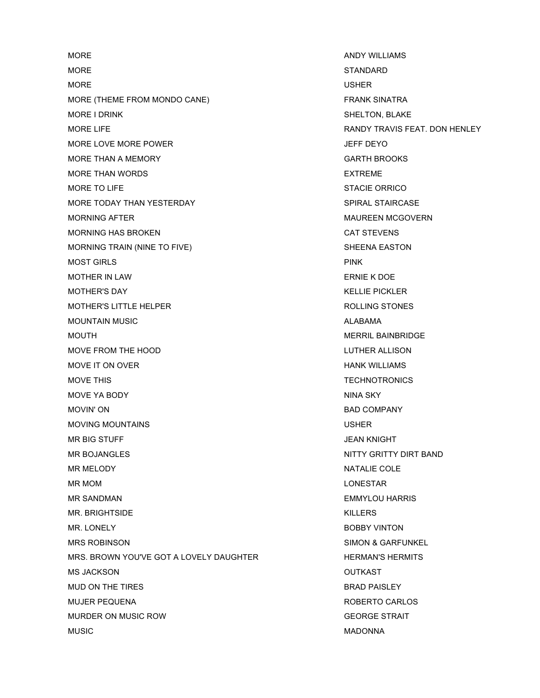MORE AND Y WILLIAMS MORE STANDARD NOTE: MORE USHER MORE (THEME FROM MONDO CANE) FRANK SINATRA MORE I DRINK SHELTON, BLAKE MORE LIFE **EXECUTE RANDY TRAVIS FEAT. DON HENLEY** MORE LOVE MORE POWER JEFF DEYO MORE THAN A MEMORY **EXECUTE A MORE THAN A MEMORY GARTH BROOKS** MORE THAN WORDS **EXTREME** MORE TO LIFE STACIE ORRICO MORE TODAY THAN YESTERDAY SPIRAL STAIRCASE MORNING AFTER THE MAURE OF THE MAURE OF THE MAURE OF MAURE OF MAURE OF MAURE OF THE MAIL OF THE MAIL OF THE MA MORNING HAS BROKEN CAT STEVENS MORNING TRAIN (NINE TO FIVE) SHEENA EASTON MOST GIRLS PINK MOTHER IN LAW **ERNIE K DOE** MOTHER'S DAY KELLIE PICKLER MOTHER'S LITTLE HELPER **ROLLING STONES** MOUNTAIN MUSIC **ALABAMA** MOUTH MERRIL BAINBRIDGE MOVE FROM THE HOOD **LUTHER ALLISON** MOVE IT ON OVER **HANK WILLIAMS** MOVE THIS **TECHNOTRONICS** MOVE YA BODY NINA SKY MOVIN' ON BAD COMPANY MOVING MOUNTAINS **NOW SERVICE SERVICES** USHER MR BIG STUFF JEAN KNIGHT MR BOJANGLES NITTY GRITTY DIRT BAND MR MELODY NATALIE COLE MR MOM **NATURAL SERVICE STARK SERVICES** SERVICES AND MR MOM **LONESTAR** MR SANDMAN EMMYLOU HARRIS MR. BRIGHTSIDE **KILLERS** MR. LONELY **BOBBY VINTON** MRS ROBINSON SIMON & GARFUNKEL MRS. BROWN YOU'VE GOT A LOVELY DAUGHTER HERMAN'S HERMITS MS JACKSON OUTKAST MUD ON THE TIRES **BRAD PAISLEY** MUJER PEQUENA ROBERTO CARLOS MURDER ON MUSIC ROW GEORGE STRAIT MUSIC MADONNA NEWSPAPE RELATIONS OF MADONNA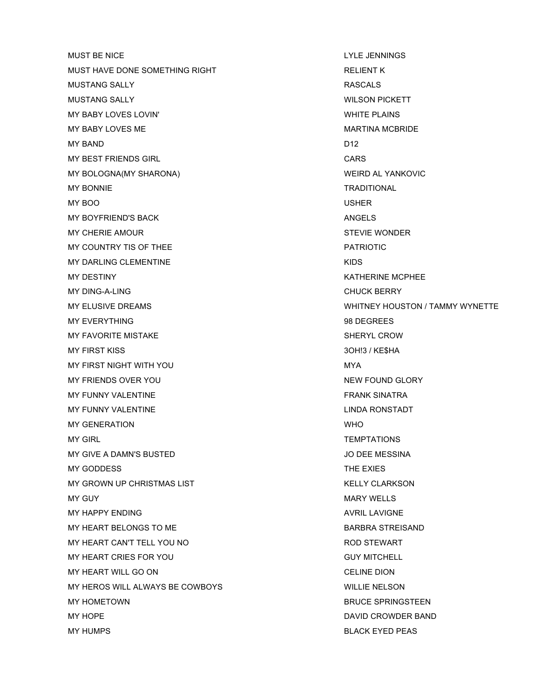MUST BE NICE **LYLE JENNINGS** MUST HAVE DONE SOMETHING RIGHT **RELIGION CONTROLLER WAS ARRIVED FOR A RELIENT K** MUSTANG SALLY RASCALS MUSTANG SALLY WILSON PICKETT MY BABY LOVES LOVIN' WHITE PLAINS MY BABY LOVES ME MARTINA MCBRIDE MY BAND D12 MY BEST FRIENDS GIRL **CARS** MY BOLOGNA(MY SHARONA) WEIRD AL YANKOVIC MY BONNIE TRADITIONAL MY BOO USHER MY BOYFRIEND'S BACK ANGELS MY CHERIE AMOUR **STEVIE WONDER** MY COUNTRY TIS OF THEE **EXECUTE A TEST OF THE PATRIOTIC** MY DARLING CLEMENTINE **KIDS** MY DESTINY GERMANY AND RESTINY AND RESTINY AND RESTINY AND RESTINY AND RESTINY AND RESTINY AND RESTINY AND RESTING ASSESSMENT OF THE STATE OF THE STATE OF THE STATE OF THE STATE OF THE STATE OF THE STATE OF THE STATE OF TH MY DING-A-LING CHUCK BERRY CHUCK BERRY MY EVERYTHING 88 PEGREES MY FAVORITE MISTAKE SHERYL CROW MY FIRST KISS 3OH!3 / KE\$HA MY FIRST NIGHT WITH YOU GO AND THE STATE OF THE MYA MY FRIENDS OVER YOU NEW YOU ALLOWED A SERVICE OF A SERVICE OF A SERVICE OF A SERVICE OF A SERVICE OF A SERVICE OF A SERVICE OF A SERVICE OF A SERVICE OF A SERVICE OF A SERVICE OF A SERVICE OF A SERVICE OF A SERVICE OF A SE MY FUNNY VALENTINE THE RESERVE OF THE RESERVE SINATRA MY FUNNY VALENTINE LINDA RONSTADT MY GENERATION WHO MY GIRL TEMPTATIONS MY GIVE A DAMN'S BUSTED **A MALLE A DAMN'S BUSTED JO DEE MESSINA** MY GODDESS THE EXIES MY GROWN UP CHRISTMAS LIST **KELLY CLARKSON** MY GUY AND THE SERVICE OF THE SERVICE OF THE SERVICE OF THE MARY WELLS AND MARY WELLS MY HAPPY ENDING AVRIL LAVIGNE MY HEART BELONGS TO ME BARBRA STREISAND MY HEART CAN'T TELL YOU NO GALLERY AND STEWART MY HEART CRIES FOR YOU GUY MITCHELL MY HEART WILL GO ON CELINE DION MY HEROS WILL ALWAYS BE COWBOYS WILLIE NELSON MY HOMETOWN BRUCE SPRINGSTEEN MY HOPE DAVID CROWDER BAND MY HUMPS BLACK EYED PEAS

MY ELUSIVE DREAMS **WHITNEY HOUSTON / TAMMY WYNETTE**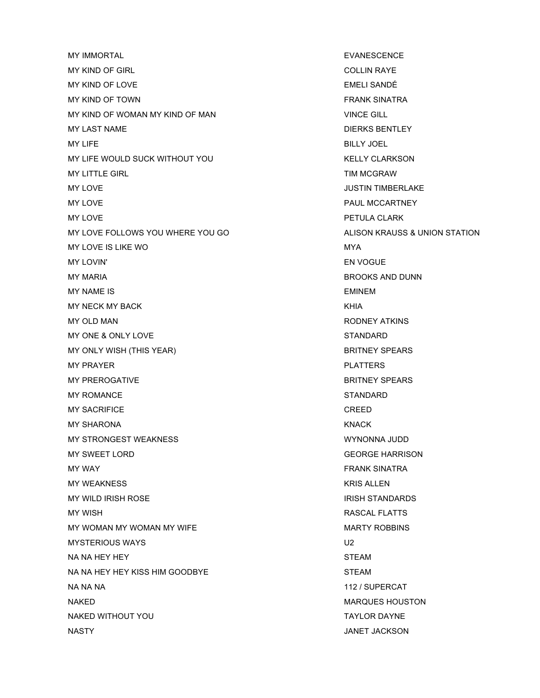MY IMMORTAL **EXAMPLE SERVICE SERVICE SERVICE** MY KIND OF GIRL COLLIN RAYE MY KIND OF LOVE THE SANDÉ EMELI SANDÉ MY KIND OF TOWN FRANK SINATRA MY KIND OF WOMAN MY KIND OF MAN VINCE GILL MY LAST NAME DIERKS BENTLEY MY LIFE BILLY JOEL AND THE BILLY JOEL AND THE BILLY JOEL AND THE BILLY JOEL AND THE BILLY JOEL AND THE BILLY JOEL AND THE BILLY JOEL AND THE BILLY JOEL AND THE BILLY JOEL AND THE BILLY JOEL AND THE BILLY JOEL AND THE BILLY MY LIFE WOULD SUCK WITHOUT YOU GALLY CLARKSON MY LITTLE GIRL TIM MCGRAW MY LOVE **A STATE OF A STATE OF A STATE OF A STATE OF A STATE OF A STATE OF A STATE OF A STATE OF A STATE OF A ST** MY LOVE **PAUL MCCARTNEY** MY LOVE **PETULA CLARK** MY LOVE FOLLOWS YOU WHERE YOU GO ALISON KRAUSS & UNION STATION MY LOVE IS LIKE WO MYA MY LOVIN' EN VOGUE MY MARIA BROOKS AND DUNN MY NAME IS EMINEM MY NECK MY BACK AND THE SERIES OF THE SERIES WAS ARRESTED FOR A SERIES OF THE SERIES OF THE SERIES OF THE SERIES OF THE SERIES OF THE SERIES OF THE SERIES OF THE SERIES OF THE SERIES OF THE SERIES OF THE SERIES OF THE SERI MY OLD MAN RODNEY ATKINS MY ONE & ONLY LOVE STANDARD MY ONLY WISH (THIS YEAR) BRITNEY SPEARS MY PRAYER **PLATTERS** MY PREROGATIVE **BRITNEY SPEARS** MY ROMANCE STANDARD STANDARD MY SACRIFICE **CREED** MY SHARONA KNACK KNACK MY STRONGEST WEAKNESS WYNONNA JUDD MY SWEET LORD GEORGE HARRISON MY WAY GENERAL MANUSING THE SERVICE OF THE SERVICE OF THE SERVICE OF THE SERVICE OF THE SERVICE OF THE SERVICE OF THE SERVICE OF THE SERVICE OF THE SERVICE OF THE SERVICE OF THE SERVICE OF THE SERVICE OF THE SERVICE OF THE MY WEAKNESS **KRIS ALLEN** MY WILD IRISH ROSE IN A 1990 STANDARD WAS STANDARDS IRISH STANDARDS MY WISH GENERAL FLATTS AND RESIDENCE IN A SAFEKEEPING CONTROL IN A SAFEKEEPING OF THE RASCAL FLATTS MY WOMAN MY WOMAN MY WIFE MARTY ROBBINS MYSTERIOUS WAYS **U2** NA NA HEY HEY STEAM STEAM STEAM AND THE STEAM STEAM STEAM STEAM STEAM STEAM STEAM STEAM STEAM STEAM STEAM STEAM NA NA HEY HEY KISS HIM GOODBYE STEAM NA NA NA 112 / SUPERCAT NAKED MARQUES HOUSTON NAKED WITHOUT YOU GO TAYLOR DAYNE NASTY JANET JACKSON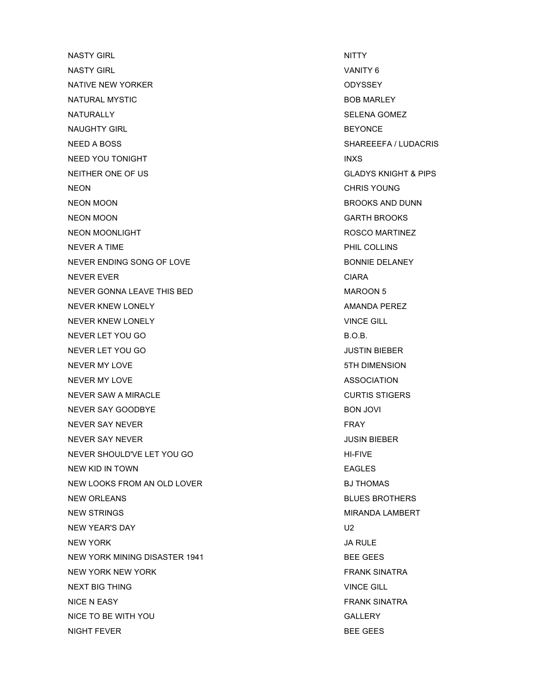NASTY GIRL NASTY GIRL NITTY NASTY GIRL NITTY AND THE SERIES OF THE SERIES OF THE SERIES OF THE SERIES OF THE S NASTY GIRL VANITY 6 NATIVE NEW YORKER ODYSSEY NATURAL MYSTIC **BOB MARLEY** NATURALLY SELENA GOMEZ NAUGHTY GIRL BEYONCE NEED A BOSS SHAREEFA / LUDACRIS NEED YOU TONIGHT IN A SERVER SERVER TO A SERVER SERVER TO A SERVER SERVER TO A SERVER TO A SERVER TO A SERVER TO NEITHER ONE OF US GLADYS KNIGHT & PIPS NEON CHRIS YOUNG NEON MOON BROOKS AND DUNN NEON MOON GARTH BROOKS NEON MOONLIGHT **ROSCO MARTINEZ** NEVER A TIME **PHIL COLLINS** NEVER ENDING SONG OF LOVE BONNIE DELANEY NEVER EVER **CIARA** NEVER GONNA LEAVE THIS BED MAROON 5 NEVER KNEW LONELY **AMANDA PEREZ** NEVER KNEW LONELY **VINCE GILL** NEVER LET YOU GO B.O.B. NEVER LET YOU GO JUSTIN BIEBER NEVER MY LOVE **1999 STH DIMENSION** NEVER MY LOVE ASSOCIATION NEVER SAW A MIRACLE CURTIS STIGERS NEVER SAY GOODBYE BON JOVI NEVER SAY NEVER FRAY THE SAN ASSESSMENT OF THE SAN ASSESSMENT OF THE SAN ASSESSMENT OF THE SAN ASSESSMENT OF THE SAN ASSESSMENT OF THE SAN ASSESSMENT OF THE SAN ASSESSMENT OF THE SAN ASSESSMENT OF THE SAN ASSESSMENT OF THE NEVER SAY NEVER JUSIN BIEBER NEVER SHOULD'VE LET YOU GO HI-FIVE NEW KID IN TOWN **EAGLES** NEW LOOKS FROM AN OLD LOVER **BJ THOMAS** NEW ORLEANS **BLUES BROTHERS** NEW STRINGS NEW STRINGS AND REGISTER A STRINGS AND REGISTER A STRINGS AND REGISTER A STRING OF STRING AND REGISTER A STRING OF STRING AND REGISTER A STRING OF STRING AND REGISTER A STRING OF STRING AND REGISTER A STRING OF NEW YEAR'S DAY U2 NEW YORK SERVICE SERVICE SERVICE SERVICE SERVICE SERVICE SERVICE SERVICE SERVICE SERVICE SERVICE SERVICE SERVICE NEW YORK MINING DISASTER 1941 BEE GEES NEW YORK NEW YORK FRANK SINATRA NEXT BIG THING **VINCE GILL** NICE N EASY FRANK SINATRA NICE TO BE WITH YOU GALLERY GALLERY NIGHT FEVER **BEE GEES**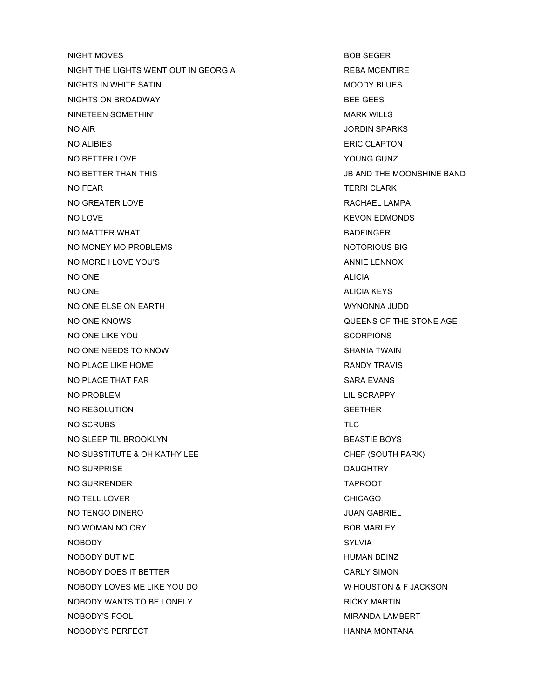NIGHT MOVES **BOB SEGER** NIGHT THE LIGHTS WENT OUT IN GEORGIA REBA MCENTIRE NIGHTS IN WHITE SATIN **MOODY BLUES** NIGHTS ON BROADWAY **BEE GEES** NINETEEN SOMETHIN' NEWSLET WARE SOMETHING A SALE OF THE MARK WILLS WARK WILLS NO AIR JORDIN SPARKS NO ALIBIES ERIC CLAPTON NO BETTER LOVE THE SERIES OF THE SERIES OF THE SERIES OF THE SERIES OF THE SERIES OF THE SERIES OF THE SERIES OF THE SERIES OF THE SERIES OF THE SERIES OF THE SERIES OF THE SERIES OF THE SERIES OF THE SERIES OF THE SERIES NO BETTER THAN THIS JB AND THE MOONSHINE BAND NO FEAR TERRI CLARK TERRI CLARK NO GREATER LOVE **RACHAEL LAMPA** NO LOVE **KEVON EDMONDS** NO MATTER WHAT **BADFINGER** NO MONEY MO PROBLEMS NOTORIOUS BIG NO MORE I LOVE YOU'S **ANNIE LENNOX** ANNIE LENNOX NO ONE ALICIA AND A LICIA NO ONE ALICIA KEYS NO ONE ELSE ON EARTH WYNONNA JUDD NO ONE KNOWS QUEENS OF THE STONE AGE NO ONE LIKE YOU SCORPIONS NO ONE NEEDS TO KNOW SHANIA TWAIN NO PLACE LIKE HOME **RANDY TRAVIS** NO PLACE THAT FAR SARA EVANS NO PROBLEM LIL SCRAPPY NO RESOLUTION SEETHER NO SCRUBS TLC NO SLEEP TIL BROOKLYN BEASTIE BOYS NO SUBSTITUTE & OH KATHY LEE CHEF (SOUTH PARK) NO SURPRISE DAUGHTRY NO SURRENDER TAPROOT NO TELL LOVER **CHICAGO** NO TENGO DINERO JUAN GABRIEL NO WOMAN NO CRY BOB MARLEY NOBODY SYLVIA NOBODY BUT ME **HUMAN BEINZ** NOBODY DOES IT BETTER CARLY SIMON NOBODY LOVES ME LIKE YOU DO WE HOUSTON & F JACKSON NOBODY WANTS TO BE LONELY **RICKY MARTIN** NOBODY'S FOOL And the state of the state of the state of the MIRANDA LAMBERT MIRANDA LAMBERT NOBODY'S PERFECT **HANNA MONTANA**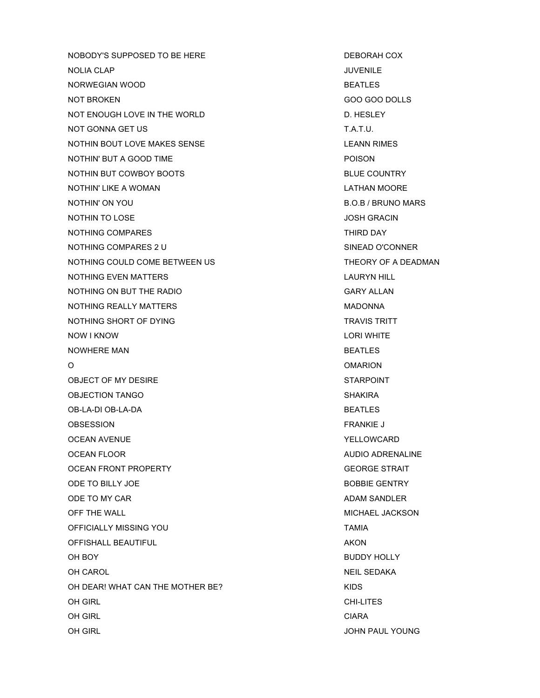NOBODY'S SUPPOSED TO BE HERE DEBORAH COX NOLIA CLAP JUVENILE NORWEGIAN WOOD BEATLES NOT BROKEN GOO GOO DOLLS NOT ENOUGH LOVE IN THE WORLD **EXAMPLE AND THE SECTION** D. HESLEY NOT GONNA GET US T.A.T.U. NOTHIN BOUT LOVE MAKES SENSE LEANN RIMES NOTHIN' BUT A GOOD TIME **EXAMPLE A SECURITY POISON** NOTHIN BUT COWBOY BOOTS BLUE COUNTRY NOTHIN' LIKE A WOMAN LATHAN MOORE NOTHIN' LIKE A WOMAN NOTHIN' ON YOU B.O.B / BRUNO MARS NOTHIN TO LOSE AND TO LOSE A SERVER TO LOSE A SUITE OF THE SERVER OF THE SERVER OF THE SERVER OF THE SERVER OF THE SERVER OF THE SERVER OF THE SERVER OF THE SERVER OF THE SERVER OF THE SERVER OF THE SERVER OF THE SERVER OF NOTHING COMPARES THIRD DAY NOTHING COMPARES 2 U SINEAD O'CONNER NOTHING COULD COME BETWEEN US THEORY OF A DEADMAN NOTHING EVEN MATTERS LAURYN HILL NOTHING ON BUT THE RADIO GARY ALLAN NOTHING REALLY MATTERS **MADONNA** NOTHING SHORT OF DYING TRAVIS TRITT NOW I KNOW LORI WHITE NOWHERE MAN BEATLES O COMPONENT CONSUMING THE COMPONENT COMPONENT COMPONENT COMPONENT COMPONENT COMPONENT COMPONENT COMPONENT COMP OBJECT OF MY DESIRE STARPOINT OBJECTION TANGO NATURAL SHAKIRA NG MASA NG SHAKIRA NA SHAKIRA NA SHAKIRA NA SHAKIRA NA SHAKIRA NA SHAKIRA NA SHAKIRA NA SHAKIRA NA SHAKIRA NA SHAKIRA NA SHAKIRA NA SHAKIRA NA SHAKIRA NA SHAKIRA NA SHAKIRA NA SHAKIRA NA SHA OB-LA-DI OB-LA-DA BEATLES OBSESSION FRANKIE J OCEAN AVENUE THE SERVICE OF THE SERVICE OF THE SERVICE OF THE SERVICE OF THE SERVICE OF THE SERVICE OF THE SERVICE OF THE SERVICE OF THE SERVICE OF THE SERVICE OF THE SERVICE OF THE SERVICE OF THE SERVICE OF THE SERVICE OF OCEAN FLOOR AUDIO ADRENALINE OCEAN FRONT PROPERTY **Example 20 and 20 and 20 and 20 and 20 and 20 and 20 and 20 and 20 and 20 and 20 and 20 and 20 and 20 and 20 and 20 and 20 and 20 and 20 and 20 and 20 and 20 and 20 and 20 and 20 and 20 and 20 and 20** ODE TO BILLY JOE GENTRY AND THE SERVICE OF A SAFEKEEPING AND THE BOBBIE GENTRY ODE TO MY CAR ADAM SANDLER ADAM SANDLER OFF THE WALL **MICHAEL JACKSON** OFFICIALLY MISSING YOU **TAMIA** OFFISHALL BEAUTIFUL **AKON** OH BOY BUDDY HOLLY OH CAROL NEIL SEDAKA NEIL SEDAKA NEIL SEDAKA NEIL SEDAKA NEIL SEDAKA NEIL SEDAKA NEIL SEDAKA NEIL SEDAKA NEIL SEDAKA NEIL SEDAKA NEIL SEDAKA NEIL SEDAKA NEIL SEDAKA NEIL SEDAKA NEIL SEDAKA NEIL SEDAKA NEIL SEDAKA NEIL SEDA OH DEAR! WHAT CAN THE MOTHER BE? KIDS OH GIRL CHI-LITES OH GIRL CIARA OH GIRL JOHN PAUL YOUNG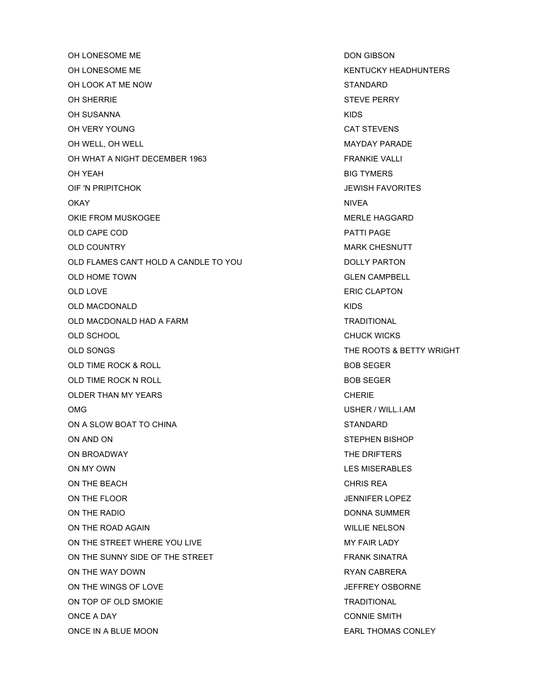OH LONESOME ME DON GIBSON OH LONESOME ME KENTUCKY HEADHUNTERS OH LOOK AT ME NOW STANDARD OH SHERRIE STEVE PERRY OH SUSANNA KIDS OH VERY YOUNG CAT STEVENS OH WELL, OH WELL MAYDAY PARADE OH WHAT A NIGHT DECEMBER 1963 FRANKIE VALLI OH YEAH BIG TYMERS OIF 'N PRIPITCHOK JEWISH FAVORITES OKAY NIVEA OKIE FROM MUSKOGEE AND THE MERLE HAGGARD OLD CAPE COD **PATTI PAGE** OLD COUNTRY **MARK CHESNUTT** OLD FLAMES CAN'T HOLD A CANDLE TO YOU DOLLY PARTON OLD HOME TOWN GLEN CAMPBELL OLD LOVE **ERIC CLAPTON** OLD MACDONALD **KIDS** OLD MACDONALD HAD A FARM TRADITIONAL OLD SCHOOL CHUCK WICKS OLD SONGS THE ROOTS & BETTY WRIGHT OLD TIME ROCK & ROLL BOB SEGER OLD TIME ROCK N ROLL BOB SEGER OLDER THAN MY YEARS **CHERIE** OMG USHER / WILL.I.AM ON A SLOW BOAT TO CHINA STANDARD STANDARD ON AND ON STEPHEN BISHOP ON BROADWAY **THE DRIFTERS** ON MY OWN LES MISERABLES ON THE BEACH CHRIS REA ON THE FLOOR GOVERNMENT CONSUMING THE RESERVE THAT A SERVER THE RESERVE THAT A SERVER AND THE RESERVE THAT A SERVER AND THE RESERVE THAT A SERVER OF THE RESERVE THAT A SERVER OF THE RESERVE THAT A SERVER OF THE RESERVE THA ON THE RADIO DONNA SUMMER ON THE ROAD AGAIN WILLIE NELSON ON THE STREET WHERE YOU LIVE MY FAIR LADY ON THE SUNNY SIDE OF THE STREET FRANK SINATRA ON THE WAY DOWN GALLER WAY THE WAY DOWN RYAN CABRERA ON THE WINGS OF LOVE THE SERVICE ON THE WINGS OF LOVE ON TOP OF OLD SMOKIE TRADITIONAL ONCE A DAY CONNIE SMITH

ONCE IN A BLUE MOON EARL THOMAS CONLEY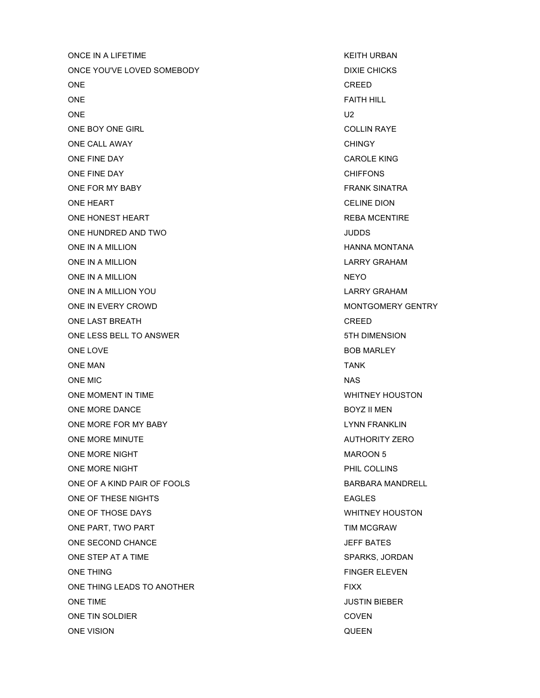ONCE IN A LIFETIME **KEITH URBAN** ONCE YOU'VE LOVED SOMEBODY DIXIE CHICKS ONE CREED AND CREED AND LOCAL CREED AND LOCAL CREED AND LOCAL CREED AND LOCAL CREED AND LOCAL CREED AND LOCAL CREED ONE THE FAITH HILL CONE ONE U2 ONE BOY ONE GIRL GALLIN RAYE ONE CALL AWAY **CHINGY CHINGY** ONE FINE DAY CAROLE KING ONE FINE DAY **CHIFFONS** ONE FOR MY BABY FRANK SINATRA ONE HEART CELINE DION ONE HONEST HEART **REBA MCENTIRE** ONE HUNDRED AND TWO **SECURE 10** ONE HUNDRED AND TWO ONE IN A MILLION **HANNA MONTANA** ONE IN A MILLION DESCRIPTION AND LARRY GRAHAM ONE IN A MILLION NEYO ONE IN A MILLION YOU **LARRY GRAHAM** ONE IN EVERY CROWD **MONTGOMERY GENTRY** ONE LAST BREATH CREED ONE LESS BELL TO ANSWER 5TH DIMENSION ONE LOVE **BOB MARLEY** ONE MAN TANK ONE MIC NAS ONE MOMENT IN TIME WHITNEY HOUSTON ONE MORE DANCE BOYZ II MEN ONE MORE FOR MY BABY **LYNN FRANKLIN** ONE MORE MINUTE AUTHORITY ZERO ONE MORE NIGHT **MAROON 5** ONE MORE NIGHT **PHIL COLLINS** ONE OF A KIND PAIR OF FOOLS SERVICE SERVICES AND BARBARA MANDRELL ONE OF THESE NIGHTS **EAGLES** ONE OF THOSE DAYS WHITNEY HOUSTON ONE PART, TWO PART THE SERVICE OF THE SERVICE ONE PART TIM MCGRAW ONE SECOND CHANCE THE SECOND ONE SECOND CHANCE ONE STEP AT A TIME SPARKS, JORDAN ONE THING FINGER ELEVEN ONE THING LEADS TO ANOTHER FIXX ONE TIME **SECURE TIME** JUSTIN BIEBER ONE TIN SOLDIER COVEN ONE VISION GUEEN AND THE VISION CONSTRUCTION ON THE VISION OF A SAMPLE OF A SAMPLE OF A SAMPLE OF A SAMPLE OF A SAMPLE OF A SAMPLE OF A SAMPLE OF A SAMPLE OF A SAMPLE OF A SAMPLE OF A SAMPLE OF A SAMPLE OF A SAMPLE OF A SA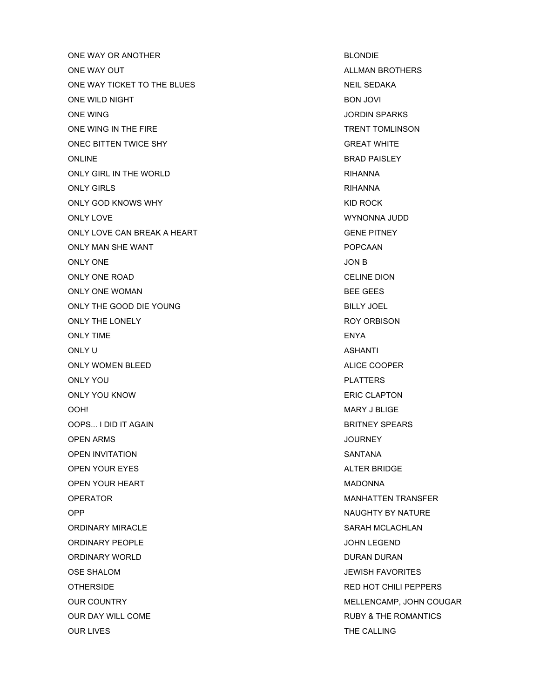ONE WAY OR ANOTHER **BLONDIE** ONE WAY OUT ALLMAN BROTHERS AND RESERVE THE SERVICE ONE WAS ALLMAN BROTHERS. ONE WAY TICKET TO THE BLUES NEIL SEDAKA ONE WILD NIGHT **BON JOVI BON JOVI** ONE WING JORDIN SPARKS ONE WING IN THE FIRE TRENT TOMLINSON ONEC BITTEN TWICE SHY GREAT WHITE ONLINE BRAD PAISLEY ONLY GIRL IN THE WORLD **RIMAL CONLY GIRL IN THE WORLD** ONLY GIRLS **RIMAGING CONLA** ONLY GOD KNOWS WHY **EXAMPLE A SECOND THE ROCK** KID ROCK ONLY LOVE WYNONNA JUDD ONLY LOVE CAN BREAK A HEART GENE PITNEY ONLY MAN SHE WANT **POPCAAN** ONLY ONE JON B ONLY ONE ROAD CELINE DION ONLY ONE WOMAN BEE GEES ONLY THE GOOD DIE YOUNG BILLY JOEL ONLY THE LONELY ROY ORBISON ONLY TIME ENYA ONLY U ASHANTI ANG ASHANTI ANG ASHANTI ANG ASHANTI ANG ASHANTI ANG ASHANTI ANG ASHANTI ANG ASHANTI ANG ASHANTI ONLY WOMEN BLEED ALICE COOPER ONLY YOU DISCOVERING THE CONTROL CONTROL CONTROL CONTROL CONTROL CONTROL CONTROL CONTROL CONTROL CONTROL CONTROL CONTROL CONTROL CONTROL CONTROL CONTROL CONTROL CONTROL CONTROL CONTROL CONTROL CONTROL CONTROL CONTROL CONTR ONLY YOU KNOW ERIC CLAPTON OOH! NARY J BLIGE OOPS... I DID IT AGAIN BRITNEY SPEARS OPEN ARMS JOURNEY OPEN INVITATION SANTANA OPEN YOUR EYES ALTER BRIDGE OPEN YOUR HEART **MADONNA** OPERATOR NAMEL AND THE SERVICE OF STATISTIC MANUAL MANUAL TEAMS FER OPP NAUGHTY BY NATURE ORDINARY MIRACLE **SARAH MCLACHLAN** ORDINARY PEOPLE AND THE SERVICE ORDINARY PEOPLE ORDINARY WORLD **DURAN DURAN DURAN DURAN** OSE SHALOM **DEWISH FAVORITES** OTHERSIDE **RED HOT CHILI PEPPERS** OUR COUNTRY **OUR COUNTRY COUNTRY COUNTRY MELLENCAMP, JOHN COUGAR** OUR DAY WILL COME **RUBY & THE ROMANTICS** OUR LIVES THE CALLING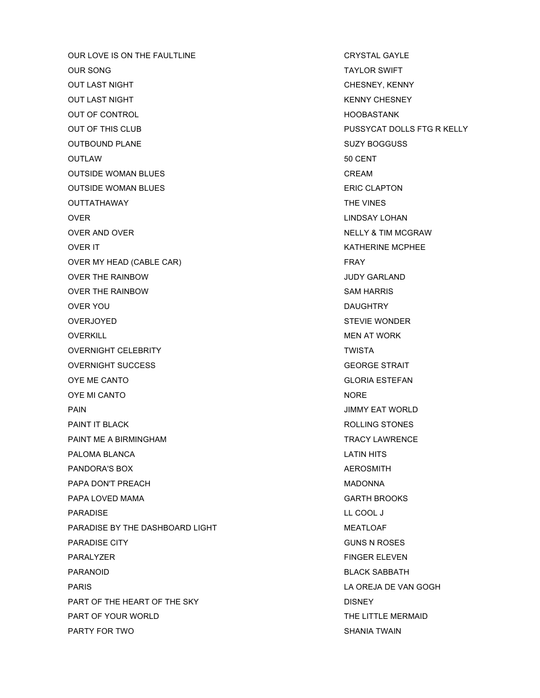OUR LOVE IS ON THE FAULTLINE CRYSTAL GAYLE OUR SONG TAYLOR SWIFT AND RELEASED AT A STRUCK SWIFT AND RELEASED AT A STRUCK SWIFT AND RELEASED AT A STRUCK SWIFT AND RELEASED AT A STRUCK SWIFT AND RELEASED AT A STRUCK SWIFT AND RELEASED AT A STRUCK SWIFT AND RELEASED A OUT LAST NIGHT CHESNEY, KENNY OUT LAST NIGHT KENNY CHESNEY OUT OF CONTROL HOOBASTANK OUT OF THIS CLUB **PUSSYCAT DOLLS FTG R KELLY** OUTBOUND PLANE And the state of the state of the state of the state of the state of the state of the state of the state of the state of the state of the state of the state of the state of the state of the state of the stat OUTLAW 50 CENT OUTSIDE WOMAN BLUES **CREAM** OUTSIDE WOMAN BLUES **ERIC CLAPTON** OUTTATHAWAY **THE VINES** OVER **CONSUMING THE CONSUMING OVER LINDSAY LOHAN** OVER AND OVER NELLY & TIM MCGRAW OVER IT GENERAL BEGINNING TO A SERIES OF THE MAIN SERIES OF THE MAIN SERIES OF THE MAIN SERIES OF THE MAIN SERIES OF THE MAIN SERIES OF THE MAIN SERIES OF THE MAIN SERIES OF THE MAIN SERIES OF THE MAIN SERIES OF THE MAIN S OVER MY HEAD (CABLE CAR) FRAY OVER THE RAINBOW JUDY GARLAND OVER THE RAINBOW SAM HARRIS OVER YOU DAUGHTRY OVERJOYED **STEVIE WONDER** OVERKILL **OVERKILL** AND **A SECURE AT WORK MEN AT WORK** OVERNIGHT CELEBRITY **TWISTA** OVERNIGHT SUCCESS GEORGE STRAIT OYE ME CANTO GLORIA ESTEFAN OYE MI CANTO NORE NORTH THE STATE OF THE STATE OF THE STATE OF THE STATE OF THE STATE OF THE STATE OF THE STATE OF THE STATE OF THE STATE OF THE STATE OF THE STATE OF THE STATE OF THE STATE OF THE STATE OF THE STATE OF THE PAIN JIMMY EAT WORLD PAINT IT BLACK **ROLLING STONES** PAINT ME A BIRMINGHAM TRACY LAWRENCE PALOMA BLANCA LATIN HITS PANDORA'S BOX **AEROSMITH** PAPA DON'T PREACH MADONNA PAPA LOVED MAMA GARTH BROOKS PARADISE LL COOL J PARADISE BY THE DASHBOARD LIGHT MEATLOAF PARADISE CITY GUNS N ROSES PARALYZER FINGER ELEVEN PARANOID BLACK SABBATH PARIS LA OREJA DE VAN GOGH PART OF THE HEART OF THE SKY DISNEY DISNEY PART OF YOUR WORLD **THE LITTLE MERMAID** PARTY FOR TWO SHANIA TWAIN TWO SHANIA TWAIN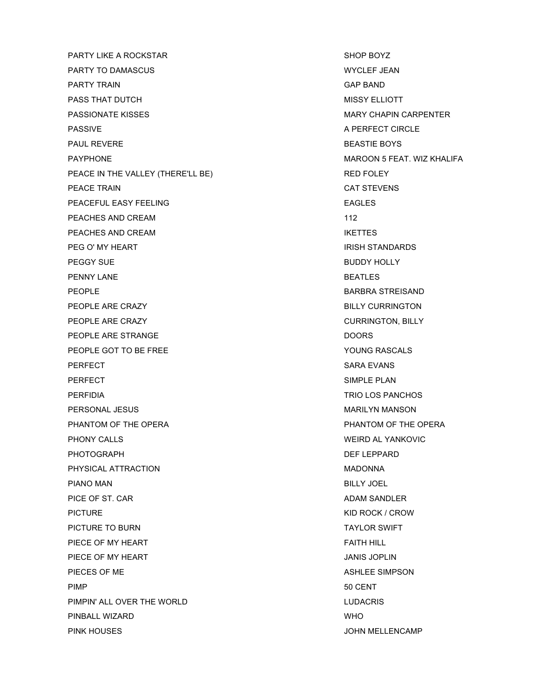PARTY LIKE A ROCKSTAR SHOP BOYZ PARTY TO DAMASCUS WYCLEF JEAN PARTY TRAIN GAP BAND PASS THAT DUTCH GENERAL MISSY ELLIOTT PASSIONATE KISSES AND THE RESERVE THAN A SERIES MARY CHAPIN CARPENTER PASSIVE A PERFECT CIRCLE PAUL REVERE **BEASTIE BOYS** PAYPHONE THE RESERVE OF THE MAROON 5 FEAT. WIZ KHALIFA PEACE IN THE VALLEY (THERE'LL BE) RED FOLEY PEACE TRAIN CAT STEVENS PEACEFUL EASY FEELING THE RESERVE EAGLES PEACHES AND CREAM 112 PEACHES AND CREAM **IKETTES** PEG O' MY HEART **IRISH STANDARDS** PEGGY SUE **BUDDY HOLLY** PENNY LANE BEATLES PEOPLE **BARBRA STREISAND** PEOPLE ARE CRAZY **BILLY CURRINGTON** PEOPLE ARE CRAZY **CURRINGTON, BILLY** PEOPLE ARE STRANGE **DOORS** PEOPLE GOT TO BE FREE YOUNG RASCALS PERFECT SARA EVANS PERFECT SIMPLE PLAN PERFIDIA TRIO LOS PANCHOS PERSONAL JESUS NARILYN MANSON PHANTOM OF THE OPERA **PHANTOM OF THE OPERA** PHONY CALLS **WEIRD AL YANKOVIC** PHOTOGRAPH DEF LEPPARD PHYSICAL ATTRACTION **MADONNA** PIANO MAN BILLY JOEL PICE OF ST. CAR ADAM SANDLER PICTURE **KID ROCK / CROW** PICTURE TO BURN TAYLOR SWIFT PIECE OF MY HEART FAITH HILL FAITH HILL PIECE OF MY HEART JANIS JOPLIN PIECES OF ME ASHLEE SIMPSON PIMP 50 CENT PIMPIN' ALL OVER THE WORLD **LUDACRIS** PINBALL WIZARD WHO PINK HOUSES AND RESERVE THE STATE OF THE STATE OF THE STATE OF THE STATE OF THE STATE OF THE STATE OF THE STATE OF THE STATE OF THE STATE OF THE STATE OF THE STATE OF THE STATE OF THE STATE OF THE STATE OF THE STATE OF THE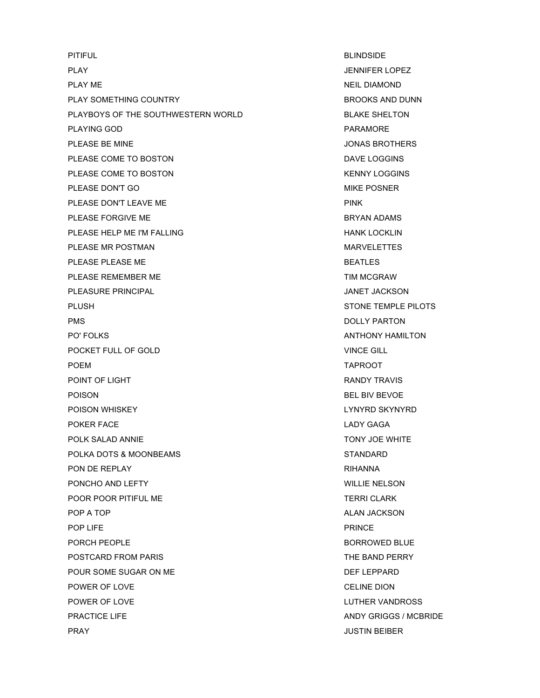PITIFUL BLINDSIDE PLAY **SERVICE SERVICE SERVICE SERVICE SERVICE SERVICE SERVICE SERVICE SERVICE SERVICE SERVICE SERVICE SERVICE SERVICE SERVICE SERVICE SERVICE SERVICE SERVICE SERVICE SERVICE SERVICE SERVICE SERVICE SERVICE SERVICE SERVICE** PLAY ME NEIL DIAMOND PLAY SOMETHING COUNTRY **BROOKS** AND DUNN PLAYBOYS OF THE SOUTHWESTERN WORLD BLAKE SHELTON PLAYING GOD **PARAMORE** PLEASE BE MINE **SECURE ASSESSED FOR A SECURE ASSESSED FOR A SECURE A** JONAS BROTHERS PLEASE COME TO BOSTON DAVE LOGGINS PLEASE COME TO BOSTON **Example 20 YO FOR THE SERVICE SERVICE SERVICE SERVICE SERVICE SERVICE SERVICE SERVICE SERVICE SERVICE SERVICE SERVICE SERVICE SERVICE SERVICE SERVICE SERVICE SERVICE SERVICE SERVICE SERVICE SERVICE S** PLEASE DON'T GO **MIKE POSNER** PLEASE DON'T LEAVE ME **PINK** PLEASE FORGIVE ME **BRYAN ADAMS** PLEASE HELP ME I'M FALLING THE HANK LOCKLING THANK LOCKLING PLEASE MR POSTMAN MARVELETTES PLEASE PLEASE ME BEATLES PLEASE REMEMBER ME THE STATE STATE STATE TIM MCGRAW PLEASURE PRINCIPAL **And the Contract of Contract Contract Contract On the Contract On America** JANET JACKSON PLUSH STONE TEMPLE PILOTS PMS DOLLY PARTON PO' FOLKS ANTHONY HAMILTON POCKET FULL OF GOLD **VINCE GILL** POEM TAPROOT POINT OF LIGHT **RANDY TRAVIS** POISON BEL BIV BEVOE POISON WHISKEY LYNYRD SKYNYRD POKER FACE LADY GAGA POLK SALAD ANNIE TONY JOE WHITE POLKA DOTS & MOONBEAMS STANDARD PON DE REPLAY **RIHANNA** PONCHO AND LEFTY **WILLIE NELSON** POOR POOR PITIFUL ME TERRI CLARK POP A TOP A TOP A TOP A TOP A TOP ALAN JACKSON ALAN JACKSON POP LIFE PRINCE PORCH PEOPLE **BORROWED BLUE** POSTCARD FROM PARIS THE BAND PERRY POUR SOME SUGAR ON ME DEF LEPPARD POWER OF LOVE **CELINE DION** POWER OF LOVE **LUTHER VANDROSS** PRACTICE LIFE AND RESERVE AND ANDY GRIGGS / MCBRIDE **PRAY CONSTRUCTED AT A RESIDENT CONSTRUCTED AND A RESIDENT CONSTRUCTION OF A RESIDENT CONSTRUCTION OF A RESIDENT**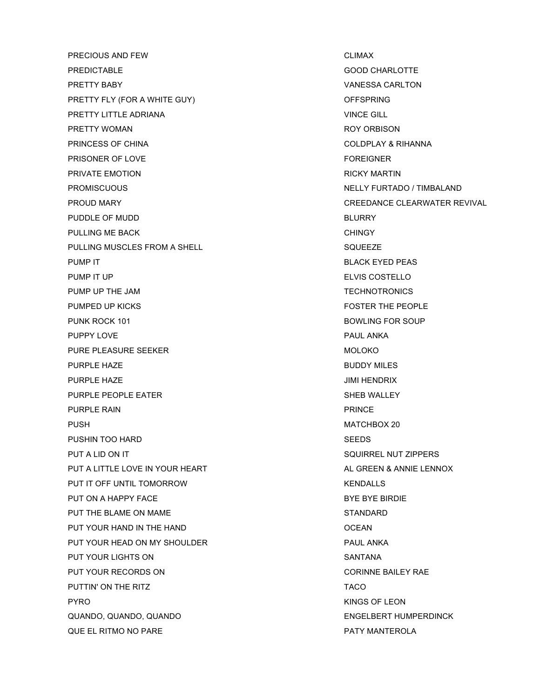PRECIOUS AND FEW CLIMAX PREDICTABLE GOOD CHARLOTTE PRETTY BABY VANESSA CARLTON PRETTY FLY (FOR A WHITE GUY) **CHARGE A MAKE A SET A CHARGE A** CHARGE OFFSPRING PRETTY LITTLE ADRIANA VINCE GILL PRETTY WOMAN **ROY ORBISON** PRINCESS OF CHINA COLDPLAY & RIHANNA PRISONER OF LOVE THE STATE OF A SERIES AND THE STATE OF LOVE THE STATE OF A STATE OF A STATE OF A STATE OF A ST PRIVATE EMOTION **RICKY MARTIN** PROMISCUOUS **NELLY FURTADO / TIMBALAND** PROUD MARY CREEDANCE CLEARWATER REVIVAL PUDDLE OF MUDD BLURRY PULLING ME BACK **CHINGY** PULLING MUSCLES FROM A SHELL SQUEEZE PUMP IT **BLACK EYED PEAS** PUMP IT UP **ELVIS COSTELLO** PUMP UP THE JAM TECHNOTRONICS PUMPED UP KICKS FOSTER THE PEOPLE PUNK ROCK 101 BOWLING FOR SOUP PUPPY LOVE **PUPPY LOVE** PURE PLEASURE SEEKER MOLOKO MOLOKO PURPLE HAZE **BUDDY MILES** PURPLE HAZE **Intervention of the contract of the contract of the contract of the contract of the contract of the contract of the contract of the contract of the contract of the contract of the contract of the contract of t** PURPLE PEOPLE EATER SHEB WALLEY PURPLE RAIN **PURPLE RAIN** PUSH NATCHBOX 20 PUSHIN TOO HARD SEEDS PUT A LID ON IT SALE OF THE SOURT ALLOWS AND THE SOURT ALLOWS AND SOUR RELATIONS OF THE SALE OF THE SALE OF THE SALE OF THE SALE OF THE SALE OF THE SALE OF THE SALE OF THE SALE OF THE SALE OF THE SALE OF THE SALE OF THE SA PUT A LITTLE LOVE IN YOUR HEART ALL CREEN & ANNIE LENNOX PUT IT OFF UNTIL TOMORROW THE SERVICE OF SERVICE SERVICES AND METALLS PUT ON A HAPPY FACE **BUT ON A HAPPY FACE** PUT THE BLAME ON MAME STANDARD STANDARD PUT YOUR HAND IN THE HAND OCEAN PUT YOUR HEAD ON MY SHOULDER PUT YOUR HEAD ON MY SHOULDER PUT YOUR LIGHTS ON SANTANA PUT YOUR RECORDS ON **CORINNE BAILEY RAE** PUTTIN' ON THE RITZ TACO PYRO KINGS OF LEON QUANDO, QUANDO, QUANDO ENGELBERT HUMPERDINCK QUE EL RITMO NO PARE PATY MANTEROLA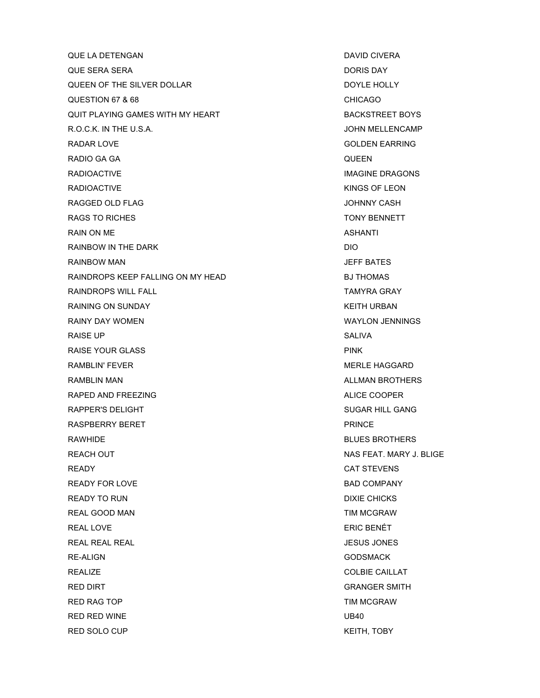QUE LA DETENGAN DAVID CIVERA DAVID CIVERA QUE SERA SERA DORIS DAY QUEEN OF THE SILVER DOLLAR DOYLE HOLLY QUESTION 67 & 68 CHICAGO QUIT PLAYING GAMES WITH MY HEART **BACKSTREET BOYS** R.O.C.K. IN THE U.S.A. **In the U.S.A. COMPLEMENT WAS SERVED ASSESSED.** The U.S.A. **JOHN MELLENCAMP** RADAR LOVE GOLDEN EARRING RADIO GA GA QUEEN RADIOACTIVE **IMAGINE** DRAGONS RADIOACTIVE **KINGS OF LEON** RAGGED OLD FLAG JOHNNY CASH RAGS TO RICHES TO RICHES TO RESERVE TO A LOCAL TO A LOCAL TO A LOCAL TO A LOCAL TO A LOCAL TO A LOCAL TO A LOCAL TO A LOCAL TO A LOCAL TO A LOCAL TO A LOCAL TO A LOCAL TO A LOCAL TO A LOCAL TO A LOCAL TO A LOCAL TO A LOCAL RAIN ON ME ASHANTI RAINBOW IN THE DARK DIO RAINBOW MAN **International Contract Contract Contract Contract Contract Contract Contract Contract Contract Contract Contract Contract Contract Contract Contract Contract Contract Contract Contract Contract Contract Contra** RAINDROPS KEEP FALLING ON MY HEAD BJ THOMAS RAINDROPS WILL FALL TAMYRA GRAY RAINING ON SUNDAY **KEITH URBAN** RAINY DAY WOMEN WAYLON JENNINGS RAISE UP SALIVA RAISE YOUR GLASS **PINK** RAMBLIN' FEVER THE RESERVE THAN A STREET AND RESERVE THE RESERVE THAN A STREET AND MERLE HAGGARD RAMBLIN MAN ALLMAN BROTHERS NAMEL IN THE RAMBLIN MAN RAPED AND FREEZING ALICE COOPER ALICE COOPER RAPPER'S DELIGHT SUGAR HILL GANG RASPBERRY BERET THE PRINCE SERVICE SERVICE SERVICE. RAWHIDE **BLUES BROTHERS** REACH OUT **NAS FEAT. MARY J. BLIGE** READY **CAT STEVENS** READY FOR LOVE **BAD COMPANY** READY TO RUN DIXIE CHICKS REAL GOOD MAN TIM MCGRAW REAL LOVE **ERIC BENÉT** REAL REAL REAL JESUS JONES RE-ALIGN GODSMACK GODSMACK REALIZE COLBIE CAILLAT RED DIRT **GRANGER SMITH** RED RAG TOP **TIM MCGRAW** RED RED WINE UB40 RED SOLO CUP **KEITH, TOBY**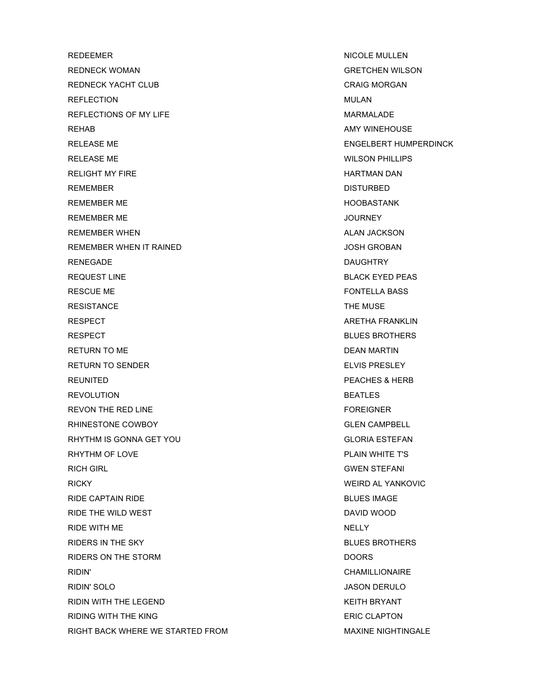REDEEMER NICOLE MULLEN REDNECK WOMAN GRETCHEN WILSON REDNECK YACHT CLUB CRAIG MORGAN REFLECTION **MULAN** REFLECTIONS OF MY LIFE **A REFLECTIONS OF MY LIFE** A REFLECTIONS OF MY LIFE REHAB AMY WINEHOUSE RELEASE ME ENGELSERT HUMPERDINCK RELEASE ME WILSON PHILLIPS RELIGHT MY FIRE **HARTMAN DAN** REMEMBER DISTURBED REMEMBER ME HOOBASTANK REMEMBER ME **All and Service Contract Contract Contract Contract Contract Contract Contract Contract Contract Contract Contract Contract Contract Contract Contract Contract Contract Contract Contract Contract Contract Cont** REMEMBER WHEN ALAN JACKSON ALAN JACKSON REMEMBER WHEN IT RAINED **SECURE 2018 10 STATE AND REMEMBER WHEN IT RAINED** RENEGADE **DAUGHTRY** REQUEST LINE **BLACK EXECUTES BLACK EXED PEAS** RESCUE ME **FONTELLA BASS** RESISTANCE THE MUSE AND THE MUSE THE MUSE RESPECT ARETHA FRANKLIN RESPECT **BLUES BROTHERS** RETURN TO ME DEAN MARTIN RETURN TO SENDER THE SENSITION OF THE SERVICE SERVICE SERVICE SERVICE SERVICE SERVICE SERVICE SERVICE SERVICE S REUNITED PEACHES & HERB REVOLUTION **BEATLES** REVON THE RED LINE FOREIGNER RHINESTONE COWBOY **GLEN CAMPBELL** RHYTHM IS GONNA GET YOU GLORIA ESTEFAN RHYTHM OF LOVE **PLAIN WHITE T'S** RICH GIRL GUESS AND THE GENERAL STEP AND STEED AND STEED AND STEED AND STEED AND STEED AND STEED AND STEED AND STEED AND STEED AND STEED AND STEED AND STEED AND STEED AND STEED AND STEED AND STEED AND STEED AND STEED AND S RICKY WEIRD AL YANKOVIC RIDE CAPTAIN RIDE **BLUES IMAGE** RIDE THE WILD WEST **DAVID WOOD** RIDE WITH ME NELLY RIDERS IN THE SKY **BLUES BROTHERS** RIDERS ON THE STORM DOORS RIDIN' CHAMILLIONAIRE RIDIN' SOLO JASON DERULO RIDIN WITH THE LEGEND **KEITH BRYANT** RIDING WITH THE KING **ERIC CLAPTON** RIGHT BACK WHERE WE STARTED FROM THE SAME OF A MAXINE NIGHTINGALE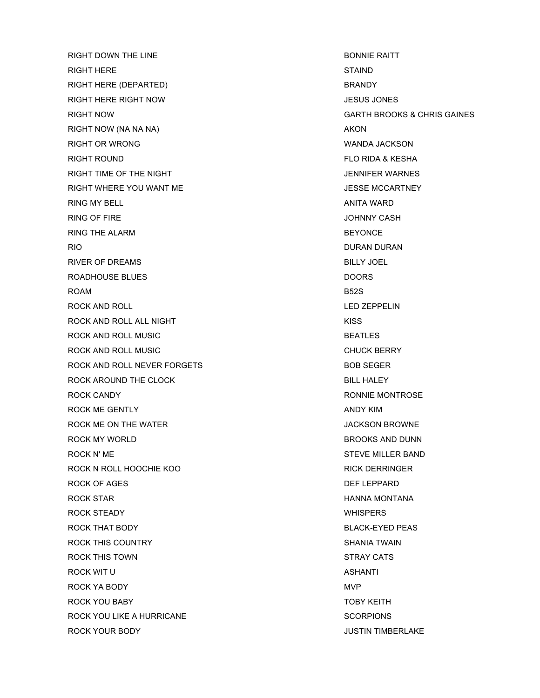RIGHT DOWN THE LINE **BONNIE RAITT** RIGHT HERE STAIND RIGHT HERE (DEPARTED) BRANDY RIGHT HERE RIGHT NOW JESUS JONES RIGHT NOW GARTH BROOKS & CHRIS GAINES RIGHT NOW (NA NA NA) AKON RIGHT OR WRONG WANDA JACKSON RIGHT ROUND FLO RIDA & KESHA RIGHT TIME OF THE NIGHT **THE STATE STATES** SERVICES A SERVICE OF THE NIGHT RIGHT WHERE YOU WANT ME **All and Secure 19 YOU WANT ME**  $\sim$  JESSE MCCARTNEY RING MY BELL ANITA WARD ANITA WARD ANITA WARD ANITA WARD ANITA WARD ANITA WARD ANITA WARD ANITA WARD ANITA WARD RING OF FIRE JOHNNY CASH RING THE ALARM **BEYONCE** RIO DURAN DURAN DURAN DURAN DURAN DURAN DURAN DURAN DURAN DURAN DURAN DURAN DURAN DURAN DURAN DURAN DURAN DURAN RIVER OF DREAMS BILLY JOEL ROADHOUSE BLUES DOORS ROAM B52S ROCK AND ROLL **EXECUTE AND ROLL** THE ROCK AND ROLL **LED ZEPPELIN** ROCK AND ROLL ALL NIGHT **KISS** ROCK AND ROLL MUSIC **BEATLES** ROCK AND ROLL MUSIC **CHUCK BERRY** ROCK AND ROLL NEVER FORGETS BOB SEGER ROCK AROUND THE CLOCK **BILL HALEY** ROCK CANDY **ROOK CANDY ROOK CANDY** ROCK ME GENTLY **ANDY KIM** ROCK ME ON THE WATER **A ROOM IN THE WATER JACKSON BROWNE** ROCK MY WORLD **BROOKS** AND DUNN ROCK N' ME STEVE MILLER BAND ROCK N ROLL HOOCHIE KOO KOOL HOOGHIE KOOL ALS HOOGHIE KOOL HOOGHIE KOOL HOOGHIE KOOL HOOGHIE KOOL HOOGHIE KOOL ROCK OF AGES DEFINITION CONTROL IN THE REPORT OF A SECOND USE OF A SECOND SECOND USE OF A SECOND SECOND USE OF A SECOND SECOND SECOND SECOND SECOND SECOND SECOND SECOND SECOND SECOND SECOND SECOND SECOND SECOND SECOND SECO ROCK STAR NEWSLET AND RESERVE THE MONTANA MONTANA HANNA MONTANA ROCK STEADY **EXECUTE A SET ALCOHOL CONTRACT A SET ASSESS** WHISPERS ROCK THAT BODY GOODS AND RELACK-EYED PEAS ROCK THIS COUNTRY **SHANIA TWAIN** ROCK THIS TOWN STRAY CATS ROCK WIT U ASHANTI ASHANTI ASHANTI ASHANTI ASHANTI ASHANTI ASHANTI ASHANTI ASHANTI ASHANTI ASHANTI ASHANTI ASHANTI ASHANTI ASHANTI ASHANTI ASHANTI ASHANTI ASHANTI ASHANTI ASHANTI ASHANTI ASHANTI ASHANTI ASHANTI ASHANTI ASH ROCK YA BODY **MVP** ROCK YOU BABY TOBY KEITH ROCK YOU LIKE A HURRICANE SCORPIONS ROCK YOUR BODY **A ROCK YOUR BOOT AND ROCK YOUR BOOT**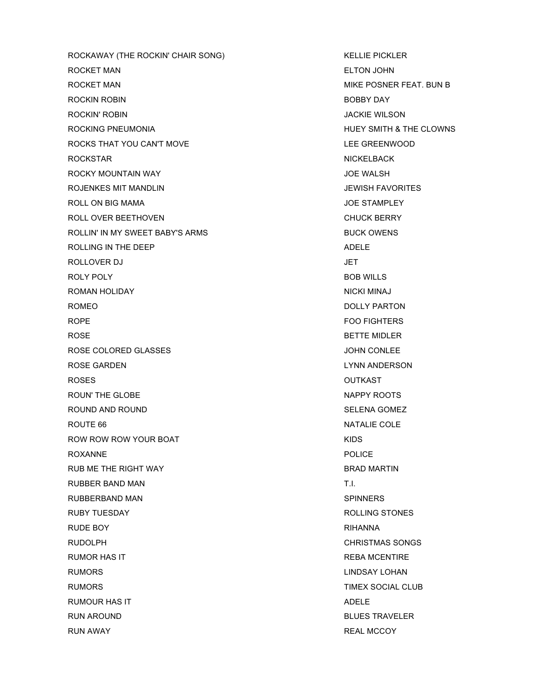ROCKAWAY (THE ROCKIN' CHAIR SONG) KELLIE PICKLER ROCKET MAN ELTON JOHN ROCKET MAN GENERAL MIKE POSNER FEAT. BUN B ROCKIN ROBIN BOBBY DAY ROCKIN' ROBIN JACKIE WILSON ROCKING PNEUMONIA **HUEY SMITH & THE CLOWNS** ROCKS THAT YOU CAN'T MOVE **EXAMPLE AND ROCKS THAT YOU CAN'T MOVE** ROCKSTAR NICKELBACK NEWSLET AND RELEASED AT A RELEASED ASSAULT A LIMIT OF A RELEASED AT A LIMIT OF A LIMIT OF A ROCKY MOUNTAIN WAY **Example 20 YOS AND THE WALSH** ROJENKES MIT MANDLIN JEWISH FAVORITES ROLL ON BIG MAMA **SECURE 2008 THE STAMPLEY JOE STAMPLEY** ROLL OVER BEETHOVEN **CHUCK BERRY** ROLLIN' IN MY SWEET BABY'S ARMS **BUCK OWENS** ROLLING IN THE DEEP ADELE AND THE USE AND THE USE OF A SAMELE AND THE USE OF A SAME ASSAULT AND THE USE OF A SAME ASSAULT. ROLLOVER DJ JET ROLY POLY **EXAMPLE SERVICES BOB WILLS** ROMAN HOLIDAY NICKI MINAJ NA SANTA TA SANTA NICKI MINAJ NA SANTA A MICKI MINAJ NICKI MINAJ NA SANTA TA SANTA TA SANTA TA SANTA TA SANTA TA SANTA TA SANTA TA SANTA TA SANTA TA SANTA TA SANTA TA SANTA TA SANTA TA SANTA TA SA ROMEO DOLLY PARTON ROPE FOO FIGHTERS ROSE BETTE MIDLER ROSE COLORED GLASSES **And CONLETE COLORED GLASSES JOHN CONLEE** ROSE GARDEN LYNN ANDERSON ROSES OUTKAST ROUN' THE GLOBE NAPPY ROOTS ROUND AND ROUND **SELENA GOMEZ** ROUTE 66 NATALIE COLE ROW ROW YOUR BOAT THE ROW ROW ROW YOUR BOAT ROXANNE POLICE RUB ME THE RIGHT WAY **BRAD MARTIN** RUBBER BAND MAN T.I. RUBBERBAND MAN SPINNERS RUBY TUESDAY **ROLLING STONES** RUDE BOY **RIHANNA** RUDOLPH CHRISTMAS SONGS RUMOR HAS IT **RUMOR HAS IT** RUMORS LINDSAY LOHAN RUMORS TIMEX SOCIAL CLUB RUMOUR HAS IT ADELE RUN AROUND **BLUES TRAVELER** RUN AWAY **REAL MCCOY REAL MCCOY**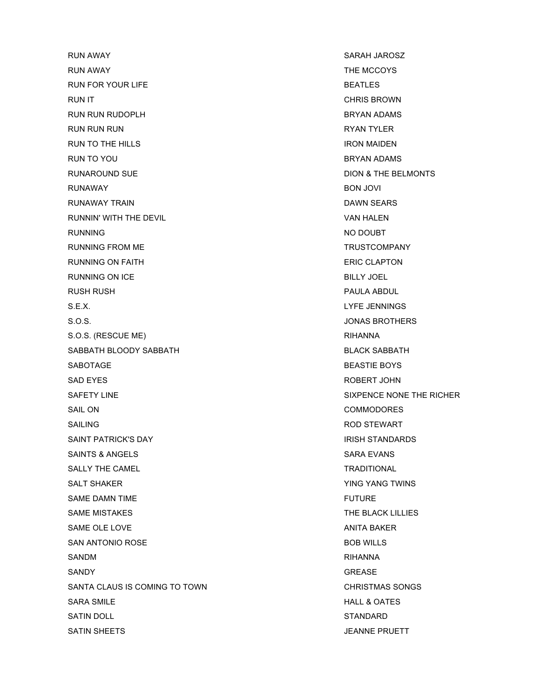RUN AWAY SARAH JAROSZ RUN AWAY THE MCCOYS RUN FOR YOUR LIFE SEATLES RUN IT CHRIS BROWN RUN RUN RUDOPLH BRYAN ADAMS RUN RUN RUN RYAN TYLER RUN TO THE HILLS **IRON MAIDEN** RUN TO YOU GALLER SERVAN ADAMS AND RESERVE AND RESERVE AND RESERVE AND RESERVE AND RESERVE AND RESERVE AND RESERVE AND RESERVE AND RESERVE AND RESERVE AND RESERVE AND RESERVE AND RESERVE AND RESERVE AND RESERVE AND RESERVE RUNAROUND SUE **EXAMPLE SUBSEX IN THE BELMONTS** RUNAWAY BON JOVI RUNAWAY TRAIN DAWN SEARS RUNNIN' WITH THE DEVIL **EXECUTE IS A RESERVE TO A RESERVE THE SET OF A RESERVE THE SET OF A RESERVE THE SET OF A RESERVE THE SET OF A VAN HALEN** RUNNING NO DOUBT RUNNING FROM ME TRUSTCOMPANY RUNNING ON FAITH **ERIC CLAPTON** RUNNING ON ICE BILLY JOEL RUSH RUSH PAULA ABDUL S.E.X. LYFE JENNINGS S.O.S. SO.S. S. All the state of the state of the state of the state of the state of the state of the state of the state of the state of the state of the state of the state of the state of the state of the state of the sta S.O.S. (RESCUE ME) RIHANNA SABBATH BLOODY SABBATH BLACK SABBATH SABOTAGE BOYS AND THE BOYS AND THE BOYS AND THE BOYS AND THE BOYS AND THE BOYS AND THE BOYS AND THE BOYS AND THE BOYS SAD EYES **ROBERT JOHN** SAFETY LINE SAFETY LINE SIXPENCE NONE THE RICHER SAIL ON COMMODORES SAILING **ROD STEWART** SAINT PATRICK'S DAY ISSUED AND THE STANDARD BAINT PATRICK'S DAY SAINTS & ANGELS SAINTS & ANGELS SALLY THE CAMEL **TRADITIONAL** TRADITIONAL SALT SHAKER YOU CONTROLLED A SALT SHAKER WING YANG TWINS SAME DAMN TIME **FUTURE** SAME MISTAKES THE BLACK LILLIES SAME OLE LOVE ANITA BAKER SAN ANTONIO ROSE SAN ANTONIO ROSE SANDM RIHANNA SANDY GREASE SANDY SANDY SANDY SANDY SANDY SANDY SANDY SANDY SANDY SANDY SANDY SANDY SANDY SANDY SANDY SANDY SANDY SANDY SANDY SANDY SANDY SANDY SANDY SANDY SANDY SANDY SANDY SANDY SANDY SANDY SANDY SANDY SANDY SANDY SANDY SANTA CLAUS IS COMING TO TOWN CHRISTMAS SONGS SARA SMILE **HALL & OATES** SATIN DOLL STANDARD STANDARD SATIN SHEETS **SATING SATING A SECURE 2018 12 SEAMER PRUETT**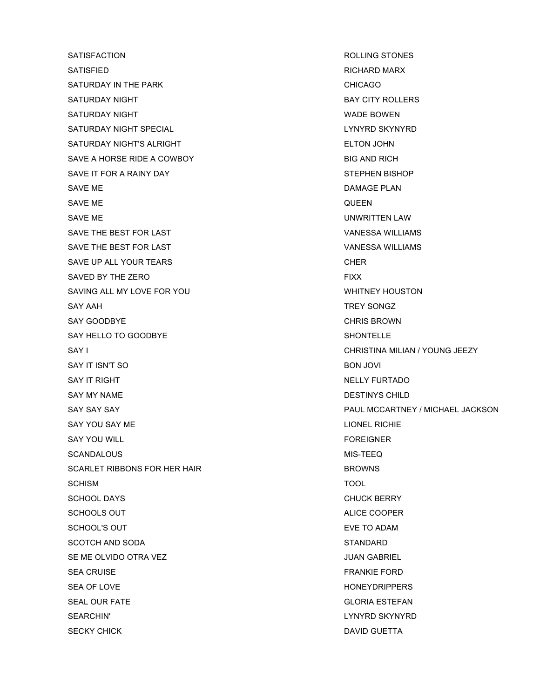SATISFACTION **ROLLING STONES** SATISFIED RICHARD MARX SATURDAY IN THE PARK **CHICAGO** SATURDAY NIGHT BAY CITY ROLLERS SATURDAY NIGHT WADE BOWEN SATURDAY NIGHT SPECIAL LYNYRD SKYNYRD SATURDAY NIGHT'S ALRIGHT ELTON JOHN ELTON JOHN SAVE A HORSE RIDE A COWBOY **BIG AND RICH** SAVE IT FOR A RAINY DAY STEPHEN BISHOP SAVE ME DAMAGE PLAN SAVE ME QUEEN SAVE ME UNWRITTEN LAW SAVE THE BEST FOR LAST **VANESSA WILLIAMS** SAVE THE BEST FOR LAST **VANESSA WILLIAMS** SAVE UP ALL YOUR TEARS CHER CHER SAVED BY THE ZERO FIXX SAVING ALL MY LOVE FOR YOU WHITNEY HOUSTON SAY AAH TREY SONGZ SAY GOODBYE **CHRIS BROWN** SAY HELLO TO GOODBYE SHONTELLE SAY I CHRISTINA MILIAN / YOUNG JEEZY SAY IT ISN'T SO **BON JOVI** BON JOVI SAY IT RIGHT NELLY FURTADO SAY MY NAME DESTINYS CHILD SAY YOU SAY ME LIONEL RICHIE SAY YOU WILL FOREIGNER SCANDALOUS MIS-TEEQ SCARLET RIBBONS FOR HER HAIR BROWNS SCHISM TOOL SCHOOL DAYS GERRY CHUCK BERRY CHUCK BERRY CHUCK BERRY SCHOOLS OUT **ALICE COOPER** SCHOOL'S OUT **EVE TO ADAM** SCOTCH AND SODA STANDARD STANDARD SE ME OLVIDO OTRA VEZ **A ME OLVIDO OTRA VEZ** A ME OLVIDO OTRA VEZ A ME OLVIDO OTRA VEZ A ME OLVIDO OTRA VEZ A ME SEA CRUISE FRANKIE FORD SEA OF LOVE THE SEA OF LOVE THE SEA OF LOVE THE SEA OF LOVE THE SEA OF LOVE THE SEA OF LOVE THE SEA OF LOVE THE SEA OF LOVE THE SEA OF LOVE THE SEA OF LOVE THE SEA OF LOVE THE SEA OF LOVE THE SEA OF LOVE THE SEA OF LOVE TH SEAL OUR FATE GLORIA ESTEFAN SEARCHIN' LYNYRD SKYNYRD SECKY CHICK DAVID GUETTA NEWSLET WAS CONSUMING A SECOND DAVID GUETTA

SAY SAY SAY PAUL MCCARTNEY / MICHAEL JACKSON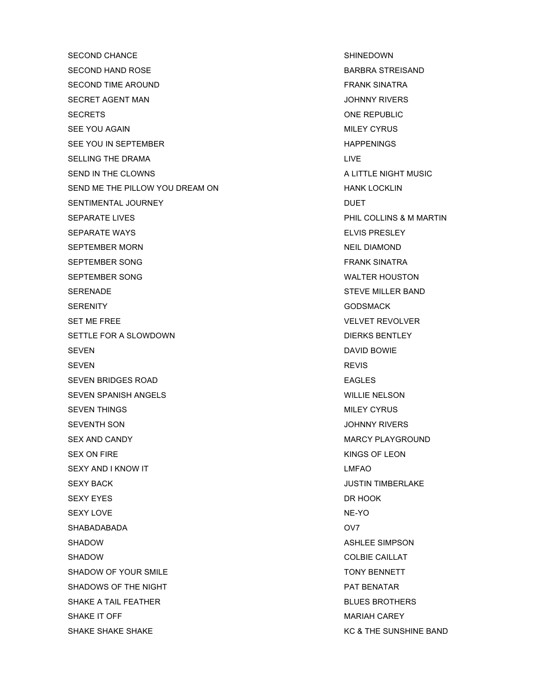SECOND CHANCE SECOND CHANCE SHINEDOWN SECOND HAND ROSE SECOND AND ROSE SECOND HAND ROSE SECOND TIME AROUND **FRANK SINATRA** SECRET AGENT MAN GERET AGENT MAN AND THE SECRET AGENT MAN SECRETS ONE REPUBLIC SEE YOU AGAIN MILEY CYRUS SEE YOU IN SEPTEMBER HAPPENINGS SELLING THE DRAMA LIVE AND LIVE SEND IN THE CLOWNS ALITTLE NIGHT MUSIC SEND ME THE PILLOW YOU DREAM ON THE REAL PROPERTY AND HANK LOCKLIN SENTIMENTAL JOURNEY **DUET** SEPARATE LIVES **PHIL COLLINS & M MARTIN** SEPARATE WAYS ELVIS PRESLEY SEPTEMBER MORN NEIL DIAMOND SEPTEMBER SONG FRANK SINATRA SEPTEMBER SONG WALTER HOUSTON SERENADE SERENADE STEVE MILLER BAND SERENITY GODSMACK GERENITY SET ME FREE VELVET REVOLVER SETTLE FOR A SLOWDOWN DIERKS BENTLEY SEVEN DAVID BOWIE SEVEN REVIS AND A SEVEN REVIS AND A SEVEN REVIS SEVEN BRIDGES ROAD **EAGLES** SEVEN SPANISH ANGELS WILLIE NELSON SEVEN THINGS AND RESERVE THE SEVEN THINGS AND RESERVE THE SEXUAL MILEY CYRUS SEVENTH SON JOHNNY RIVERS SEX AND CANDY GET A RELATION OF A SEX AND CANDY MARCY PLAYGROUND. SEX ON FIRE KINGS OF LEON SEXY AND I KNOW IT **LAND AND I KNOW IT** SEXY BACK GEREE AND RESERVE A SEXY BACK AND RESERVE A SUSTIN TIMBERLAKE SEXY EYES DR HOOK AND THE SEXY EYES AND THE SEXY EXPLOSIVE DR HOOK SEXY LOVE NE-YO SHABADABADA OV7 SHADOW **ASHLEE SIMPSON** SHADOW **COLBIE CAILLAT** SHADOW OF YOUR SMILE TONY BENNETT SHADOWS OF THE NIGHT **PAT BENATAR** SHAKE A TAIL FEATHER **BLUES BROTHERS** SHAKE IT OFF MARIAH CAREY

SHAKE SHAKE SHAKE KACKER KALL AND THE SUNSHINE BAND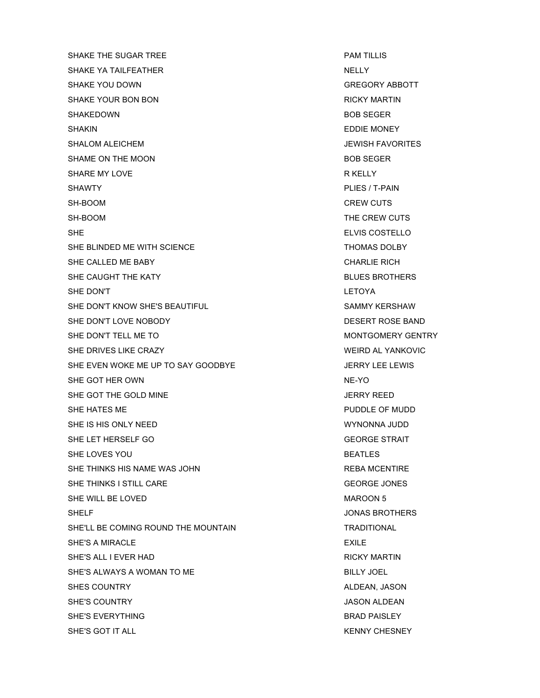SHAKE THE SUGAR TREE **PAM TILLIS** SHAKE YA TAILFEATHER NELLY NELLY NELLY SHAKE YOU DOWN GREGORY ABBOTT SHAKE YOUR BON BON RICKY MARTIN SHAKEDOWN BOB SEGER SHAKIN EDDIE MONEY SHALOM ALEICHEM **GEERGEN ALEICHEM JEWISH FAVORITES** SHAME ON THE MOON SHAME OF THE MOON SHARE MY LOVE **R** KELLY SHAWTY **EXAMPLES ASSESSED ASSESSED ASSESSED ASSESSED ASSESSED ASSESSED AND LIKELY TO A PLIES / T-PAIN** SH-BOOM CREW CUTS SH-BOOM **THE CREW CUTS** SHE ELVIS COSTELLO SHE BLINDED ME WITH SCIENCE THOMAS DOLBY SHE CALLED ME BABY **CHARLIE RICH** SHE CAUGHT THE KATY **BLUES BROTHERS** SHE DON'T LETOYA SHE DON'T KNOW SHE'S BEAUTIFUL SAMMY KERSHAW SHE DON'T LOVE NOBODY DESERT ROSE BAND SHE DON'T TELL ME TO **MONTGOMERY GENTRY** SHE DRIVES LIKE CRAZY WEIRD AL YANKOVIC SHE EVEN WOKE ME UP TO SAY GOODBYE JUNEAU ALL SERRY LEE LEWIS SHE GOT HER OWN NE-YO NE-YO NE-YO NE-YO NE-YO NE-YO NE-YO NE-YO NE-YO NE-YO NE-YO NE-YO NE-YO NEED AT A SAFE ASSAULT A SAFE ASSAULT A SAFE ASSAULT A SAFE ASSAULT A SAFE ASSAULT A SAFE ASSAULT A SAFE ASSAULT A SAFE ASSAULT SHE GOT THE GOLD MINE **SHE GOLD MINE** SHE GOT THE GOLD MINE SHE HATES ME PUDDLE OF MUDD SHE IS HIS ONLY NEED WYNONNA JUDD SHE LET HERSELF GO GEORGE STRAIT SHE LOVES YOU GET A CONTROL CONTROL CONTROL CONTROL BEATLES SHE THINKS HIS NAME WAS JOHN **REBA MCENTIRE** SHE THINKS I STILL CARE GEORGE JONES SHE WILL BE LOVED SHE WARDON 5 SHELF GENERAL MELRIC SHELF SHELF SHELF SHELF SHELF SHELF SHELF SHELF SHELF SHELF SHELF SHELF SHELF SHELF SHELF SHE'LL BE COMING ROUND THE MOUNTAIN TRADITIONAL SHE'S A MIRACLE **EXILE** SHE'S ALL I EVER HAD **RICKY MARTIN** SHE'S ALWAYS A WOMAN TO ME BILLY JOEL SHES COUNTRY **ALDEAN, JASON** SHE'S COUNTRY GALLERY AND SHE'S COUNTRY SHE'S COUNTRY AND THE SERVICE OF SHE'S COUNTRY AND THE SHEET OF SHEET AND THE SHEET OF SHEET AND THE SHEET OF SHEET AND THE SHEET OF SHEET AND THE SHEET OF SHEET AND THE SHEET OF SHE SHE'S EVERYTHING **BRAD PAISLEY** SHE'S GOT IT ALL KENNY CHESNEY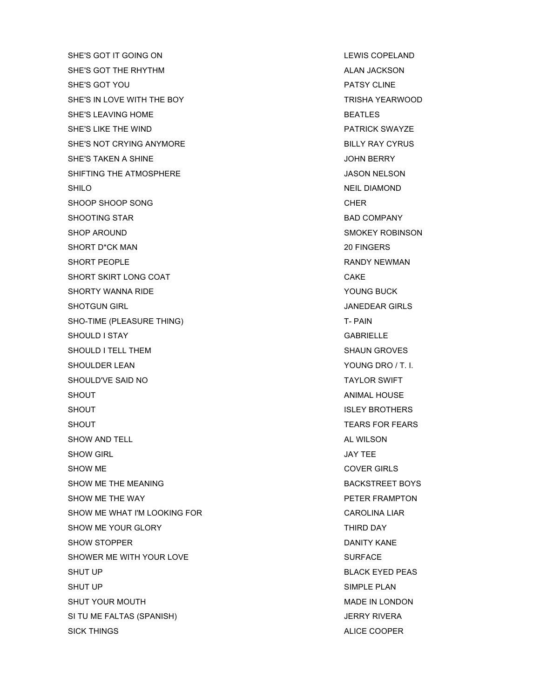SHE'S GOT IT GOING ON LEWIS COPELAND SHE'S GOT THE RHYTHM ALAN JACKSON SHE'S GOT YOU PATSY CLINE SHE'S IN LOVE WITH THE BOY TRISHA YEARWOOD SHE'S LEAVING HOME **BEATLES** SHE'S LIKE THE WIND **EXECUTE THE WIND SHE'S LIKE THE WIND** SHE'S NOT CRYING ANYMORE **Example 20 and 20 and 20 and 20 and 20 and 20 and 20 and 20 and 20 and 20 and 20 and 20** SHE'S TAKEN A SHINE THE STAKEN AS SHINE TO A SHINE SHE'S TAKEN A SHINE TO A SHINE TO A SHINE TO A SHINE TO A SHINE TO A SHINE TO A SHINE TO A SHINE TO A SHINE TO A SHINE TO A SHINE TO A SHINE TO A SHINE TO A SHINE TO A SHI SHIFTING THE ATMOSPHERE **SHIFTING THE ATMOSPHERE** SHILO NEIL DIAMOND SHOOP SHOOP SONG CHER SHOOTING STAR BAD COMPANY SHOP AROUND SMOKEY ROBINSON SHORT D\*CK MAN 20 FINGERS 20 FINGERS SHORT PEOPLE **EXECUTE A SHORT PEOPLE RANDY NEWMAN** SHORT SKIRT LONG COAT CAKE SHORTY WANNA RIDE **WANNA RIDE SHORTY WANNA RIDE** SHOTGUN GIRL GIRLS AND THE SHOTGUN GIRLS AND THE SHOTGUN GIRLS AND THE SHOTGUN GIRLS SHO-TIME (PLEASURE THING) T- PAIN SHOULD I STAY GABRIELLE SHOULD I TELL THEM SHOULD I TELL THEM SHOULDER LEAN YOUNG DRO / T. I. SHOULD'VE SAID NO TAYLOR SWIFT SHOUT ANIMAL HOUSE SHOUT SHOUT **ISLEY BROTHERS** SHOUT **TEARS FOR FEARS** SHOW AND TELL AL WILSON AND TELL AL WILSON AL WILSON SHOW GIRL **SHOW GIRL** SHOW GIRL SHOW GIRL SHOW GIRL SHOW GIRL SHOW GIRL SHOW GIRL SHOW GIRL SHOW GIRL SHOW GIRL SHOW ME COVER GIRLS SHOW ME THE MEANING **BACKSTREET BOYS** SHOW ME THE WAY **PETER FRAMPTON** SHOW ME WHAT I'M LOOKING FOR **CAROLINA LIAR** SHOW ME YOUR GLORY THIRD DAY SHOW STOPPER DANITY KANE SHOWER ME WITH YOUR LOVE SHOWER SURFACE SHUT UP BLACK EYED PEAS SHUT UP SIMPLE PLAN SHUT YOUR MOUTH GET A RELATED A SHUT YOUR MOUTH A SHUT YOUR MADE IN LONDON SI TU ME FALTAS (SPANISH) SI TU ME FALTAS (SPANISH) SICK THINGS ALICE COOPER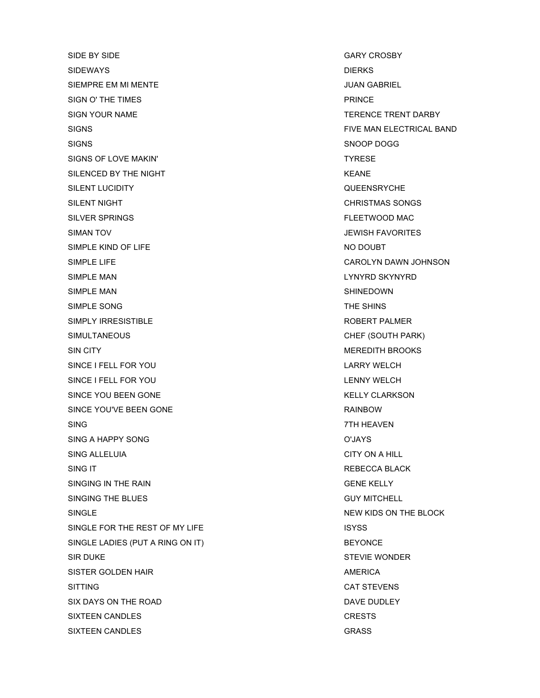SIDE BY SIDE GARY CROSBY SIDEWAYS **DIERKS** SIEMPRE EM MI MENTE **Australia et al. 1999. ISBN 9-10-10-10-10-2** JUAN GABRIEL SIGN O' THE TIMES **EXAMPLE 2018 12:30 THE TIMES** SIGN YOUR NAME TERENCE TRENT DARBY SIGNS FIVE MAN ELECTRICAL BAND SIGNS SIGNS SURFACE SIGNS SOMETIME STRUCK STRUCK SIGNS SIGNS SIGNS OF LOVE MAKIN' THE SERVICE OF LOVE OF A SERVICE OF THE SERVICE OF THE SERVICE OF THE SERVICE OF THE SERVICE OF THE SERVICE OF THE SERVICE OF THE SERVICE OF THE SERVICE OF THE SERVICE OF THE SERVICE OF THE SERVICE OF SILENCED BY THE NIGHT **KEANE** SILENT LUCIDITY **SILENT LUCIDITY CULLENT ASSESS** SILENT NIGHT **CHRISTMAS SONGS** SILVER SPRINGS FLEETWOOD MAC SIMAN TOV JEWISH FAVORITES SIMPLE KIND OF LIFE NO DOUBT SIMPLE LIFE CAROLYN DAWN JOHNSON SIMPLE MAN **SIMPLE MAN** SIMPLE MAN SHINEDOWN SIMPLE SONG THE SHINS SIMPLY IRRESISTIBLE **External of the SIMPLY IRRESISTIBLE ROBERT PALMER** SIMULTANEOUS CHEF (SOUTH PARK) SIN CITY GENERAL BROOKS SIN CITY SINCE I FELL FOR YOU LARRY WELCH SINCE I FELL FOR YOU LENNY WELCH SINCE YOU BEEN GONE THE STATE OF THE SECOND HERITA CLARKSON. SINCE YOU'VE BEEN GONE **RAINBOW** SING 7TH HEAVEN SING A HAPPY SONG THE SERVICE OF SAMPLE SING A HAPPY SONG SING ALLELUIA CITY ON A HILL SING IT **REBECCA BLACK** SINGING IN THE RAIN GENE KELLY GENE KELLY SINGING THE BLUES GUY MITCHELL SINGLE NEW KIDS ON THE BLOCK SINGLE FOR THE REST OF MY LIFE ISYSS SINGLE LADIES (PUT A RING ON IT) BEYONCE SIR DUKE SALE STEVIE WONDER STEVIE WONDER SISTER GOLDEN HAIR AMERICA SITTING CAT STEVENS SIX DAYS ON THE ROAD DAVE DUDLEY SIXTEEN CANDLES **CRESTS** SIXTEEN CANDLES GRASS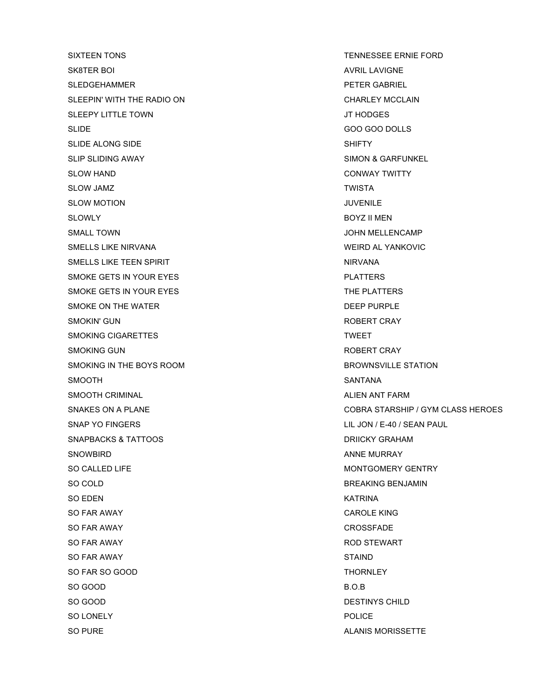SIXTEEN TONS TENNESSEE ERNIE FORD SK8TER BOI AVRIL LAVIGNE SLEDGEHAMMER PETER GABRIEL SLEEPIN' WITH THE RADIO ON CHARLEY MCCLAIN SLEEPY LITTLE TOWN GET A SERVE TO MAKE THE SERVE TO A SERVE THE SERVE TO A SERVE THE SERVE TO A SERVE THE SERVE SLIDE GOO GOO DOLLS SLIDE ALONG SIDE NAME OF SHIFTY SLIP SLIDING AWAY SIMON & GARFUNKEL SLOW HAND **SLOW HAND CONWAY TWITTY** SLOW JAMZ **TWISTA** SLOW MOTION **SLOW SOLOW AND THE SERVICE SERVICE** SLOWLY BOYZ II MEN SMALL TOWN GALL TOWN THE STATE OF THE SMALL TOWN THE SMALL TOWN THE SMALL TOWN THE SMALL TOWN THE SMALL TOWN THE SMALL TOWN THE SMALL TOWN THE SMALL TOWN THE SMALL TOWN THE SMALL TOWN THE SMALL TOWN THE SMALL THE SMALL THA SMELLS LIKE NIRVANA WEIRD AL YANKOVIC SMELLS LIKE TEEN SPIRIT NIRVANA SMOKE GETS IN YOUR EYES **EXAMPLE ASSESSED ASSAULT** SMOKE GETS IN YOUR EYES SMOKE GETS IN YOUR EYES THE PLATTERS SMOKE ON THE WATER **DEEP PURPLE** SMOKIN' GUN **ROBERT CRAY** SMOKING CIGARETTES **TWEET** SMOKING GUN **SMOKING** GUN SMOKING IN THE BOYS ROOM **BROWNSVILLE STATION** SMOOTH SANTANA SANTANA SANTANA SANTANA SANTANA SANTANA SANTANA SANTANA SANTANA SANTANA SANTANA SANTANA SANTANA SMOOTH CRIMINAL ALIEN AND THE SMOOTH CRIMINAL SNAP YO FINGERS LILL JON / E-40 / SEAN PAUL SNAPBACKS & TATTOOS DRIICKY GRAHAM SNOWBIRD ANNE MURRAY SO CALLED LIFE MONTGOMERY GENTRY SO COLD BREAKING BENJAMIN SO EDEN KATRINA SO FAR AWAY **CAROLE KING** SO FAR AWAY CROSSFADE SO FAR AWAY **ROD STEWART** SO FAR AWAY STAIND AND RESERVE THE STAIN STAIN STAIN STAIN STAIN STAIN STAIN STAIN STAIN STAIN STAIN STAIN STAIN STAIN STAIN STAIN STAIN STAIN STAIN STAIN STAIN STAIN STAIN STAIN STAIN STAIN STAIN STAIN STAIN STAIN STAIN S SO FAR SO GOOD THORNLEY SO GOOD B.O.B SO GOOD DESTINYS CHILD SO LONELY POLICE SO PURE ALANIS MORISSETTE

SNAKES ON A PLANE COBRA STARSHIP / GYM CLASS HEROES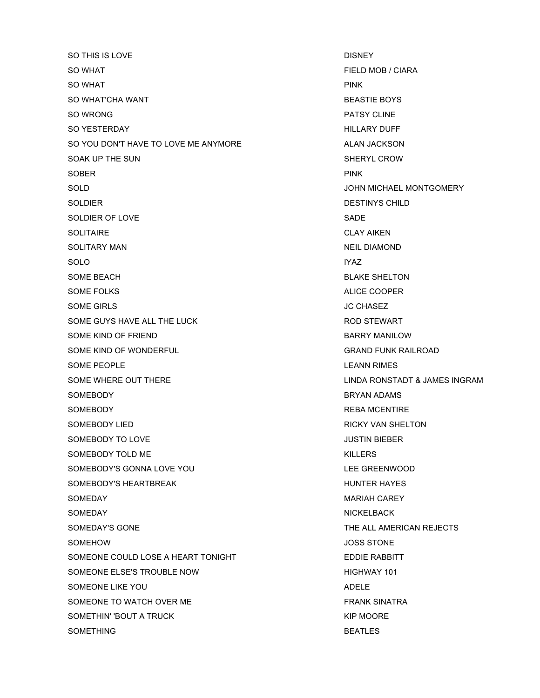SO THIS IS LOVE **DISNEY** SO WHAT GO WHAT THE SO WHAT THE SO WHAT THE SO WHAT THE SO WHAT THE SO WHAT THE SO WHAT THE SO WHAT THE SO WHAT THE SO WHAT THE SO WHO IS A SO WHAT THE SO WHO IS A SO WHO IS A SO WHO IS A SO WHO IS A SO WHO IS A SO WHO IS SO WHAT **PINK** SO WHAT'CHA WANT **BEASTIE BOYS** SO WRONG PATSY CLINE SO YESTERDAY HILLARY DUFF SO YOU DON'T HAVE TO LOVE ME ANYMORE ALAN JACKSON SOAK UP THE SUN SHERYL CROW SOBER PINK PINK AND A SOBER PINK SOLD SOLD SOLD SOLD SOLD SOLD ASSAULT A SAMPLE OF THE SOLD SOLD SOLD ASSAULT A SAMPLE OF THE SOLD SAMPLE OF THE SAMPLE OF THE SAMPLE OF THE SAMPLE OF THE SAMPLE OF THE SAMPLE OF THE SAMPLE OF THE SAMPLE OF THE SAMPLE OF TH SOLDIER DESTINYS CHILD SOLDIER OF LOVE SADE SOLITAIRE CLAY AIKEN SOLITARY MAN NEIL DIAMOND SOLO IYAZ SOME BEACH BLAKE SHELTON SOME FOLKS ALICE COOPER SOME GIRLS **SOME GIRLS SOME GIRLS** SOME GUYS HAVE ALL THE LUCK **ROD STEWART** SOME KIND OF FRIEND BARRY MANILOW SOME KIND OF WONDERFUL GRAND FUNK RAILROAD SOME PEOPLE **SOME PEOPLE** SOME WHERE OUT THERE **Example 2018** CINDA RONSTADT & JAMES INGRAM SOMEBODY BRYAN ADAMS SOMEBODY **REBA MCENTIRE** SOMEBODY LIED **RICKY VAN SHELTON** SOMEBODY TO LOVE **SOME ALL ASSESS** SOME BOOK TO LOVE SOMEBODY TOLD ME **KILLERS** SOMEBODY'S GONNA LOVE YOU LEE GREENWOOD SOMEBODY'S HEARTBREAK HEARTBREAK HUNTER HAYES SOMEDAY NARIAH CAREY NARIAH CAREY NARIAH CAREY SOMEDAY NICKELBACK SOMEDAY'S GONE THE ALL AMERICAN REJECTS SOMEHOW **SOME HOW SOME AND SOME HOW SOME HOW SOME AND SOME HOW SOME** SOMEONE COULD LOSE A HEART TONIGHT EDDIE RABBITT SOMEONE ELSE'S TROUBLE NOW **EXAMPLE 101** HIGHWAY 101 SOMEONE LIKE YOU ADELE SOMEONE TO WATCH OVER ME FRANK SINATRA SOMETHIN' 'BOUT A TRUCK THE SOMETHIN' 'BOUT A TRUCK SOMETHING **BEATLES**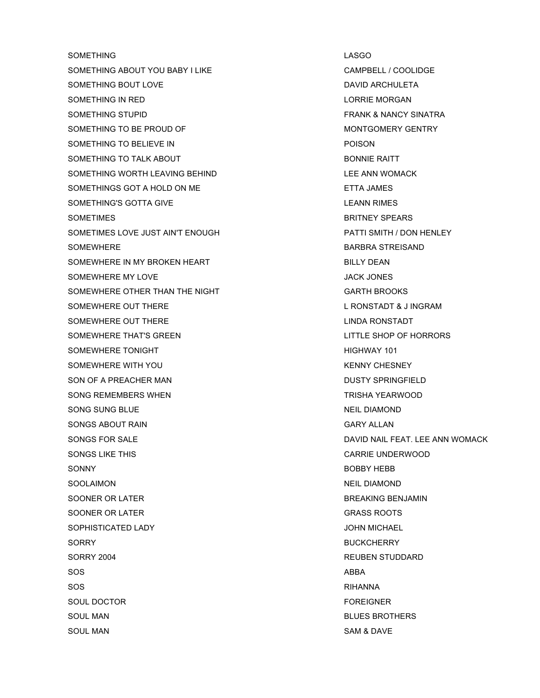SOMETHING LASGO SOMETHING ABOUT YOU BABY I LIKE CAMPBELL / COOLIDGE SOMETHING BOUT LOVE **DAVID ARCHULETA** SOMETHING IN RED **SOMETHING** IN RED **LORRIE MORGAN** SOMETHING STUPID FRANK & NANCY SINATRA SOMETHING TO BE PROUD OF THE MONTGOMERY GENTRY SOMETHING TO BELIEVE IN THE RESERVE TO A RESERVE THE RESERVE TO A RESERVE THE RESERVE TO A RESERVE THE RESERVE SOMETHING TO TALK ABOUT **EXAMPLE A SOMETHING TO TALK ABOUT** SOMETHING WORTH LEAVING BEHIND **EXAMPLE AND REAVIOUS CONTROL** LEE ANN WOMACK SOMETHINGS GOT A HOLD ON ME ETTA JAMES SOMETHING'S GOTTA GIVE **EXAMPLE AND SOMETHING'S** COTTA GIVE SOMETIMES **BRITNEY SPEARS** SOMETIMES LOVE JUST AIN'T ENOUGH **ALL ACCOMPT AT A THE PATTI SMITH** / DON HENLEY SOMEWHERE SOMEWHERE SAND SOMEWHERE SAND A STREIS AND SAND A STREIS AND SAND A STREIS AND SAND A STREIGHT AND A STREIGHT AND A STREIGHT AND A STREIGHT AND A STREIGHT AND A STREIGHT AND A STREIGHT AND A STREIGHT AND A STREIG SOMEWHERE IN MY BROKEN HEART BILLY DEAN SOMEWHERE MY LOVE **SOMEWHERE MY LOVE** SOMEWHERE OTHER THAN THE NIGHT GARTH BROOKS SOMEWHERE OUT THERE **LARCE ASSESSED AS A RUBBEL RONSTADT & J INGRAM** SOMEWHERE OUT THERE **Example 2018** CONSTANT LINDA RONSTADT SOMEWHERE THAT'S GREEN LITTLE SHOP OF HORRORS SOMEWHERE TONIGHT **SOMEWHERE TONIGHT** SOMEWHERE WITH YOU GOT A CHESNEY THAT IS A REAL MOVING WHEN WE ARRIVE CHESNEY SON OF A PREACHER MAN DUSTY SPRINGFIELD SONG REMEMBERS WHEN TRISHA YEARWOOD SONG SUNG BLUE NEIL DIAMOND SONGS ABOUT RAIN GARY ALLAN SONGS FOR SALE **SONGS FOR SALE** AND RANGELER AND SONGS FOR SALE AND MOMACK AND RANGELER AND MOMACK SONGS LIKE THIS GARRIE UNDERWOOD SONNY BOBBY HEBB SOOLAIMON NEIL DIAMOND SOONER OR LATER SOONER OR LATER SENSIES AND THE SENSIES ON THE BREAKING BENJAMIN SOONER OR LATER GRASS ROOTS SOPHISTICATED LADY **SOPHISTICATED** AND **SOPHISTICATED** SORRY BUCKCHERRY BORRY SORRY BUCKCHERRY SORRY 2004 REUBEN STUDDARD SOS ABBA SOS RIHANNA SOUL DOCTOR FOREIGNER SOUL MAN BLUES BROTHERS SOUL MAN SAM & DAVE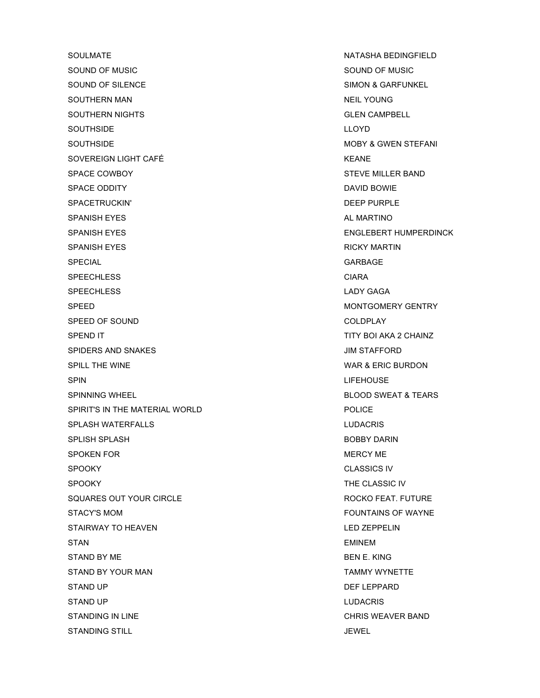SOULMATE NATASHA BEDINGFIELD SOUND OF MUSIC SOUND OF MUSIC SOUND OF SILENCE SIMON & GARFUNKEL SOUTHERN MAN NEIL YOUNG SOUTHERN NIGHTS **SOUTHERN SOUTHERN AND SOUTHERN AND SOUTHERN** AND SOUTHERN AND SOUTHERN AND SOLEN CAMPBELL SOUTHSIDE LEOYD SOUTHSIDE **MOBY & GWEN STEFANI** SOVEREIGN LIGHT CAFÉ **Extra light and the south of the south of the south of the south of the south of the south of the south of the south of the south of the south of the south of the south of the south of the south of th** SPACE COWBOY STEVE MILLER BAND SPACE ODDITY DAVID BOWIE SPACETRUCKIN' **DEEP PURPLE** SPANISH EYES **AL MARTINO** SPANISH EYES ENGLEBERT HUMPERDINCK SPANISH EYES **RICKY MARTIN** SPECIAL GARBAGE SPEECHLESS CIARA SPEECHLESS LADY GAGA SPEED MONTGOMERY GENTRY SPEED OF SOUND COLDFLAY SPEND IT SEE ALL AND TITY BOI AKA 2 CHAINZ SPIDERS AND SNAKES **SPIDERS AND SNAKES** SPILL THE WINE WARRACTED ASSESSED AND THE WINE WARE WARE ASSESSED. SPIN LIFEHOUSE SPINNING WHEEL SERVICES AND SUCCESS OF STRANGERS AND SUCCESS AND SUCCESS OF SWEAT & TEARS SPIRIT'S IN THE MATERIAL WORLD **Example 20 SET ASSAULT** SPIRIT'S IN THE MATERIAL WORLD SPLASH WATERFALLS LUDACRIS SPLISH SPLASH BOBBY DARIN SPOKEN FOR **MERCY ME** SPOOKY CLASSICS IV SPOOKY THE CLASSIC IV SQUARES OUT YOUR CIRCLE SALE AND ROCKO FEAT. FUTURE STACY'S MOM **STACY'S MOM EXAMPLE 20 FOUNTAINS OF WAYNE** STAIRWAY TO HEAVEN **EXECUTE A SECURE 25 YO FOR A STAIRWAY TO HEAVEN** STAN EMINEMENT CONTROL CONTROL CONTROL CONTROL CONTROL CONTROL CONTROL CONTROL CONTROL CONTROL CONTROL CONTROL CONTROL CONTROL CONTROL CONTROL CONTROL CONTROL CONTROL CONTROL CONTROL CONTROL CONTROL CONTROL CONTROL CONTROL STAND BY ME BEN E. KING STAND BY YOUR MAN TAMMY WYNETTE STAND UP DEFINITION OF THE UP OF THE UP OF THE UP OF THE UP OF THE UP OF THE UP OF THE UP OF THE UP OF THE UP OF THE UP OF THE UP OF THE UP OF THE UP OF THE UP OF THE UP OF THE UP OF THE UP OF THE UP OF THE UP OF THE UP OF STAND UP **LUDACRIS** STANDING IN LINE **STANDING IN LINE** STANDING STILL STANDING STILL STANDING STILL STANDING STILL STANDING STILL STANDING STILL STANDING STILL STAND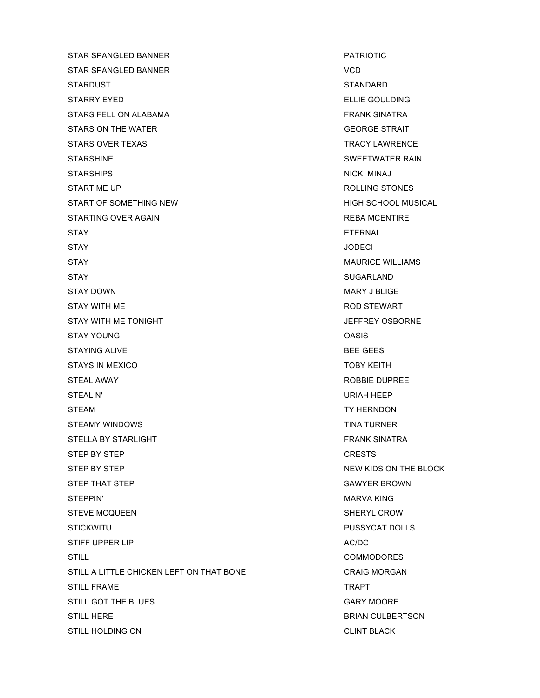STAR SPANGLED BANNER **PATRIOTIC** STAR SPANGLED BANNER VCD VCD STARDUST EXAMPLE STANDARD STANDARD STARRY EYED **ELLIE GOULDING** STARS FELL ON ALABAMA FRANK SINATRA STARS ON THE WATER GEORGE STRAIT STARS ON THE WATER GEORGE STRAIT STARS OVER TEXAS TRACY LAWRENCE STARSHINE STARSHINE STARSHINE SWEETWATER RAIN STARSHIPS NICKI MINAJ NICKI MINAJ NICKI MINAJ NICKI MINAJ NICKI MINAJ NICKI MINAJ NICKI MINAJ NICKI MINAJ NICKI MINAJ NICKI MINAJ NICKI MINAJ NICKI MINAJ NICKI MINAJ NICKI MINAJ NICKI MINAJ NICKI MINAJ NICKI MINAJ NICKI MI START ME UP **ROLLING STONES** START OF SOMETHING NEW **HIGH SCHOOL MUSICAL** STARTING OVER AGAIN **REBA MCENTIRE** STAY **ETERNAL** STAY JODECI STAY **MAURICE WILLIAMS** STAY SUGARLAND STAY DOWN NARY J BLIGE STAY WITH ME **ROD STEWART** STAY WITH ME TONIGHT **STAY WITH ME TONIGHT** STAY YOUNG CONSISTENCE ON A STAY YOUNG STAYING ALIVE **BEE GEES** STAYS IN MEXICO **TOBY KEITH** STEAL AWAY ROBBIE DUPREE STEALIN' URIAH HEEP STEAM TY HERNDON STEAMY WINDOWS **TIMA TURNER** STELLA BY STARLIGHT FRANK SINATRA STEP BY STEP CRESTS STEP BY STEP NEW KIDS ON THE BLOCK STEP THAT STEP SAWYER BROWN STEPPIN' NARVA KING NARVA KING NARVA KING NARVA KING NARVA KING NARVA KING NARVA KING NARVA KING NARVA KING NA STEVE MCQUEEN SHERYL CROW STICKWITU PUSSYCAT DOLLS STIFF UPPER LIP AC/DC AC/DC STILL COMMODORES STILL A LITTLE CHICKEN LEFT ON THAT BONE CRAIG MORGAN STILL FRAME TRAPT STILL GOT THE BLUES GARY MOORE GARY MOORE STILL HERE **BRIAN CULBERTSON** STILL HOLDING ON CLINT BLACK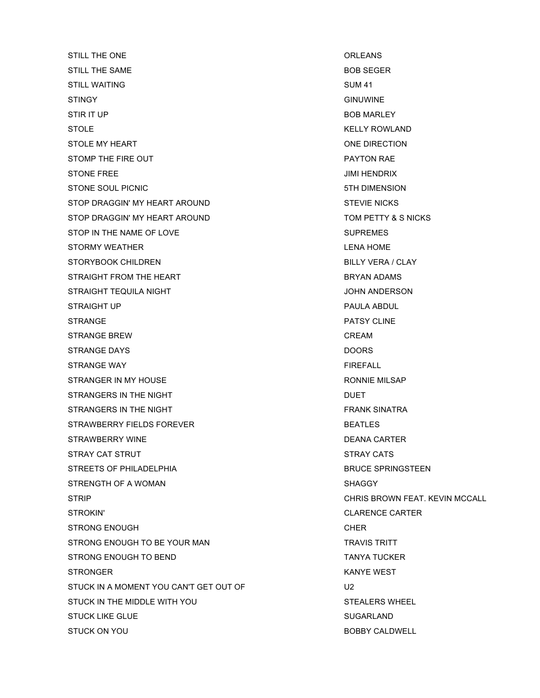STILL THE ONE **STILL THE ONE** STILL THE SAME **BOB SEGER** STILL WAITING SUM 41 STINGY GINUWINE STIR IT UP BOB MARLEY STOLE **STOLE STOLE** STOLE MY HEART **ONE DIRECTION** STOMP THE FIRE OUT **A STOMP THE FIRE OUT PAYTON RAE** STONE FREE JIMI HENDRIX STONE SOUL PICNIC STONE SOUL PICNIC STONE SOUL PICNIC STOP DRAGGIN' MY HEART AROUND **STEVIE NICKS** STOP DRAGGIN' MY HEART AROUND **TOM PETTY & SINICKS** STOP IN THE NAME OF LOVE SUPREMES STORMY WEATHER **EXECUTE IN THE STORMY WEATHER LENA HOME** STORYBOOK CHILDREN BILLY VERA / CLAY STRAIGHT FROM THE HEART **EXECUTE IS STRAIGHT AND ADAMS** STRAIGHT TEQUILA NIGHT **STRAIGHT TEQUILA NIGHT** STRAIGHT UP **PAULA ABDUL** STRANGE PATSY CLINE STRANGE BREW **CREAM** STRANGE DAYS DOORS DOORS STRANGE WAY **EITHER AND STRANGE WAY** STRANGER IN MY HOUSE **RONNIE MILSAP** RONNIE MILSAP STRANGERS IN THE NIGHT **DUET** STRANGERS IN THE NIGHT FRANK SINATRA STRAWBERRY FIELDS FOREVER **BEATLES** STRAWBERRY WINE **Example 2018** 2019 12:30 TO 2019 20:40 20:40 TO 20:40 20:40 20:40 20:40 20:40 20:40 20:40 20:40 20:40 20:40 20:40 20:40 20:40 20:40 20:40 20:40 20:40 20:40 20:40 20:40 20:40 20:40 20:40 20:40 20:40 20:40 2 STRAY CAT STRUT STRAY CATS STREETS OF PHILADELPHIA BRUCE SPRINGSTEEN STRENGTH OF A WOMAN STRENGTH OF A WOMAN SHAGGY STRIP CHRIS BROWN FEAT. KEVIN MCCALL STROKIN' CLARENCE CARTER STRONG ENOUGH CHER STRONG ENOUGH TO BE YOUR MAN TRAVIS TRITT STRONG ENOUGH TO BEND TANYA TUCKER STRONGER KANYE WEST STUCK IN A MOMENT YOU CAN'T GET OUT OF U2 STUCK IN THE MIDDLE WITH YOU STUCK IN THE MIDDLE WITH YOU STUCK LIKE GLUE **SUGARLAND** STUCK ON YOU GOT A CONTROL CONTROL CONTROL BOBBY CALDWELL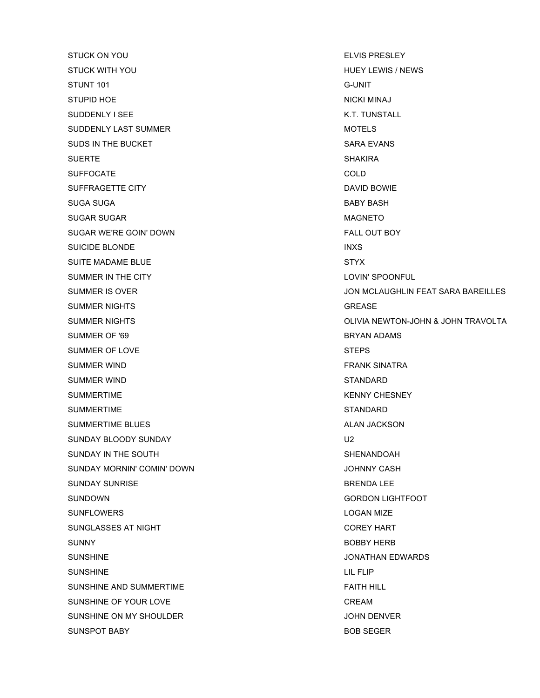STUCK ON YOU GET A CONTROL CONTROL CONTROL CONTROL CONTROL CONTROL CONTROL CONTROL CONTROL CONTROL CONTROL CONTROL CONTROL CONTROL CONTROL CONTROL CONTROL CONTROL CONTROL CONTROL CONTROL CONTROL CONTROL CONTROL CONTROL CON STUCK WITH YOU GOT A GOT A GOT A GOT A GOT A GOT A GOT A GOT A GOT A GOT A GOT A GOT A GOT A GOT A GOT A GOT A STUNT 101 G-UNIT STUPID HOE NICKI MINAJ SUDDENLY I SEE K.T. TUNSTALL SUDDENLY LAST SUMMER **MOTELS** MOTELS SUDS IN THE BUCKET SARA EVANS SUERTE SHAKIRA SUFFOCATE COLD SUFFRAGETTE CITY **DAVID BOWIE** SUGA SUGA BABY BASH SUGAR SUGAR MAGNETO SUGAR WE'RE GOIN' DOWN FALL OUT BOY SUICIDE BLONDE INXS SUITE MADAME BLUE STYX SUMMER IN THE CITY **LOVIN'S RUMMER IN THE CITY** SUMMER NIGHTS GREASE SUMMER SUMMER SUMMER SUMMER SUMMER SERVICES AND LOCAL CONTROLLER SUMMER SUMMER SUMMER SUMMER SUMMER SUMMER SUMMER SUMMER SUMMER SUMMER SUMMER SUMMER SUMMER SUMMER SUMMER SUMMER SUMMER SUMMER SUMMER SUM SUMMER OF '69 BRYAN ADAMS SUMMER OF LOVE STEPS SUMMER WIND **FRANK SINATRA** SUMMER WIND STANDARD STANDARD SUMMERTIME **KENNY CHESNEY** SUMMERTIME SUMMERTIME SUMMERTIME BLUES ALAN JACKSON SUNDAY BLOODY SUNDAY DESCRIPTION AND LOCAL CONTROL CONTROL CONTROL CONTROL CONTROL CONTROL CONTROL CONTROL CONTROL CONTROL CONTROL CONTROL CONTROL CONTROL CONTROL CONTROL CONTROL CONTROL CONTROL CONTROL CONTROL CONTROL CON SUNDAY IN THE SOUTH SHENANDOAH SUNDAY MORNIN' COMIN' DOWN **CASH** JOHNNY CASH SUNDAY SUNRISE BRENDA LEE SUNDOWN GORDON LIGHTFOOT SUNFLOWERS **EXAMPLE 2018 12:20 IN SUNFLOWERS LOGAN MIZE** SUNGLASSES AT NIGHT COREY HART COREY HART SUNNY BOBBY HERB SUNSHINE **SUNSHINE** SUNSHINE And the state of the state of the state of the state of the state of the state of the state of the state of the state of the state of the state of the state of the state of the state of the sta SUNSHINE LIL FLIP SUNSHINE AND SUMMERTIME FAITH HILL SUNSHINE OF YOUR LOVE CREAM SUNSHINE ON MY SHOULDER **SUNSHINE ON MY SHOULDER** 

SUMMER IS OVER **SUMMER IS OVER**  $\sim$  300 MCLAUGHLIN FEAT SARA BAREILLES SUMMER NIGHTS OLIVIA NEWTON-JOHN & JOHN TRAVOLTA SUNSPOT BABY **BOB SEGER**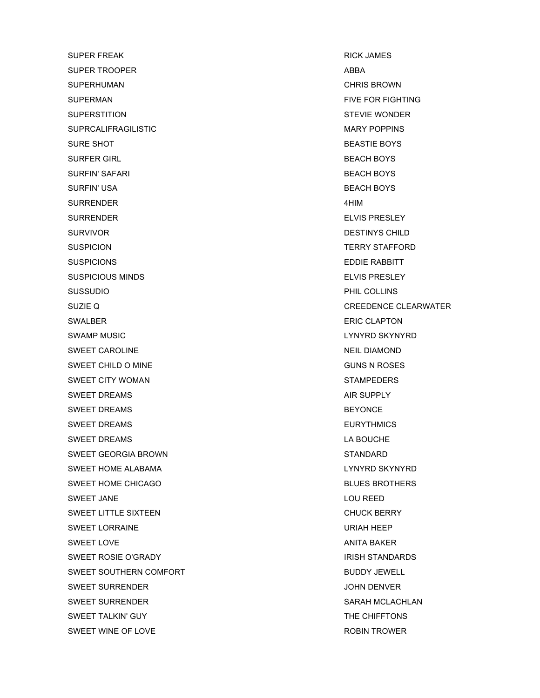SUPER FREAK RICK JAMES SUPER TROOPER ABBA SUPERHUMAN CHRIS BROWN SUPERMAN FIVE FOR FIGHTING SUPERSTITION STEVIE WONDER SUPRCALIFRAGILISTIC **MARY POPPINS** SURE SHOT BEASTIE BOYS SURFER GIRL BEACH BOYS SURFIN' SAFARI BEACH BOYS SURFIN' USA BEACH BOYS SURRENDER 4HIM SURRENDER ELVIS PRESLEY SURVIVOR **DESTINYS CHILD** SUSPICION **TERRY STAFFORD** SUSPICIONS **EDDIE RABBITT** SUSPICIOUS MINDS **ELVIS PRESLEY** SUSSUDIO PHIL COLLINS SWALBER **ERIC CLAPTON** SWAMP MUSIC **SWAMP MUSIC EXAMPLE SKYNYRD** SKYNYRD SWEET CAROLINE NEIL DIAMOND SWEET CHILD O MINE GUNS N ROSES SWEET CITY WOMAN SWEET COMMUNISMENT CONTROL IN THE STAMPEDERS SWEET DREAMS AIR SUPPLY SWEET DREAMS AND RESOURCE IN A SEXUAL BEYONCE IN A SEXUAL BEYONCE. SWEET DREAMS **EURYTHMICS** SWEET DREAMS LA BOUCHE SWEET GEORGIA BROWN STANDARD SWEET HOME ALABAMA LAND HOME ALABAMA LAND SKYNYRD SKYNYRD SKYNYRD SKYNYRD SKYNYRD SKYNYRD SKYNYRD SKYNYRD SKYNYRD SKYNYRD SKYNYRD SKYNYRD SKYNYRD SKYNYRD SKYNYRD SKYNYRD SKYNYRD SKYNYRD SKYNYRD SKYNYRD SKYNYRD SKYNYRD SKYN SWEET HOME CHICAGO **BLUES BROTHERS** SWEET JANE LOU REED SWEET LITTLE SIXTEEN CHUCK BERRY SWEET LORRAINE **WAS IMPOUNDED ASSAULTED** FOR A SWEET LORRAINE SWEET LOVE AND A SERVICE AND A SERVICE AND A SERVICE AND A SERVICE AND A SERVICE AND A SERVICE AND A SERVICE AN SWEET ROSIE O'GRADY **ISSUE AND A STANDARD STANDARDS** SWEET SOUTHERN COMFORT **BUDDY JEWELL** SWEET SURRENDER GERALD AND THE SURRENDER SWEET SURRENDER SWEET SURRENDER SARAH MCLACHLAN SWEET TALKIN' GUY THE CHIFFTONS SWEET WINE OF LOVE **ROBIN TROWER ROBIN TROWER** 

SUZIE Q CREEDENCE CLEARWATER SUZIE Q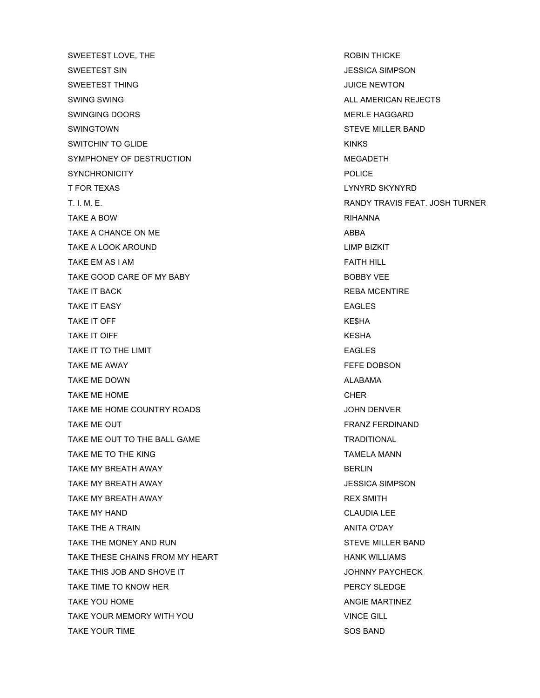SWEETEST LOVE, THE **ROBIN THICKE** SWEETEST SIN JESSICA SIMPSON SWEETEST THING **SWEETEST THING** SWING SWING ALL AMERICAN REJECTS SWINGING DOORS NEED BEEN ALSO MERLE HAGGARD SWINGTOWN STEVE MILLER BAND SWITCHIN' TO GLIDE **KINKS** SYMPHONEY OF DESTRUCTION **Example 20 and 20 and 20 and 20 and 20 and 20 and 20 and 20 and 20 and 20 and 20 and 20 and 20 and 20 and 20 and 20 and 20 and 20 and 20 and 20 and 20 and 20 and 20 and 20 and 20 and 20 and 20 and** SYNCHRONICITY POLICE T FOR TEXAS LYNYRD SKYNYRD T. I. M. E. RANDY TRAVIS FEAT. JOSH TURNER TAKE A BOW RIHANNA TAKE A CHANCE ON ME ABBA TAKE A LOOK AROUND **LIMP BIZKIT** TAKE EM AS I AM FAITH HILL TAKE GOOD CARE OF MY BABY BOBBY VEE TAKE IT BACK **REBA MCENTIRE** TAKE IT EASY **EAGLES** TAKE IT OFF SALES AND TAKE IT OFFICE A SALES AND TAKE IT OFFICE A SALES AND TAKE SHALL ASSESS AND TAKE SHALL A TAKE IT OIFF **KESHA** TAKE IT TO THE LIMIT TAKE THE LIMIT TAKE TO THE LIMIT TAKE ME AWAY **FEFE DOBSON** TAKE ME DOWN **ALABAMA** TAKE ME HOME CHER TAKE ME HOME COUNTRY ROADS **TAKE ME HOME COUNTRY ROADS** TAKE ME OUT **FRANZ FERDINAND** TAKE ME OUT TO THE BALL GAME TAKE ME TO THE KING TAMELA MANN TAMELA MANN TAKE MY BREATH AWAY **BERLIN** TAKE MY BREATH AWAY JESSICA SIMPSON TAKE MY BREATH AWAY **REX SMITH** TAKE MY HAND **CLAUDIA LEE** TAKE THE A TRAIN AND TAKE THE A TRAIN ANITA O'DAY TAKE THE MONEY AND RUN STEVE MILLER BAND TAKE THESE CHAINS FROM MY HEART **HANK WILLIAMS** TAKE THIS JOB AND SHOVE IT **SHOW AND SHOW TAKE THIS JOHNNY PAYCHECK** TAKE TIME TO KNOW HER **FOULD ASSESSED ASSAULT AND TAKE TIME TO KNOW HER** PERCY SLEDGE TAKE YOU HOME ANGIE MARTINEZ TAKE YOUR MEMORY WITH YOU VINCE GILL TAKE YOUR TIME SOS BAND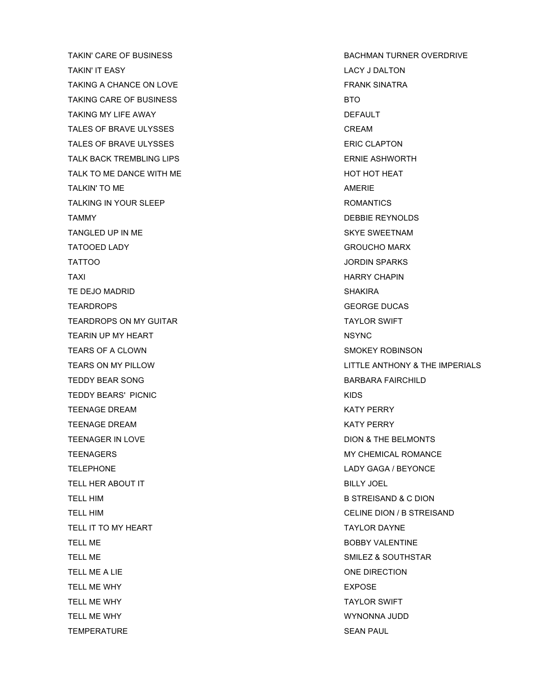TAKIN' IT EASY LACY J DALTON TAKING A CHANCE ON LOVE **FRANK SINATRA** TAKING CARE OF BUSINESS **BTO** BTO TAKING MY LIFE AWAY **DEFAULT** TALES OF BRAVE ULYSSES **CREAM** TALES OF BRAVE ULYSSES ERIC CLAPTON TALK BACK TREMBLING LIPS THE SERVICE OF STATE ASHWORTH TALK TO ME DANCE WITH ME **HOT HOT HOT HOT HEAT** TALKIN' TO ME AMERIC AND TALKIN' TO ME TALKING IN YOUR SLEEP **ROMANTICS** TAMMY DEBBIE REYNOLDS TANGLED UP IN ME SKYE SWEETNAM TATOOED LADY GROUCHO MARX TATTOO JORDIN SPARKS TAXI HARRY CHAPIN TE DEJO MADRID SHAKIRA NG MASA NG MASA NG MASA NG MASA NG SHAKIRA SHAKIRA NG MASA NG MASA NG MASA NG MASA NA SH TEARDROPS GEORGE DUCAS TEARDROPS ON MY GUITAR TAYLOR SWIFT TEARIN UP MY HEART NSYNC TEARS OF A CLOWN SMOKEY ROBINSON TEDDY BEAR SONG BARBARA FAIRCHILD TEDDY BEARS' PICNIC **And Account to the CONTROL** TEENAGE DREAM KATY PERRY TEENAGE DREAM KATY PERRY TEENAGER IN LOVE **DION & THE BELMONTS** TEENAGERS MY CHEMICAL ROMANCE TELEPHONE LADY GAGA / BEYONCE TELL HER ABOUT IT **EXAMPLE 2008** SILLY JOEL TELL HIM B STREISAND & C DION TELL IT TO MY HEART TAXILOR DAYNE TELL ME **BOBBY VALENTINE** TELL ME SALL TELL ME SALL TELL ME SALL TELL ME SALL TELL ME SALL TELL ME SALL TELL ME SALL TELL ME SALL TELL ME TELL ME A LIE ONE DIRECTION TELL ME WHY **EXPOSE** TELL ME WHY TAYLOR SWIFT TELL ME WHY WYNONNA JUDD TEMPERATURE **SEAN PAUL** 

TAKIN' CARE OF BUSINESS **BACHMAN TURNER OVERDRIVE** TEARS ON MY PILLOW LITTLE ANTHONY & THE IMPERIALS TELL HIM **CELINE DION** / B STREISAND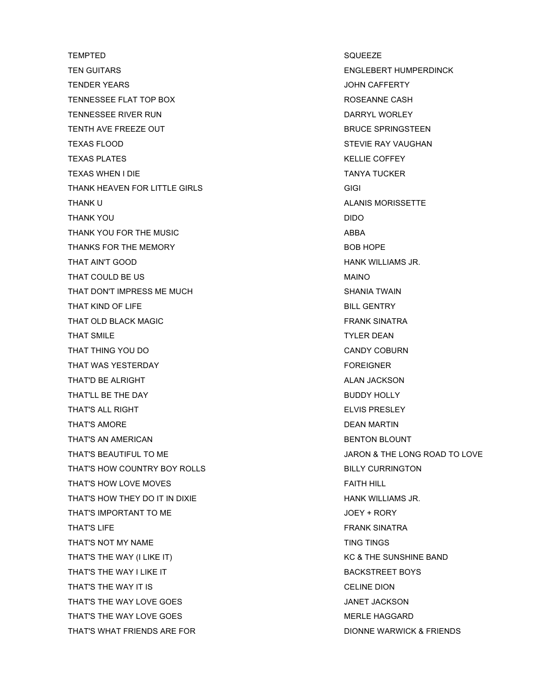TEMPTED SQUEEZE TEN GUITARS ENGLEBERT HUMPERDINCK TENDER YEARS JOHN CAFFERTY TENNESSEE FLAT TOP BOX **ROSEANNE CASH** TENNESSEE RIVER RUN DARRYL WORLEY TENTH AVE FREEZE OUT **BRUCE SPRINGSTEEN** TEXAS FLOOD STEVIE RAY VAUGHAN TEXAS PLATES AND TEXAS PLATES AND TEXAS PLATES AND TEXAS PLATES AND TEXAS AND TEXAS AND TEXAS AND TEXAS AND TEXAS AND TEXAS AND TEXAS AND TEXAS AND TEXAS AND TEXAS AND TEXAS AND TEXAS AND TEXAS AND TEXAS AND TEXAS AND TEXA TEXAS WHEN I DIE TANYA TUCKER TANYA TUCKER THANK HEAVEN FOR LITTLE GIRLS GIGI THANK U ALANIS MORISSETTE THANK YOU DIDO THANK YOU FOR THE MUSIC **ABBA** THANKS FOR THE MEMORY **BOB HOPE** THAT AIN'T GOOD **HANK WILLIAMS JR.** THAT COULD BE US MAINO THAT DON'T IMPRESS ME MUCH SHANIA TWAIN THAT KIND OF LIFE BILL GENTRY THAT OLD BLACK MAGIC **FRANK SINATRA** THAT SMILE **THAT SMILE** THAT THING YOU DO **CANDY COBURN** THAT WAS YESTERDAY THAT WAS YESTERDAY THAT'D BE ALRIGHT ALAN JACKSON ALAN JACKSON THAT'LL BE THE DAY **BUDDY HOLLY** THAT'S ALL RIGHT ELVIS PRESLEY THAT'S AMORE **Example 2018** THAT'S AMORE THAT'S AN AMERICAN BENTON BLOUNT THAT'S BEAUTIFUL TO ME **SECUL TO ME** And the second to the second version of the second version of the second version of the second version of the second version of the second version of the second version of the second ve THAT'S HOW COUNTRY BOY ROLLS BILLY CURRINGTON THAT'S HOW LOVE MOVES **FAITH HILL** THAT'S HOW THEY DO IT IN DIXIE HANG HANK WILLIAMS JR. THAT'S IMPORTANT TO ME **SECURITY IN THAT'S IMPORTANT TO ME** THAT'S LIFE THAT'S LIFE THAT'S LIFE THAT'S LIFE THAT'S LIFE THAT'S LIFE THAT'S LIFE THAT'S LIFE THAT'S LIFE THAT'S LIFE THAT'S LIFE THAT'S LIFE THAT'S LIFE THAT'S LIFE THAT'S LIFE THAT'S LIFE THAT'S LIFE THAT'S LIFE THAT'S THAT'S NOT MY NAME THAT'S NOT MY NAME THAT'S THE WAY (I LIKE IT) THAT'S THE SUNSHINE BAND THAT'S THE WAY I LIKE IT **Example 20 SET ASSESS** BACKSTREET BOYS THAT'S THE WAY IT IS **THAT'S THE WAY IT IS** THAT'S THE WAY LOVE GOES **THAT'S THE WAY LOVE GOES** THAT'S THE WAY LOVE GOES THAT'S THE WAY LOVE GOES THAT'S WHAT FRIENDS ARE FOR **Example 20 Set and ATT** DIONNE WARWICK & FRIENDS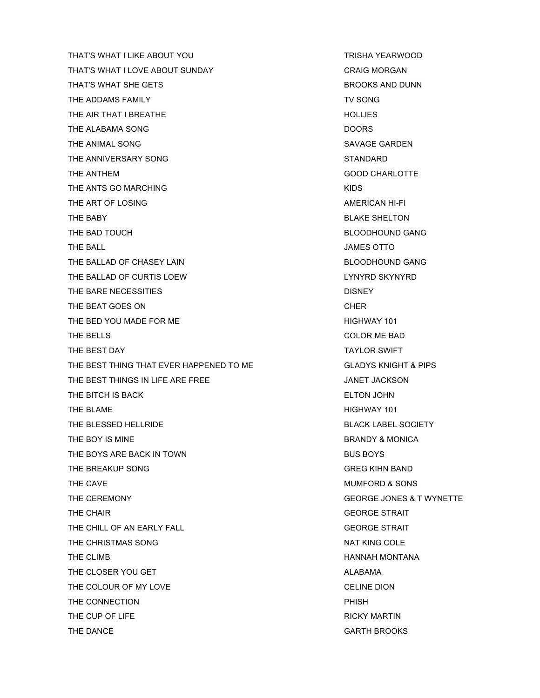THAT'S WHAT I LIKE ABOUT YOU TRISHA YEARWOOD THAT'S WHAT I LOVE ABOUT SUNDAY CRAIG MORGAN THAT'S WHAT SHE GETS **BROOKS** AND DUNN THE ADDAMS FAMILY **THE ADDAMS FAMILY THE ADDAMS** FAMILY THE AIR THAT I BREATHE HOLLIES THE ALABAMA SONG DOORS DOORS THE ANIMAL SONG SAVAGE GARDEN THE ANNIVERSARY SONG STANDARD STANDARD THE ANTHEM GOOD CHARLOTTE THE ANTS GO MARCHING THE ANTS ON A RESERVE AND A RESERVE AND A RESERVE AND A RESERVE AND A RESERVE AND A RESERVE AND A RESERVE AND A RESERVE AND A RESERVE A RESERVE AND A RESERVE A RESERVE A RESERVE A RESERVE A RESERVE A R THE ART OF LOSING AMERICAN HI-FI THE BABY **BLAKE SHELTON** THE BAD TOUCH GANG BLOODHOUND GANG THE BALL **THE BALL** THE BALLAD OF CHASEY LAIN BLOODHOUND GANG THE BALLAD OF CURTIS LOEW **LACK CONSUMING THE BALLAD OF CURTIS** THE BARE NECESSITIES **EXECUTE:** DISNEY THE BEAT GOES ON CHER THE BED YOU MADE FOR ME **HIGHWAY 101** THE BELLS COLOR ME BAD THE BEST DAY TAYLOR SWIFT THE BEST THING THAT EVER HAPPENED TO ME GLADYS KNIGHT & PIPS THE BEST THINGS IN LIFE ARE FREE **STARF ARE ARE ASSESSED ASSAULT** JANET JACKSON THE BITCH IS BACK **ELTON JOHN** THE BLAME **HIGHWAY 101** THE BLESSED HELLRIDE **BLACK LABEL SOCIETY** THE BOY IS MINE **BRANDY & MONICA** THE BOYS ARE BACK IN TOWN BUS BOYS THE BREAKUP SONG GREG KIHN BAND THE CAVE **ALCOHOL THE CAVE MUMFORD & SONS** THE CEREMONY GEORGE JONES & T WYNETTE THE CHAIR GEORGE STRAIT CHAIRS AND THE CHAIR GEORGE STRAIT THE CHILL OF AN EARLY FALL GEORGE STRAIT THE CHRISTMAS SONG NAT KING COLE THE CLIMB **HANNAH MONTANA** THE CLOSER YOU GET ALABAMA THE COLOUR OF MY LOVE CELINE DION THE CONNECTION **PHISH** THE CUP OF LIFE **RICKY MARTIN** THE DANCE **GARTH BROOKS**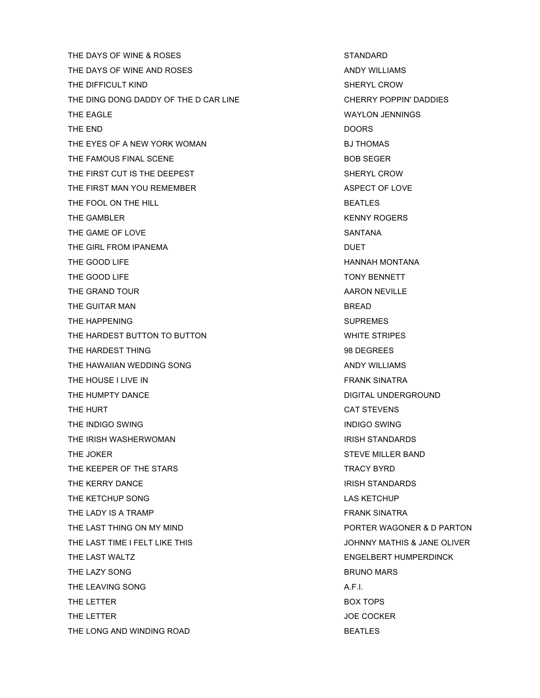THE DAYS OF WINE & ROSES STANDARD THE DAYS OF WINE AND ROSES AND ANDY WILLIAMS THE DIFFICULT KIND SHERYL CROW THE DING DONG DADDY OF THE D CAR LINE CHERRY POPPIN' DADDIES THE EAGLE **WAYLON JENNINGS** THE END DOORS THE EYES OF A NEW YORK WOMAN BUTHOMAS THE FAMOUS FINAL SCENE **BOB SEGER** THE FIRST CUT IS THE DEEPEST SHERYL CROW THE FIRST MAN YOU REMEMBER ASPECT OF LOVE THE FOOL ON THE HILL **EXECUTE ASSESSED ASSAULT** BEATLES THE GAMBLER **KENNY ROGERS** THE GAME OF LOVE SANTANA THE GIRL FROM IPANEMA **DUET** THE GOOD LIFE **HANNAH MONTANA** THE GOOD LIFE TO A RESIDENCE TO A RESIDENCE TO A RESIDENCE TO A RESIDENCE TO A RESIDENCE TO A RESIDENCE TO A RESIDENCE TO A RESIDENCE TO A RESIDENCE OF A RESIDENCE OF A RESIDENCE OF A RESIDENCE OF A RESIDENCE OF A RESIDENC THE GRAND TOUR **AARON NEVILLE** THE GUITAR MAN BREAD THE HAPPENING **SUPREMES** THE HARDEST BUTTON TO BUTTON **THE HARDEST BUTTON** THE HARDEST THING **1998 DEGREES** 98 DEGREES THE HAWAIIAN WEDDING SONG AND THE HAWAIIAN WEDDING SONG THE HOUSE I LIVE IN FRANK SINATRA THE HUMPTY DANCE **Example 20 and 20 and 20 and 20 and 20 and 20 and 20 and 20 and 20 and 20 and 20 and 20 and 20 and 20 and 20 and 20 and 20 and 20 and 20 and 20 and 20 and 20 and 20 and 20 and 20 and 20 and 20 and 20 and** THE HURT CAT STEVENS THE INDIGO SWING **INDIGO SWING** THE IRISH WASHERWOMAN ISSUED AND THE IRISH STANDARDS THE JOKER STEVE MILLER BAND THE KEEPER OF THE STARS TRACY BYRD THE KERRY DANCE **IRISH STANDARDS** THE KETCHUP SONG LAS KETCHUP SONG LAS KETCHUP AT LAS KETCHUP THE LADY IS A TRAMP **FRANK SINATRA** THE LAST THING ON MY MIND **EXAMPLE 20 YOU CONTER WAGONER & D PARTON** THE LAST TIME I FELT LIKE THIS **SEE ALL ASSESSED AS A SET OF A SEE ALL ASSESSED A** JOHNNY MATHIS & JANE OLIVER THE LAST WALTZ **ENGELBERT HUMPERDINCK** THE LAZY SONG **BRUNO MARS** THE LEAVING SONG A.F.I. THE LETTER **BOX TOPS** THE LETTER **SECURE ASSESSED ASSESSED.** THE LETTER **SECURE ASSESSED.** THE LETTER THE LONG AND WINDING ROAD **BEATLES**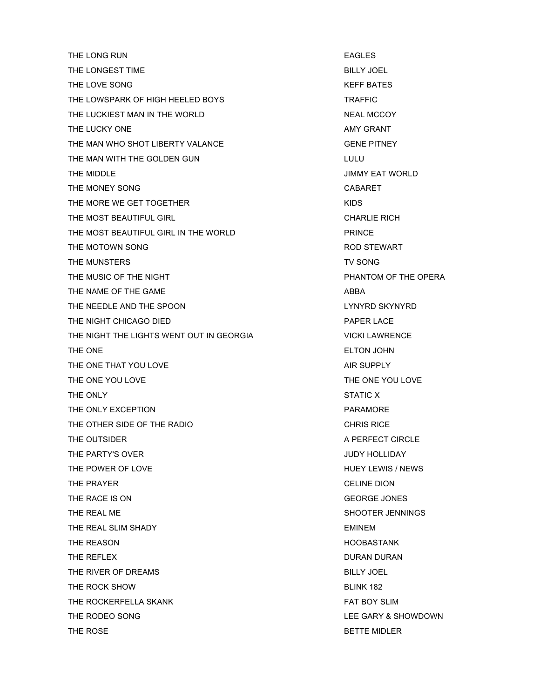THE LONG RUN EAGLES THE LONGEST TIME **BILLY JOEL** THE LOVE SONG KEEF BATES THE LOWSPARK OF HIGH HEELED BOYS THE LOWSPARK OF HIGH HEELED BOYS THE LUCKIEST MAN IN THE WORLD NEAL MCCOY THE LUCKY ONE AMY GRANT THE MAN WHO SHOT LIBERTY VALANCE **CONSIDER A SEXUAL CONSIDERATION** GENE PITNEY THE MAN WITH THE GOLDEN GUN LULU LULU THE MIDDLE **THE MIDDLE** THE MONEY SONG CABARET THE MORE WE GET TOGETHER THE MORE WE GET TO SERVER AND THE MORE WE GET TO SERVER AND MORE THAN A SAME OF THE MORE THAN A SAME OF THE MORE THAN A SAME OF THE MORE THAN A SAME OF THE MORE THAN A SAME OF THE MORE THAN A SAME THE MOST BEAUTIFUL GIRL CHARLIE RICH THE MOST BEAUTIFUL GIRL IN THE WORLD **EXAMPLE PRINCE** THE MOTOWN SONG **ROD STEWART** THE MUNSTERS THE MUNSTERS THE MUNSTERS TO A SAFETY SONG AND THE MUNICIPALITY SONG THE MUSIC OF THE NIGHT PHANTOM OF THE OPERA THE NAME OF THE GAME ABBA THE NEEDLE AND THE SPOON LYNYRD SKYNYRD THE NIGHT CHICAGO DIED **EXAMPLE 20 YO FARE A STATE AND RAPER LACE** THE NIGHT THE LIGHTS WENT OUT IN GEORGIA VICKI LAWRENCE THE ONE ELTON JOHN THE ONE THE ONE THAT YOU LOVE ALL CONTROL CONTROL CONTROL AIR SUPPLY THE ONE YOU LOVE THE ONE YOU LOVE THE ONLY STATIC X THE ONLY EXCEPTION **THE ONLY EXCEPTION** THE OTHER SIDE OF THE RADIO **CHRIS RICE** THE OUTSIDER A PERFECT CIRCLE THE PARTY'S OVER **JUDY HOLLIDAY** THE POWER OF LOVE THE POWER OF LOVE THE PRAYER CELINE DION THE RACE IS ON GEORGE JONES THE REAL ME SHOOTER JENNINGS THE REAL SLIM SHADY **EMINEM** THE REASON **Example 20 and 20 and 20 and 20 and 20 and 20 and 20 and 20 and 20 and 20 and 20 and 20 and 20 and 20 and 20 and 20 and 20 and 20 and 20 and 20 and 20 and 20 and 20 and 20 and 20 and 20 and 20 and 20 and 20 and** THE REFLEX **DURAN DURAN DURAN DURAN DURAN DURAN** THE RIVER OF DREAMS BILLY JOEL THE ROCK SHOW **BLINK 182** THE ROCKERFELLA SKANK FAT BOY SLIM THE RODEO SONG **LEE GARY & SHOWDOWN** THE ROSE **BETTE MIDLER**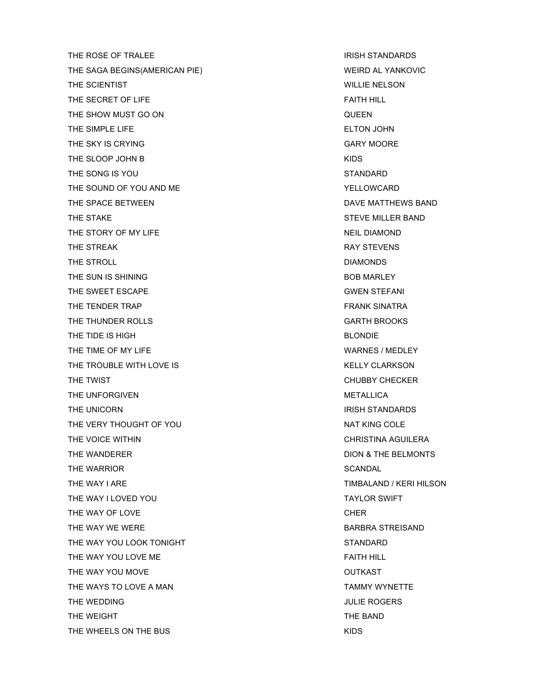THE ROSE OF TRALEE **IRISH STANDARDS** THE SAGA BEGINS(AMERICAN PIE) WEIRD AL YANKOVIC THE SCIENTIST **WILLIE NELSON** THE SECRET OF LIFE FAITH HILL SECRET OF LIFE FAITH HILL THE SHOW MUST GO ON **THE SHOW MUST GO ON** THE SIMPLE LIFE **ELTON JOHN** THE SKY IS CRYING GARY MOORE CONSUMING A SALE OF A SALE OF A GARY MOORE. THE SLOOP JOHN B KIDS THE SONG IS YOU STANDARD STANDARD THE SOUND OF YOU AND ME YELLOWCARD THE SPACE BETWEEN **THE SPACE BETWEEN** THE STAKE STAKE STAKE STAKE STAKE STEVE MILLER BAND THE STORY OF MY LIFE NEIL DIAMOND THE STREAK **RAY STEVENS** THE STROLL DIAMONDS THE SUN IS SHINING BOB MARLEY THE SWEET ESCAPE GWEN STEFANI THE TENDER TRAP **FRANK SINATRA** THE THUNDER ROLLS **GARTH BROOKS** THE TIDE IS HIGH BLONDIE THE TIME OF MY LIFE WARNES / MEDLEY THE TROUBLE WITH LOVE IS THE TROUBLE WITH LOVE IS THE TWIST **EXECUTE A REPORT OF A REPORT OF A REPORT OF A REPORT OF A REPORT OF A REPORT OF A REPORT OF A REPORT** THE UNFORGIVEN **METALLICA** THE UNICORN **IRISH STANDARDS** THE VERY THOUGHT OF YOU NAT KING COLE THE VOICE WITHIN CHRISTINA AGUILERA THE WANDERER **THE WANDERER EXAMPLE ASSESSED AS A RESISTING WATER** DION & THE BELMONTS THE WARRIOR **EXECUTIVE SCANDAL** SCANDAL THE WAY I ARE THE WAY I ARE THE WAY I ARE TIMBALAND / KERI HILSON THE WAY I LOVED YOU THE WAY I LOVED YOU THE WAY OF LOVE THE SERIES AND THE WAY OF LOVE THE WAY WE WERE **BARBRA STREISAND** THE WAY YOU LOOK TONIGHT STANDARD THE WAY YOU LOVE ME **FAITH HILL** THE WAY YOU MOVE **OUTKAST** THE WAYS TO LOVE A MAN TAMMY WYNETTE THE WEDDING **THE WEDDING THE WEDDING** THE WEIGHT THE BAND THE WHEELS ON THE BUS THE RESERVE THE STATE OF THE BUSINESS ON THE BUSINESS OF THE RESERVE THE RESERVE THAT A STATE OF THE RESERVE THE RESERVE THAT A STATE OF THE RESERVE THAT A STATE OF THE RESERVE THAT A STATE OF THE RES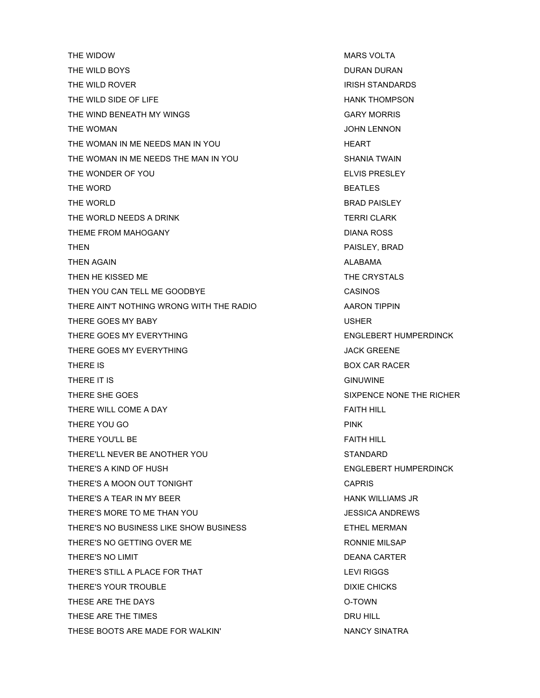THE WIDOW **MARS VOLTA** THE WILD BOYS **DURAN DURAN DURAN BOYS** THE WILD ROVER IN THE WILD ROVER THE WILD SIDE OF LIFE THE HANK THOMPSON THE WIND BENEATH MY WINGS GARY MORRIS THE WOMAN GERMAN AND THE WOMAN SERVICES AND THE WOMAN AND THE WOMAN SERVICES AND THE SERVICES AND THE SERVICES THE WOMAN IN ME NEEDS MAN IN YOU **Example 20 HEART** THE WOMAN IN ME NEEDS THE MAN IN YOU SHANIA TWAIN THE WONDER OF YOU ELVIS PRESLEY THE WORD **BEATLES** THE WORLD GENERAL BRAD PAISLEY THE WORLD NEEDS A DRINK TERRI CLARK TERRI CLARK THEME FROM MAHOGANY **EXAMPLE THEME FROM MAHOGANY DIANA ROSS** THEN **PAISLEY, BRAD** THEN AGAIN **ALABAMA** THEN HE KISSED ME THE CRYSTALS THEN YOU CAN TELL ME GOODBYE CASINOS THERE AIN'T NOTHING WRONG WITH THE RADIO AARON TIPPIN THERE GOES MY BABY **USHER** THERE GOES MY EVERYTHING THE SAME CONSIDERED AS A RESERT HUMPERDINCK THERE GOES MY EVERYTHING **THERE GOES AND EXAMPLE ASSAULT** A CHARGE AND THE METAL ASSAULT. THERE IS **BOX CAR RACER** THERE IT IS GINUWINE THERE SHE GOES SIXPENCE NONE THE RICHER THERE WILL COME A DAY FAITH HILL SAME A SALE AND THE REAL PAIR OF THE REAL PAIR OF THE REAL PAIR OF THE REAL PAIR OF THE REAL PAIR OF THE REAL PAIR OF THE REAL PAIR OF THE REAL PAIR OF THE REAL PAIR OF THE REAL PAIR OF THE THERE YOU GO **PINK** THERE YOU'LL BE FAITH HILL AND RESERVE THERE FAITH HILL THERE'LL NEVER BE ANOTHER YOU STANDARD THERE'S A KIND OF HUSH ENGLEBERT HUMPERDINCK THERE'S A MOON OUT TONIGHT THERE'S A MOON OUT TONIGHT THERE'S A TEAR IN MY BEER THE HANK WILLIAMS JR THERE'S MORE TO ME THAN YOU **A CONSIDER A SET ON THE SET OF SECOND RE**WS THERE'S NO BUSINESS LIKE SHOW BUSINESS **EXAMPLE ASSESS THE REST REST ASSESS** THERE'S NO GETTING OVER ME THERE'S NO LIMIT **DEANA CARTER** THERE'S STILL A PLACE FOR THAT **EXAMPLE A PLACE FOR THAT** THERE'S YOUR TROUBLE **THERE'S YOUR TROUBLE** THESE ARE THE DAYS **O-TOWN** THESE ARE THE TIMES **EXECUTE A SET ASSESSED ASSESSED.** THESE ARE THE TIMES THESE BOOTS ARE MADE FOR WALKIN' NANCY SINATRA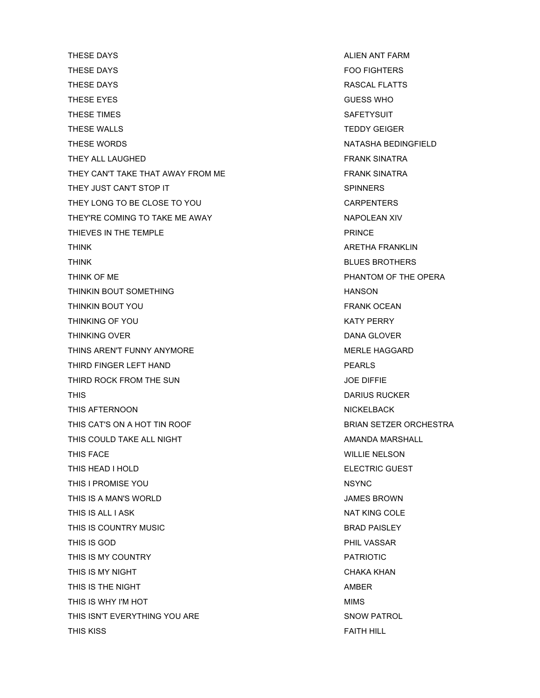THESE DAYS **ALIEN ANT FARM** THESE DAYS FOO FIGHTERS THESE DAYS **RASCAL FLATTS** THESE EYES GUESS WHO GUESS WHO GUESS ON THE SERVES AND THESE EYES THESE TIMES **SAFETYSUIT** THESE WALLS **THESE WALLS** THESE WORDS NATASHA BEDINGFIELD THEY ALL LAUGHED **FRANK SINATRA** THEY CAN'T TAKE THAT AWAY FROM ME FRANK SINATRA THEY JUST CAN'T STOP IT SPINNERS THEY LONG TO BE CLOSE TO YOU CARPENTERS THEY'RE COMING TO TAKE ME AWAY NAPOLEAN XIV THIEVES IN THE TEMPLE **EXAMPLE ASSESSED ASSESSED.** THIEVES IN THE TEMPLE THINK THE RESERVE THINK ARETHER ARETHER AND THINK THINK BLUES BROTHERS THINK OF ME **PHANTOM OF THE OPERA** THINKIN BOUT SOMETHING **HANSON** THINKIN BOUT YOU GALL THINKIN BOUT YOU THINKING OF YOU GOT A CONTROL TO BE A CONTROL OF THINKING OF YOU THINKING OVER **DANA GLOVER DANA GLOVER** THINS AREN'T FUNNY ANYMORE **MERLE HAGGARD** THIRD FINGER LEFT HAND **PEARLS** THIRD ROCK FROM THE SUN **THIRD ROCK FROM THE SUN** THIS **THIS EXECUTE A REPORT OF A REPORT OF A REPORT OF A REPORT OF A REPORT OF A REPORT OF A REPORT OF A REPORT OF A REPORT OF A REPORT OF A REPORT OF A REPORT OF A REPORT OF A REPORT OF A REPORT OF A REPORT OF A REPORT** THIS AFTERNOON AND RESERVE THIS AFTERNOON THIS CAT'S ON A HOT TIN ROOF **BRIAN SETZER ORCHESTRA** THIS COULD TAKE ALL NIGHT AMANDA MARSHALL AMANDA MARSHALL THIS FACE WILLIE NELSON THIS HEAD I HOLD **ELECTRIC GUEST** THIS I PROMISE YOU NSYNC THIS IS A MAN'S WORLD JAMES BROWN THIS IS ALL I ASK NAT KING COLE AND THIS IS ALL I ASK THIS IS COUNTRY MUSIC **Example 20 Inc.** This is country music and the set of the set of the set of the set of the set of the set of the set of the set of the set of the set of the set of the set of the set of the set of th THIS IS GOD **PHIL VASSAR** THIS IS MY COUNTRY **EXAMPLE ASSESSED ASSESSED.** THIS IS MY COUNTRY THIS IS MY NIGHT CHAKA KHAN CHAKA KHAN CHAKA KHAN CHAKA KHAN CHAKA KHAN CHAKA KHAN CHAKA KHAN CHAKA KHAN CHAKA KHAN THIS IS THE NIGHT AMBER THIS IS WHY I'M HOT **MIMS** THIS ISN'T EVERYTHING YOU ARE SNOW PATROL THIS KISS FAITH HILL AND THIS KISS FAITH HILL AND THIS KISS FAITH HILL AND THIS MANUSCRIPT OF THE STATE OF THE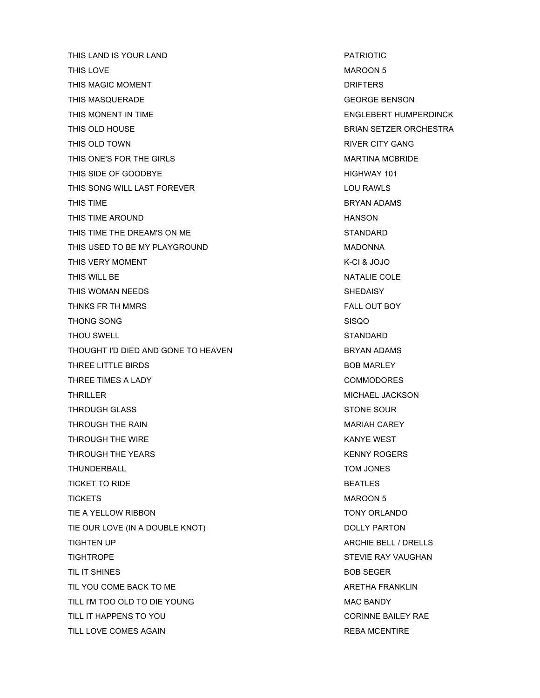THIS LAND IS YOUR LAND **FAIRIOTIC** THIS LOVE **MAROON 5** THIS MAGIC MOMENT **DRIFTERS** THIS MASQUERADE GEORGE BENSON THIS MONENT IN TIME **ENGLEBERT HUMPERDINCK** THIS OLD HOUSE **BRIAN SETZER ORCHESTRA** THIS OLD TOWN THIS OLD TOWN THIS ONE'S FOR THE GIRLS **MARTINA MCBRIDE** THIS SIDE OF GOODBYE **A SIDE OF GOODBYE HIGHWAY 101** THIS SONG WILL LAST FOREVER **LOU RAWLS** THIS TIME **BRYAN ADAMS** THIS TIME AROUND **HANSON** THIS TIME THE DREAM'S ON ME STANDARD THIS USED TO BE MY PLAYGROUND **MADONNA** THIS VERY MOMENT THIS VERY MOMENT THIS WILL BE NATALIE COLE THIS WOMAN NEEDS SHEDAISY THNKS FR TH MMRS FALL OUT BOY THONG SONG SANG SISQO SISQO THOU SWELL STANDARD THOUGHT I'D DIED AND GONE TO HEAVEN BRYAN ADAMS THREE LITTLE BIRDS **BOB MARLEY** THREE TIMES A LADY **COMMODORES** THRILLER MICHAEL JACKSON THROUGH GLASS STONE SOUR THROUGH THE RAIN MARIAH CAREY NARIAH CAREY THROUGH THE WIRE THE RESERVE THROUGH THE WIRE A SAMPLE WEST THROUGH THE YEARS **KENNY ROGERS** THUNDERBALL TOM JONES TICKET TO RIDE **BEATLES** TICKETS MAROON 5 TIE A YELLOW RIBBON TONY ORLANDO TIE OUR LOVE (IN A DOUBLE KNOT) DOLLY PARTON TIGHTEN UP ARCHIE BELL / DRELLS TIGHTROPE STEVIE RAY VAUGHAN TIL IT SHINES BOB SEGER TIL YOU COME BACK TO ME ARETHA FRANKLIN TILL I'M TOO OLD TO DIE YOUNG MAC BANDY MAC BANDY TILL IT HAPPENS TO YOU **CORINNE BAILEY RAE** TILL LOVE COMES AGAIN **REBA MCENTIRE**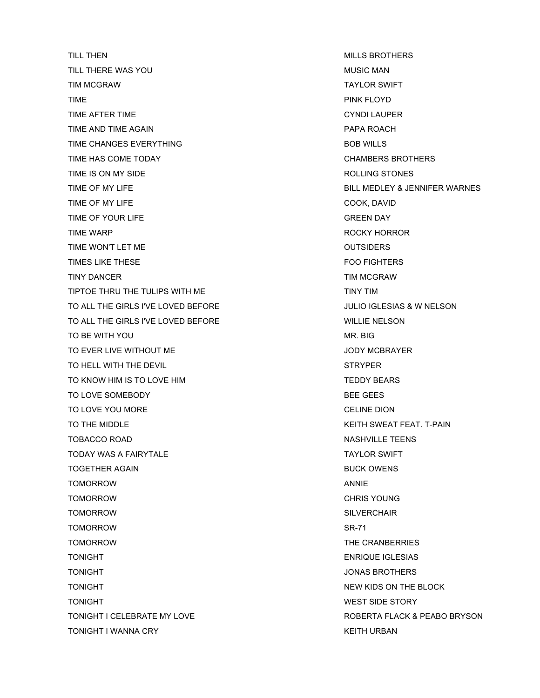TILL THEN GENERAL MILLS BROTHERS AND TILL THEN TILL THERE WAS YOU GOT A CONTROL TO A CONTROL CONTROL CONTROL CONTROL CONTROL CONTROL CONTROL CONTROL CONTROL CONTROL CONTROL CONTROL CONTROL CONTROL CONTROL CONTROL CONTROL CONTROL CONTROL CONTROL CONTROL CONTROL CONTROL TIM MCGRAW TAYLOR SWIFT TIME PINK FLOYD TIME AFTER TIME CYNDI LAUPER TIME AND TIME AGAIN **PAPA ROACH** TIME CHANGES EVERYTHING **BOB WILLS** TIME HAS COME TODAY CHAMBERS BROTHERS TIME IS ON MY SIDE **ROLLING STONES** TIME OF MY LIFE BILL MEDLEY & JENNIFER WARNES TIME OF MY LIFE COOK, DAVID TIME OF YOUR LIFE GREEN DAY TIME WARP **ROCKY HORROR ROCKY HORROR** TIME WON'T LET ME **OUTSIDERS** TIMES LIKE THESE **FOO FIGHTERS** TINY DANCER TINY DANCER TIME OF THE SERVICE OF THE SERVICE OF THE SERVICE OF THE SERVICE OF THE SERVICE OF THE SERVICE OF THE SERVICE OF THE SERVICE OF THE SERVICE OF THE SERVICE OF THE SERVICE OF THE SERVICE OF THE SERVIC TIPTOE THRU THE TULIPS WITH ME THE TO THE TIME TIME TIME TO THE TIME TIME TO THE TIME TO THE TIME THE TIME TO TO ALL THE GIRLS I'VE LOVED BEFORE **FOR A SET ASSESS** A VIOLIO IGLESIAS & W NELSON TO ALL THE GIRLS I'VE LOVED BEFORE WILLIE NELSON TO BE WITH YOU GOT A CONTROL TO BE WITH YOU TO EVER LIVE WITHOUT ME **THE SET ASSESSED ASSAULT A** SHOW MOON MOON MOON MOON MANAGER. TO HELL WITH THE DEVIL **STRYPER** TO KNOW HIM IS TO LOVE HIM TEDDY BEARS TO LOVE SOMEBODY **BEE GEES** TO LOVE YOU MORE TO LOVE TO LOVE OUT A LOCAL CELINE DION TO THE MIDDLE **THE MIDDLE** TO THE MIDDLE A STATE SWEAT FEAT. T-PAIN TOBACCO ROAD NASHVILLE TEENS TODAY WAS A FAIRYTALE **TAYLOR SWIFT** TOGETHER AGAIN BUCK OWENS TOMORROW ANNIE TOMORROW CHRIS YOUNG TOMORROW SILVERCHAIR TOMORROW SR-71 TOMORROW THE CRANBERRIES TONIGHT ENRIQUE IGLESIAS TONIGHT JONAS BROTHERS TONIGHT TONIGHT A RESERVED BY A RESERVED BY A RESERVED BY A RESERVED BY A RESERVED BY A RESERVED BY A RESERVED BY A RESERVED BY A RESERVED BY A RESERVED BY A RESERVED BY A RESERVED BY A RESERVED BY A RESERVED BY A RESERVED TONIGHT **WEST SIDE STORY** TONIGHT I WANNA CRY **KEITH URBAN** 

TONIGHT I CELEBRATE MY LOVE **EXAMPLE ASSESSED ASSESSED A** ROBERTA FLACK & PEABO BRYSON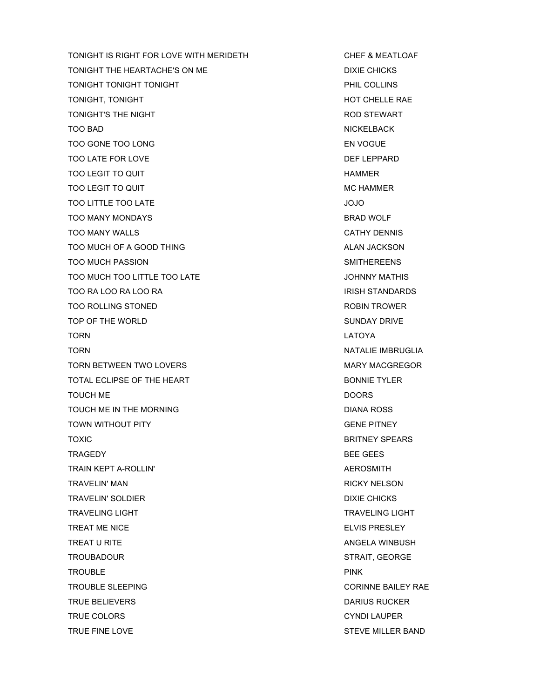TONIGHT IS RIGHT FOR LOVE WITH MERIDETH CHEF & MEATLOAF TONIGHT THE HEARTACHE'S ON ME TONIGHT TONIGHT TONIGHT **TONIGHT EXAMPLE 2012 TONIGHT** PHIL COLLINS TONIGHT, TONIGHT **HOT CHELLE RAE** TONIGHT'S THE NIGHT **ROD STEWART** TOO BAD NICKELBACK TOO GONE TOO LONG ENGLOSE TOO LOOGUE EN VOGUE TOO LATE FOR LOVE TO BE A LOCAL TOO LATE FOR LOVE TO BE A LOCAL TOO LATE FOR LOVE TOO LEGIT TO QUIT TO A LIMIT AND TOO LEGIT TO A LIMIT AND TOO LEGIT TO A LIMIT AND TOO LEGIT TO A LIMIT AND TOO TOO LEGIT TO QUIT TOO LEGIT TO A LIMIT AND TOO LEGIT TO A LIMIT AND TOO LEGIT TO A LIMIT AND TOO LEGIT AT A LIMIT AND TOO LEGIT AT A LIMIT AND TOO LEGIT AT A LIMIT AND TOO LIMIT AT A LIMIT AND TOO LIMIT AT A LIMIT AND TOO TOO LITTLE TOO LATE A GO AND TOO LITTLE TOO LATE TOO MANY MONDAYS BRAD WOLF TOO MANY WALLS GATHY DENNIS TOO MUCH OF A GOOD THING ALAN JACKSON ALAN JACKSON TOO MUCH PASSION GERMAN SANTIFIER EENS TOO MUCH TOO LITTLE TOO LATE **JOHNNY MATHIS** TOO RA LOO RA LOO RA ISO RA ISO BEEN ALLOO RA INSTANDARDS IN THE STANDARDS TOO ROLLING STONED **ROBIN TROWER** ROBIN TROWER TOP OF THE WORLD SUNDAY DRIVE TORN LATOYA TORN NATALIE IMBRUGLIA TORN BETWEEN TWO LOVERS TO A MARY MACGREGOR TOTAL ECLIPSE OF THE HEART **BONNIE TYLER** TOUCH ME DOORS TOUCH ME IN THE MORNING **EXAMPLE 20 IN THE MORNING DIANA ROSS** TOWN WITHOUT PITY TOWN AND TOWN WITHOUT PITY TOXIC BRITNEY SPEARS TRAGEDY **BEE GEES** TRAIN KEPT A-ROLLIN' **ALL AUSTRAIN CONTACT A CONTACT A CONTACT A CONTACT A CONTACT A CONTACT A** TRAVELIN' MAN **RICKY NELSON** TRAVELIN' SOLDIER **DIXIE CHICKS** TRAVELING LIGHT TRAVELING LIGHT TRAVELING LIGHT TREAT ME NICE **ELVIS PRESLEY** TREAT U RITE ANGELA WINBUSH TROUBADOUR **STRAIT, GEORGE** TROUBLE PINK TROUBLE SLEEPING **CORINNE BAILEY RAE** TRUE BELIEVERS DARIUS RUCKER TRUE COLORS CHARGES AND TRUE COLORS CYNDI LAUPER TRUE FINE LOVE STEVE MILLER BAND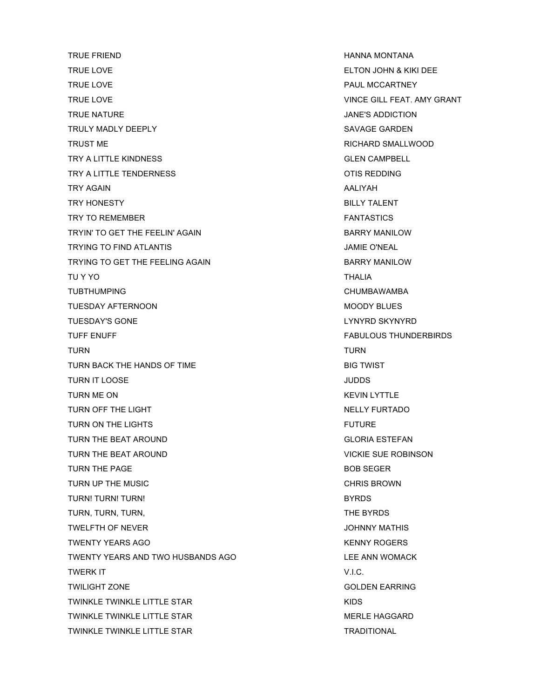TRUE FRIEND **HANNA MONTANA** TRUE LOVE ELTON JOHN & KIKI DEE TRUE LOVE **PAUL MCCARTNEY** TRUE LOVE VINCE GILL FEAT. AMY GRANT TRUE NATURE **TRUE NATURE TRUE NATURE 1999** TRULY MADLY DEEPLY **SAVAGE GARDEN** TRUST ME **RICHARD SMALLWOOD** TRY A LITTLE KINDNESS GLEN CAMPBELL TRY A LITTLE TENDERNESS OTIS REDDING TRY AGAIN AND TRY AGAIN TRY HONESTY BILLY TALENT TRY TO REMEMBER TRY TO REMEMBER TRY TO REMEMBER TRYIN' TO GET THE FEELIN' AGAIN **BARRY MANILOW** TRYING TO FIND ATLANTIS JAMIE O'NEAL TRYING TO GET THE FEELING AGAIN **BARRY MANILOW** TU Y YO THALIA TUBTHUMPING **CHUMBAWAMBA** TUESDAY AFTERNOON MOODY BLUES TUESDAY'S GONE THE LAND ON THE LAND OF THE LAND OF THE LAND OF THE LAND OF THE LAND OF THE LAND OF THE LAND OF THE LAND OF THE LAND OF THE LAND OF THE LAND OF THE LAND OF THE LAND OF THE LAND OF THE LAND OF THE LAND OF THE TUFF ENUFF FABULOUS THUNDERBIRDS TURN TURN TURN BACK THE HANDS OF TIME BIG TWIST TURN IT LOOSE UP AND TURN IT LOOSE TO A SAFEKEEPING A SAFEKEEPING ASSAULT AT A SAFEKEEPING OF A SAFEKEEPING OF A SAFEKEEPING OF A SAFEKEEPING OF A SAFEKEEPING OF A SAFEKEEPING OF A SAFEKEEPING OF A SAFEKEEPING OF A SAFEKEE TURN ME ON KEVIN LYTTLE TURN OFF THE LIGHT NELLY FURTADO TURN ON THE LIGHTS FUTURE FUTURE TURN THE BEAT AROUND GLORIA ESTEFAN TURN THE BEAT AROUND VICKIE SUE ROBINSON TURN THE PAGE **BOB SEGER** TURN UP THE MUSIC **CHRIS BROWN** TURN! TURN! TURN! BYRDS TURN, TURN, TURN, TURN, TURN, TURN, TURN, THE BYRDS TWELFTH OF NEVER JOHNNY MATHIS TWENTY YEARS AGO **KENNY ROGERS** TWENTY YEARS AND TWO HUSBANDS AGO LEE ANN WOMACK TWERK IT SERVICE STATES AND TWEEK IT SERVICE. TWILIGHT ZONE GOLDEN EARRING TWINKLE TWINKLE LITTLE STAR TWINKLE TWINKLE TWINKLE TWINKLE LITTLE STAR MERLE HAGGARD TWINKLE TWINKLE LITTLE STAR TRADITIONAL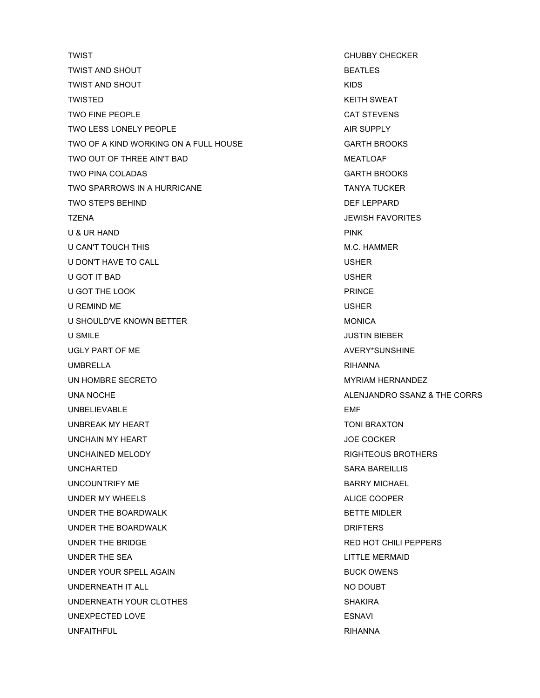TWIST **TWIST CHUBBY CHECKER** TWIST AND SHOUT **EXECUTES BEATLES** TWIST AND SHOUT **AND SHOUT CONTAINING THE SET OF A STATE OF A STATE OF A STATE OF A STATE OF A STATE OF A STATE OF A STATE OF A STATE OF A STATE OF A STATE OF A STATE OF A STATE OF A STATE OF A STATE OF A STATE OF A STAT** TWISTED **TWISTED** TWO FINE PEOPLE **CAT STEVENS** TWO LESS LONELY PEOPLE AIR SUPPLY TWO OF A KIND WORKING ON A FULL HOUSE GARTH BROOKS TWO OUT OF THREE AIN'T BAD MEATLOAF TWO PINA COLADAS **GARTH BROOKS** TWO SPARROWS IN A HURRICANE TANYA TUCKER TWO STEPS BEHIND **DEF LEPPARD** TZENA JEWISH FAVORITES U & UR HAND PINK U CAN'T TOUCH THIS **M.C. HAMMER** U DON'T HAVE TO CALL **USHER** U GOT IT BAD USHER U GOT THE LOOK PRINCE U REMIND ME USHER U SHOULD'VE KNOWN BETTER **MONICA** U SMILE USMILE AND THE STATE OF THE STATE OF THE STATE OF THE STATE OF THE STATE OF THE STATE OF THE STATE OF THE STATE OF THE STATE OF THE STATE OF THE STATE OF THE STATE OF THE STATE OF THE STATE OF THE STATE OF THE STAT UGLY PART OF ME AVERY\*SUNSHINE UMBRELLA RIHANNA UN HOMBRE SECRETO **MYRIAM HERNANDEZ** UNA NOCHE ALENJANDRO SSANZ & THE CORRS UNBELIEVABLE EMF UNBREAK MY HEART TONI BRAXTON UNCHAIN MY HEART JOE COCKER UNCHAINED MELODY **RIGHTEOUS BROTHERS** UNCHARTED SARA BAREILLIS UNCOUNTRIFY ME BARRY MICHAEL UNDER MY WHEELS ALICE COOPER UNDER THE BOARDWALK BETTE MIDLER UNDER THE BOARDWALK DRIFTERS UNDER THE BRIDGE **RED HOT CHILI PEPPERS** UNDER THE SEA LITTLE MERMAID UNDER YOUR SPELL AGAIN BUCK OWENS UNDERNEATH IT ALL NO DOUBT UNDERNEATH YOUR CLOTHES SHAKIRA UNEXPECTED LOVE ESNAVI UNFAITHFUL RIHANNA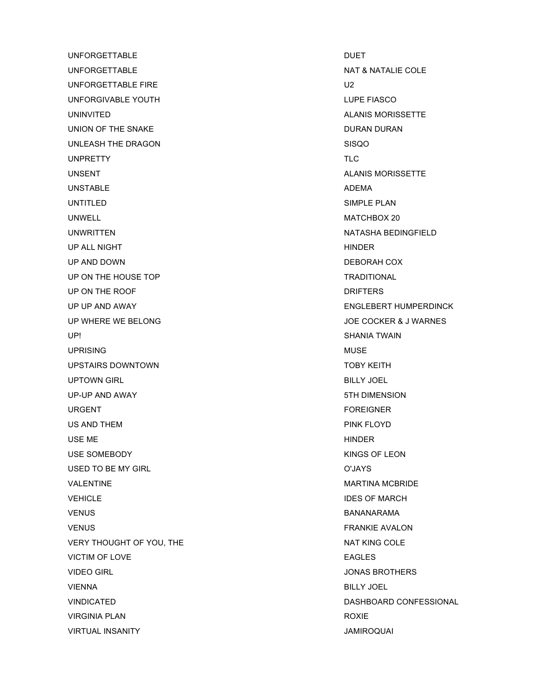UNFORGETTABLE DUET UNFORGETTABLE NAT & NATALIE COLE UNFORGETTABLE FIRE U2 UNFORGIVABLE YOUTH THE RESIDENT RELATIONS OF THE RESIDENT RELATIONS OF THE RESIDENT RELATIONS OF THE RESIDENT OF THE RESIDENT RELATIONS OF THE RESIDENT OF THE RELATIONS OF THE RELATIONS OF THE RELATIONS OF THE RELATIONS OF UNINVITED ALANIS MORISSETTE UNION OF THE SNAKE DURAN DURAN DURAN DURAN DURAN DURAN DURAN DURAN DURAN DURAN DURAN DURAN DURAN DURAN DURAN DU UNLEASH THE DRAGON SISQO UNPRETTY TLC UNSENT CONSENT ALANIS MORISSETTE UNSTABLE ADEMA UNTITLED SIMPLE PLAN UNWELL **MATCHBOX 20** UNWRITTEN NATASHA BEDINGFIELD UP ALL NIGHT HINDER SERVICES AND THE SERVICES OF THE SERVICES OF THE SERVICES OF THE SERVICES OF THE SERVICES UP AND DOWN DEBORAH COX UP ON THE HOUSE TOP TRADITIONAL UP ON THE ROOF **DRIFTERS** UP UP AND AWAY ENGLEBERT HUMPERDINCK UP WHERE WE BELONG JOE COCKER & J WARNES UP! SHANIA TWAIN UPRISING NUMBER OF THE SERVICE SERVICE SERVICE SERVICE SERVICE SERVICE SERVICE SERVICE SERVICE SERVICE SERVICE UPSTAIRS DOWNTOWN TOBY KEITH UPTOWN GIRL BILLY JOEL UP-UP AND AWAY 5TH DIMENSION URGENT FOREIGNER US AND THEM **PINK FLOYD** USE ME HINDER USE SOMEBODY KINGS OF LEON USED TO BE MY GIRL **O'JAYS** VALENTINE THE MARTINE MARTINE MARTINE MARTINE MARTINE VEHICLE **IDES OF MARCH** VENUS BANANARAMA VENUS FRANKIE AVALON VERY THOUGHT OF YOU, THE NAT KING COLE VICTIM OF LOVE **EAGLES** VIDEO GIRL **VIDEO GIRL JONAS BROTHERS** VIENNA BILLY JOEL VIRGINIA PLAN ROXIE VIRTUAL INSANITY JAMIROQUAI

VINDICATED DASHBOARD CONFESSIONAL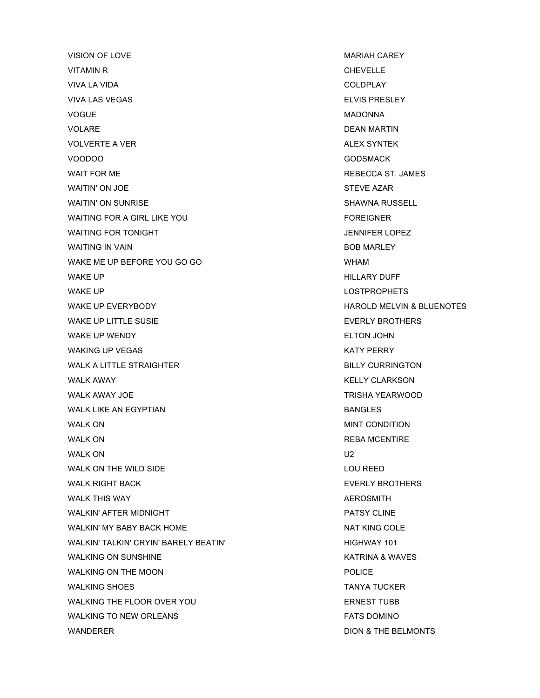VISION OF LOVE **MARIAH CAREY** VITAMIN R<br>
CHEVELLE VIVA LA VIDA COLDPLAY VIVA LAS VEGAS ELVIS PRESLEY VOGUE NADONNA VOLARE DEAN MARTIN VOLVERTE A VER AND THE SYNTEK SYNTEM AND THE SERIES OF THE SYNTEM ALEX SYNTEK VOODOO GODSMACK WAIT FOR ME **REBECCA ST. JAMES** WAITIN' ON JOE STEVE AZAR WAITIN' ON SUNRISE **SHAWNA RUSSELL** WAITING FOR A GIRL LIKE YOU FOREIGNER WAITING FOR TONIGHT **A SET ON THE SET OF STATE AND RESIDENT** SERVICES A SERVICE OF STATES OF STATES AND THE SERVICES WAITING IN VAIN BOB MARLEY WAKE ME UP BEFORE YOU GO GO WHAM WAKE UP A GENERAL METAL CONTROL IN THE SERVICE OF THE MAKE UP A GENERAL METAL METAL METAL METAL METAL METAL ME WAKE UP **LOSTPROPHETS** WAKE UP EVERYBODY **A CONSIDER A CONSIDER THE CONSIDER A** HAROLD MELVIN & BLUENOTES WAKE UP LITTLE SUSIE EVERLY BROTHERS WAKE UP WENDY **ELTON JOHN** WAKING UP VEGAS KATY PERRY WALK A LITTLE STRAIGHTER **BILLY CURRINGTON** WALK AWAY NEWSPAPE AND RELATION OF THE RELATION OF THE RELATION OF THE RELATION OF THE RELATION OF THE RELATION WALK AWAY JOE TRISHA YEARWOOD WALK LIKE AN EGYPTIAN BANGLES WALK ON **MINT CONDITION** WALK ON **REBA MCENTIRE** WALK ON U2 WALK ON THE WILD SIDE **LOU REED** WALK RIGHT BACK **EVERLY BROTHERS** WALK THIS WAY ALL AND THIS WAY A REPOSATE THIS WAY A LIMIT OF THE RESEARCH OF THE RESEARCH OF THE RESEARCH OF THE RESEARCH OF THE RESEARCH OF THE RESEARCH OF THE RESEARCH OF THE RESEARCH OF THE RESEARCH OF THE RESEARCH OF WALKIN' AFTER MIDNIGHT **PATSY CLINE** WALKIN' MY BABY BACK HOME NAT KING COLE WALKIN' TALKIN' CRYIN' BARELY BEATIN' HIGHWAY 101 WALKING ON SUNSHINE KATRINA & WAVES WALKING ON THE MOON **POLICE** WALKING SHOES TANYA TUCKER WALKING THE FLOOR OVER YOU **EXAMPLE THE SENEST TUBB** WALKING TO NEW ORLEANS FATS DOMINO

WANDERER DION & THE BELMONTS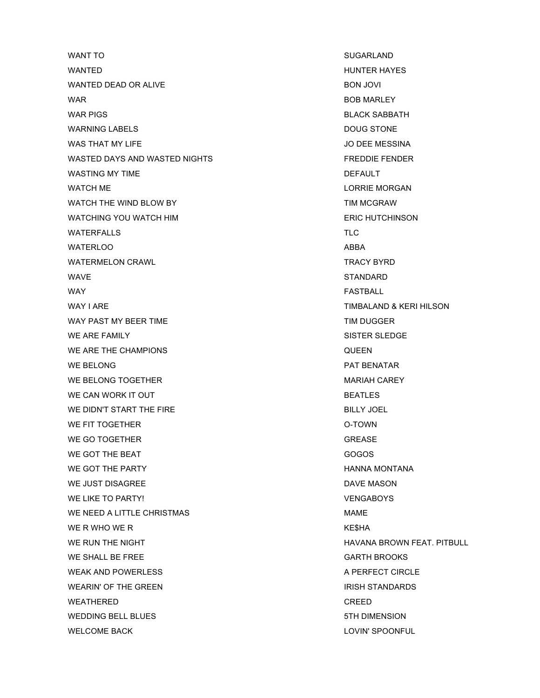WANT TO SUGARLAND WANTED **WANTED WANTED** WANTED DEAD OR ALIVE **BON JOVI** WAR BOB MARLEY WAR PIGS **BLACK SABBATH** WARNING LABELS DOUG STONE WAS THAT MY LIFE THE SERVICE OF THE MESSINA AND THAT MY LIFE OF THE MESSINA WASTED DAYS AND WASTED NIGHTS FREDDIE FENDER WASTING MY TIME **DEFAULT** WATCH ME **LORRIE MORGAN** WATCH THE WIND BLOW BY **TIM MCGRAW** WATCHING YOU WATCH HIM ERIC HUTCHINSON WATERFALLS TLC WATERLOO ABBA WATERMELON CRAWL TRACY BYRD WAVE STANDARD WARE STANDARD WAS STANDARD STANDARD. WAY GENERAL MANUSIC SERVICES IN THE SERVICE OF STRUCK SERVICES IN THE SERVICE OF SERVICES IN THE SERVICE OF STRUCK WAY I ARE **TIMBALAND & KERI HILSON** WAY PAST MY BEER TIME THE TIME TIM DUGGER WE ARE FAMILY SISTER SLEDGE WE ARE THE CHAMPIONS **CULLEY CONSUMING A SET ON A SET OF A SET OF A SET OF A SET OF A SET OF A SET OF A SET OF A SET OF A SET OF A SET OF A SET OF A SET OF A SET OF A SET OF A SET OF A SET OF A SET OF A SET OF A SET OF A** WE BELONG **PAT BENATAR** WE BELONG TOGETHER MARIAH CAREY WE CAN WORK IT OUT **BEATLES** WE DIDN'T START THE FIRE **BILLY JOEL** WE FIT TOGETHER **O-TOWN** WE GO TOGETHER GREASE AND THE SERVICE SERVICE SERVICE SERVICE SERVICE SERVICE SERVICE SERVICE SERVICE SERVICE WE GOT THE BEAT **GOGOS** WE GOT THE PARTY **HANNA MONTANA** WE JUST DISAGREE DAVE MASON DAVE MASON WE LIKE TO PARTY! THE CONSERVENT OF A SERVE AND MELIKE TO PARTY! WE NEED A LITTLE CHRISTMAS MAME WE R WHO WE R GET A RESOLUTION OF RESPONDENT AND RESPONDENTLY A RESOLUTION OF RESPONDENTLY A RESPONDENTLY ASSESSED ASSESSMENT. WE RUN THE NIGHT HAVANA BROWN FEAT. PITBULL WE SHALL BE FREE GARTH BROOKS WEAK AND POWERLESS A PERFECT CIRCLE WEARIN' OF THE GREEN **IRISH STANDARDS** WEATHERED CREED WEDDING BELL BLUES **STATE SECTION CONTROL** STH DIMENSION WELCOME BACK **LOVIN' SPOONFUL**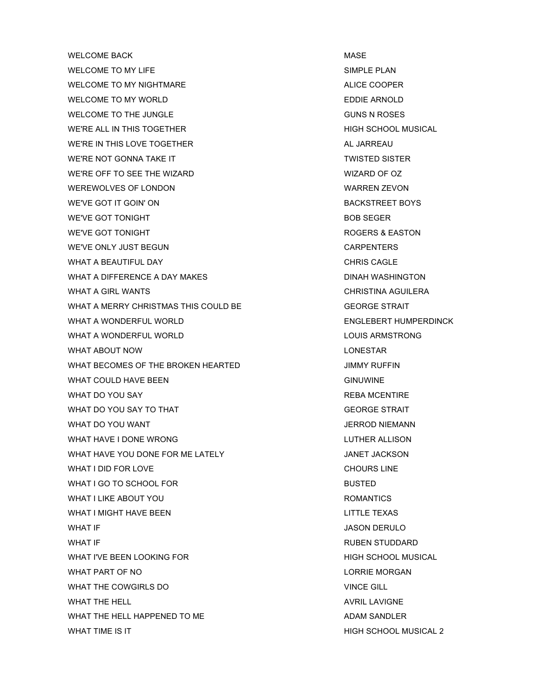WELCOME BACK NEWSLET AND RESERVE THE MASS MASS OF A SERVE THAT A SERVE THAT A SERVE THAT A SERVE THAT A SERVE WELCOME TO MY LIFE SERVICE SIMPLE PLAN WELCOME TO MY NIGHTMARE **ALICE COOPER** WELCOME TO MY WORLD **EXAMPLE ARE INCOMED** EDDIE ARNOLD WELCOME TO THE JUNGLE **COME ASSAULT A ROSES** GUNS N ROSES WE'RE ALL IN THIS TOGETHER HIGH SCHOOL MUSICAL WE'RE IN THIS LOVE TOGETHER ALL JARREAU WE'RE NOT GONNA TAKE IT TWISTED SISTER WE'RE OFF TO SEE THE WIZARD WIZARD WIZARD OF OZ WEREWOLVES OF LONDON **WEREWOLVES OF LONDON** WE'VE GOT IT GOIN' ON BACKSTREET BOYS WE'VE GOT TONIGHT **BOB SEGER** WE'VE GOT TONIGHT **ROGERS & EASTON** WE'VE ONLY JUST BEGUN CARPENTERS WHAT A BEAUTIFUL DAY **CHARGE ASSAUTE AND A BEAUTIFUL DAY** WHAT A DIFFERENCE A DAY MAKES **Example 20 YO FINAL WASHINGTON** WHAT A GIRL WANTS **CHRISTINA AGUILERA** WHAT A MERRY CHRISTMAS THIS COULD BE GEORGE STRAIT WHAT A WONDERFUL WORLD **ENGLEBERT HUMPERDINCK** WHAT A WONDERFUL WORLD **LOUIS ARMSTRONG** WHAT ABOUT NOW **Example 20 YO FOR THE SET ARE AN IMAGE OF STAR** WHAT BECOMES OF THE BROKEN HEARTED **STATE AND STATE STATE IN A STATE AND A** JIMMY RUFFIN WHAT COULD HAVE BEEN GINUWINE WHAT DO YOU SAY GEESSALE CONTROL CONTROL CONTROL CONTROL CONTROL CONTROL CONTROL CONTROL CONTROL CONTROL CONTROL CONTROL CONTROL CONTROL CONTROL CONTROL CONTROL CONTROL CONTROL CONTROL CONTROL CONTROL CONTROL CONTROL CONTR WHAT DO YOU SAY TO THAT GEORGE STRAIT WHAT DO YOU WANT THE SERVICE SERVICE SERVICE SERVICE SERVICE SERVICE SERVICE SERVICE SERVICE SERVICE SERVICE S WHAT HAVE I DONE WRONG LUTHER ALLISON WHAT HAVE YOU DONE FOR ME LATELY **A CONFIDENT CONTAINERT AND MET JACKSON** WHAT I DID FOR LOVE THE CHOURS LINE CHOURS LINE WHAT I GO TO SCHOOL FOR BUSTED BUSTED WHAT I LIKE ABOUT YOU GOT A COMMON CONTROL AND THE ROMANTICS WHAT I MIGHT HAVE BEEN **LITTLE TEXAS** WHAT IF **WHAT IF** SHOW IN THE SERVICE OF THE SERVICE OF THE SERVICE OF THE SERVICE OF THE SERVICE OF THE SERVICE OF THE SERVICE OF THE SERVICE OF THE SERVICE OF THE SERVICE OF THE SERVICE OF THE SERVICE OF THE SERVICE OF T WHAT IF **EXECUTE IS A RUBEN STUDDARD RUBEN STUDDARD** WHAT I'VE BEEN LOOKING FOR **HIGH SCHOOL MUSICAL** WHAT PART OF NO LORRIE MORGAN NETWORK OF NO WHAT THE COWGIRLS DO VINCE GILL WHAT THE HELL **AVRIL LAVIGNE** WHAT THE HELL HAPPENED TO ME ADAM SANDLER WHAT TIME IS IT **A REPORT OF A REPORT OF A REPORT OF SCHOOL MUSICAL 2**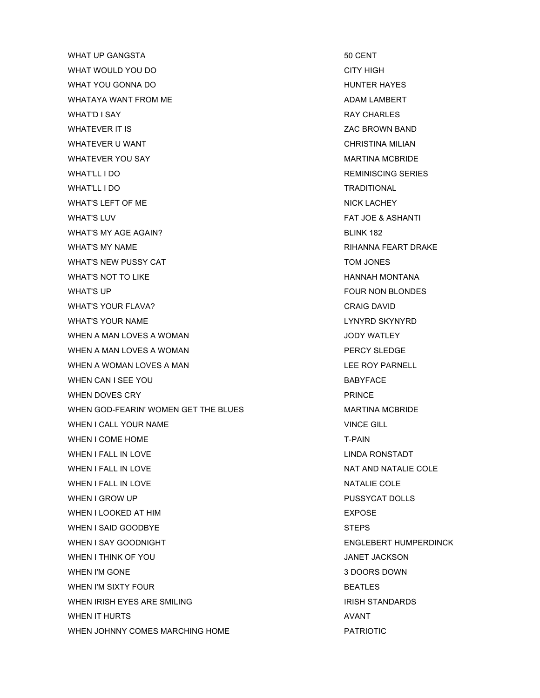WHAT UP GANGSTA 50 CENT WHAT WOULD YOU DO CHARGE THE CONTROLLY HIGH WHAT YOU GONNA DO **HUNTER HAYES** WHATAYA WANT FROM ME ADAM LAMBERT WHAT'D I SAY GAS AND RAY CHARLES AND RAY CHARLES WHATEVER IT IS **EXECUTE A SET OF A SET OF A SET OF A SET OF A SET OF A SET OF A SET OF A SET OF A SET OF A SET OF A SET OF A SET OF A SET OF A SET OF A SET OF A SET OF A SET OF A SET OF A SET OF A SET OF A SET OF A SET OF** WHATEVER U WANT **CHRISTINA MILIAN** WHATEVER YOU SAY GET A MARTINA MCBRIDE WHAT'LL I DO **REMINISCING SERIES** WHAT'LL I DO TRADITIONAL WHAT'S LEFT OF ME NICK LACHEY WHAT'S LUV FAT JOE & ASHANTI WHAT'S MY AGE AGAIN? BLINK 182 WHAT'S MY NAME **RIHANNA FEART DRAKE** WHAT'S NEW PUSSY CAT **TOM JONES** WHAT'S NOT TO LIKE THE HANNAH MONTANA HANNAH MONTANA WHAT'S UP GENERAL METAL CONSUMING THE RESERVE OF THE RESERVE OF THE RESERVE OF THE RESERVE OF THE RESERVE OF THE RESERVE OF THE RESERVE OF THE RESERVE OF THE RESERVE OF THE RESERVE OF THE RESERVE OF THE RESERVE OF THE RESE WHAT'S YOUR FLAVA? CRAIG DAVID WHAT'S YOUR NAME **LYNYRD SKYNYRD** WHEN A MAN LOVES A WOMAN **SECURE 2008 THE SECURE WATER** JODY WATLEY WHEN A MAN LOVES A WOMAN PERCY SLEDGE WHEN A WOMAN LOVES A MAN LEE ROY PARNELL WHEN CAN I SEE YOU GALL THE SECOND STATE STATES AND RESIDENCE IN A BABYFACE WHEN DOVES CRY **PRINCE** WHEN GOD-FEARIN' WOMEN GET THE BLUES MARTINA MCBRIDE WHEN I CALL YOUR NAME VINCE GILL WHEN I COME HOME T-PAIN WHEN I FALL IN LOVE **LINDA RONSTADT** WHEN I FALL IN LOVE NATIONAL SERVICE SERVICE OF A SAFEKEEPING AND NATALIE COLE WHEN I FALL IN LOVE NATALIE COLE WHEN I GROW UP **PUSSYCAT DOLLS** WHEN I LOOKED AT HIM EXPOSE WHEN I SAID GOODBYE STEPS WHEN I SAY GOODNIGHT ENGLEBERT HUMPERDINCK WHEN I THINK OF YOU GOT A GOT A GOT A GOT A GOT A GOT A GAMET JACKSON WHEN I'M GONE 2000 SERVICE 2000 STATES AND THE STATE 3 DOORS DOWN WHEN I'M SIXTY FOUR **BEATLES** WHEN IRISH EYES ARE SMILING ISSUED ASSESSED FOR A RISH STANDARDS IN THE METALL STANDARDS WHEN IT HURTS AND A SERVICE STATES AND A SERVICE STATES AND A SERVICE STATES AND A SERVICE STATES AND A SERVICE STATES AND A SERVICE STATES AND A SERVICE STATES AND A SERVICE STATES AND A SERVICE STATES AND A SERVICE STATE WHEN JOHNNY COMES MARCHING HOME **Example 20 YO HOME** PATRIOTIC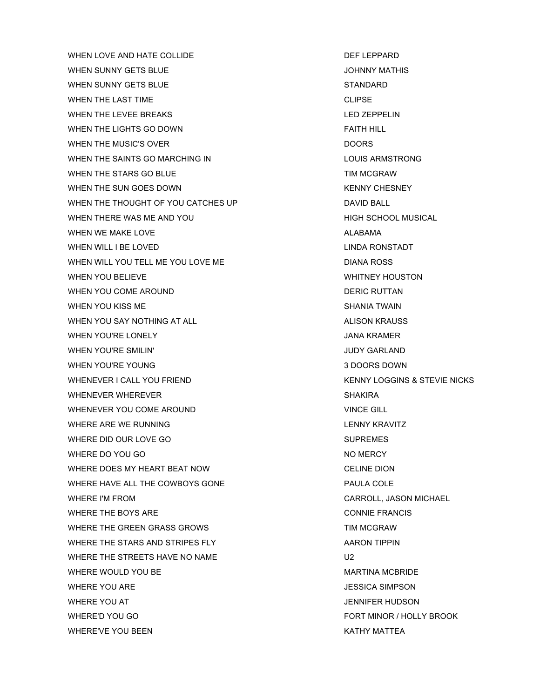WHEN LOVE AND HATE COLLIDE **Example 20 and SECULI** DEF LEPPARD WHEN SUNNY GETS BLUE **SUNNY MATHIS** WHEN SUNNY GETS BLUE STANDARD WHEN THE LAST TIME **CLIPSE** WHEN THE LEVEE BREAKS LED AND THE LEVEL BREAKS WHEN THE LIGHTS GO DOWN FAITH HILL WHEN THE MUSIC'S OVER **DOORS** DOORS WHEN THE SAINTS GO MARCHING IN **EXAMPLE 2018** LOUIS ARMSTRONG WHEN THE STARS GO BLUE TIM MCGRAW WHEN THE SUN GOES DOWN NET CHESNEY WHEN THE THOUGHT OF YOU CATCHES UP **DAVID BALL** WHEN THERE WAS ME AND YOU **Example 20 YOU THERE WAS ME** AND YOU WHEN WE MAKE LOVE ALABAMA ALABAMA WHEN WILL I BE LOVED **LINDA RONSTADT** WHEN WILL YOU TELL ME YOU LOVE ME DIANA ROSS DIANA ROSS WHEN YOU BELIEVE WHITNEY HOUSTON WHEN YOU COME AROUND **DERIC RUTTAN** WHEN YOU KISS ME SHANIA TWAIN WHEN YOU SAY NOTHING AT ALL ALISON KRAUSS WHEN YOU'RE LONELY **A CONSERVANT CONSERVANT CONSERVANT CONSERVANT CONSERVANT CONSERVANT CONSERVANT CONSERVANT CONSERVANT CONSERVANT CONSERVANT CONSERVANT CONSERVANT CONSERVANT CONSERVANT CONSERVANT CONSERVANT CONSERVANT CO** WHEN YOU'RE SMILIN' SALE OF THE SMILING SALE OF THE SMILING SALE OF THE SMILING SALE OF THE SMILING SALE OF THE SMILING SALE OF THE SMILING SALE OF THE SMILING SALE OF THE SMILING SALE OF THE SMILING SALE OF THE SMILING SA WHEN YOU'RE YOUNG **3 DOORS DOWN** WHENEVER I CALL YOU FRIEND **KENNY LOGGINS & STEVIE NICKS** WHENEVER WHEREVER SHAKIRA WHENEVER YOU COME AROUND VINCE GILL WHERE ARE WE RUNNING **LENNY KRAVITZ** WHERE DID OUR LOVE GO SUPREMES WHERE DO YOU GO NO MERCY WHERE DOES MY HEART BEAT NOW **CELINE DION** WHERE HAVE ALL THE COWBOYS GONE **EXAMPLE ASSESSED ASSESSED** PAULA COLE WHERE I'M FROM CARROLL, JASON MICHAEL WHERE THE BOYS ARE **CONNIE FRANCIS** WHERE THE GREEN GRASS GROWS THE STATE STATE STATE STATE STATE STATE STATE STATE STATE STATE STATE STATE STATE STATE STATE STATE STATE STATE STATE STATE STATE STATE STATE STATE STATE STATE STATE STATE STATE STATE STATE STAT WHERE THE STARS AND STRIPES FLY **ARROLL AT A STARS AND STRIPES** FLY WHERE THE STREETS HAVE NO NAME U2 WHERE WOULD YOU BE **MARTINA MCBRIDE** WHERE YOU ARE **JESSICA SIMPSON** WHERE YOU AT THE RESERVE OF THE SERVE AND THE SERVE AND A SERVE AND SONE AND SONE AND A SERVE AND SONE AND A SERVE AND A SERVE AND A SERVE AND A SERVE AND A SERVE AND A SERVE AND A SERVE AND A SERVE AND A SERVE AND A SERVE WHERE'D YOU GO FORT MINOR / HOLLY BROOK WHERE'VE YOU BEEN THE RESERVE THAT IN THE RESERVE THAT IN THE RESERVE THAT IN THE RESERVE THAT IN THE RESERVE THAT IN THE RESERVE THAT IN THE RESERVE THAT IN THE RESERVE THAT IN THE RESERVE THAT IN THE RESERVE THAT IN THE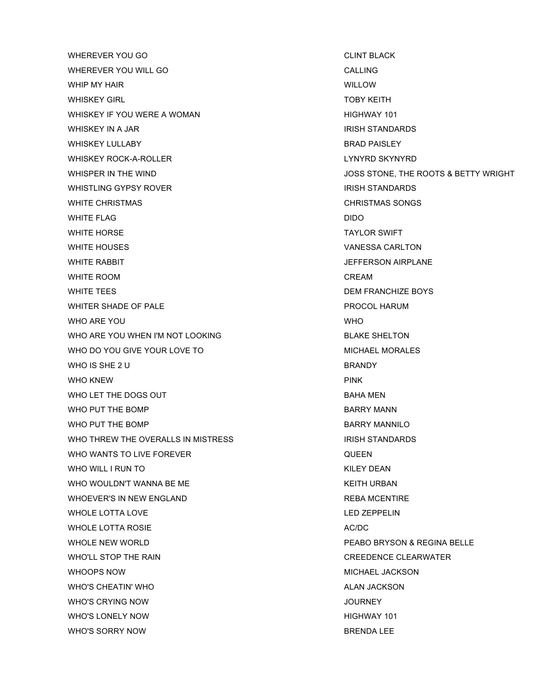WHEREVER YOU GO CLINT BLACK WHEREVER YOU WILL GO CALLING WHIP MY HAIR **WHIP MY HAIR** WHISKEY GIRL TOBY KEITH WHISKEY IF YOU WERE A WOMAN **EXAMPLE AND A SERVICE OF A SERVICE OF A SERVICE OF A SERVICE OF A SERVICE OF A SERVICE OF A SERVICE OF A SERVICE OF A SERVICE OF A SERVICE OF A SERVICE OF A SERVICE OF A SERVICE OF A SERVICE OF** WHISKEY IN A JAR IRISH STANDARDS IRISH STANDARDS WHISKEY LULLABY **BRAD PAISLEY** WHISKEY ROCK-A-ROLLER LYNYRD SKYNYRD WHISTLING GYPSY ROVER **INCOLL STANDARDS** IRISH STANDARDS WHITE CHRISTMAS **CHRISTMAS** CHRISTMAS SONGS WHITE FLAG DIDO WHITE HORSE TAYLOR SWIFT WHITE HOUSES VANESSA CARLTON WHITE RABBIT **ALCOHOL CONTROLLER IN THE RABBIT** WHITE ROOM CREAM WHITE TEES DEM FRANCHIZE BOYS WHITER SHADE OF PALE **PROCOL HARUM** WHO ARE YOU ALLOWED A RESIDENCE IN A RESIDENCE OF A RESIDENCE OF A RESIDENCE OF A RESIDENCE OF A RESIDENCE OF A RESIDENCE OF A RESIDENCE OF A RESIDENCE OF A RESIDENCE OF A RESIDENCE OF A RESIDENCE OF A RESIDENCE OF A RESID WHO ARE YOU WHEN I'M NOT LOOKING **BLAKE SHELTON** WHO DO YOU GIVE YOUR LOVE TO MICHAEL MORALES WHO IS SHE 2 U BRANDY WHO KNEW PINK WHO LET THE DOGS OUT **BAHA MEN** WHO PUT THE BOMP BARRY MANN WHO PUT THE BOMP BARRY MANNILO WHO THREW THE OVERALLS IN MISTRESS IN THE RESOLUTION OF THE RESOLUTION OF THE RESOLUTION OF THE RESOLUTION OF THE RESOLUTION OF THE RESOLUTION OF THE RESOLUTION OF THE RESOLUTION OF THE RESOLUTION OF THE RESOLUTION OF THE WHO WANTS TO LIVE FOREVER **CONTACT CONTACT AND THE CONTROL** WHO WILL I RUN TO THE RESERVE THAT I RUN ISSUED ASSAULTED AND RESERVE THAT IS A RESERVE THAT IS A RESERVE THAT IS A RESERVE THAT IS A RESERVE THAT IS A RESERVE THAT IS A RESERVE THAT IS A RESERVE THAT IS A RESERVE THAT IS WHO WOULDN'T WANNA BE ME KEITH URBAN WHOEVER'S IN NEW ENGLAND **REBA MCENTIRE** WHOLE LOTTA LOVE **LED ZEPPELIN** WHOLE LOTTA ROSIE AC/DC AC/DC WHOLE NEW WORLD **PEABO BRYSON & REGINA BELLE** WHO'LL STOP THE RAIN CREEDENCE CLEARWATER WHOOPS NOW **MICHAEL JACKSON** WHO'S CHEATIN' WHO ALAN JACKSON ALAN JACKSON WHO'S CRYING NOW JOURNEY WHO'S LONELY NOW **HIGHWAY 101** WHO'S SORRY NOW GOT CONTROL TO THE REAL PROPERTY AND THE BRENDA LEE

WHISPER IN THE WIND **WHISPER IN THE WIND** JOSS STONE, THE ROOTS & BETTY WRIGHT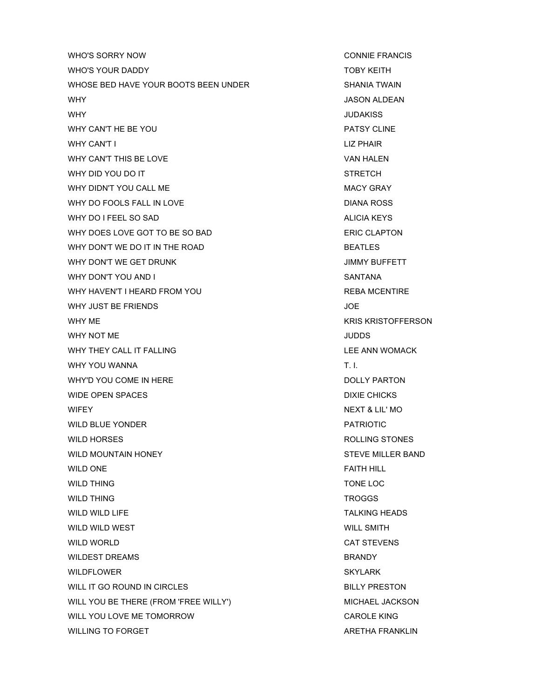WHO'S SORRY NOW **CONNIE FRANCIS** WHO'S YOUR DADDY TOBY KEITH WHOSE BED HAVE YOUR BOOTS BEEN UNDER SHANIA TWAIN WHY JASON ALDEAN WHY JUDAKISS WHY CAN'T HE BE YOU **PATSY CLINE** WHY CAN'T I LIZ PHAIR WHY CAN'T THIS BE LOVE **VAN HALEN** WHY DID YOU DO IT THE STRETCH STRETCH WHY DIDN'T YOU CALL ME MACY GRAY WHY DO FOOLS FALL IN LOVE **DIANA ROSS** WHY DO I FEEL SO SAD ALICIA KEYS WHY DOES LOVE GOT TO BE SO BAD ERIC CLAPTON WHY DON'T WE DO IT IN THE ROAD BEATLES WHY DON'T WE GET DRUNK GET AND THE SERVICE SERVICE STATES OF THE STATE STATES OF THE STATES OF THE STATES OF THE STATES OF THE STATES OF THE STATES OF THE STATES OF THE STATES OF THE STATES OF THE STATES OF THE STATES OF T WHY DON'T YOU AND I SANTANA WHY HAVEN'T I HEARD FROM YOU **REBA MCENTIRE** WHY JUST BE FRIENDS **SECULIES SECULIES SECULIES JOE** WHY ME **KRISTOFFERSON** WHY NOT ME **SECURE THE SECURE TELEVISION** SUPPORTED A SUPPORTED A SUPPORTED A SUPPORTED A SUPPORTED A SUPPORTED A SUPPORTED A SUPPORTED A SUPPORTED A SUPPORTED A SUPPORTED A SUPPORTED A SUPPORTED A SUPPORTED A SUPPORTED A WHY THEY CALL IT FALLING **LEE ANN WOMACK** WHY YOU WANNA TELEVISION OF THE SERVICE SERVICE SERVICE SERVICE SERVICE SERVICE SERVICE SERVICE SERVICE SERVICE WHY'D YOU COME IN HERE DOLLY PARTON WIDE OPEN SPACES **DIXIE CHICKS** WIFEY **WIFEY ALLEM** WIFEY **A SET ALLEMAN WIFEY NEXT & LIL' MO** WILD BLUE YONDER **PATRIOTIC** WILD HORSES **ROLLING STONES** WILD MOUNTAIN HONEY **STEVE MILLER BAND** WILD ONE FAITH HILL CONE WILD THING TO A RESERVE TO A RELOCTED A RELOCTED A RELOCTED A RELOCTED AND TO A RELOCTED A RELOCTED A RELOCTED A RELOCTED A RELOCTED A RELOCTED AND A RELOCTED A RELOCTED A RELOCTED A RELOCTED A RELOCTED A RELOCTED A RELOCT WILD THING **TROGGS** WILD WILD LIFE **TALKING HEADS** WILD WILD WEST **WILD WEST AND INCOMING THE SMITH** WILD WORLD CAT STEVENS WILDEST DREAMS **BRANDY** BRANDY WILDFLOWER SKYLARK WILL IT GO ROUND IN CIRCLES **BILLY PRESTON** WILL YOU BE THERE (FROM 'FREE WILLY') MICHAEL JACKSON WILL YOU LOVE ME TOMORROW **CAROLE KING** WILLING TO FORGET AND THE SERVICE OF THE SERVICE OF THE SERVICE OF THE SERVICE OF THE SERVICE OF THE SERVICE OF THE SERVICE OF THE SERVICE OF THE SERVICE OF THE SERVICE OF THE SERVICE OF THE SERVICE OF THE SERVICE OF THE S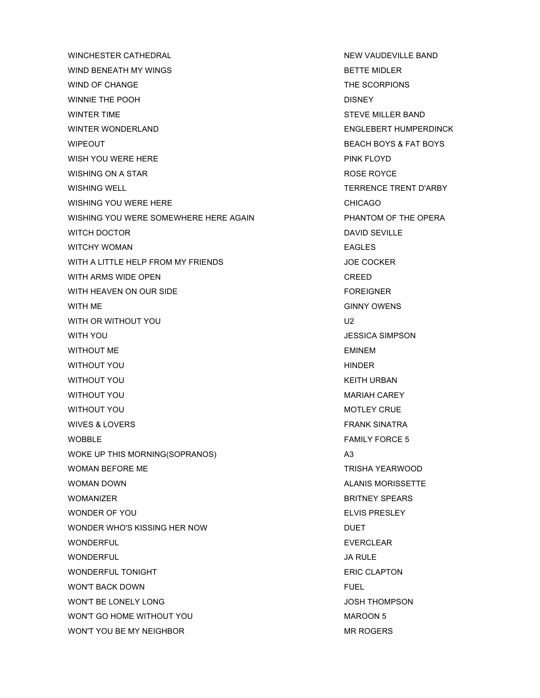WINCHESTER CATHEDRAL **NEW YAUDEVILLE BAND** WIND BENEATH MY WINGS **BETTE MIDLER** WIND OF CHANGE THE SCORPIONS WINNIE THE POOH **DISNEY** WINTER TIME STEVE MILLER BAND WINTER WONDERLAND **ENGLEBERT HUMPERDINCK** WIPEOUT **BEACH BOYS & FAT BOYS** WISH YOU WERE HERE **PINK FLOYD** WISHING ON A STAR ROSE ROYCE WISHING WELL **WISHING WELL TERRENCE TRENT D'ARBY** WISHING YOU WERE HERE **CHICAGO** WISHING YOU WERE SOMEWHERE HERE AGAIN PHANTOM OF THE OPERA WITCH DOCTOR **DAVID SEVILLE** WITCHY WOMAN **EAGLES** WITH A LITTLE HELP FROM MY FRIENDS JOE COCKER WITH ARMS WIDE OPEN **CREED** WITH HEAVEN ON OUR SIDE **FOREIGNER** FOREIGNER WITH ME GINNY OWENS WITH OR WITHOUT YOU GAS A SERVE TO MAKE THE MANUSCRIPT OF THE MANUSCRIPT OF THE MANUSCRIPT OF THE MANUSCRIPT OF THE MANUSCRIPT OF THE MANUSCRIPT OF THE MANUSCRIPT OF THE MANUSCRIPT OF THE MANUSCRIPT OF THE MANUSCRIPT OF TH WITH YOU GET A GET A CONTROLLED A GET A GET A GET A GET A GET A GET A GET A GET A GET A GET A GET A GET A GET A GET A GET A GET A GET A GET A GET A GET A GET A GET A GET A GET A GET A GET A GET A GET A GET A GET A GET A GE WITHOUT ME **EMINEM** WITHOUT YOU GO HINDER THE RESERVE THAT THE RESERVE THE RESERVE THAT THE RESERVE THAT THE RESERVE THAT THE RESERVE THAT THE RESERVE THAT THE RESERVE THAT THE RESERVE THAT THE RESERVE THAT THE RESERVE THAT THE RESERVE THAT T WITHOUT YOU GET ALL THE SERVICE OF THE SERVICE OF THE SERVICE OF THE SERVICE OF THE SERVICE OF THE SERVICE OF THE SERVICE OF THE SERVICE OF THE SERVICE OF THE SERVICE OF THE SERVICE OF THE SERVICE OF THE SERVICE OF THE SER WITHOUT YOU GET A CONTROL TO BE A GET A CONTROLLER WITHOUT YOU WITHOUT YOU GO AND THE SERVICE SERVICE SERVICE SERVICE SERVICE SERVICE SERVICE SERVICE SERVICE SERVICE SERVICE WIVES & LOVERS FRANK SINATRA WOBBLE THE STATE OF THE SERVICE STATES OF THE SERVICE STATES OF THE SERVICE STATES OF THE SERVICE STATES OF THE STATES OF THE STATES OF THE STATES OF THE STATES OF THE STATES OF THE STATES OF THE STATES OF THE STATES OF TH WOKE UP THIS MORNING(SOPRANOS) A3 WOMAN BEFORE ME TRISHA YEARWOOD WOMAN DOWN **ALANIS MORISSETTE** WOMANIZER BRITNEY SPEARS WONDER OF YOU ELVIS PRESLEY WONDER WHO'S KISSING HER NOW DUET WONDERFUL **EVERCLEAR** WONDERFUL **WONDERFUL** SALE WONDERFUL TONIGHT **ERIC CLAPTON** WON'T BACK DOWN FUEL AND THE SERVICE OF THE SERVICE OF THE SERVICE OF THE SERVICE OF THE SERVICE OF THE SERVICE OF THE SERVICE OF THE SERVICE OF THE SERVICE OF THE SERVICE OF THE SERVICE OF THE SERVICE OF THE SERVICE OF TH WON'T BE LONELY LONG GOVERNMENT BE LONELY LONG WON'T GO HOME WITHOUT YOU **A CONSERVER SHOW THAT A CONSERVATION** MAROON 5 WON'T YOU BE MY NEIGHBOR WON'T YOU BE MY NEIGHBOR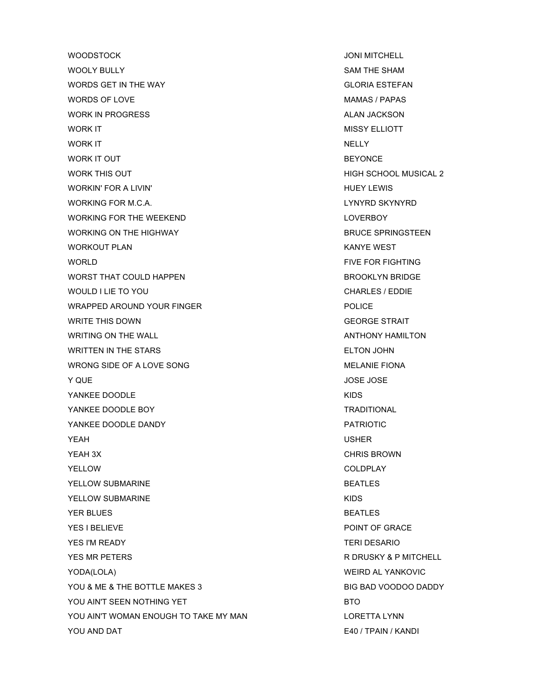WOODSTOCK UNITED ASSESSED AND THE UNITED ASSESSED. THE UNITED ASSESSED ASSESSED. THE USE OF THE USE OF THE USE OF THE USE OF THE USE OF THE USE OF THE USE OF THE USE OF THE USE OF THE USE OF THE USE OF THE USE OF THE USE O WOOLY BULLY **SAM THE SHAM** WORDS GET IN THE WAY GLORIA ESTEFAN WORDS OF LOVE **MAMAS / PAPAS** WORK IN PROGRESS ALAN JACKSON ALAN JACKSON WORK IT **MISSY ELLIOTT** WORK IT A RELEASE OF THE SERVICE OF THE SERVICE OF THE SERVICE OF THE SERVICE OF THE SERVICE OF THE SERVICE OF WORK IT OUT **BEYONCE** WORK THIS OUT **A SCHOOL MUSICAL 2 HIGH SCHOOL MUSICAL 2** WORKIN' FOR A LIVIN' **HUEY LEWIS** WORKING FOR M.C.A. LYNYRD SKYNYRD WORKING FOR THE WEEKEND **LOWER AND A SERVICE ASSAULT A** LOVERBOY WORKING ON THE HIGHWAY **BRUCE SPRINGSTEEN** WORKOUT PLAN KANYE WEST WORLD FIVE FOR FIGHTING WORST THAT COULD HAPPEN BROOKLYN BRIDGE WOULD I LIE TO YOU CHARLES / EDDIE WRAPPED AROUND YOUR FINGER POLICE WRITE THIS DOWN GEORGE STRAIT WRITING ON THE WALL ANTHONY HAMILTON WRITTEN IN THE STARS **ELTON JOHN** WRONG SIDE OF A LOVE SONG MELANIE FIONA **Y QUE All the Second Second Second Second Second Second Second Second Second Second Second Second Second Second Second Second Second Second Second Second Second Second Second Second Second Second Second Second Second Seco** YANKEE DOODLE THE STATE OF THE STATE OF THE STATE OF THE STATE OF THE STATE OF THE STATE OF THE STATE OF THE ST YANKEE DOODLE BOY TRADITIONAL YANKEE DOODLE DANDY **EXAMPLE AND A TAILOT AND A TRIOTIC** YEAH USHER **YEAH 3X** CHRIS BROWN YELLOW COLDPLAY YELLOW SUBMARINE **BEATLES** YELLOW SUBMARINE THE RESERVE THAT IS A RESERVE TO A RESERVE THAT IS A RESERVE TO A RESERVE THAT IS A RESERVE TO **YER BLUES** BEATLES YES I BELIEVE **POINT OF GRACE** YES I'M READY TERI DESARIO YES MR PETERS **REDUCES ASSESSED AS A REDUCE OF A REDUCE OF A R** DRUSKY & P MITCHELL YODA(LOLA) WEIRD AL YANKOVIC YOU & ME & THE BOTTLE MAKES 3 BIG BAD VOODOO DADDY YOU AIN'T SEEN NOTHING YET BTO YOU AIN'T WOMAN ENOUGH TO TAKE MY MAN LORETTA LYNN YOU AND DAT E40 / TPAIN / KANDI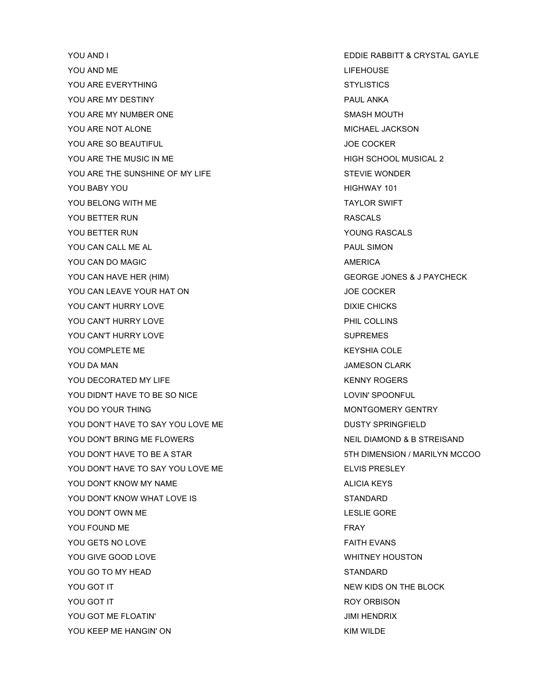YOU AND I EDDIE RABBITT & CRYSTAL GAYLE YOU AND ME LIFEHOUSE YOU ARE EVERYTHING STYLISTICS YOU ARE MY DESTINY **PAUL ANKA** YOU ARE MY NUMBER ONE SMASH MOUTH YOU ARE NOT ALONE WICHAEL JACKSON YOU ARE SO BEAUTIFUL JOE COCKER YOU ARE THE MUSIC IN ME **HIGH SCHOOL MUSICAL 2** YOU ARE THE SUNSHINE OF MY LIFE STEVIE WONDER STEVIE WONDER YOU BABY YOU ASSESSED FOR THE RESERVE THAT THE RESERVE THAT THE HIGHWAY 101 YOU BELONG WITH ME TAYLOR SWIFT YOU BETTER RUN ASSALS IN THE RASCALS AND RASCALS YOU BETTER RUN YOU BETTER RUN YOU BETTER RUN YOU BETTER RUN YOU BETTER RUN YOU BETTER RUN YOU BETTER RUN IN THE YOU CAN CALL ME AL PAUL SIMON AND RAUL SIMON YOU CAN DO MAGIC **AMERICA** YOU CAN HAVE HER (HIM) GEORGE JONES & J PAYCHECK YOU CAN LEAVE YOUR HAT ON THE SERVICE OF SALE AND LOTE COCKER YOU CAN'T HURRY LOVE **DIXIE CHICKS** YOU CAN'T HURRY LOVE **PHIL COLLINS** YOU CAN'T HURRY LOVE SUPREMES YOU COMPLETE ME KEYSHIA COLE YOU DA MAN JAMESON CLARK YOU DECORATED MY LIFE THE CONSTRUCTION OF THE REAL ASSESSMENT ROGERS. YOU DIDN'T HAVE TO BE SO NICE **LOVIN'SPOONFUL** YOU DO YOUR THING MONTGOMERY GENTRY YOU DON'T HAVE TO SAY YOU LOVE ME DUSTY SPRING DUSTY SPRINGFIELD YOU DON'T BRING ME FLOWERS NEIL DIAMOND & B STREISAND YOU DON'T HAVE TO BE A STAR 5TH DIMENSION / MARILYN MCCOO YOU DON'T HAVE TO SAY YOU LOVE ME THE RESOLUTE THAT HAVE TO SAY YOU LOVE ME YOU DON'T KNOW MY NAME ALICIA KEYS YOU DON'T KNOW WHAT LOVE IS **STANDARD** YOU DON'T OWN ME LESLIE GORE YOU FOUND ME FRAY YOU GETS NO LOVE FAITH EVANS YOU GIVE GOOD LOVE THE SAME RELATION OF THE SAME WHITNEY HOUSTON YOU GO TO MY HEAD STANDARD YOU GOT IT THE BLOCK IN THE BLOCK SERVED AS A SERVED ON THE BLOCK ON THE BLOCK IN THE BLOCK ON THE BLOCK ON THE BLOCK YOU GOT IT A ROY ORBISON CONTROL CONTROL CONTROL CONTROL CONTROL CONTROL CONTROL CONTROL CONTROL CONTROL CONTROL CONTROL CONTROL CONTROL CONTROL CONTROL CONTROL CONTROL CONTROL CONTROL CONTROL CONTROL CONTROL CONTROL CONTR YOU GOT ME FLOATIN' JIMI HENDRIX YOU KEEP ME HANGIN' ON KIM WILDE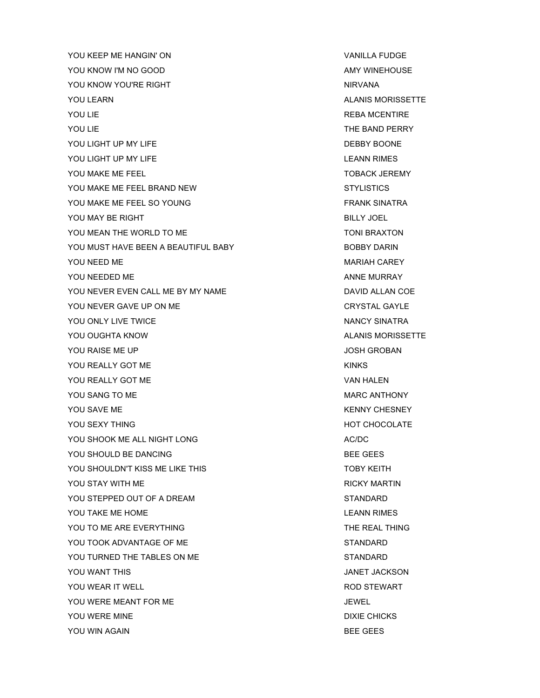YOU KEEP ME HANGIN' ON VANILLA FUDGE YOU KNOW I'M NO GOOD AMY WINEHOUSE YOU KNOW YOU'RE RIGHT NIRVANA YOU LEARN ALANIS MORISSETTE **YOU LIE** REBA MCENTIRE YOU LIE THE BAND PERRY YOU LIGHT UP MY LIFE THE RESERVED ON A SERIES ON A SERIES ON BEBBY BOONE YOU LIGHT UP MY LIFE LEANN RIMES YOU MAKE ME FEEL TOBACK JEREMY YOU MAKE ME FEEL BRAND NEW STYLISTICS YOU MAKE ME FEEL SO YOUNG THE SAME SINATRA SINATRA YOU MAY BE RIGHT BILLY JOEL AND RESERVE TO A STATE OF THE BILLY JOEL BILLY JOEL YOU MEAN THE WORLD TO ME TONI BRAXTON YOU MUST HAVE BEEN A BEAUTIFUL BABY **BOBBY DARIN** YOU NEED ME MARIAH CAREY YOU NEEDED ME ANNE MURRAY YOU NEVER EVEN CALL ME BY MY NAME DAVID ALLAN COE YOU NEVER GAVE UP ON ME CRYSTAL GAYLE YOU ONLY LIVE TWICE NANCY SINATRA YOU OUGHTA KNOW ALANIS MORISSETTE YOU RAISE ME UP **A SECURE 2018 TO A SECURE 2019 TO A SECURE 2019** TO A SECURE 2019 TO A SECURE 2019 TO A SECURE 2019 YOU REALLY GOT ME KINKS YOU REALLY GOT ME VAN HALEN YOU SANG TO ME MARC ANTHONY YOU SAVE ME KENNY CHESNEY YOU SEXY THING THING THE CHOOSE SERVER THING THE CHOOSE SERVER THING THE CHOOSE SERVER THING THE CHOOSE SERVER THING YOU SHOOK ME ALL NIGHT LONG ACADEMIC AC/DC AC/DC YOU SHOULD BE DANCING BEE GEES YOU SHOULDN'T KISS ME LIKE THIS TOBY TOBY KEITH YOU STAY WITH ME **RICKY MARTIN** YOU STEPPED OUT OF A DREAM STANDARD YOU TAKE ME HOME **LEANN RIMES** YOU TO ME ARE EVERYTHING TO THE REAL THING YOU TOOK ADVANTAGE OF ME STANDARD STANDARD YOU TURNED THE TABLES ON ME STANDARD YOU WANT THIS **A SECURE 20 YOU WANT THIS** YOU WEAR IT WELL THE ROD STEWART ROD STEWART YOU WERE MEANT FOR ME **SECURE 1999** JEWEL YOU WERE MINE THE RESERVE THE RESERVE THAT THE DIXIE CHICKS YOU WIN AGAIN **BEE GEES**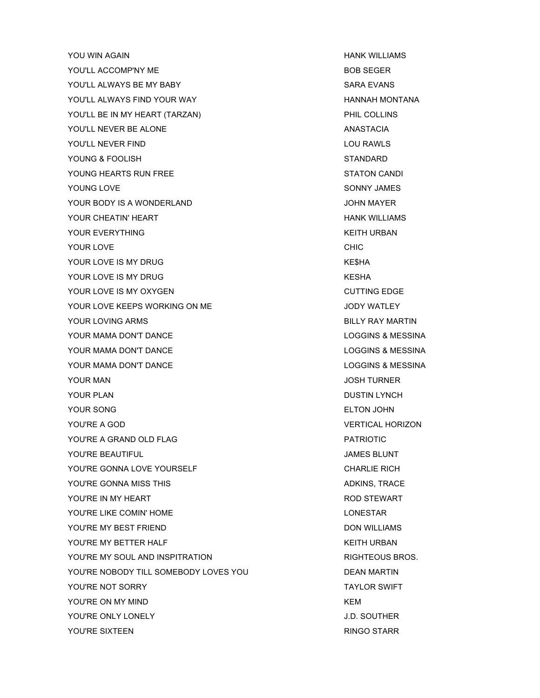YOU WIN AGAIN HANK WILLIAMS YOU'LL ACCOMP'NY ME A RESERT FOR SEGER AND THE BOB SEGER YOU'LL ALWAYS BE MY BABY SARA EVANS YOU'LL ALWAYS FIND YOUR WAY **A HANNAH MONTANA** YOU'LL BE IN MY HEART (TARZAN) FHIL COLLINS YOU'LL NEVER BE ALONE ANASTACIA YOU'LL NEVER FIND **LOU RAWLS** YOUNG & FOOLISH STANDARD YOUNG HEARTS RUN FREE STATON CANDI YOUNG LOVE **SONNY JAMES** YOUR BODY IS A WONDERLAND JOHN MAYER YOUR CHEATIN' HEART **HANK WILLIAMS** YOUR EVERYTHING THE RESERVE THAT IS A RESERVE TO LARGE THAT IS A RESERVE TO LARGE THAT IS A RESERVE TO LARGE THAT IS A RESERVE TO LARGE THAT IS A RESERVE TO LARGE THAT IS A RESERVE TO LARGE THAT IS A RESERVE TO LARGE THAT YOUR LOVE **CHIC** YOUR LOVE IS MY DRUG KESHA YOUR LOVE IS MY DRUG KESHA YOUR LOVE IS MY OXYGEN CUTTING EDGE YOUR LOVE KEEPS WORKING ON ME **SAND A SERVICE OF A SERVICE OF A SERVICE OF A SERVICE OF A SERVICE OF A SERVICE O** YOUR LOVING ARMS **BILLY RAY MARTIN** YOUR MAMA DON'T DANCE **LOGGINS & MESSINA** YOUR MAMA DON'T DANCE LOGGINS & MESSINA YOUR MAMA DON'T DANCE LOGGINS & MESSINA YOUR MAN JOSH TURNER YOUR PLAN DUSTIN LYNCH YOUR SONG ELTON JOHN YOU'RE A GOD **VERTICAL HORIZON** YOU'RE A GRAND OLD FLAG PATRIOTIC PATRIOTIC YOU'RE BEAUTIFUL JAMES BLUNT YOU'RE GONNA LOVE YOURSELF CHARLIE RICH YOU'RE GONNA MISS THIS ADKINS, TRACE YOU'RE IN MY HEART THE STEWART STEWART AND STEWART THE STEWART STEWART AND STEWART YOU'RE LIKE COMIN' HOME LONES AND RESERVE THE LONESTAR YOU'RE MY BEST FRIEND **Example 2018** 2019 12:00 DON WILLIAMS YOU'RE MY BETTER HALF **KEITH URBAN** YOU'RE MY SOUL AND INSPITRATION **RIGHTEOUS BROS.** YOU'RE NOBODY TILL SOMEBODY LOVES YOU DEAN MARTIN YOU'RE NOT SORRY TAYLOR SWIFT YOU'RE ON MY MIND KEM YOU'RE ONLY LONELY **A SECULAR SECURE ONLY LONELY** A SAMPLE ONLY LONELY **J.D. SOUTHER** YOU'RE SIXTEEN **RINGO STARR**